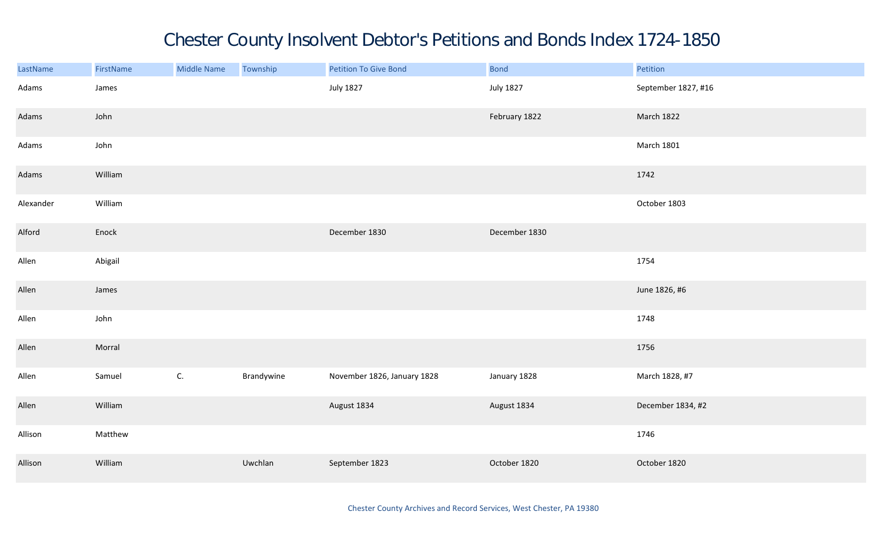## Chester County Insolvent Debtor's Petitions and Bonds Index 1724-1850

| LastName  | FirstName | Middle Name   | Township   | Petition To Give Bond       | <b>Bond</b>      | Petition            |
|-----------|-----------|---------------|------------|-----------------------------|------------------|---------------------|
| Adams     | James     |               |            | <b>July 1827</b>            | <b>July 1827</b> | September 1827, #16 |
| Adams     | John      |               |            |                             | February 1822    | March 1822          |
| Adams     | John      |               |            |                             |                  | <b>March 1801</b>   |
| Adams     | William   |               |            |                             |                  | 1742                |
| Alexander | William   |               |            |                             |                  | October 1803        |
| Alford    | Enock     |               |            | December 1830               | December 1830    |                     |
| Allen     | Abigail   |               |            |                             |                  | 1754                |
| Allen     | James     |               |            |                             |                  | June 1826, #6       |
| Allen     | John      |               |            |                             |                  | 1748                |
| Allen     | Morral    |               |            |                             |                  | 1756                |
| Allen     | Samuel    | $\mathsf{C}.$ | Brandywine | November 1826, January 1828 | January 1828     | March 1828, #7      |
| Allen     | William   |               |            | August 1834                 | August 1834      | December 1834, #2   |
| Allison   | Matthew   |               |            |                             |                  | 1746                |
| Allison   | William   |               | Uwchlan    | September 1823              | October 1820     | October 1820        |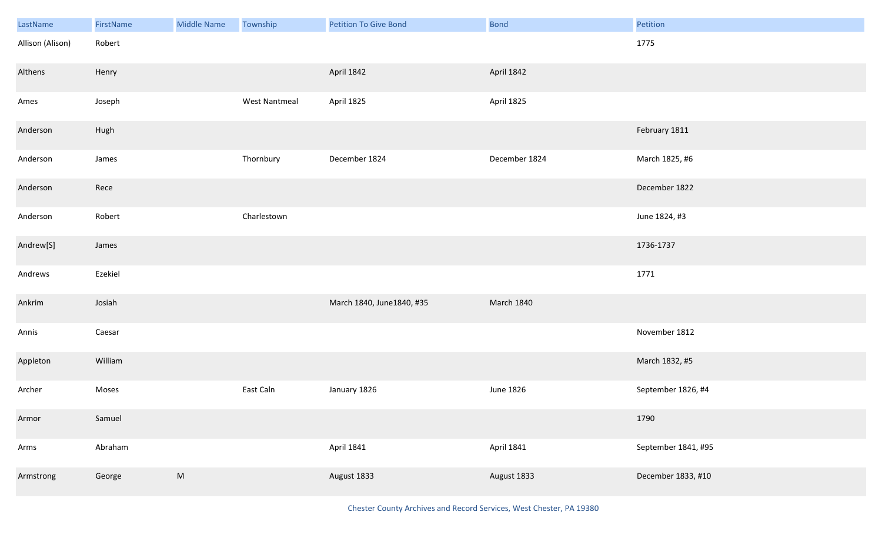| LastName         | FirstName | <b>Middle Name</b> | Township             | <b>Petition To Give Bond</b> | Bond              | Petition            |
|------------------|-----------|--------------------|----------------------|------------------------------|-------------------|---------------------|
| Allison (Alison) | Robert    |                    |                      |                              |                   | 1775                |
| Althens          | Henry     |                    |                      | April 1842                   | April 1842        |                     |
| Ames             | Joseph    |                    | <b>West Nantmeal</b> | April 1825                   | April 1825        |                     |
| Anderson         | Hugh      |                    |                      |                              |                   | February 1811       |
| Anderson         | James     |                    | Thornbury            | December 1824                | December 1824     | March 1825, #6      |
| Anderson         | Rece      |                    |                      |                              |                   | December 1822       |
| Anderson         | Robert    |                    | Charlestown          |                              |                   | June 1824, #3       |
| Andrew[S]        | James     |                    |                      |                              |                   | 1736-1737           |
| Andrews          | Ezekiel   |                    |                      |                              |                   | 1771                |
| Ankrim           | Josiah    |                    |                      | March 1840, June1840, #35    | <b>March 1840</b> |                     |
| Annis            | Caesar    |                    |                      |                              |                   | November 1812       |
| Appleton         | William   |                    |                      |                              |                   | March 1832, #5      |
| Archer           | Moses     |                    | East Caln            | January 1826                 | June 1826         | September 1826, #4  |
| Armor            | Samuel    |                    |                      |                              |                   | 1790                |
| Arms             | Abraham   |                    |                      | April 1841                   | April 1841        | September 1841, #95 |
| Armstrong        | George    | M                  |                      | August 1833                  | August 1833       | December 1833, #10  |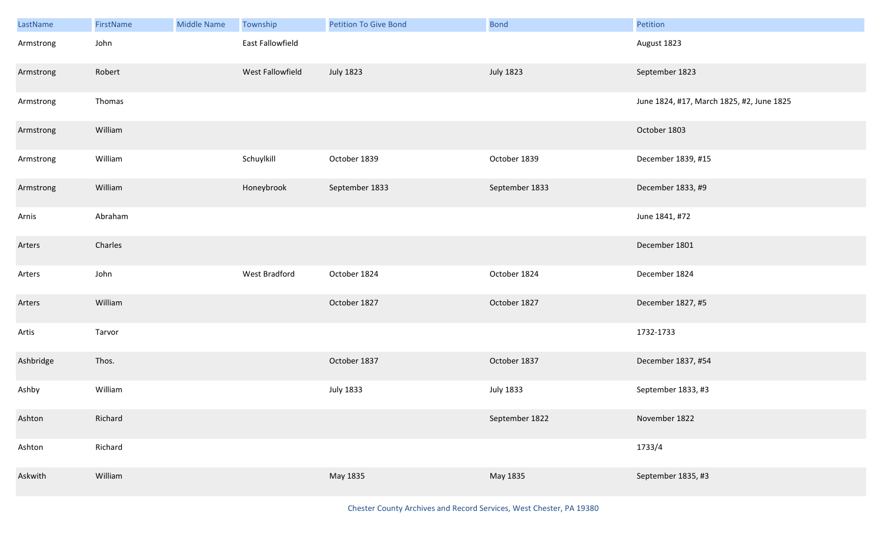| LastName  | FirstName | <b>Middle Name</b> | Township         | <b>Petition To Give Bond</b> | <b>Bond</b>      | Petition                                  |
|-----------|-----------|--------------------|------------------|------------------------------|------------------|-------------------------------------------|
| Armstrong | John      |                    | East Fallowfield |                              |                  | August 1823                               |
| Armstrong | Robert    |                    | West Fallowfield | <b>July 1823</b>             | <b>July 1823</b> | September 1823                            |
| Armstrong | Thomas    |                    |                  |                              |                  | June 1824, #17, March 1825, #2, June 1825 |
| Armstrong | William   |                    |                  |                              |                  | October 1803                              |
| Armstrong | William   |                    | Schuylkill       | October 1839                 | October 1839     | December 1839, #15                        |
| Armstrong | William   |                    | Honeybrook       | September 1833               | September 1833   | December 1833, #9                         |
| Arnis     | Abraham   |                    |                  |                              |                  | June 1841, #72                            |
| Arters    | Charles   |                    |                  |                              |                  | December 1801                             |
| Arters    | John      |                    | West Bradford    | October 1824                 | October 1824     | December 1824                             |
| Arters    | William   |                    |                  | October 1827                 | October 1827     | December 1827, #5                         |
| Artis     | Tarvor    |                    |                  |                              |                  | 1732-1733                                 |
| Ashbridge | Thos.     |                    |                  | October 1837                 | October 1837     | December 1837, #54                        |
| Ashby     | William   |                    |                  | <b>July 1833</b>             | <b>July 1833</b> | September 1833, #3                        |
| Ashton    | Richard   |                    |                  |                              | September 1822   | November 1822                             |
| Ashton    | Richard   |                    |                  |                              |                  | 1733/4                                    |
| Askwith   | William   |                    |                  | May 1835                     | May 1835         | September 1835, #3                        |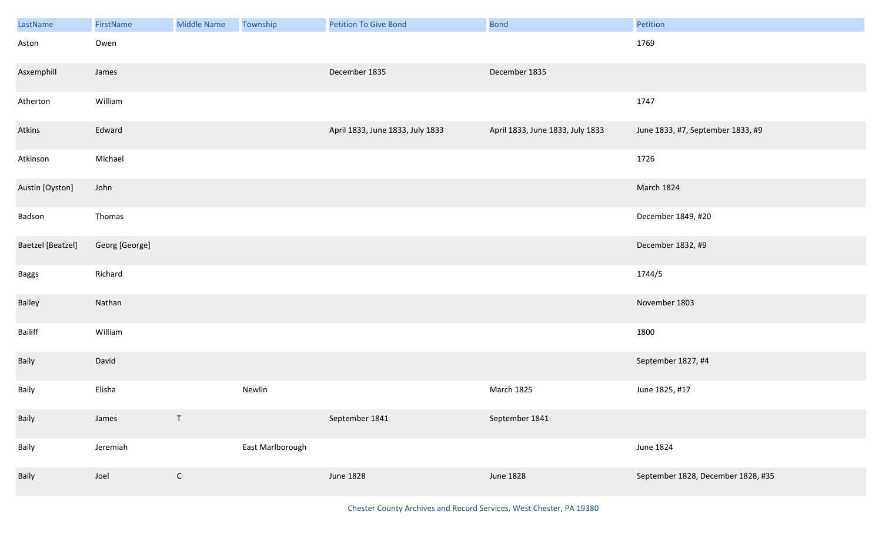| LastName                 | FirstName      | <b>Middle Name</b> | Township         | <b>Petition To Give Bond</b>     | <b>Bond</b>                      | Petition                           |
|--------------------------|----------------|--------------------|------------------|----------------------------------|----------------------------------|------------------------------------|
| Aston                    | Owen           |                    |                  |                                  |                                  | 1769                               |
| Asxemphill               | James          |                    |                  | December 1835                    | December 1835                    |                                    |
| Atherton                 | William        |                    |                  |                                  |                                  | 1747                               |
| Atkins                   | Edward         |                    |                  | April 1833, June 1833, July 1833 | April 1833, June 1833, July 1833 | June 1833, #7, September 1833, #9  |
| Atkinson                 | Michael        |                    |                  |                                  |                                  | 1726                               |
| Austin [Oyston]          | John           |                    |                  |                                  |                                  | March 1824                         |
| Badson                   | Thomas         |                    |                  |                                  |                                  | December 1849, #20                 |
| <b>Baetzel</b> [Beatzel] | Georg [George] |                    |                  |                                  |                                  | December 1832, #9                  |
| <b>Baggs</b>             | Richard        |                    |                  |                                  |                                  | 1744/5                             |
| Bailey                   | Nathan         |                    |                  |                                  |                                  | November 1803                      |
| Bailiff                  | William        |                    |                  |                                  |                                  | 1800                               |
| Baily                    | David          |                    |                  |                                  |                                  | September 1827, #4                 |
| Baily                    | Elisha         |                    | Newlin           |                                  | March 1825                       | June 1825, #17                     |
| Baily                    | James          | $\mathsf T$        |                  | September 1841                   | September 1841                   |                                    |
| Baily                    | Jeremiah       |                    | East Marlborough |                                  |                                  | June 1824                          |
| Baily                    | Joel           | $\mathsf C$        |                  | <b>June 1828</b>                 | June 1828                        | September 1828, December 1828, #35 |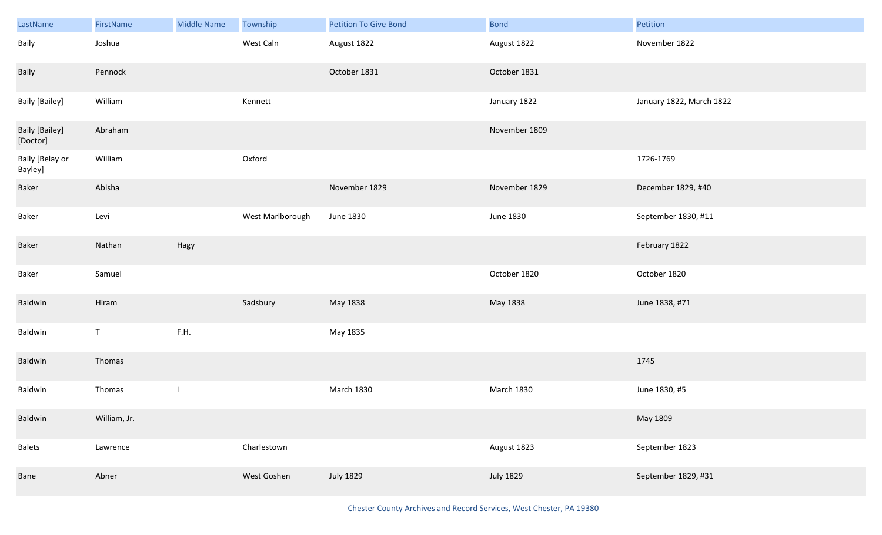| LastName                          | FirstName    | <b>Middle Name</b>       | Township         | <b>Petition To Give Bond</b> | <b>Bond</b>       | Petition                 |
|-----------------------------------|--------------|--------------------------|------------------|------------------------------|-------------------|--------------------------|
| Baily                             | Joshua       |                          | West Caln        | August 1822                  | August 1822       | November 1822            |
| Baily                             | Pennock      |                          |                  | October 1831                 | October 1831      |                          |
| <b>Baily [Bailey]</b>             | William      |                          | Kennett          |                              | January 1822      | January 1822, March 1822 |
| <b>Baily [Bailey]</b><br>[Doctor] | Abraham      |                          |                  |                              | November 1809     |                          |
| Baily [Belay or<br>Bayley]        | William      |                          | Oxford           |                              |                   | 1726-1769                |
| Baker                             | Abisha       |                          |                  | November 1829                | November 1829     | December 1829, #40       |
| Baker                             | Levi         |                          | West Marlborough | June 1830                    | June 1830         | September 1830, #11      |
| Baker                             | Nathan       | Hagy                     |                  |                              |                   | February 1822            |
| Baker                             | Samuel       |                          |                  |                              | October 1820      | October 1820             |
| Baldwin                           | Hiram        |                          | Sadsbury         | May 1838                     | May 1838          | June 1838, #71           |
| Baldwin                           | $\mathsf T$  | F.H.                     |                  | May 1835                     |                   |                          |
| Baldwin                           | Thomas       |                          |                  |                              |                   | 1745                     |
| Baldwin                           | Thomas       | $\overline{\phantom{a}}$ |                  | <b>March 1830</b>            | <b>March 1830</b> | June 1830, #5            |
| Baldwin                           | William, Jr. |                          |                  |                              |                   | May 1809                 |
| <b>Balets</b>                     | Lawrence     |                          | Charlestown      |                              | August 1823       | September 1823           |
| Bane                              | Abner        |                          | West Goshen      | <b>July 1829</b>             | <b>July 1829</b>  | September 1829, #31      |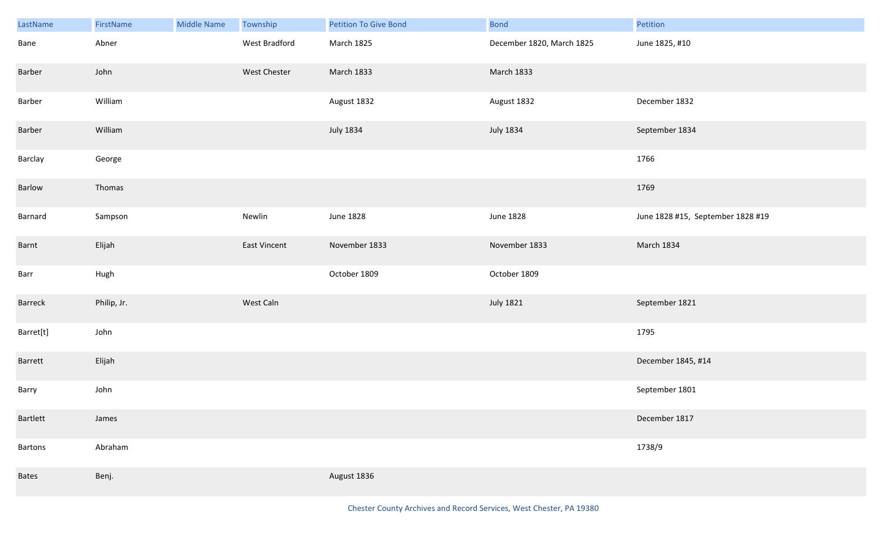| LastName     | FirstName   | <b>Middle Name</b> | Township      | Petition To Give Bond | <b>Bond</b>               | Petition                          |
|--------------|-------------|--------------------|---------------|-----------------------|---------------------------|-----------------------------------|
| Bane         | Abner       |                    | West Bradford | March 1825            | December 1820, March 1825 | June 1825, #10                    |
| Barber       | John        |                    | West Chester  | March 1833            | March 1833                |                                   |
| Barber       | William     |                    |               | August 1832           | August 1832               | December 1832                     |
| Barber       | William     |                    |               | <b>July 1834</b>      | <b>July 1834</b>          | September 1834                    |
| Barclay      | George      |                    |               |                       |                           | 1766                              |
| Barlow       | Thomas      |                    |               |                       |                           | 1769                              |
| Barnard      | Sampson     |                    | Newlin        | <b>June 1828</b>      | June 1828                 | June 1828 #15, September 1828 #19 |
| Barnt        | Elijah      |                    | East Vincent  | November 1833         | November 1833             | March 1834                        |
| Barr         | Hugh        |                    |               | October 1809          | October 1809              |                                   |
| Barreck      | Philip, Jr. |                    | West Caln     |                       | <b>July 1821</b>          | September 1821                    |
| Barret[t]    | John        |                    |               |                       |                           | 1795                              |
| Barrett      | Elijah      |                    |               |                       |                           | December 1845, #14                |
| Barry        | John        |                    |               |                       |                           | September 1801                    |
| Bartlett     | James       |                    |               |                       |                           | December 1817                     |
| Bartons      | Abraham     |                    |               |                       |                           | 1738/9                            |
| <b>Bates</b> | Benj.       |                    |               | August 1836           |                           |                                   |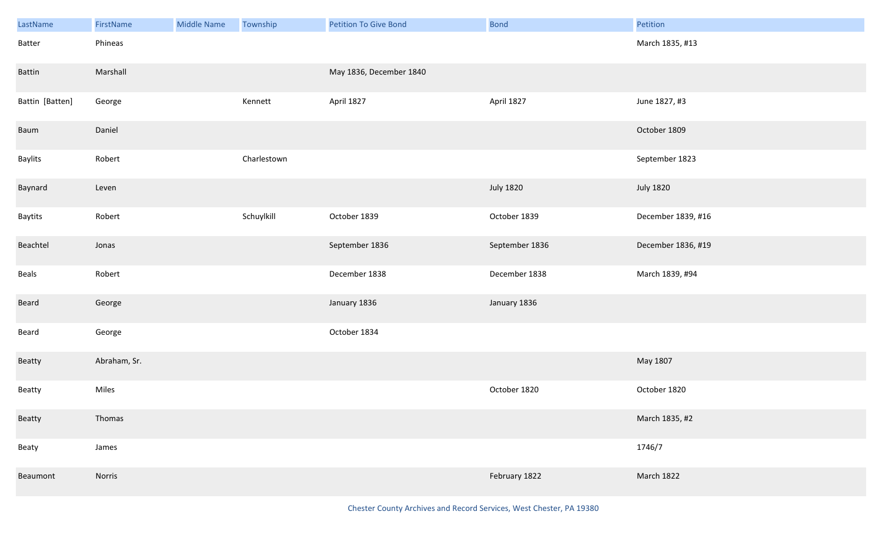| LastName        | FirstName    | Middle Name | Township    | <b>Petition To Give Bond</b> | <b>Bond</b>      | Petition           |
|-----------------|--------------|-------------|-------------|------------------------------|------------------|--------------------|
| Batter          | Phineas      |             |             |                              |                  | March 1835, #13    |
| Battin          | Marshall     |             |             | May 1836, December 1840      |                  |                    |
| Battin [Batten] | George       |             | Kennett     | April 1827                   | April 1827       | June 1827, #3      |
| Baum            | Daniel       |             |             |                              |                  | October 1809       |
| Baylits         | Robert       |             | Charlestown |                              |                  | September 1823     |
| Baynard         | Leven        |             |             |                              | <b>July 1820</b> | <b>July 1820</b>   |
| Baytits         | Robert       |             | Schuylkill  | October 1839                 | October 1839     | December 1839, #16 |
| Beachtel        | Jonas        |             |             | September 1836               | September 1836   | December 1836, #19 |
| Beals           | Robert       |             |             | December 1838                | December 1838    | March 1839, #94    |
| Beard           | George       |             |             | January 1836                 | January 1836     |                    |
| Beard           | George       |             |             | October 1834                 |                  |                    |
| Beatty          | Abraham, Sr. |             |             |                              |                  | May 1807           |
| Beatty          | Miles        |             |             |                              | October 1820     | October 1820       |
| Beatty          | Thomas       |             |             |                              |                  | March 1835, #2     |
| Beaty           | James        |             |             |                              |                  | 1746/7             |
| Beaumont        | Norris       |             |             |                              | February 1822    | March 1822         |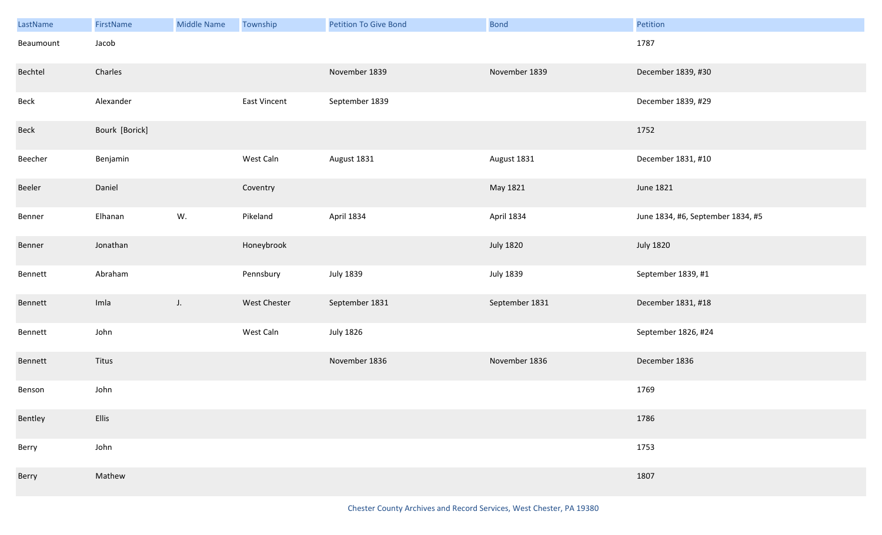| LastName  | FirstName      | <b>Middle Name</b> | Township     | <b>Petition To Give Bond</b> | <b>Bond</b>      | Petition                          |
|-----------|----------------|--------------------|--------------|------------------------------|------------------|-----------------------------------|
| Beaumount | Jacob          |                    |              |                              |                  | 1787                              |
| Bechtel   | Charles        |                    |              | November 1839                | November 1839    | December 1839, #30                |
| Beck      | Alexander      |                    | East Vincent | September 1839               |                  | December 1839, #29                |
| Beck      | Bourk [Borick] |                    |              |                              |                  | 1752                              |
| Beecher   | Benjamin       |                    | West Caln    | August 1831                  | August 1831      | December 1831, #10                |
| Beeler    | Daniel         |                    | Coventry     |                              | May 1821         | June 1821                         |
| Benner    | Elhanan        | W.                 | Pikeland     | April 1834                   | April 1834       | June 1834, #6, September 1834, #5 |
| Benner    | Jonathan       |                    | Honeybrook   |                              | <b>July 1820</b> | <b>July 1820</b>                  |
| Bennett   | Abraham        |                    | Pennsbury    | <b>July 1839</b>             | <b>July 1839</b> | September 1839, #1                |
| Bennett   | Imla           | $J_{\star}$        | West Chester | September 1831               | September 1831   | December 1831, #18                |
| Bennett   | John           |                    | West Caln    | <b>July 1826</b>             |                  | September 1826, #24               |
| Bennett   | Titus          |                    |              | November 1836                | November 1836    | December 1836                     |
| Benson    | John           |                    |              |                              |                  | 1769                              |
| Bentley   | Ellis          |                    |              |                              |                  | 1786                              |
| Berry     | John           |                    |              |                              |                  | 1753                              |
| Berry     | Mathew         |                    |              |                              |                  | 1807                              |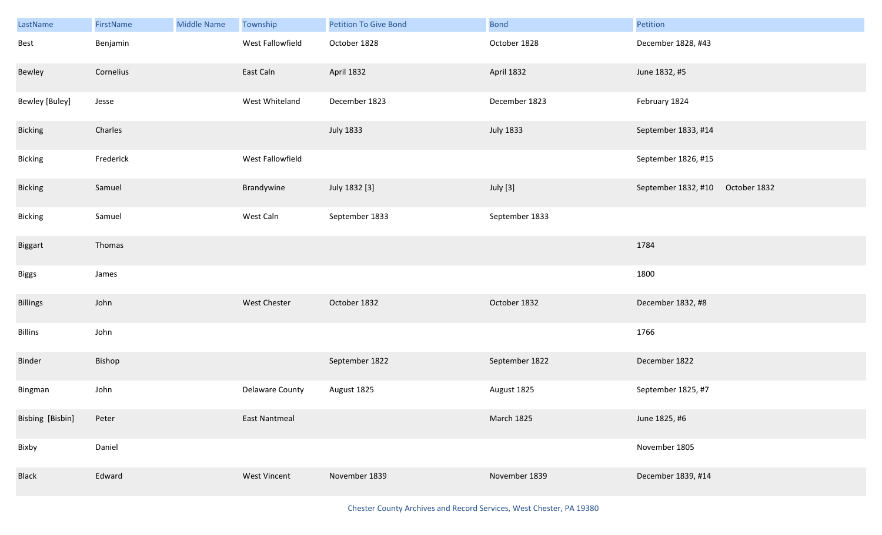| LastName              | FirstName | <b>Middle Name</b> | Township         | <b>Petition To Give Bond</b> | <b>Bond</b>      | Petition                         |  |
|-----------------------|-----------|--------------------|------------------|------------------------------|------------------|----------------------------------|--|
| Best                  | Benjamin  |                    | West Fallowfield | October 1828                 | October 1828     | December 1828, #43               |  |
| Bewley                | Cornelius |                    | East Caln        | April 1832                   | April 1832       | June 1832, #5                    |  |
| <b>Bewley [Buley]</b> | Jesse     |                    | West Whiteland   | December 1823                | December 1823    | February 1824                    |  |
| <b>Bicking</b>        | Charles   |                    |                  | <b>July 1833</b>             | <b>July 1833</b> | September 1833, #14              |  |
| Bicking               | Frederick |                    | West Fallowfield |                              |                  | September 1826, #15              |  |
| Bicking               | Samuel    |                    | Brandywine       | July 1832 [3]                | July [3]         | September 1832, #10 October 1832 |  |
| Bicking               | Samuel    |                    | West Caln        | September 1833               | September 1833   |                                  |  |
| Biggart               | Thomas    |                    |                  |                              |                  | 1784                             |  |
| <b>Biggs</b>          | James     |                    |                  |                              |                  | 1800                             |  |
| <b>Billings</b>       | John      |                    | West Chester     | October 1832                 | October 1832     | December 1832, #8                |  |
| <b>Billins</b>        | John      |                    |                  |                              |                  | 1766                             |  |
| Binder                | Bishop    |                    |                  | September 1822               | September 1822   | December 1822                    |  |
| Bingman               | John      |                    | Delaware County  | August 1825                  | August 1825      | September 1825, #7               |  |
| Bisbing [Bisbin]      | Peter     |                    | East Nantmeal    |                              | March 1825       | June 1825, #6                    |  |
| Bixby                 | Daniel    |                    |                  |                              |                  | November 1805                    |  |
| Black                 | Edward    |                    | West Vincent     | November 1839                | November 1839    | December 1839, #14               |  |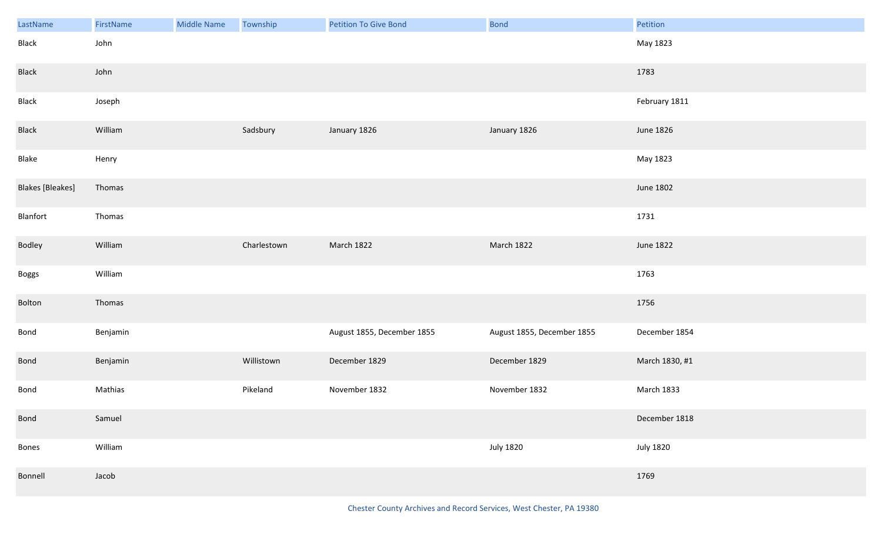| LastName                | FirstName | <b>Middle Name</b> | Township    | <b>Petition To Give Bond</b> | Bond                       | Petition         |
|-------------------------|-----------|--------------------|-------------|------------------------------|----------------------------|------------------|
| Black                   | John      |                    |             |                              |                            | May 1823         |
| Black                   | John      |                    |             |                              |                            | 1783             |
| Black                   | Joseph    |                    |             |                              |                            | February 1811    |
| Black                   | William   |                    | Sadsbury    | January 1826                 | January 1826               | June 1826        |
| Blake                   | Henry     |                    |             |                              |                            | May 1823         |
| <b>Blakes</b> [Bleakes] | Thomas    |                    |             |                              |                            | <b>June 1802</b> |
| Blanfort                | Thomas    |                    |             |                              |                            | 1731             |
| Bodley                  | William   |                    | Charlestown | March 1822                   | March 1822                 | <b>June 1822</b> |
| Boggs                   | William   |                    |             |                              |                            | 1763             |
| Bolton                  | Thomas    |                    |             |                              |                            | 1756             |
| Bond                    | Benjamin  |                    |             | August 1855, December 1855   | August 1855, December 1855 | December 1854    |
| <b>Bond</b>             | Benjamin  |                    | Willistown  | December 1829                | December 1829              | March 1830, #1   |
| Bond                    | Mathias   |                    | Pikeland    | November 1832                | November 1832              | March 1833       |
| Bond                    | Samuel    |                    |             |                              |                            | December 1818    |
| Bones                   | William   |                    |             |                              | <b>July 1820</b>           | <b>July 1820</b> |
| Bonnell                 | Jacob     |                    |             |                              |                            | 1769             |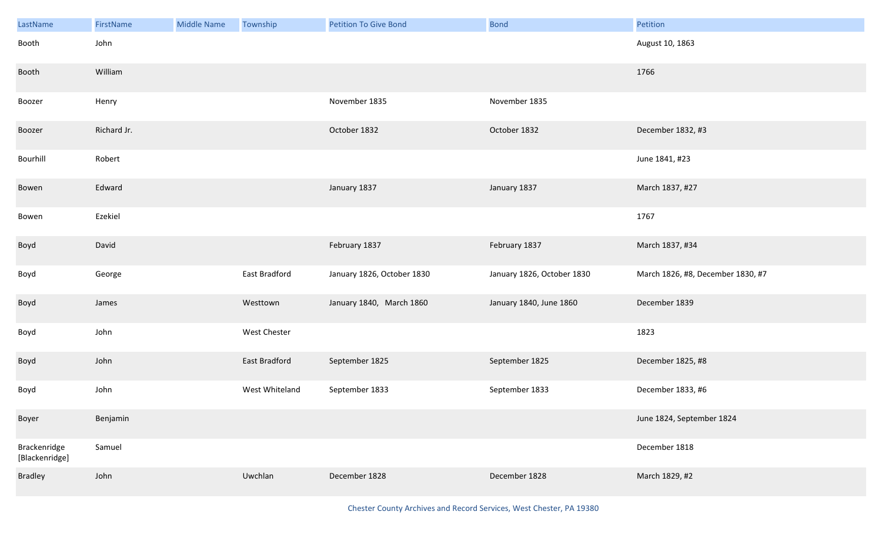| LastName                       | FirstName   | <b>Middle Name</b> | Township       | <b>Petition To Give Bond</b> | <b>Bond</b>                | Petition                          |
|--------------------------------|-------------|--------------------|----------------|------------------------------|----------------------------|-----------------------------------|
| Booth                          | John        |                    |                |                              |                            | August 10, 1863                   |
| Booth                          | William     |                    |                |                              |                            | 1766                              |
| Boozer                         | Henry       |                    |                | November 1835                | November 1835              |                                   |
| Boozer                         | Richard Jr. |                    |                | October 1832                 | October 1832               | December 1832, #3                 |
| Bourhill                       | Robert      |                    |                |                              |                            | June 1841, #23                    |
| Bowen                          | Edward      |                    |                | January 1837                 | January 1837               | March 1837, #27                   |
| Bowen                          | Ezekiel     |                    |                |                              |                            | 1767                              |
| Boyd                           | David       |                    |                | February 1837                | February 1837              | March 1837, #34                   |
| Boyd                           | George      |                    | East Bradford  | January 1826, October 1830   | January 1826, October 1830 | March 1826, #8, December 1830, #7 |
| Boyd                           | James       |                    | Westtown       | January 1840, March 1860     | January 1840, June 1860    | December 1839                     |
| Boyd                           | John        |                    | West Chester   |                              |                            | 1823                              |
| Boyd                           | John        |                    | East Bradford  | September 1825               | September 1825             | December 1825, #8                 |
| Boyd                           | John        |                    | West Whiteland | September 1833               | September 1833             | December 1833, #6                 |
| Boyer                          | Benjamin    |                    |                |                              |                            | June 1824, September 1824         |
| Brackenridge<br>[Blackenridge] | Samuel      |                    |                |                              |                            | December 1818                     |
| Bradley                        | John        |                    | Uwchlan        | December 1828                | December 1828              | March 1829, #2                    |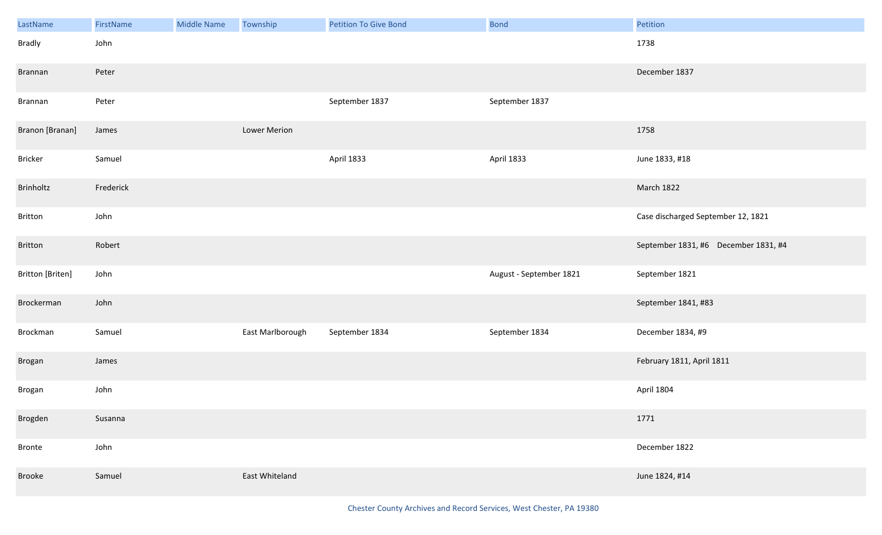| LastName         | FirstName | Middle Name | Township         | <b>Petition To Give Bond</b> | <b>Bond</b>             | Petition                             |
|------------------|-----------|-------------|------------------|------------------------------|-------------------------|--------------------------------------|
| <b>Bradly</b>    | John      |             |                  |                              |                         | 1738                                 |
| <b>Brannan</b>   | Peter     |             |                  |                              |                         | December 1837                        |
| Brannan          | Peter     |             |                  | September 1837               | September 1837          |                                      |
| Branon [Branan]  | James     |             | Lower Merion     |                              |                         | 1758                                 |
| Bricker          | Samuel    |             |                  | April 1833                   | April 1833              | June 1833, #18                       |
| Brinholtz        | Frederick |             |                  |                              |                         | March 1822                           |
| Britton          | John      |             |                  |                              |                         | Case discharged September 12, 1821   |
| Britton          | Robert    |             |                  |                              |                         | September 1831, #6 December 1831, #4 |
| Britton [Briten] | John      |             |                  |                              | August - September 1821 | September 1821                       |
| Brockerman       | John      |             |                  |                              |                         | September 1841, #83                  |
| Brockman         | Samuel    |             | East Marlborough | September 1834               | September 1834          | December 1834, #9                    |
| Brogan           | James     |             |                  |                              |                         | February 1811, April 1811            |
| Brogan           | John      |             |                  |                              |                         | April 1804                           |
| Brogden          | Susanna   |             |                  |                              |                         | 1771                                 |
| Bronte           | John      |             |                  |                              |                         | December 1822                        |
| Brooke           | Samuel    |             | East Whiteland   |                              |                         | June 1824, #14                       |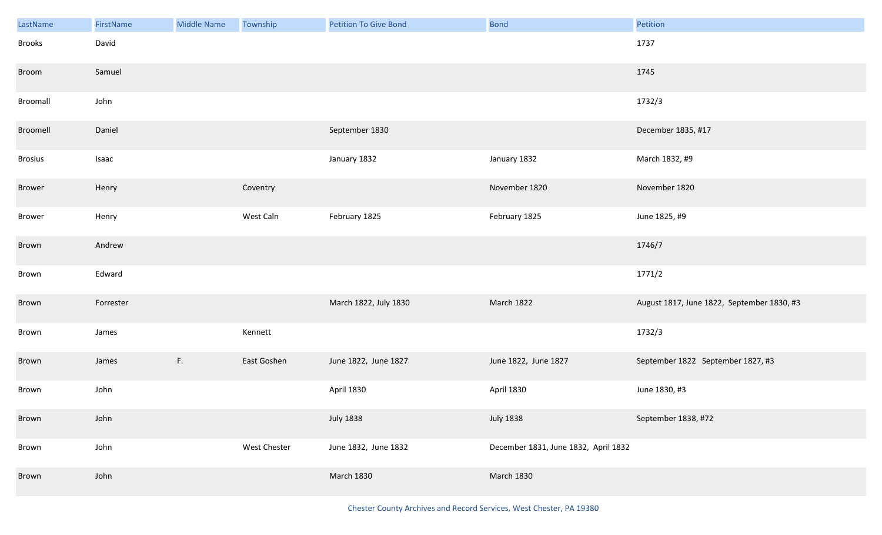| LastName       | FirstName | <b>Middle Name</b> | Township     | <b>Petition To Give Bond</b> | <b>Bond</b>                          | Petition                                   |
|----------------|-----------|--------------------|--------------|------------------------------|--------------------------------------|--------------------------------------------|
| Brooks         | David     |                    |              |                              |                                      | 1737                                       |
| Broom          | Samuel    |                    |              |                              |                                      | 1745                                       |
| Broomall       | John      |                    |              |                              |                                      | 1732/3                                     |
| Broomell       | Daniel    |                    |              | September 1830               |                                      | December 1835, #17                         |
| <b>Brosius</b> | Isaac     |                    |              | January 1832                 | January 1832                         | March 1832, #9                             |
| <b>Brower</b>  | Henry     |                    | Coventry     |                              | November 1820                        | November 1820                              |
| Brower         | Henry     |                    | West Caln    | February 1825                | February 1825                        | June 1825, #9                              |
| Brown          | Andrew    |                    |              |                              |                                      | 1746/7                                     |
| Brown          | Edward    |                    |              |                              |                                      | 1771/2                                     |
| Brown          | Forrester |                    |              | March 1822, July 1830        | March 1822                           | August 1817, June 1822, September 1830, #3 |
| Brown          | James     |                    | Kennett      |                              |                                      | 1732/3                                     |
| Brown          | James     | F.                 | East Goshen  | June 1822, June 1827         | June 1822, June 1827                 | September 1822 September 1827, #3          |
| Brown          | John      |                    |              | April 1830                   | <b>April 1830</b>                    | June 1830, #3                              |
| Brown          | John      |                    |              | <b>July 1838</b>             | <b>July 1838</b>                     | September 1838, #72                        |
| Brown          | John      |                    | West Chester | June 1832, June 1832         | December 1831, June 1832, April 1832 |                                            |
| Brown          | John      |                    |              | <b>March 1830</b>            | <b>March 1830</b>                    |                                            |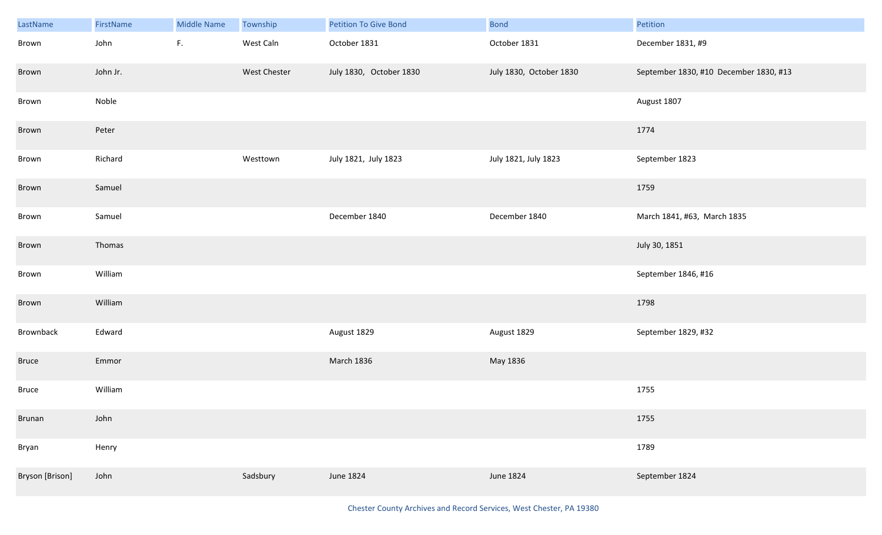| LastName        | FirstName | <b>Middle Name</b> | Township     | <b>Petition To Give Bond</b> | <b>Bond</b>             | Petition                               |
|-----------------|-----------|--------------------|--------------|------------------------------|-------------------------|----------------------------------------|
| Brown           | John      | $\mathsf{F}.$      | West Caln    | October 1831                 | October 1831            | December 1831, #9                      |
| Brown           | John Jr.  |                    | West Chester | July 1830, October 1830      | July 1830, October 1830 | September 1830, #10 December 1830, #13 |
| Brown           | Noble     |                    |              |                              |                         | August 1807                            |
| Brown           | Peter     |                    |              |                              |                         | 1774                                   |
| Brown           | Richard   |                    | Westtown     | July 1821, July 1823         | July 1821, July 1823    | September 1823                         |
| Brown           | Samuel    |                    |              |                              |                         | 1759                                   |
| Brown           | Samuel    |                    |              | December 1840                | December 1840           | March 1841, #63, March 1835            |
| Brown           | Thomas    |                    |              |                              |                         | July 30, 1851                          |
| Brown           | William   |                    |              |                              |                         | September 1846, #16                    |
| Brown           | William   |                    |              |                              |                         | 1798                                   |
| Brownback       | Edward    |                    |              | August 1829                  | August 1829             | September 1829, #32                    |
| <b>Bruce</b>    | Emmor     |                    |              | March 1836                   | May 1836                |                                        |
| <b>Bruce</b>    | William   |                    |              |                              |                         | 1755                                   |
| <b>Brunan</b>   | John      |                    |              |                              |                         | 1755                                   |
| Bryan           | Henry     |                    |              |                              |                         | 1789                                   |
| Bryson [Brison] | John      |                    | Sadsbury     | June 1824                    | June 1824               | September 1824                         |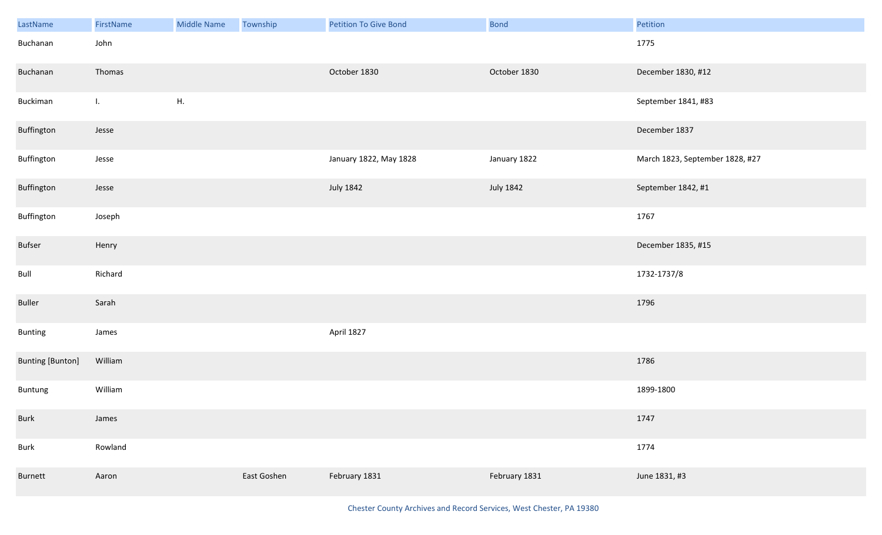| LastName                | FirstName      | <b>Middle Name</b> | Township    | <b>Petition To Give Bond</b> | <b>Bond</b>   | Petition                        |
|-------------------------|----------------|--------------------|-------------|------------------------------|---------------|---------------------------------|
| Buchanan                | John           |                    |             |                              |               | 1775                            |
| Buchanan                | Thomas         |                    |             | October 1830                 | October 1830  | December 1830, #12              |
| Buckiman                | $\mathbf{I}$ . | ${\sf H}.$         |             |                              |               | September 1841, #83             |
| Buffington              | Jesse          |                    |             |                              |               | December 1837                   |
| Buffington              | Jesse          |                    |             | January 1822, May 1828       | January 1822  | March 1823, September 1828, #27 |
| Buffington              | Jesse          |                    |             | <b>July 1842</b>             | July 1842     | September 1842, #1              |
| Buffington              | Joseph         |                    |             |                              |               | 1767                            |
| Bufser                  | Henry          |                    |             |                              |               | December 1835, #15              |
| Bull                    | Richard        |                    |             |                              |               | 1732-1737/8                     |
| Buller                  | Sarah          |                    |             |                              |               | 1796                            |
| Bunting                 | James          |                    |             | April 1827                   |               |                                 |
| <b>Bunting [Bunton]</b> | William        |                    |             |                              |               | 1786                            |
| Buntung                 | William        |                    |             |                              |               | 1899-1800                       |
| <b>Burk</b>             | James          |                    |             |                              |               | 1747                            |
| Burk                    | Rowland        |                    |             |                              |               | 1774                            |
| Burnett                 | Aaron          |                    | East Goshen | February 1831                | February 1831 | June 1831, #3                   |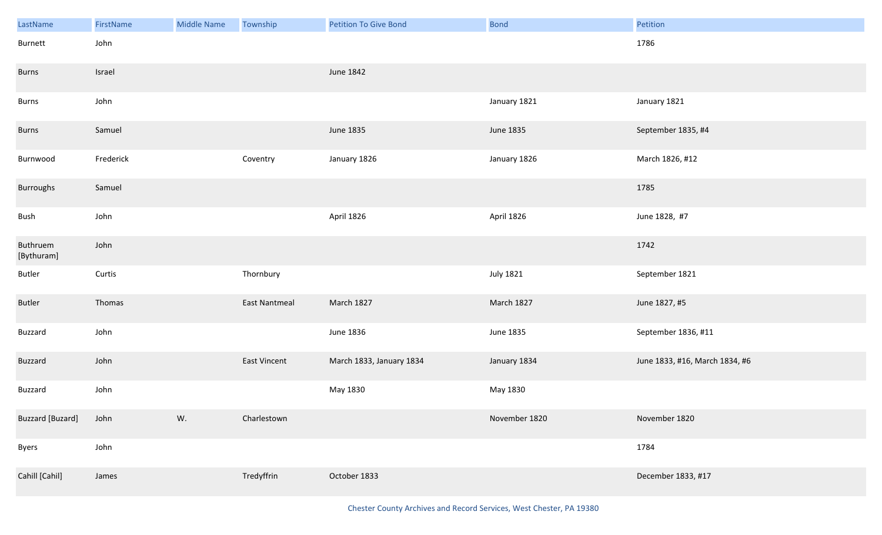| LastName                | FirstName | <b>Middle Name</b> | Township             | <b>Petition To Give Bond</b> | <b>Bond</b>      | Petition                       |
|-------------------------|-----------|--------------------|----------------------|------------------------------|------------------|--------------------------------|
| Burnett                 | John      |                    |                      |                              |                  | 1786                           |
| <b>Burns</b>            | Israel    |                    |                      | June 1842                    |                  |                                |
| Burns                   | John      |                    |                      |                              | January 1821     | January 1821                   |
| <b>Burns</b>            | Samuel    |                    |                      | June 1835                    | June 1835        | September 1835, #4             |
| Burnwood                | Frederick |                    | Coventry             | January 1826                 | January 1826     | March 1826, #12                |
| Burroughs               | Samuel    |                    |                      |                              |                  | 1785                           |
| Bush                    | John      |                    |                      | April 1826                   | April 1826       | June 1828, #7                  |
| Buthruem<br>[Bythuram]  | John      |                    |                      |                              |                  | 1742                           |
| Butler                  | Curtis    |                    | Thornbury            |                              | <b>July 1821</b> | September 1821                 |
| Butler                  | Thomas    |                    | <b>East Nantmeal</b> | <b>March 1827</b>            | March 1827       | June 1827, #5                  |
| Buzzard                 | John      |                    |                      | June 1836                    | June 1835        | September 1836, #11            |
| <b>Buzzard</b>          | John      |                    | East Vincent         | March 1833, January 1834     | January 1834     | June 1833, #16, March 1834, #6 |
| Buzzard                 | John      |                    |                      | May 1830                     | May 1830         |                                |
| <b>Buzzard</b> [Buzard] | John      | W.                 | Charlestown          |                              | November 1820    | November 1820                  |
| Byers                   | John      |                    |                      |                              |                  | 1784                           |
| Cahill [Cahil]          | James     |                    | Tredyffrin           | October 1833                 |                  | December 1833, #17             |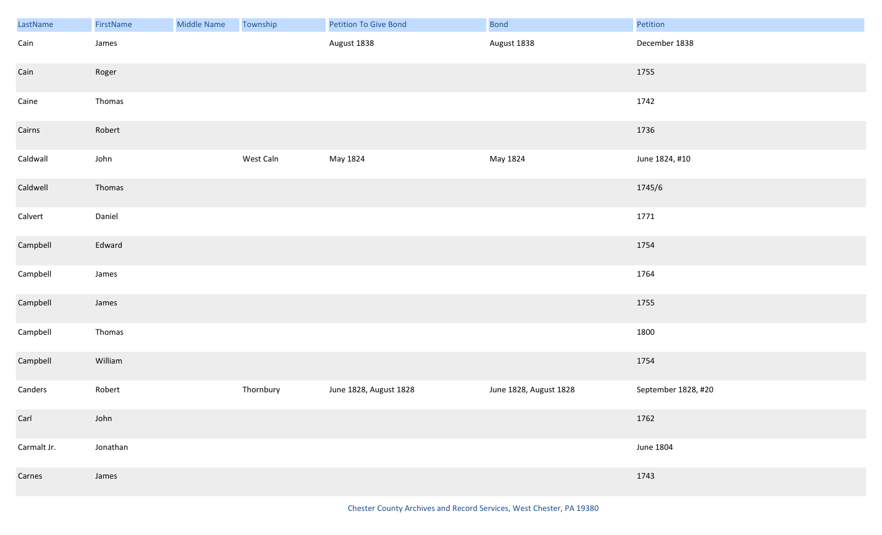| LastName    | FirstName | <b>Middle Name</b> | Township  | Petition To Give Bond  | <b>Bond</b>            | Petition            |
|-------------|-----------|--------------------|-----------|------------------------|------------------------|---------------------|
| Cain        | James     |                    |           | August 1838            | August 1838            | December 1838       |
| Cain        | Roger     |                    |           |                        |                        | 1755                |
| Caine       | Thomas    |                    |           |                        |                        | 1742                |
| Cairns      | Robert    |                    |           |                        |                        | 1736                |
| Caldwall    | John      |                    | West Caln | May 1824               | May 1824               | June 1824, #10      |
| Caldwell    | Thomas    |                    |           |                        |                        | 1745/6              |
| Calvert     | Daniel    |                    |           |                        |                        | 1771                |
| Campbell    | Edward    |                    |           |                        |                        | 1754                |
| Campbell    | James     |                    |           |                        |                        | 1764                |
| Campbell    | James     |                    |           |                        |                        | 1755                |
| Campbell    | Thomas    |                    |           |                        |                        | 1800                |
| Campbell    | William   |                    |           |                        |                        | 1754                |
| Canders     | Robert    |                    | Thornbury | June 1828, August 1828 | June 1828, August 1828 | September 1828, #20 |
| Carl        | John      |                    |           |                        |                        | 1762                |
| Carmalt Jr. | Jonathan  |                    |           |                        |                        | June 1804           |
| Carnes      | James     |                    |           |                        |                        | 1743                |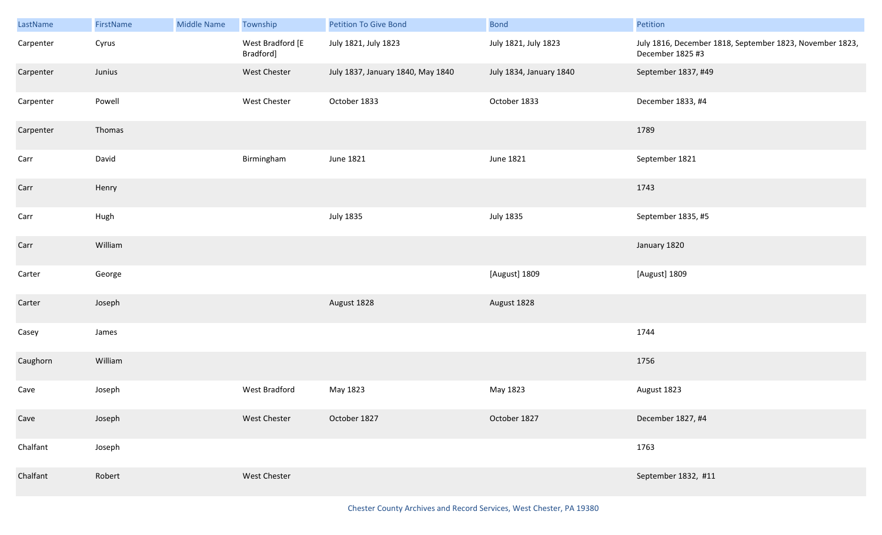| LastName  | FirstName | Middle Name | Township                      | <b>Petition To Give Bond</b>      | <b>Bond</b>             | Petition                                                                     |
|-----------|-----------|-------------|-------------------------------|-----------------------------------|-------------------------|------------------------------------------------------------------------------|
| Carpenter | Cyrus     |             | West Bradford [E<br>Bradford] | July 1821, July 1823              | July 1821, July 1823    | July 1816, December 1818, September 1823, November 1823,<br>December 1825 #3 |
| Carpenter | Junius    |             | West Chester                  | July 1837, January 1840, May 1840 | July 1834, January 1840 | September 1837, #49                                                          |
| Carpenter | Powell    |             | West Chester                  | October 1833                      | October 1833            | December 1833, #4                                                            |
| Carpenter | Thomas    |             |                               |                                   |                         | 1789                                                                         |
| Carr      | David     |             | Birmingham                    | <b>June 1821</b>                  | June 1821               | September 1821                                                               |
| Carr      | Henry     |             |                               |                                   |                         | 1743                                                                         |
| Carr      | Hugh      |             |                               | <b>July 1835</b>                  | <b>July 1835</b>        | September 1835, #5                                                           |
| Carr      | William   |             |                               |                                   |                         | January 1820                                                                 |
| Carter    | George    |             |                               |                                   | [August] 1809           | [August] 1809                                                                |
| Carter    | Joseph    |             |                               | August 1828                       | August 1828             |                                                                              |
| Casey     | James     |             |                               |                                   |                         | 1744                                                                         |
| Caughorn  | William   |             |                               |                                   |                         | 1756                                                                         |
| Cave      | Joseph    |             | West Bradford                 | May 1823                          | May 1823                | August 1823                                                                  |
| Cave      | Joseph    |             | West Chester                  | October 1827                      | October 1827            | December 1827, #4                                                            |
| Chalfant  | Joseph    |             |                               |                                   |                         | 1763                                                                         |
| Chalfant  | Robert    |             | West Chester                  |                                   |                         | September 1832, #11                                                          |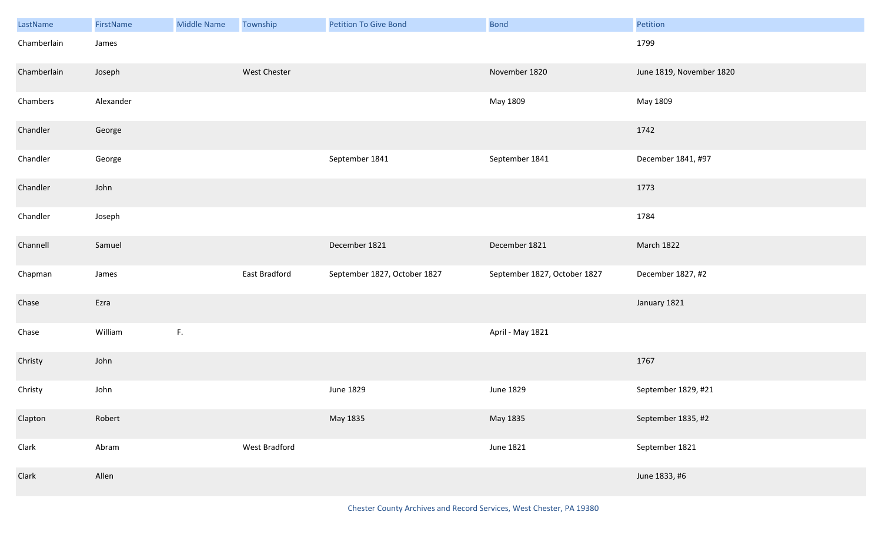| LastName    | FirstName | <b>Middle Name</b> | Township      | <b>Petition To Give Bond</b> | <b>Bond</b>                  | Petition                 |
|-------------|-----------|--------------------|---------------|------------------------------|------------------------------|--------------------------|
| Chamberlain | James     |                    |               |                              |                              | 1799                     |
| Chamberlain | Joseph    |                    | West Chester  |                              | November 1820                | June 1819, November 1820 |
| Chambers    | Alexander |                    |               |                              | May 1809                     | May 1809                 |
| Chandler    | George    |                    |               |                              |                              | 1742                     |
| Chandler    | George    |                    |               | September 1841               | September 1841               | December 1841, #97       |
| Chandler    | John      |                    |               |                              |                              | 1773                     |
| Chandler    | Joseph    |                    |               |                              |                              | 1784                     |
| Channell    | Samuel    |                    |               | December 1821                | December 1821                | March 1822               |
| Chapman     | James     |                    | East Bradford | September 1827, October 1827 | September 1827, October 1827 | December 1827, #2        |
| Chase       | Ezra      |                    |               |                              |                              | January 1821             |
| Chase       | William   | F.                 |               |                              | April - May 1821             |                          |
| Christy     | John      |                    |               |                              |                              | 1767                     |
| Christy     | John      |                    |               | June 1829                    | June 1829                    | September 1829, #21      |
| Clapton     | Robert    |                    |               | May 1835                     | May 1835                     | September 1835, #2       |
| Clark       | Abram     |                    | West Bradford |                              | June 1821                    | September 1821           |
| Clark       | Allen     |                    |               |                              |                              | June 1833, #6            |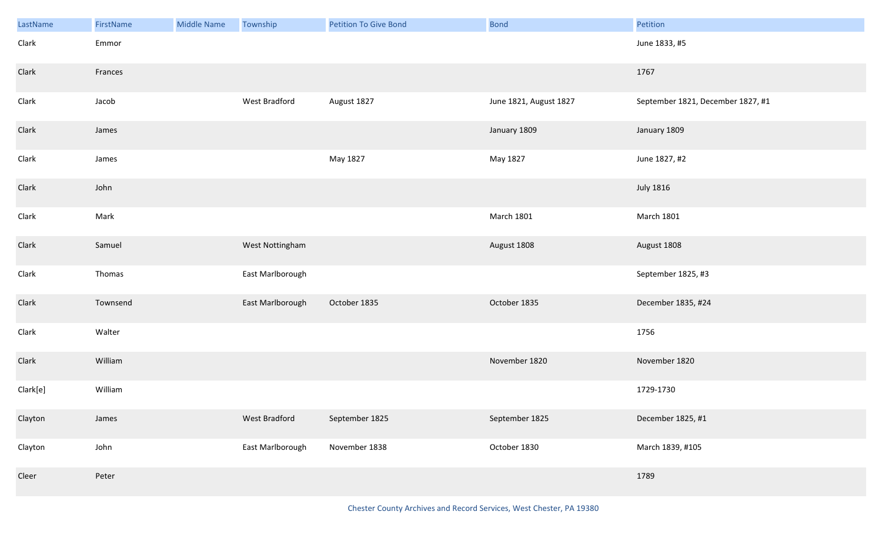| LastName | FirstName | <b>Middle Name</b> | Township         | <b>Petition To Give Bond</b> | <b>Bond</b>            | Petition                          |
|----------|-----------|--------------------|------------------|------------------------------|------------------------|-----------------------------------|
| Clark    | Emmor     |                    |                  |                              |                        | June 1833, #5                     |
| Clark    | Frances   |                    |                  |                              |                        | 1767                              |
| Clark    | Jacob     |                    | West Bradford    | August 1827                  | June 1821, August 1827 | September 1821, December 1827, #1 |
| Clark    | James     |                    |                  |                              | January 1809           | January 1809                      |
| Clark    | James     |                    |                  | May 1827                     | May 1827               | June 1827, #2                     |
| Clark    | John      |                    |                  |                              |                        | <b>July 1816</b>                  |
| Clark    | Mark      |                    |                  |                              | <b>March 1801</b>      | <b>March 1801</b>                 |
| Clark    | Samuel    |                    | West Nottingham  |                              | August 1808            | August 1808                       |
| Clark    | Thomas    |                    | East Marlborough |                              |                        | September 1825, #3                |
| Clark    | Townsend  |                    | East Marlborough | October 1835                 | October 1835           | December 1835, #24                |
| Clark    | Walter    |                    |                  |                              |                        | 1756                              |
| Clark    | William   |                    |                  |                              | November 1820          | November 1820                     |
| Clark[e] | William   |                    |                  |                              |                        | 1729-1730                         |
| Clayton  | James     |                    | West Bradford    | September 1825               | September 1825         | December 1825, #1                 |
| Clayton  | John      |                    | East Marlborough | November 1838                | October 1830           | March 1839, #105                  |
| Cleer    | Peter     |                    |                  |                              |                        | 1789                              |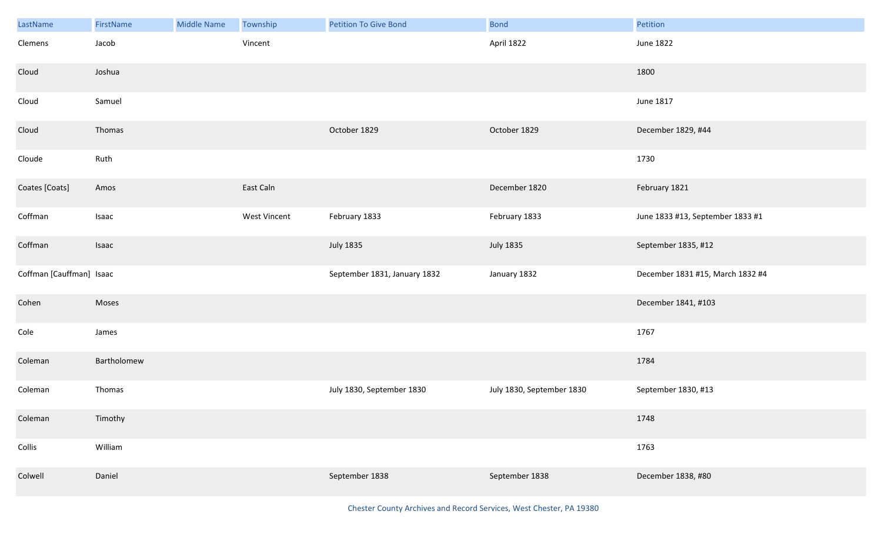| LastName                 | FirstName   | <b>Middle Name</b> | Township     | <b>Petition To Give Bond</b> | <b>Bond</b>               | Petition                         |
|--------------------------|-------------|--------------------|--------------|------------------------------|---------------------------|----------------------------------|
| Clemens                  | Jacob       |                    | Vincent      |                              | April 1822                | June 1822                        |
| Cloud                    | Joshua      |                    |              |                              |                           | 1800                             |
| Cloud                    | Samuel      |                    |              |                              |                           | June 1817                        |
| Cloud                    | Thomas      |                    |              | October 1829                 | October 1829              | December 1829, #44               |
| Cloude                   | Ruth        |                    |              |                              |                           | 1730                             |
| Coates [Coats]           | Amos        |                    | East Caln    |                              | December 1820             | February 1821                    |
| Coffman                  | Isaac       |                    | West Vincent | February 1833                | February 1833             | June 1833 #13, September 1833 #1 |
| Coffman                  | Isaac       |                    |              | <b>July 1835</b>             | <b>July 1835</b>          | September 1835, #12              |
| Coffman [Cauffman] Isaac |             |                    |              | September 1831, January 1832 | January 1832              | December 1831 #15, March 1832 #4 |
| Cohen                    | Moses       |                    |              |                              |                           | December 1841, #103              |
| Cole                     | James       |                    |              |                              |                           | 1767                             |
| Coleman                  | Bartholomew |                    |              |                              |                           | 1784                             |
| Coleman                  | Thomas      |                    |              | July 1830, September 1830    | July 1830, September 1830 | September 1830, #13              |
| Coleman                  | Timothy     |                    |              |                              |                           | 1748                             |
| Collis                   | William     |                    |              |                              |                           | 1763                             |
| Colwell                  | Daniel      |                    |              | September 1838               | September 1838            | December 1838, #80               |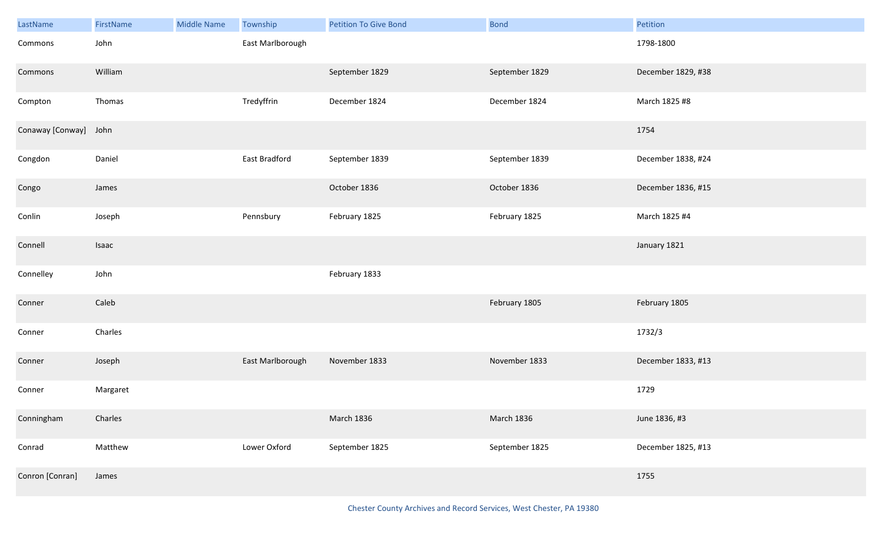| LastName              | FirstName | <b>Middle Name</b> | <b>Township</b>  | <b>Petition To Give Bond</b> | <b>Bond</b>    | Petition           |
|-----------------------|-----------|--------------------|------------------|------------------------------|----------------|--------------------|
| Commons               | John      |                    | East Marlborough |                              |                | 1798-1800          |
| Commons               | William   |                    |                  | September 1829               | September 1829 | December 1829, #38 |
| Compton               | Thomas    |                    | Tredyffrin       | December 1824                | December 1824  | March 1825 #8      |
| Conaway [Conway] John |           |                    |                  |                              |                | 1754               |
| Congdon               | Daniel    |                    | East Bradford    | September 1839               | September 1839 | December 1838, #24 |
| Congo                 | James     |                    |                  | October 1836                 | October 1836   | December 1836, #15 |
| Conlin                | Joseph    |                    | Pennsbury        | February 1825                | February 1825  | March 1825 #4      |
| Connell               | Isaac     |                    |                  |                              |                | January 1821       |
| Connelley             | John      |                    |                  | February 1833                |                |                    |
| Conner                | Caleb     |                    |                  |                              | February 1805  | February 1805      |
| Conner                | Charles   |                    |                  |                              |                | 1732/3             |
| Conner                | Joseph    |                    | East Marlborough | November 1833                | November 1833  | December 1833, #13 |
| Conner                | Margaret  |                    |                  |                              |                | 1729               |
| Conningham            | Charles   |                    |                  | March 1836                   | March 1836     | June 1836, #3      |
| Conrad                | Matthew   |                    | Lower Oxford     | September 1825               | September 1825 | December 1825, #13 |
| Conron [Conran]       | James     |                    |                  |                              |                | 1755               |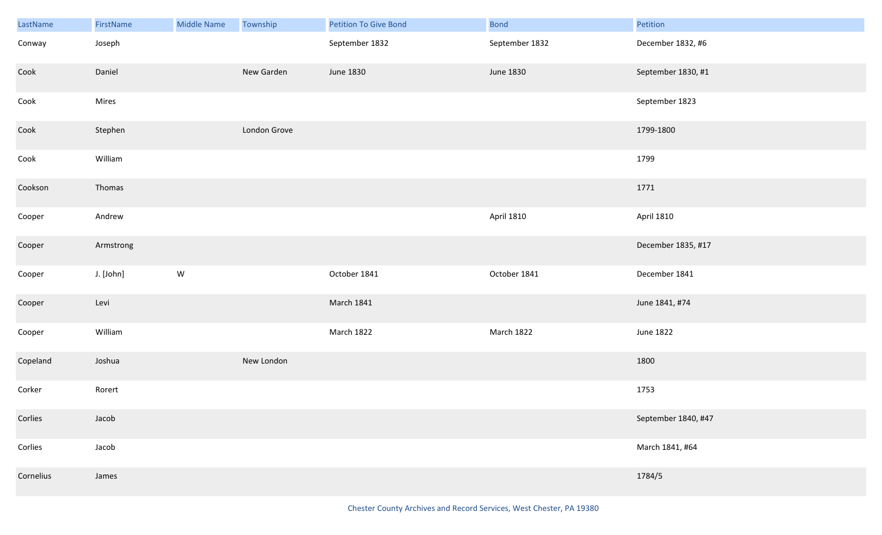| LastName  | FirstName | Middle Name | Township     | <b>Petition To Give Bond</b> | <b>Bond</b>    | Petition            |
|-----------|-----------|-------------|--------------|------------------------------|----------------|---------------------|
| Conway    | Joseph    |             |              | September 1832               | September 1832 | December 1832, #6   |
| Cook      | Daniel    |             | New Garden   | June 1830                    | June 1830      | September 1830, #1  |
| Cook      | Mires     |             |              |                              |                | September 1823      |
| Cook      | Stephen   |             | London Grove |                              |                | 1799-1800           |
| Cook      | William   |             |              |                              |                | 1799                |
| Cookson   | Thomas    |             |              |                              |                | 1771                |
| Cooper    | Andrew    |             |              |                              | April 1810     | April 1810          |
| Cooper    | Armstrong |             |              |                              |                | December 1835, #17  |
| Cooper    | J. [John] | ${\sf W}$   |              | October 1841                 | October 1841   | December 1841       |
| Cooper    | Levi      |             |              | <b>March 1841</b>            |                | June 1841, #74      |
| Cooper    | William   |             |              | March 1822                   | March 1822     | June 1822           |
| Copeland  | Joshua    |             | New London   |                              |                | 1800                |
| Corker    | Rorert    |             |              |                              |                | 1753                |
| Corlies   | Jacob     |             |              |                              |                | September 1840, #47 |
| Corlies   | Jacob     |             |              |                              |                | March 1841, #64     |
| Cornelius | James     |             |              |                              |                | 1784/5              |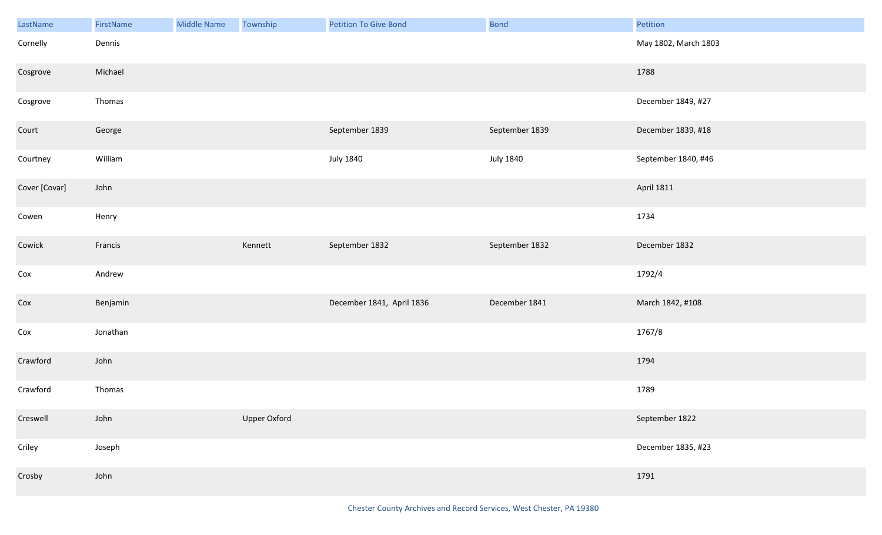| LastName      | FirstName | <b>Middle Name</b> | Township     | <b>Petition To Give Bond</b> | <b>Bond</b>      | Petition             |
|---------------|-----------|--------------------|--------------|------------------------------|------------------|----------------------|
| Cornelly      | Dennis    |                    |              |                              |                  | May 1802, March 1803 |
| Cosgrove      | Michael   |                    |              |                              |                  | 1788                 |
| Cosgrove      | Thomas    |                    |              |                              |                  | December 1849, #27   |
| Court         | George    |                    |              | September 1839               | September 1839   | December 1839, #18   |
| Courtney      | William   |                    |              | <b>July 1840</b>             | <b>July 1840</b> | September 1840, #46  |
| Cover [Covar] | John      |                    |              |                              |                  | <b>April 1811</b>    |
| Cowen         | Henry     |                    |              |                              |                  | 1734                 |
| Cowick        | Francis   |                    | Kennett      | September 1832               | September 1832   | December 1832        |
| Cox           | Andrew    |                    |              |                              |                  | 1792/4               |
| Cox           | Benjamin  |                    |              | December 1841, April 1836    | December 1841    | March 1842, #108     |
| Cox           | Jonathan  |                    |              |                              |                  | 1767/8               |
| Crawford      | John      |                    |              |                              |                  | 1794                 |
| Crawford      | Thomas    |                    |              |                              |                  | 1789                 |
| Creswell      | John      |                    | Upper Oxford |                              |                  | September 1822       |
| Criley        | Joseph    |                    |              |                              |                  | December 1835, #23   |
| Crosby        | John      |                    |              |                              |                  | 1791                 |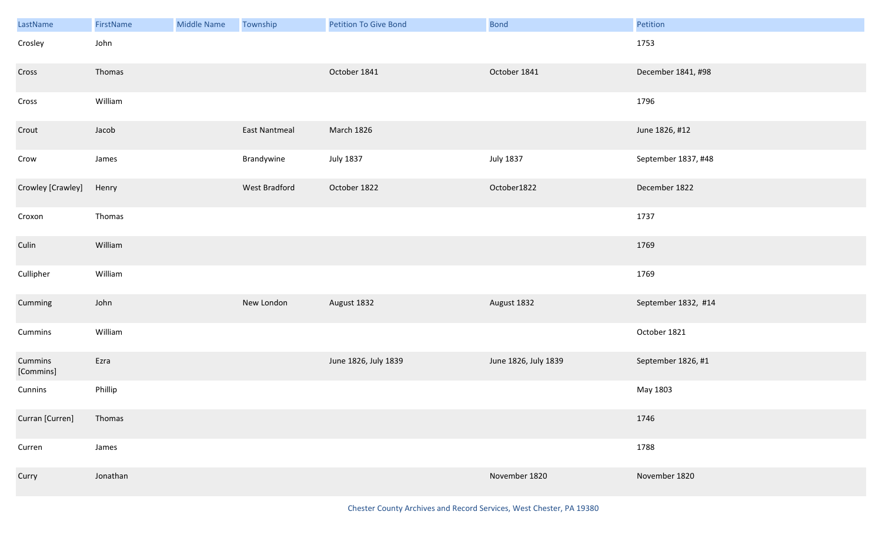| LastName             | FirstName | <b>Middle Name</b> | Township      | <b>Petition To Give Bond</b> | <b>Bond</b>          | Petition            |
|----------------------|-----------|--------------------|---------------|------------------------------|----------------------|---------------------|
| Crosley              | John      |                    |               |                              |                      | 1753                |
| Cross                | Thomas    |                    |               | October 1841                 | October 1841         | December 1841, #98  |
| Cross                | William   |                    |               |                              |                      | 1796                |
| Crout                | Jacob     |                    | East Nantmeal | March 1826                   |                      | June 1826, #12      |
| Crow                 | James     |                    | Brandywine    | <b>July 1837</b>             | <b>July 1837</b>     | September 1837, #48 |
| Crowley [Crawley]    | Henry     |                    | West Bradford | October 1822                 | October1822          | December 1822       |
| Croxon               | Thomas    |                    |               |                              |                      | 1737                |
| Culin                | William   |                    |               |                              |                      | 1769                |
| Cullipher            | William   |                    |               |                              |                      | 1769                |
| Cumming              | John      |                    | New London    | August 1832                  | August 1832          | September 1832, #14 |
| Cummins              | William   |                    |               |                              |                      | October 1821        |
| Cummins<br>[Commins] | Ezra      |                    |               | June 1826, July 1839         | June 1826, July 1839 | September 1826, #1  |
| Cunnins              | Phillip   |                    |               |                              |                      | May 1803            |
| Curran [Curren]      | Thomas    |                    |               |                              |                      | 1746                |
| Curren               | James     |                    |               |                              |                      | 1788                |
| Curry                | Jonathan  |                    |               |                              | November 1820        | November 1820       |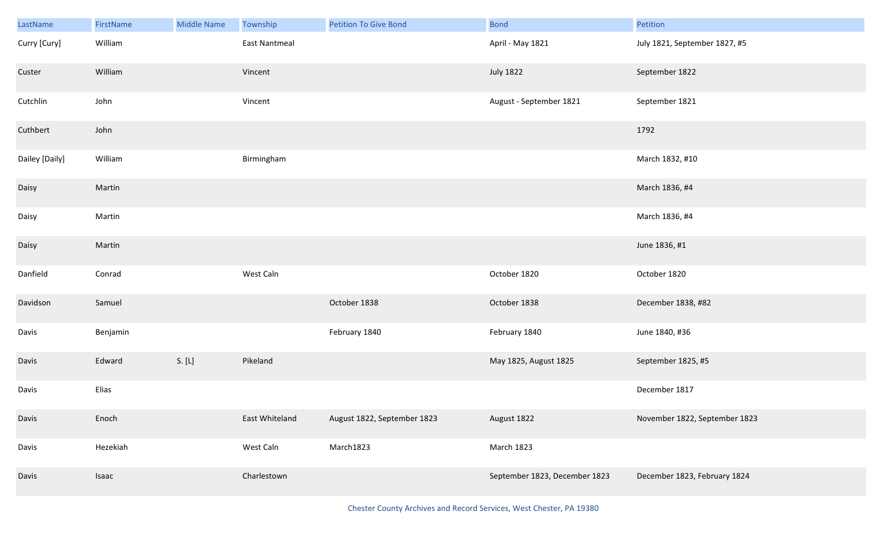| LastName       | FirstName | <b>Middle Name</b> | Township       | <b>Petition To Give Bond</b> | <b>Bond</b>                   | Petition                      |
|----------------|-----------|--------------------|----------------|------------------------------|-------------------------------|-------------------------------|
| Curry [Cury]   | William   |                    | East Nantmeal  |                              | April - May 1821              | July 1821, September 1827, #5 |
| Custer         | William   |                    | Vincent        |                              | <b>July 1822</b>              | September 1822                |
| Cutchlin       | John      |                    | Vincent        |                              | August - September 1821       | September 1821                |
| Cuthbert       | John      |                    |                |                              |                               | 1792                          |
| Dailey [Daily] | William   |                    | Birmingham     |                              |                               | March 1832, #10               |
| Daisy          | Martin    |                    |                |                              |                               | March 1836, #4                |
| Daisy          | Martin    |                    |                |                              |                               | March 1836, #4                |
| Daisy          | Martin    |                    |                |                              |                               | June 1836, #1                 |
| Danfield       | Conrad    |                    | West Caln      |                              | October 1820                  | October 1820                  |
| Davidson       | Samuel    |                    |                | October 1838                 | October 1838                  | December 1838, #82            |
| Davis          | Benjamin  |                    |                | February 1840                | February 1840                 | June 1840, #36                |
| Davis          | Edward    | S. [L]             | Pikeland       |                              | May 1825, August 1825         | September 1825, #5            |
| Davis          | Elias     |                    |                |                              |                               | December 1817                 |
| Davis          | Enoch     |                    | East Whiteland | August 1822, September 1823  | August 1822                   | November 1822, September 1823 |
| Davis          | Hezekiah  |                    | West Caln      | March1823                    | March 1823                    |                               |
| Davis          | Isaac     |                    | Charlestown    |                              | September 1823, December 1823 | December 1823, February 1824  |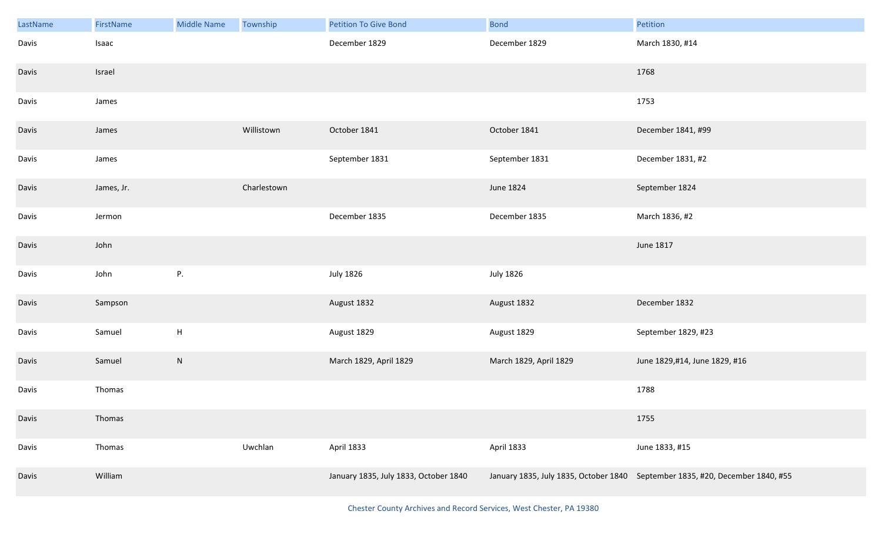| LastName | FirstName  | <b>Middle Name</b>        | Township    | <b>Petition To Give Bond</b>          | <b>Bond</b>            | Petition                                                                      |
|----------|------------|---------------------------|-------------|---------------------------------------|------------------------|-------------------------------------------------------------------------------|
| Davis    | Isaac      |                           |             | December 1829                         | December 1829          | March 1830, #14                                                               |
| Davis    | Israel     |                           |             |                                       |                        | 1768                                                                          |
| Davis    | James      |                           |             |                                       |                        | 1753                                                                          |
| Davis    | James      |                           | Willistown  | October 1841                          | October 1841           | December 1841, #99                                                            |
| Davis    | James      |                           |             | September 1831                        | September 1831         | December 1831, #2                                                             |
| Davis    | James, Jr. |                           | Charlestown |                                       | June 1824              | September 1824                                                                |
| Davis    | Jermon     |                           |             | December 1835                         | December 1835          | March 1836, #2                                                                |
| Davis    | John       |                           |             |                                       |                        | June 1817                                                                     |
| Davis    | John       | P.                        |             | <b>July 1826</b>                      | <b>July 1826</b>       |                                                                               |
| Davis    | Sampson    |                           |             | August 1832                           | August 1832            | December 1832                                                                 |
| Davis    | Samuel     | $\boldsymbol{\mathsf{H}}$ |             | August 1829                           | August 1829            | September 1829, #23                                                           |
| Davis    | Samuel     | ${\sf N}$                 |             | March 1829, April 1829                | March 1829, April 1829 | June 1829,#14, June 1829, #16                                                 |
| Davis    | Thomas     |                           |             |                                       |                        | 1788                                                                          |
| Davis    | Thomas     |                           |             |                                       |                        | 1755                                                                          |
| Davis    | Thomas     |                           | Uwchlan     | April 1833                            | April 1833             | June 1833, #15                                                                |
| Davis    | William    |                           |             | January 1835, July 1833, October 1840 |                        | January 1835, July 1835, October 1840 September 1835, #20, December 1840, #55 |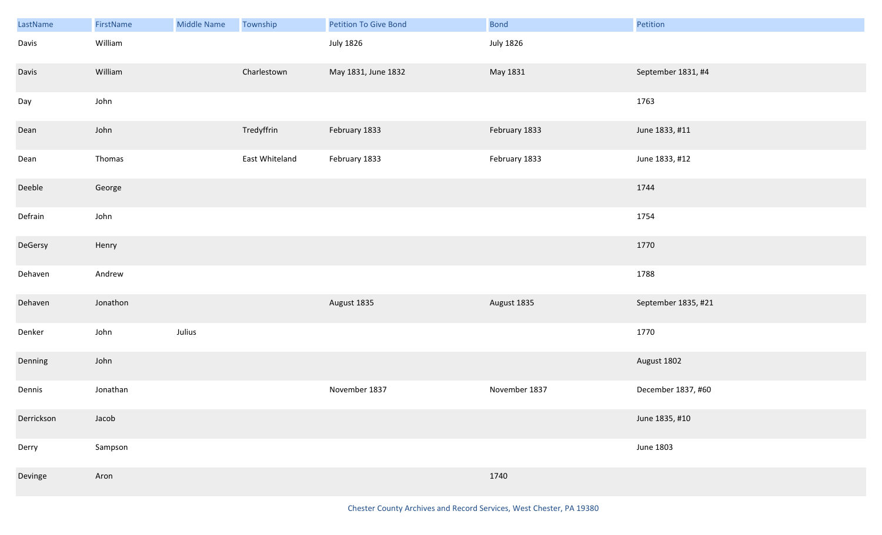| LastName   | FirstName | <b>Middle Name</b> | Township       | <b>Petition To Give Bond</b> | <b>Bond</b>      | Petition            |
|------------|-----------|--------------------|----------------|------------------------------|------------------|---------------------|
| Davis      | William   |                    |                | <b>July 1826</b>             | <b>July 1826</b> |                     |
| Davis      | William   |                    | Charlestown    | May 1831, June 1832          | May 1831         | September 1831, #4  |
| Day        | John      |                    |                |                              |                  | 1763                |
| Dean       | John      |                    | Tredyffrin     | February 1833                | February 1833    | June 1833, #11      |
| Dean       | Thomas    |                    | East Whiteland | February 1833                | February 1833    | June 1833, #12      |
| Deeble     | George    |                    |                |                              |                  | 1744                |
| Defrain    | John      |                    |                |                              |                  | 1754                |
| DeGersy    | Henry     |                    |                |                              |                  | 1770                |
| Dehaven    | Andrew    |                    |                |                              |                  | 1788                |
| Dehaven    | Jonathon  |                    |                | August 1835                  | August 1835      | September 1835, #21 |
| Denker     | John      | Julius             |                |                              |                  | 1770                |
| Denning    | John      |                    |                |                              |                  | August 1802         |
| Dennis     | Jonathan  |                    |                | November 1837                | November 1837    | December 1837, #60  |
| Derrickson | Jacob     |                    |                |                              |                  | June 1835, #10      |
| Derry      | Sampson   |                    |                |                              |                  | <b>June 1803</b>    |
| Devinge    | Aron      |                    |                |                              | 1740             |                     |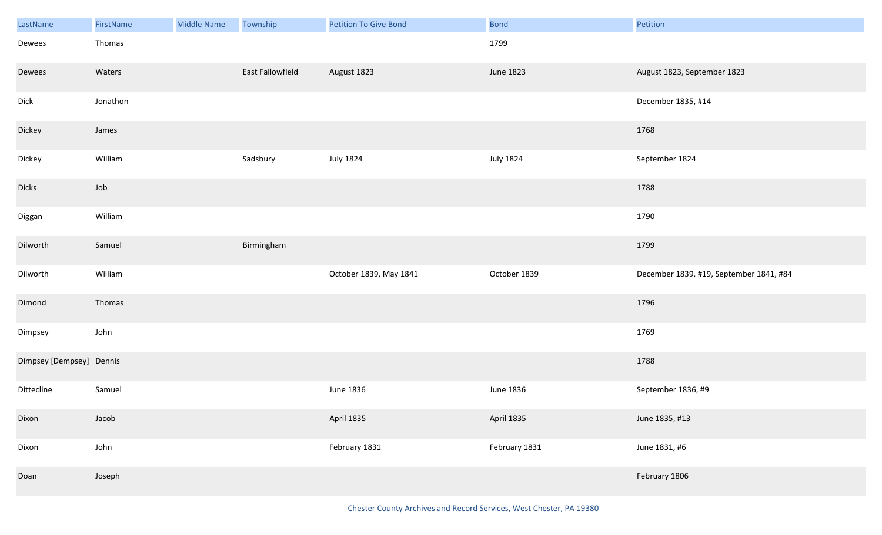| LastName                 | FirstName | <b>Middle Name</b> | Township         | <b>Petition To Give Bond</b> | <b>Bond</b>      | Petition                                |
|--------------------------|-----------|--------------------|------------------|------------------------------|------------------|-----------------------------------------|
| Dewees                   | Thomas    |                    |                  |                              | 1799             |                                         |
| Dewees                   | Waters    |                    | East Fallowfield | August 1823                  | June 1823        | August 1823, September 1823             |
| Dick                     | Jonathon  |                    |                  |                              |                  | December 1835, #14                      |
| Dickey                   | James     |                    |                  |                              |                  | 1768                                    |
| Dickey                   | William   |                    | Sadsbury         | <b>July 1824</b>             | <b>July 1824</b> | September 1824                          |
| <b>Dicks</b>             | Job       |                    |                  |                              |                  | 1788                                    |
| Diggan                   | William   |                    |                  |                              |                  | 1790                                    |
| Dilworth                 | Samuel    |                    | Birmingham       |                              |                  | 1799                                    |
| Dilworth                 | William   |                    |                  | October 1839, May 1841       | October 1839     | December 1839, #19, September 1841, #84 |
| Dimond                   | Thomas    |                    |                  |                              |                  | 1796                                    |
| Dimpsey                  | John      |                    |                  |                              |                  | 1769                                    |
| Dimpsey [Dempsey] Dennis |           |                    |                  |                              |                  | 1788                                    |
| Dittecline               | Samuel    |                    |                  | June 1836                    | June 1836        | September 1836, #9                      |
| Dixon                    | Jacob     |                    |                  | April 1835                   | April 1835       | June 1835, #13                          |
| Dixon                    | John      |                    |                  | February 1831                | February 1831    | June 1831, #6                           |
| Doan                     | Joseph    |                    |                  |                              |                  | February 1806                           |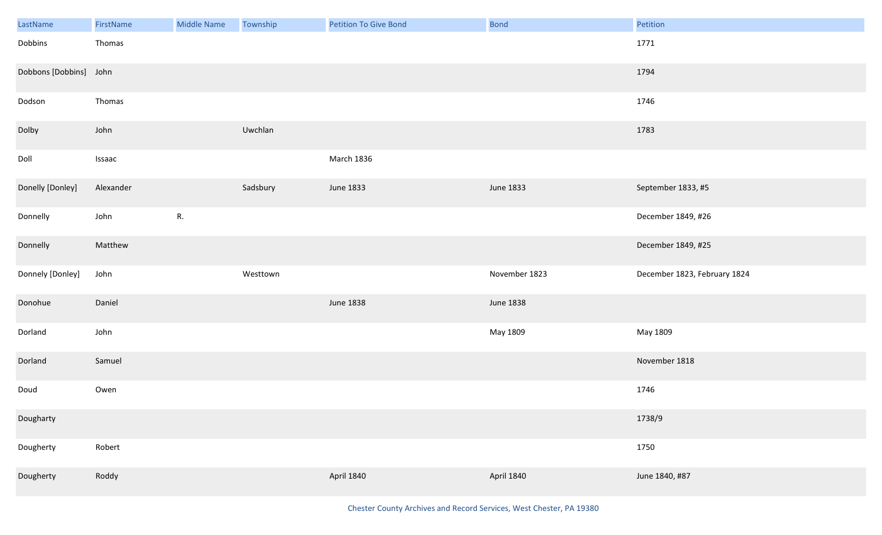| LastName               | FirstName | <b>Middle Name</b> | Township | <b>Petition To Give Bond</b> | <b>Bond</b>   | Petition                     |
|------------------------|-----------|--------------------|----------|------------------------------|---------------|------------------------------|
| Dobbins                | Thomas    |                    |          |                              |               | 1771                         |
| Dobbons [Dobbins] John |           |                    |          |                              |               | 1794                         |
| Dodson                 | Thomas    |                    |          |                              |               | 1746                         |
| Dolby                  | John      |                    | Uwchlan  |                              |               | 1783                         |
| Doll                   | Issaac    |                    |          | March 1836                   |               |                              |
| Donelly [Donley]       | Alexander |                    | Sadsbury | June 1833                    | June 1833     | September 1833, #5           |
| Donnelly               | John      | R.                 |          |                              |               | December 1849, #26           |
| Donnelly               | Matthew   |                    |          |                              |               | December 1849, #25           |
|                        |           |                    |          |                              |               |                              |
| Donnely [Donley]       | John      |                    | Westtown |                              | November 1823 | December 1823, February 1824 |
| Donohue                | Daniel    |                    |          | <b>June 1838</b>             | June 1838     |                              |
| Dorland                | John      |                    |          |                              | May 1809      | May 1809                     |
| Dorland                | Samuel    |                    |          |                              |               | November 1818                |
| Doud                   | Owen      |                    |          |                              |               | 1746                         |
| Dougharty              |           |                    |          |                              |               | 1738/9                       |
| Dougherty              | Robert    |                    |          |                              |               | 1750                         |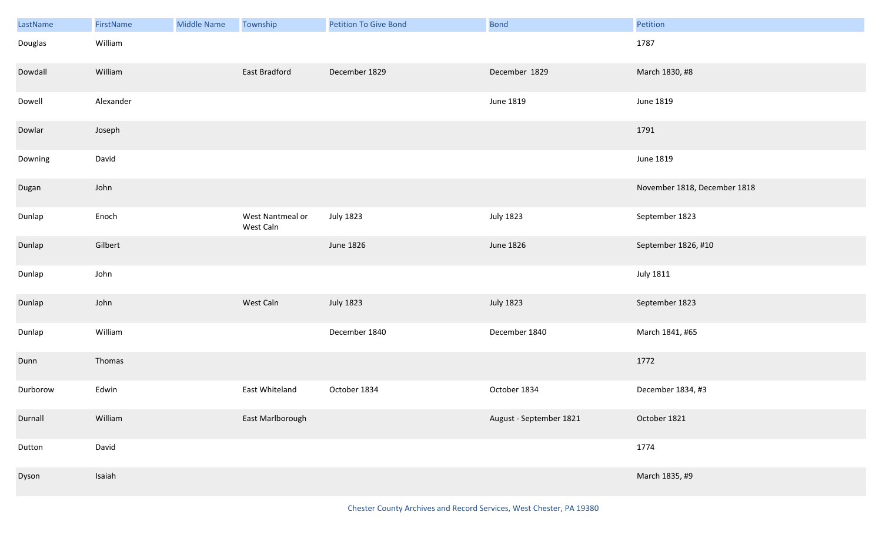| LastName | FirstName | <b>Middle Name</b> | Township                      | <b>Petition To Give Bond</b> | <b>Bond</b>             | Petition                     |
|----------|-----------|--------------------|-------------------------------|------------------------------|-------------------------|------------------------------|
| Douglas  | William   |                    |                               |                              |                         | 1787                         |
| Dowdall  | William   |                    | East Bradford                 | December 1829                | December 1829           | March 1830, #8               |
| Dowell   | Alexander |                    |                               |                              | June 1819               | June 1819                    |
| Dowlar   | Joseph    |                    |                               |                              |                         | 1791                         |
| Downing  | David     |                    |                               |                              |                         | <b>June 1819</b>             |
| Dugan    | John      |                    |                               |                              |                         | November 1818, December 1818 |
| Dunlap   | Enoch     |                    | West Nantmeal or<br>West Caln | <b>July 1823</b>             | <b>July 1823</b>        | September 1823               |
| Dunlap   | Gilbert   |                    |                               | June 1826                    | June 1826               | September 1826, #10          |
| Dunlap   | John      |                    |                               |                              |                         | <b>July 1811</b>             |
| Dunlap   | John      |                    | West Caln                     | <b>July 1823</b>             | <b>July 1823</b>        | September 1823               |
| Dunlap   | William   |                    |                               | December 1840                | December 1840           | March 1841, #65              |
| Dunn     | Thomas    |                    |                               |                              |                         | 1772                         |
| Durborow | Edwin     |                    | East Whiteland                | October 1834                 | October 1834            | December 1834, #3            |
| Durnall  | William   |                    | East Marlborough              |                              | August - September 1821 | October 1821                 |
| Dutton   | David     |                    |                               |                              |                         | 1774                         |
| Dyson    | Isaiah    |                    |                               |                              |                         | March 1835, #9               |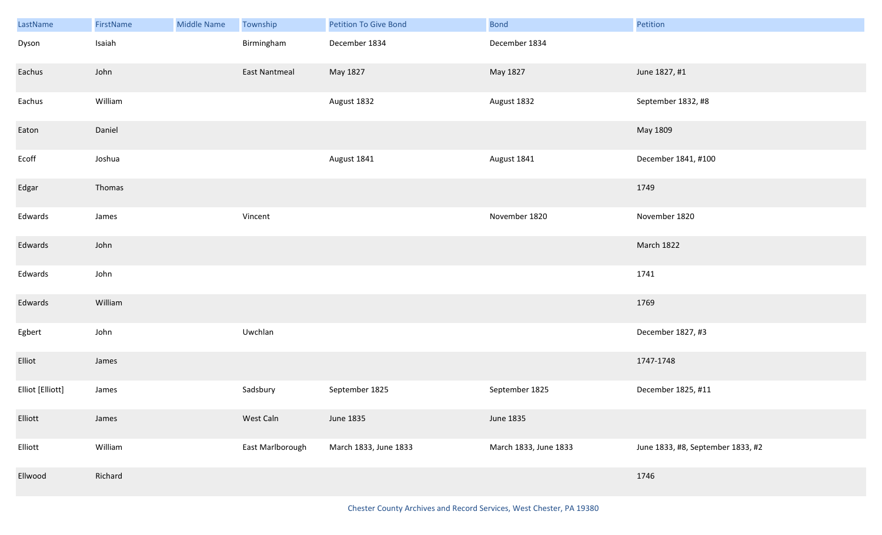| LastName         | FirstName | <b>Middle Name</b> | Township             | <b>Petition To Give Bond</b> | <b>Bond</b>           | Petition                          |
|------------------|-----------|--------------------|----------------------|------------------------------|-----------------------|-----------------------------------|
| Dyson            | Isaiah    |                    | Birmingham           | December 1834                | December 1834         |                                   |
| Eachus           | John      |                    | <b>East Nantmeal</b> | May 1827                     | May 1827              | June 1827, #1                     |
| Eachus           | William   |                    |                      | August 1832                  | August 1832           | September 1832, #8                |
| Eaton            | Daniel    |                    |                      |                              |                       | May 1809                          |
| Ecoff            | Joshua    |                    |                      | August 1841                  | August 1841           | December 1841, #100               |
| Edgar            | Thomas    |                    |                      |                              |                       | 1749                              |
| Edwards          | James     |                    | Vincent              |                              | November 1820         | November 1820                     |
| Edwards          | John      |                    |                      |                              |                       | March 1822                        |
| Edwards          | John      |                    |                      |                              |                       | 1741                              |
| Edwards          | William   |                    |                      |                              |                       | 1769                              |
| Egbert           | John      |                    | Uwchlan              |                              |                       | December 1827, #3                 |
| Elliot           | James     |                    |                      |                              |                       | 1747-1748                         |
| Elliot [Elliott] | James     |                    | Sadsbury             | September 1825               | September 1825        | December 1825, #11                |
| Elliott          | James     |                    | West Caln            | June 1835                    | June 1835             |                                   |
| Elliott          | William   |                    | East Marlborough     | March 1833, June 1833        | March 1833, June 1833 | June 1833, #8, September 1833, #2 |
| Ellwood          | Richard   |                    |                      |                              |                       | 1746                              |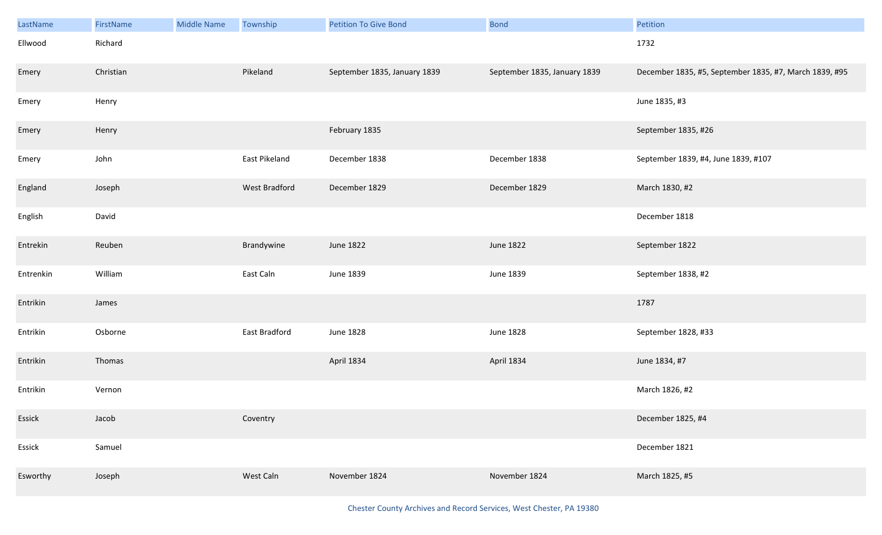| LastName  | FirstName | <b>Middle Name</b> | Township      | <b>Petition To Give Bond</b> | <b>Bond</b>                  | Petition                                               |
|-----------|-----------|--------------------|---------------|------------------------------|------------------------------|--------------------------------------------------------|
| Ellwood   | Richard   |                    |               |                              |                              | 1732                                                   |
| Emery     | Christian |                    | Pikeland      | September 1835, January 1839 | September 1835, January 1839 | December 1835, #5, September 1835, #7, March 1839, #95 |
| Emery     | Henry     |                    |               |                              |                              | June 1835, #3                                          |
| Emery     | Henry     |                    |               | February 1835                |                              | September 1835, #26                                    |
| Emery     | John      |                    | East Pikeland | December 1838                | December 1838                | September 1839, #4, June 1839, #107                    |
| England   | Joseph    |                    | West Bradford | December 1829                | December 1829                | March 1830, #2                                         |
| English   | David     |                    |               |                              |                              | December 1818                                          |
| Entrekin  | Reuben    |                    | Brandywine    | <b>June 1822</b>             | June 1822                    | September 1822                                         |
| Entrenkin | William   |                    | East Caln     | June 1839                    | June 1839                    | September 1838, #2                                     |
| Entrikin  | James     |                    |               |                              |                              | 1787                                                   |
| Entrikin  | Osborne   |                    | East Bradford | <b>June 1828</b>             | <b>June 1828</b>             | September 1828, #33                                    |
| Entrikin  | Thomas    |                    |               | April 1834                   | April 1834                   | June 1834, #7                                          |
| Entrikin  | Vernon    |                    |               |                              |                              | March 1826, #2                                         |
| Essick    | Jacob     |                    | Coventry      |                              |                              | December 1825, #4                                      |
| Essick    | Samuel    |                    |               |                              |                              | December 1821                                          |
| Esworthy  | Joseph    |                    | West Caln     | November 1824                | November 1824                | March 1825, #5                                         |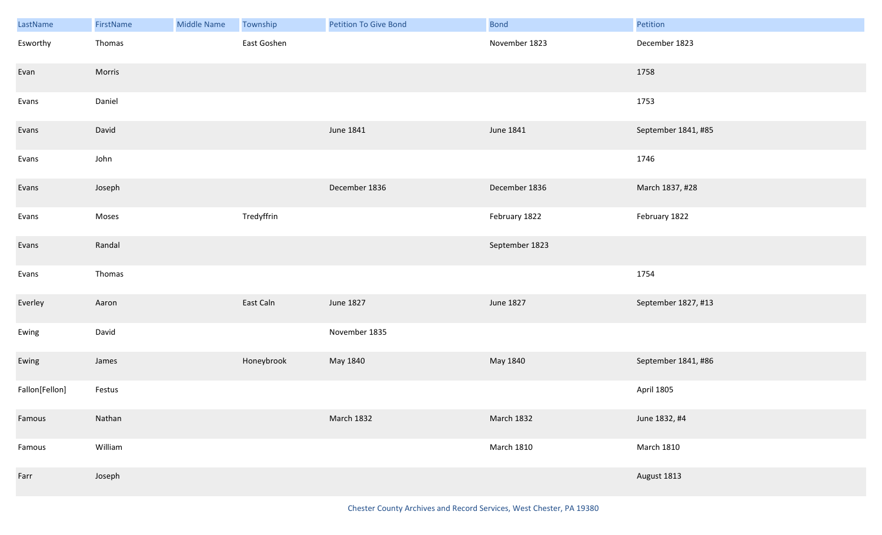| LastName       | FirstName | <b>Middle Name</b> | Township    | Petition To Give Bond | <b>Bond</b>       | Petition            |
|----------------|-----------|--------------------|-------------|-----------------------|-------------------|---------------------|
| Esworthy       | Thomas    |                    | East Goshen |                       | November 1823     | December 1823       |
| Evan           | Morris    |                    |             |                       |                   | 1758                |
| Evans          | Daniel    |                    |             |                       |                   | 1753                |
| Evans          | David     |                    |             | June 1841             | June 1841         | September 1841, #85 |
| Evans          | John      |                    |             |                       |                   | 1746                |
| Evans          | Joseph    |                    |             | December 1836         | December 1836     | March 1837, #28     |
| Evans          | Moses     |                    | Tredyffrin  |                       | February 1822     | February 1822       |
| Evans          | Randal    |                    |             |                       | September 1823    |                     |
| Evans          | Thomas    |                    |             |                       |                   | 1754                |
| Everley        | Aaron     |                    | East Caln   | June 1827             | June 1827         | September 1827, #13 |
| Ewing          | David     |                    |             | November 1835         |                   |                     |
| Ewing          | James     |                    | Honeybrook  | May 1840              | May 1840          | September 1841, #86 |
| Fallon[Fellon] | Festus    |                    |             |                       |                   | April 1805          |
| Famous         | Nathan    |                    |             | March 1832            | March 1832        | June 1832, #4       |
| Famous         | William   |                    |             |                       | <b>March 1810</b> | <b>March 1810</b>   |
| Farr           | Joseph    |                    |             |                       |                   | August 1813         |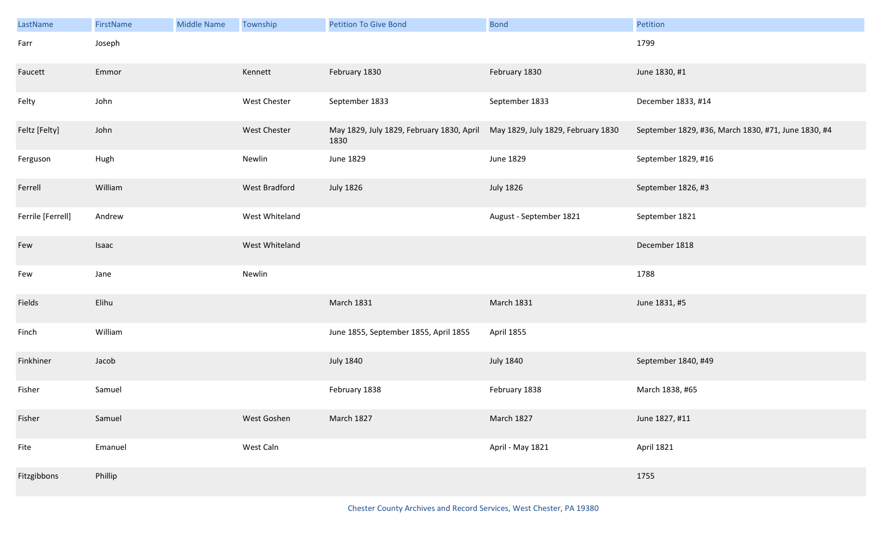| LastName          | FirstName | <b>Middle Name</b> | Township            | <b>Petition To Give Bond</b>                      | <b>Bond</b>                        | Petition                                            |
|-------------------|-----------|--------------------|---------------------|---------------------------------------------------|------------------------------------|-----------------------------------------------------|
| Farr              | Joseph    |                    |                     |                                                   |                                    | 1799                                                |
| Faucett           | Emmor     |                    | Kennett             | February 1830                                     | February 1830                      | June 1830, #1                                       |
| Felty             | John      |                    | <b>West Chester</b> | September 1833                                    | September 1833                     | December 1833, #14                                  |
| Feltz [Felty]     | John      |                    | West Chester        | May 1829, July 1829, February 1830, April<br>1830 | May 1829, July 1829, February 1830 | September 1829, #36, March 1830, #71, June 1830, #4 |
| Ferguson          | Hugh      |                    | Newlin              | June 1829                                         | June 1829                          | September 1829, #16                                 |
| Ferrell           | William   |                    | West Bradford       | <b>July 1826</b>                                  | <b>July 1826</b>                   | September 1826, #3                                  |
| Ferrile [Ferrell] | Andrew    |                    | West Whiteland      |                                                   | August - September 1821            | September 1821                                      |
| Few               | Isaac     |                    | West Whiteland      |                                                   |                                    | December 1818                                       |
| Few               | Jane      |                    | Newlin              |                                                   |                                    | 1788                                                |
| Fields            | Elihu     |                    |                     | <b>March 1831</b>                                 | <b>March 1831</b>                  | June 1831, #5                                       |
| Finch             | William   |                    |                     | June 1855, September 1855, April 1855             | April 1855                         |                                                     |
| Finkhiner         | Jacob     |                    |                     | <b>July 1840</b>                                  | <b>July 1840</b>                   | September 1840, #49                                 |
| Fisher            | Samuel    |                    |                     | February 1838                                     | February 1838                      | March 1838, #65                                     |
| Fisher            | Samuel    |                    | West Goshen         | March 1827                                        | March 1827                         | June 1827, #11                                      |
| Fite              | Emanuel   |                    | West Caln           |                                                   | April - May 1821                   | April 1821                                          |
| Fitzgibbons       | Phillip   |                    |                     |                                                   |                                    | 1755                                                |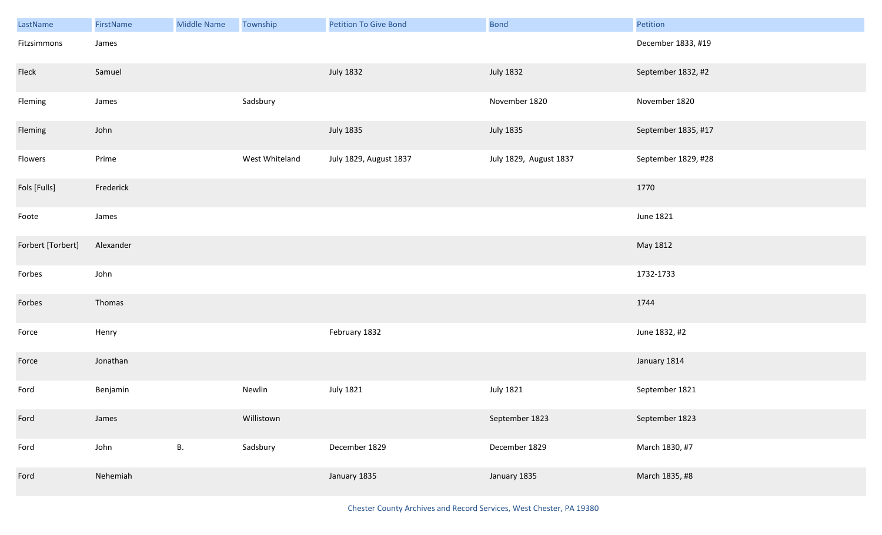| LastName          | FirstName | <b>Middle Name</b> | Township       | <b>Petition To Give Bond</b> | <b>Bond</b>            | Petition            |
|-------------------|-----------|--------------------|----------------|------------------------------|------------------------|---------------------|
| Fitzsimmons       | James     |                    |                |                              |                        | December 1833, #19  |
| Fleck             | Samuel    |                    |                | <b>July 1832</b>             | <b>July 1832</b>       | September 1832, #2  |
| Fleming           | James     |                    | Sadsbury       |                              | November 1820          | November 1820       |
| Fleming           | John      |                    |                | <b>July 1835</b>             | <b>July 1835</b>       | September 1835, #17 |
| Flowers           | Prime     |                    | West Whiteland | July 1829, August 1837       | July 1829, August 1837 | September 1829, #28 |
| Fols [Fulls]      | Frederick |                    |                |                              |                        | 1770                |
| Foote             | James     |                    |                |                              |                        | June 1821           |
| Forbert [Torbert] | Alexander |                    |                |                              |                        | May 1812            |
| Forbes            | John      |                    |                |                              |                        | 1732-1733           |
| Forbes            | Thomas    |                    |                |                              |                        | 1744                |
| Force             | Henry     |                    |                | February 1832                |                        | June 1832, #2       |
| Force             | Jonathan  |                    |                |                              |                        | January 1814        |
| Ford              | Benjamin  |                    | Newlin         | <b>July 1821</b>             | <b>July 1821</b>       | September 1821      |
| Ford              | James     |                    | Willistown     |                              | September 1823         | September 1823      |
| Ford              | John      | В.                 | Sadsbury       | December 1829                | December 1829          | March 1830, #7      |
| Ford              | Nehemiah  |                    |                | January 1835                 | January 1835           | March 1835, #8      |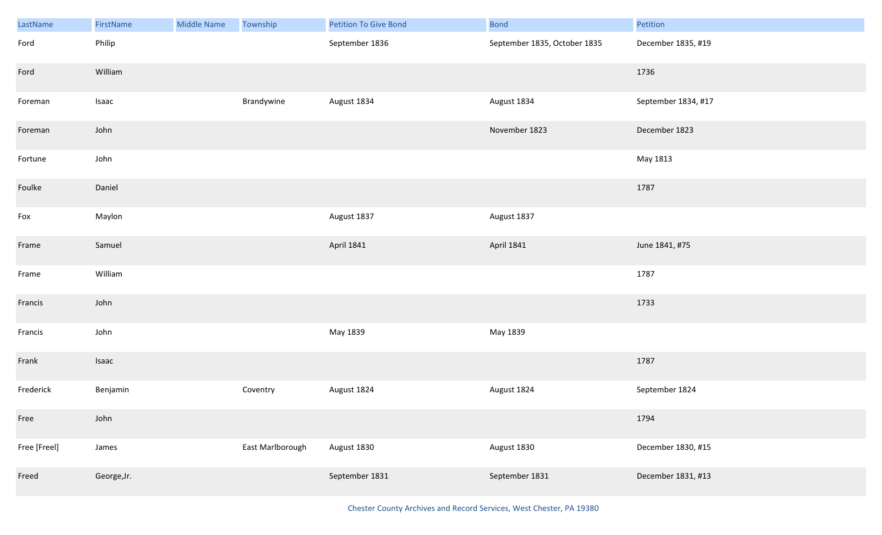| LastName     | FirstName   | <b>Middle Name</b> | Township         | Petition To Give Bond | <b>Bond</b>                  | Petition            |
|--------------|-------------|--------------------|------------------|-----------------------|------------------------------|---------------------|
| Ford         | Philip      |                    |                  | September 1836        | September 1835, October 1835 | December 1835, #19  |
| Ford         | William     |                    |                  |                       |                              | 1736                |
| Foreman      | Isaac       |                    | Brandywine       | August 1834           | August 1834                  | September 1834, #17 |
| Foreman      | John        |                    |                  |                       | November 1823                | December 1823       |
| Fortune      | John        |                    |                  |                       |                              | May 1813            |
| Foulke       | Daniel      |                    |                  |                       |                              | 1787                |
| Fox          | Maylon      |                    |                  | August 1837           | August 1837                  |                     |
| Frame        | Samuel      |                    |                  | <b>April 1841</b>     | <b>April 1841</b>            | June 1841, #75      |
| Frame        | William     |                    |                  |                       |                              | 1787                |
| Francis      | John        |                    |                  |                       |                              | 1733                |
| Francis      | John        |                    |                  | May 1839              | May 1839                     |                     |
| Frank        | Isaac       |                    |                  |                       |                              | 1787                |
| Frederick    | Benjamin    |                    | Coventry         | August 1824           | August 1824                  | September 1824      |
| Free         | John        |                    |                  |                       |                              | 1794                |
| Free [Freel] | James       |                    | East Marlborough | August 1830           | August 1830                  | December 1830, #15  |
| Freed        | George, Jr. |                    |                  | September 1831        | September 1831               | December 1831, #13  |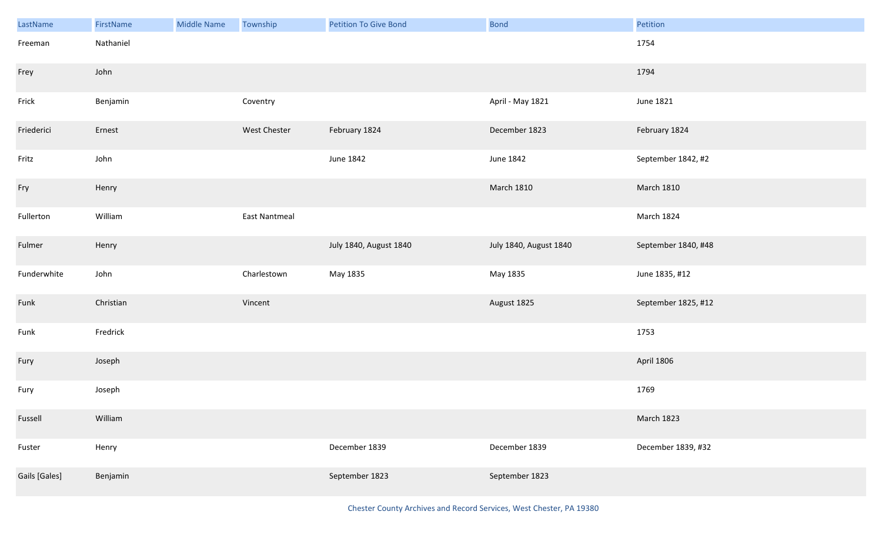| LastName      | FirstName | Middle Name | Township      | <b>Petition To Give Bond</b> | <b>Bond</b>            | Petition            |
|---------------|-----------|-------------|---------------|------------------------------|------------------------|---------------------|
| Freeman       | Nathaniel |             |               |                              |                        | 1754                |
| Frey          | John      |             |               |                              |                        | 1794                |
| Frick         | Benjamin  |             | Coventry      |                              | April - May 1821       | June 1821           |
| Friederici    | Ernest    |             | West Chester  | February 1824                | December 1823          | February 1824       |
| Fritz         | John      |             |               | June 1842                    | June 1842              | September 1842, #2  |
| Fry           | Henry     |             |               |                              | <b>March 1810</b>      | <b>March 1810</b>   |
| Fullerton     | William   |             | East Nantmeal |                              |                        | March 1824          |
| Fulmer        | Henry     |             |               | July 1840, August 1840       | July 1840, August 1840 | September 1840, #48 |
| Funderwhite   | John      |             | Charlestown   | May 1835                     | May 1835               | June 1835, #12      |
| Funk          | Christian |             | Vincent       |                              | August 1825            | September 1825, #12 |
| Funk          | Fredrick  |             |               |                              |                        | 1753                |
| Fury          | Joseph    |             |               |                              |                        | April 1806          |
| Fury          | Joseph    |             |               |                              |                        | 1769                |
| Fussell       | William   |             |               |                              |                        | <b>March 1823</b>   |
| Fuster        | Henry     |             |               | December 1839                | December 1839          | December 1839, #32  |
| Gails [Gales] | Benjamin  |             |               | September 1823               | September 1823         |                     |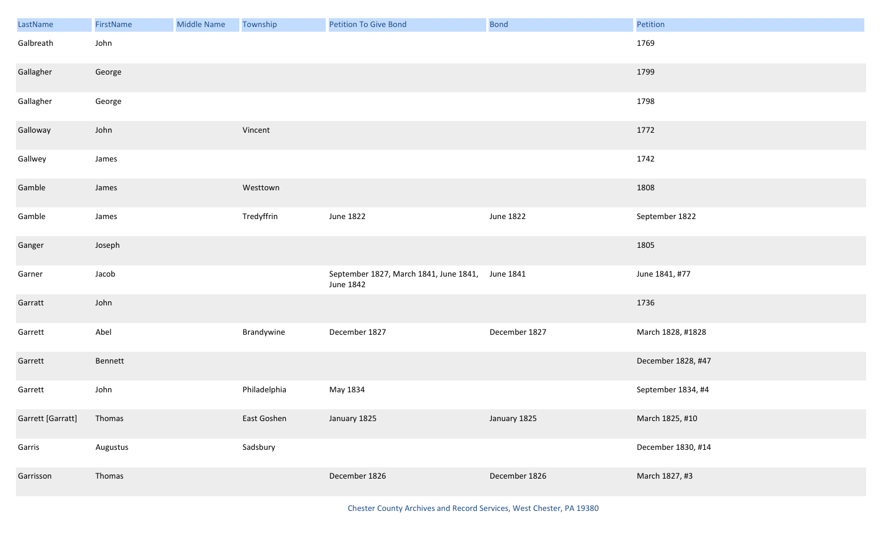| LastName          | FirstName | <b>Middle Name</b> | Township     | <b>Petition To Give Bond</b>                                  | <b>Bond</b>      | Petition           |
|-------------------|-----------|--------------------|--------------|---------------------------------------------------------------|------------------|--------------------|
| Galbreath         | John      |                    |              |                                                               |                  | 1769               |
| Gallagher         | George    |                    |              |                                                               |                  | 1799               |
| Gallagher         | George    |                    |              |                                                               |                  | 1798               |
| Galloway          | John      |                    | Vincent      |                                                               |                  | 1772               |
| Gallwey           | James     |                    |              |                                                               |                  | 1742               |
| Gamble            | James     |                    | Westtown     |                                                               |                  | 1808               |
| Gamble            | James     |                    | Tredyffrin   | June 1822                                                     | <b>June 1822</b> | September 1822     |
| Ganger            | Joseph    |                    |              |                                                               |                  | 1805               |
| Garner            | Jacob     |                    |              | September 1827, March 1841, June 1841, June 1841<br>June 1842 |                  | June 1841, #77     |
| Garratt           | John      |                    |              |                                                               |                  | 1736               |
| Garrett           | Abel      |                    | Brandywine   | December 1827                                                 | December 1827    | March 1828, #1828  |
| Garrett           | Bennett   |                    |              |                                                               |                  | December 1828, #47 |
| Garrett           | John      |                    | Philadelphia | May 1834                                                      |                  | September 1834, #4 |
| Garrett [Garratt] | Thomas    |                    | East Goshen  | January 1825                                                  | January 1825     | March 1825, #10    |
| Garris            | Augustus  |                    | Sadsbury     |                                                               |                  | December 1830, #14 |
| Garrisson         | Thomas    |                    |              | December 1826                                                 | December 1826    | March 1827, #3     |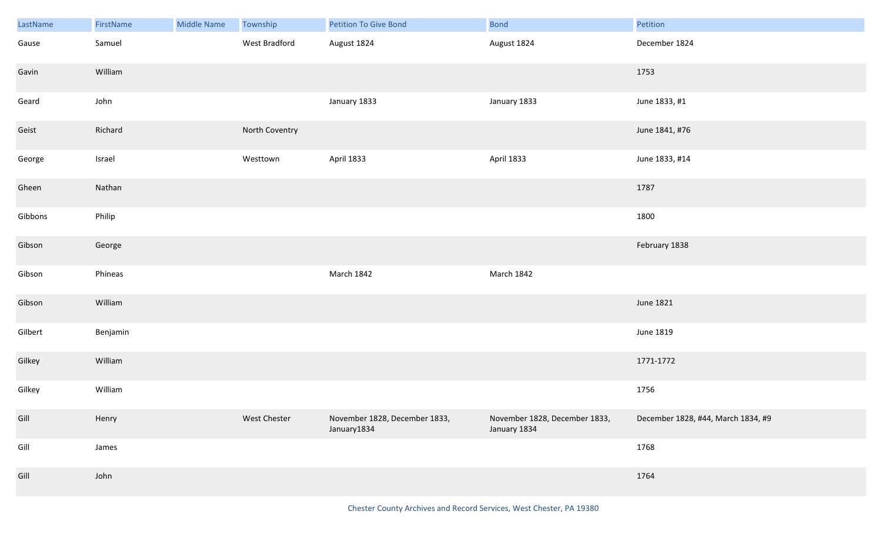| LastName | FirstName | <b>Middle Name</b> | Township       | Petition To Give Bond                        | <b>Bond</b>                                   | Petition                           |
|----------|-----------|--------------------|----------------|----------------------------------------------|-----------------------------------------------|------------------------------------|
| Gause    | Samuel    |                    | West Bradford  | August 1824                                  | August 1824                                   | December 1824                      |
| Gavin    | William   |                    |                |                                              |                                               | 1753                               |
| Geard    | John      |                    |                | January 1833                                 | January 1833                                  | June 1833, #1                      |
| Geist    | Richard   |                    | North Coventry |                                              |                                               | June 1841, #76                     |
| George   | Israel    |                    | Westtown       | April 1833                                   | April 1833                                    | June 1833, #14                     |
| Gheen    | Nathan    |                    |                |                                              |                                               | 1787                               |
| Gibbons  | Philip    |                    |                |                                              |                                               | 1800                               |
| Gibson   | George    |                    |                |                                              |                                               | February 1838                      |
| Gibson   | Phineas   |                    |                | March 1842                                   | March 1842                                    |                                    |
| Gibson   | William   |                    |                |                                              |                                               | June 1821                          |
| Gilbert  | Benjamin  |                    |                |                                              |                                               | June 1819                          |
| Gilkey   | William   |                    |                |                                              |                                               | 1771-1772                          |
| Gilkey   | William   |                    |                |                                              |                                               | 1756                               |
| Gill     | Henry     |                    | West Chester   | November 1828, December 1833,<br>January1834 | November 1828, December 1833,<br>January 1834 | December 1828, #44, March 1834, #9 |
| Gill     | James     |                    |                |                                              |                                               | 1768                               |
| Gill     | John      |                    |                |                                              |                                               | 1764                               |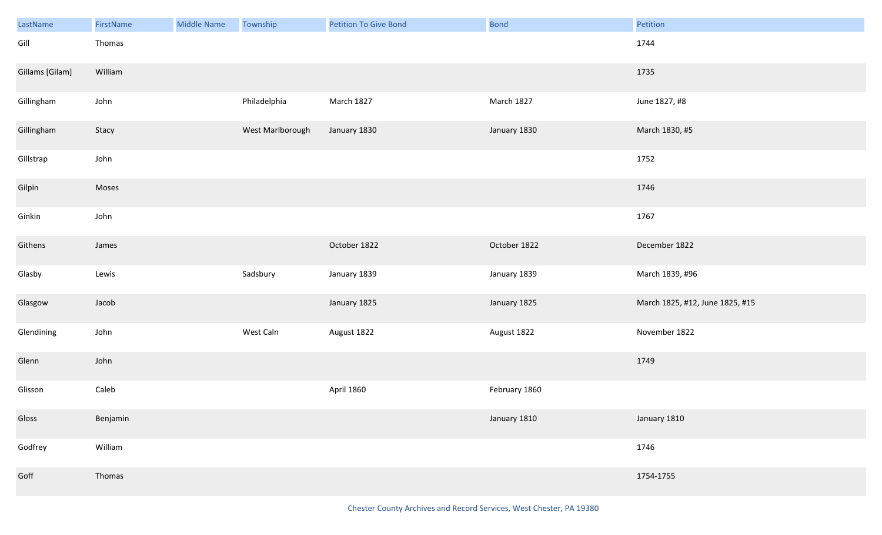| LastName        | FirstName | Middle Name | Township         | <b>Petition To Give Bond</b> | <b>Bond</b>   | Petition                        |
|-----------------|-----------|-------------|------------------|------------------------------|---------------|---------------------------------|
| Gill            | Thomas    |             |                  |                              |               | 1744                            |
| Gillams [Gilam] | William   |             |                  |                              |               | 1735                            |
| Gillingham      | John      |             | Philadelphia     | March 1827                   | March 1827    | June 1827, #8                   |
| Gillingham      | Stacy     |             | West Marlborough | January 1830                 | January 1830  | March 1830, #5                  |
| Gillstrap       | John      |             |                  |                              |               | 1752                            |
| Gilpin          | Moses     |             |                  |                              |               | 1746                            |
| Ginkin          | John      |             |                  |                              |               | 1767                            |
| Githens         | James     |             |                  | October 1822                 | October 1822  | December 1822                   |
| Glasby          | Lewis     |             | Sadsbury         | January 1839                 | January 1839  | March 1839, #96                 |
| Glasgow         | Jacob     |             |                  | January 1825                 | January 1825  | March 1825, #12, June 1825, #15 |
| Glendining      | John      |             | West Caln        | August 1822                  | August 1822   | November 1822                   |
| Glenn           | John      |             |                  |                              |               | 1749                            |
| Glisson         | Caleb     |             |                  | April 1860                   | February 1860 |                                 |
| Gloss           | Benjamin  |             |                  |                              | January 1810  | January 1810                    |
| Godfrey         | William   |             |                  |                              |               | 1746                            |
| Goff            | Thomas    |             |                  |                              |               | 1754-1755                       |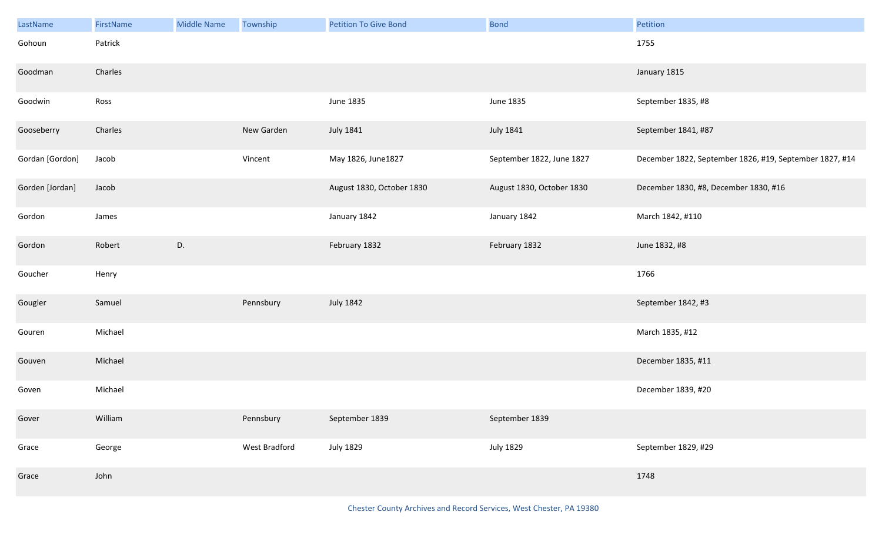| LastName        | FirstName | <b>Middle Name</b> | Township      | <b>Petition To Give Bond</b> | <b>Bond</b>               | Petition                                                |
|-----------------|-----------|--------------------|---------------|------------------------------|---------------------------|---------------------------------------------------------|
| Gohoun          | Patrick   |                    |               |                              |                           | 1755                                                    |
| Goodman         | Charles   |                    |               |                              |                           | January 1815                                            |
| Goodwin         | Ross      |                    |               | June 1835                    | June 1835                 | September 1835, #8                                      |
| Gooseberry      | Charles   |                    | New Garden    | July 1841                    | <b>July 1841</b>          | September 1841, #87                                     |
| Gordan [Gordon] | Jacob     |                    | Vincent       | May 1826, June1827           | September 1822, June 1827 | December 1822, September 1826, #19, September 1827, #14 |
| Gorden [Jordan] | Jacob     |                    |               | August 1830, October 1830    | August 1830, October 1830 | December 1830, #8, December 1830, #16                   |
| Gordon          | James     |                    |               | January 1842                 | January 1842              | March 1842, #110                                        |
| Gordon          | Robert    | D.                 |               | February 1832                | February 1832             | June 1832, #8                                           |
| Goucher         | Henry     |                    |               |                              |                           | 1766                                                    |
| Gougler         | Samuel    |                    | Pennsbury     | July 1842                    |                           | September 1842, #3                                      |
| Gouren          | Michael   |                    |               |                              |                           | March 1835, #12                                         |
| Gouven          | Michael   |                    |               |                              |                           | December 1835, #11                                      |
| Goven           | Michael   |                    |               |                              |                           | December 1839, #20                                      |
| Gover           | William   |                    | Pennsbury     | September 1839               | September 1839            |                                                         |
| Grace           | George    |                    | West Bradford | <b>July 1829</b>             | <b>July 1829</b>          | September 1829, #29                                     |
| Grace           | John      |                    |               |                              |                           | 1748                                                    |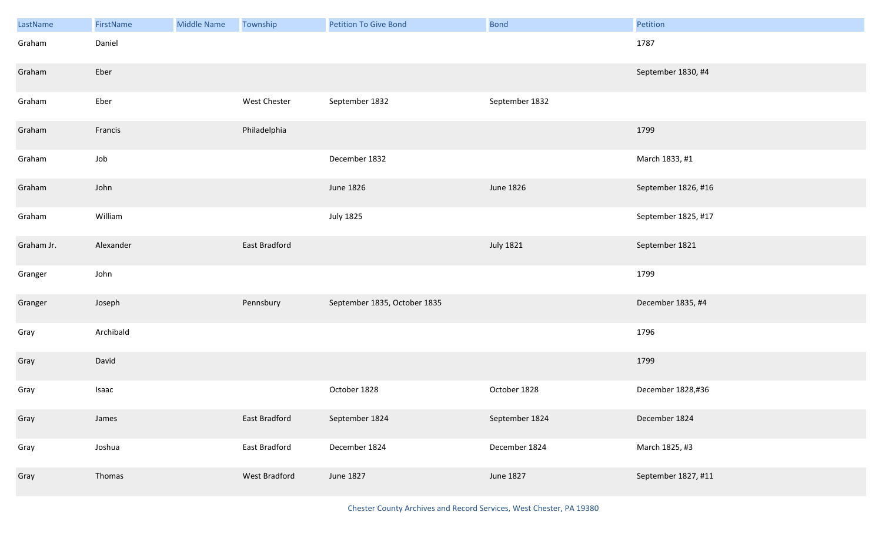| LastName   | FirstName | <b>Middle Name</b> | Township      | <b>Petition To Give Bond</b> | <b>Bond</b>      | Petition            |
|------------|-----------|--------------------|---------------|------------------------------|------------------|---------------------|
| Graham     | Daniel    |                    |               |                              |                  | 1787                |
| Graham     | Eber      |                    |               |                              |                  | September 1830, #4  |
| Graham     | Eber      |                    | West Chester  | September 1832               | September 1832   |                     |
| Graham     | Francis   |                    | Philadelphia  |                              |                  | 1799                |
| Graham     | Job       |                    |               | December 1832                |                  | March 1833, #1      |
| Graham     | John      |                    |               | June 1826                    | June 1826        | September 1826, #16 |
| Graham     | William   |                    |               | <b>July 1825</b>             |                  | September 1825, #17 |
| Graham Jr. | Alexander |                    | East Bradford |                              | <b>July 1821</b> | September 1821      |
| Granger    | John      |                    |               |                              |                  | 1799                |
| Granger    | Joseph    |                    | Pennsbury     | September 1835, October 1835 |                  | December 1835, #4   |
| Gray       | Archibald |                    |               |                              |                  | 1796                |
| Gray       | David     |                    |               |                              |                  | 1799                |
| Gray       | Isaac     |                    |               | October 1828                 | October 1828     | December 1828,#36   |
| Gray       | James     |                    | East Bradford | September 1824               | September 1824   | December 1824       |
| Gray       | Joshua    |                    | East Bradford | December 1824                | December 1824    | March 1825, #3      |
| Gray       | Thomas    |                    | West Bradford | June 1827                    | June 1827        | September 1827, #11 |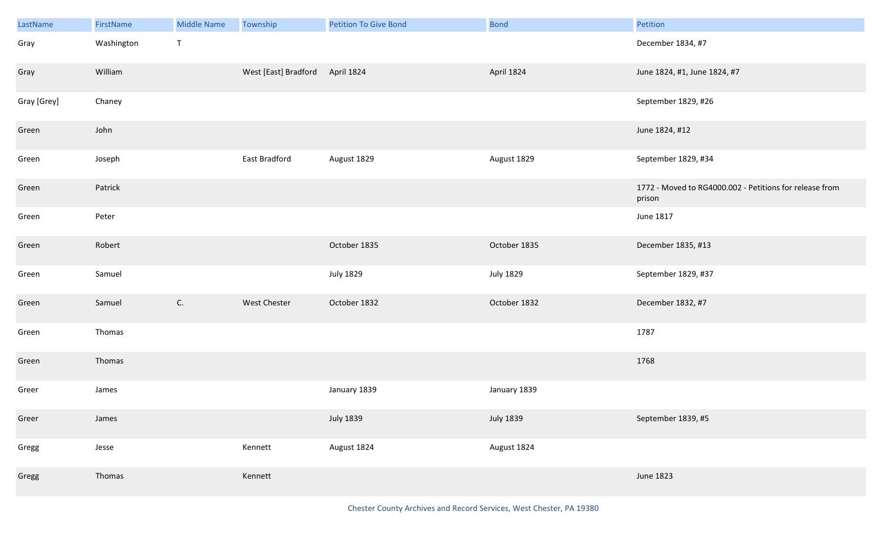| LastName    | FirstName  | <b>Middle Name</b> | Township             | <b>Petition To Give Bond</b> | <b>Bond</b>      | Petition                                                          |
|-------------|------------|--------------------|----------------------|------------------------------|------------------|-------------------------------------------------------------------|
| Gray        | Washington | $\mathsf T$        |                      |                              |                  | December 1834, #7                                                 |
| Gray        | William    |                    | West [East] Bradford | April 1824                   | April 1824       | June 1824, #1, June 1824, #7                                      |
| Gray [Grey] | Chaney     |                    |                      |                              |                  | September 1829, #26                                               |
| Green       | John       |                    |                      |                              |                  | June 1824, #12                                                    |
| Green       | Joseph     |                    | East Bradford        | August 1829                  | August 1829      | September 1829, #34                                               |
| Green       | Patrick    |                    |                      |                              |                  | 1772 - Moved to RG4000.002 - Petitions for release from<br>prison |
| Green       | Peter      |                    |                      |                              |                  | June 1817                                                         |
| Green       | Robert     |                    |                      | October 1835                 | October 1835     | December 1835, #13                                                |
| Green       | Samuel     |                    |                      | <b>July 1829</b>             | <b>July 1829</b> | September 1829, #37                                               |
| Green       | Samuel     | C.                 | West Chester         | October 1832                 | October 1832     | December 1832, #7                                                 |
| Green       | Thomas     |                    |                      |                              |                  | 1787                                                              |
| Green       | Thomas     |                    |                      |                              |                  | 1768                                                              |
| Greer       | James      |                    |                      | January 1839                 | January 1839     |                                                                   |
| Greer       | James      |                    |                      | <b>July 1839</b>             | <b>July 1839</b> | September 1839, #5                                                |
| Gregg       | Jesse      |                    | Kennett              | August 1824                  | August 1824      |                                                                   |
| Gregg       | Thomas     |                    | Kennett              |                              |                  | June 1823                                                         |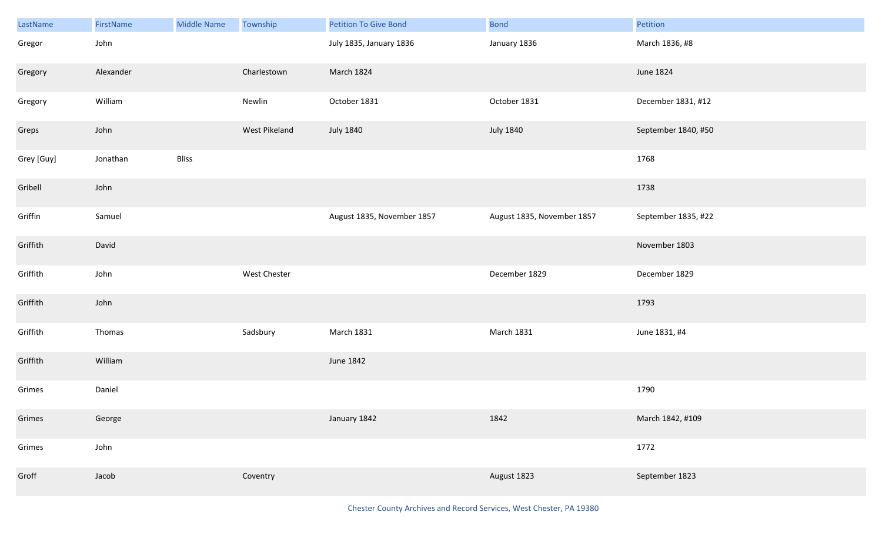| LastName   | FirstName | <b>Middle Name</b> | Township      | <b>Petition To Give Bond</b> | <b>Bond</b>                | Petition            |
|------------|-----------|--------------------|---------------|------------------------------|----------------------------|---------------------|
| Gregor     | John      |                    |               | July 1835, January 1836      | January 1836               | March 1836, #8      |
| Gregory    | Alexander |                    | Charlestown   | March 1824                   |                            | June 1824           |
| Gregory    | William   |                    | Newlin        | October 1831                 | October 1831               | December 1831, #12  |
| Greps      | John      |                    | West Pikeland | <b>July 1840</b>             | <b>July 1840</b>           | September 1840, #50 |
| Grey [Guy] | Jonathan  | Bliss              |               |                              |                            | 1768                |
| Gribell    | John      |                    |               |                              |                            | 1738                |
| Griffin    | Samuel    |                    |               | August 1835, November 1857   | August 1835, November 1857 | September 1835, #22 |
| Griffith   | David     |                    |               |                              |                            | November 1803       |
| Griffith   | John      |                    | West Chester  |                              | December 1829              | December 1829       |
| Griffith   | John      |                    |               |                              |                            | 1793                |
| Griffith   | Thomas    |                    | Sadsbury      | <b>March 1831</b>            | <b>March 1831</b>          | June 1831, #4       |
| Griffith   | William   |                    |               | June 1842                    |                            |                     |
| Grimes     | Daniel    |                    |               |                              |                            | 1790                |
| Grimes     | George    |                    |               | January 1842                 | 1842                       | March 1842, #109    |
| Grimes     | John      |                    |               |                              |                            | 1772                |
| Groff      | Jacob     |                    | Coventry      |                              | August 1823                | September 1823      |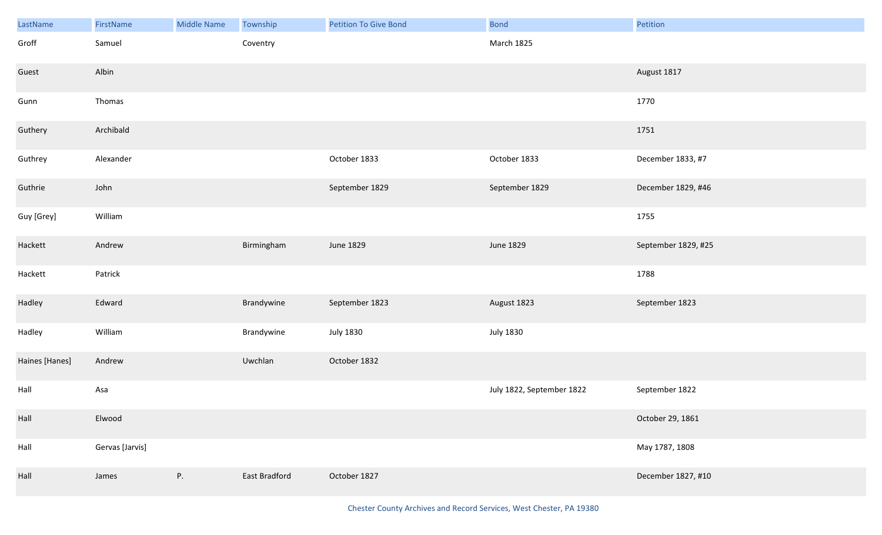| LastName       | FirstName       | <b>Middle Name</b> | Township      | <b>Petition To Give Bond</b> | <b>Bond</b>               | Petition            |
|----------------|-----------------|--------------------|---------------|------------------------------|---------------------------|---------------------|
| Groff          | Samuel          |                    | Coventry      |                              | March 1825                |                     |
| Guest          | Albin           |                    |               |                              |                           | August 1817         |
| Gunn           | Thomas          |                    |               |                              |                           | 1770                |
| Guthery        | Archibald       |                    |               |                              |                           | 1751                |
| Guthrey        | Alexander       |                    |               | October 1833                 | October 1833              | December 1833, #7   |
| Guthrie        | John            |                    |               | September 1829               | September 1829            | December 1829, #46  |
| Guy [Grey]     | William         |                    |               |                              |                           | 1755                |
| Hackett        | Andrew          |                    | Birmingham    | June 1829                    | June 1829                 | September 1829, #25 |
| Hackett        | Patrick         |                    |               |                              |                           | 1788                |
| Hadley         | Edward          |                    | Brandywine    | September 1823               | August 1823               | September 1823      |
| Hadley         | William         |                    | Brandywine    | <b>July 1830</b>             | <b>July 1830</b>          |                     |
| Haines [Hanes] | Andrew          |                    | Uwchlan       | October 1832                 |                           |                     |
| Hall           | Asa             |                    |               |                              | July 1822, September 1822 | September 1822      |
| Hall           | Elwood          |                    |               |                              |                           | October 29, 1861    |
| Hall           | Gervas [Jarvis] |                    |               |                              |                           | May 1787, 1808      |
| Hall           | James           | P.                 | East Bradford | October 1827                 |                           | December 1827, #10  |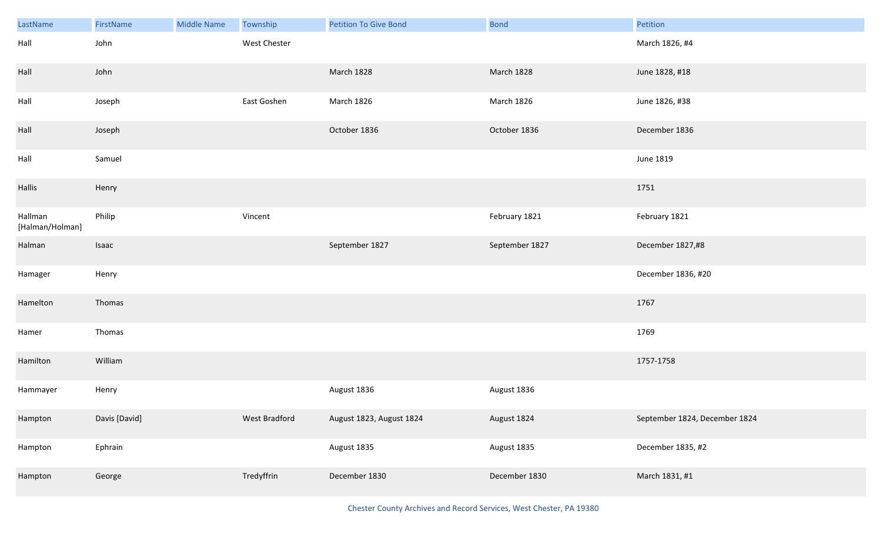| LastName                   | FirstName     | <b>Middle Name</b> | Township      | <b>Petition To Give Bond</b> | <b>Bond</b>    | Petition                      |
|----------------------------|---------------|--------------------|---------------|------------------------------|----------------|-------------------------------|
| Hall                       | John          |                    | West Chester  |                              |                | March 1826, #4                |
| Hall                       | John          |                    |               | March 1828                   | March 1828     | June 1828, #18                |
| Hall                       | Joseph        |                    | East Goshen   | March 1826                   | March 1826     | June 1826, #38                |
| Hall                       | Joseph        |                    |               | October 1836                 | October 1836   | December 1836                 |
| Hall                       | Samuel        |                    |               |                              |                | June 1819                     |
| Hallis                     | Henry         |                    |               |                              |                | 1751                          |
| Hallman<br>[Halman/Holman] | Philip        |                    | Vincent       |                              | February 1821  | February 1821                 |
| Halman                     | Isaac         |                    |               | September 1827               | September 1827 | December 1827,#8              |
| Hamager                    | Henry         |                    |               |                              |                | December 1836, #20            |
| Hamelton                   | Thomas        |                    |               |                              |                | 1767                          |
| Hamer                      | Thomas        |                    |               |                              |                | 1769                          |
| Hamilton                   | William       |                    |               |                              |                | 1757-1758                     |
| Hammayer                   | Henry         |                    |               | August 1836                  | August 1836    |                               |
| Hampton                    | Davis [David] |                    | West Bradford | August 1823, August 1824     | August 1824    | September 1824, December 1824 |
| Hampton                    | Ephrain       |                    |               | August 1835                  | August 1835    | December 1835, #2             |
| Hampton                    | George        |                    | Tredyffrin    | December 1830                | December 1830  | March 1831, #1                |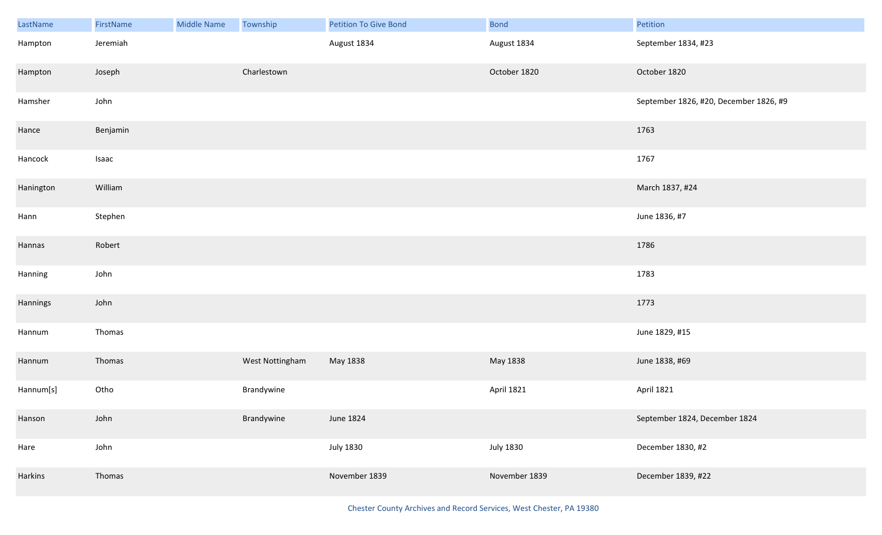| LastName  | FirstName | Middle Name | Township        | Petition To Give Bond | <b>Bond</b>      | Petition                               |
|-----------|-----------|-------------|-----------------|-----------------------|------------------|----------------------------------------|
| Hampton   | Jeremiah  |             |                 | August 1834           | August 1834      | September 1834, #23                    |
| Hampton   | Joseph    |             | Charlestown     |                       | October 1820     | October 1820                           |
| Hamsher   | John      |             |                 |                       |                  | September 1826, #20, December 1826, #9 |
| Hance     | Benjamin  |             |                 |                       |                  | 1763                                   |
| Hancock   | Isaac     |             |                 |                       |                  | 1767                                   |
| Hanington | William   |             |                 |                       |                  | March 1837, #24                        |
| Hann      | Stephen   |             |                 |                       |                  | June 1836, #7                          |
| Hannas    | Robert    |             |                 |                       |                  | 1786                                   |
| Hanning   | John      |             |                 |                       |                  | 1783                                   |
| Hannings  | John      |             |                 |                       |                  | 1773                                   |
| Hannum    | Thomas    |             |                 |                       |                  | June 1829, #15                         |
| Hannum    | Thomas    |             | West Nottingham | May 1838              | May 1838         | June 1838, #69                         |
| Hannum[s] | Otho      |             | Brandywine      |                       | April 1821       | <b>April 1821</b>                      |
| Hanson    | John      |             | Brandywine      | June 1824             |                  | September 1824, December 1824          |
| Hare      | John      |             |                 | <b>July 1830</b>      | <b>July 1830</b> | December 1830, #2                      |
| Harkins   | Thomas    |             |                 | November 1839         | November 1839    | December 1839, #22                     |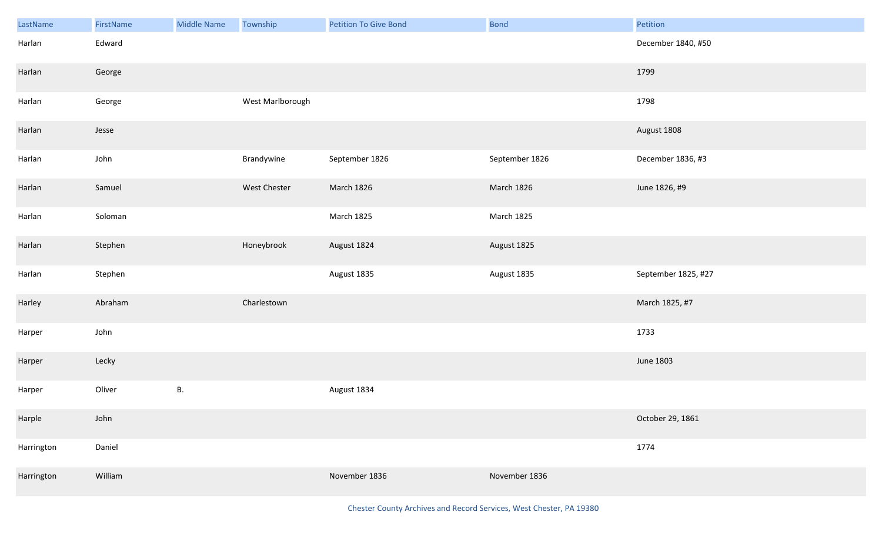| LastName   | FirstName | <b>Middle Name</b> | Township         | <b>Petition To Give Bond</b> | <b>Bond</b>    | Petition            |
|------------|-----------|--------------------|------------------|------------------------------|----------------|---------------------|
| Harlan     | Edward    |                    |                  |                              |                | December 1840, #50  |
| Harlan     | George    |                    |                  |                              |                | 1799                |
| Harlan     | George    |                    | West Marlborough |                              |                | 1798                |
| Harlan     | Jesse     |                    |                  |                              |                | August 1808         |
| Harlan     | John      |                    | Brandywine       | September 1826               | September 1826 | December 1836, #3   |
| Harlan     | Samuel    |                    | West Chester     | March 1826                   | March 1826     | June 1826, #9       |
| Harlan     | Soloman   |                    |                  | March 1825                   | March 1825     |                     |
| Harlan     | Stephen   |                    | Honeybrook       | August 1824                  | August 1825    |                     |
| Harlan     | Stephen   |                    |                  | August 1835                  | August 1835    | September 1825, #27 |
| Harley     | Abraham   |                    | Charlestown      |                              |                | March 1825, #7      |
| Harper     | John      |                    |                  |                              |                | 1733                |
| Harper     | Lecky     |                    |                  |                              |                | <b>June 1803</b>    |
| Harper     | Oliver    | В.                 |                  | August 1834                  |                |                     |
| Harple     | John      |                    |                  |                              |                | October 29, 1861    |
| Harrington | Daniel    |                    |                  |                              |                | 1774                |
| Harrington | William   |                    |                  | November 1836                | November 1836  |                     |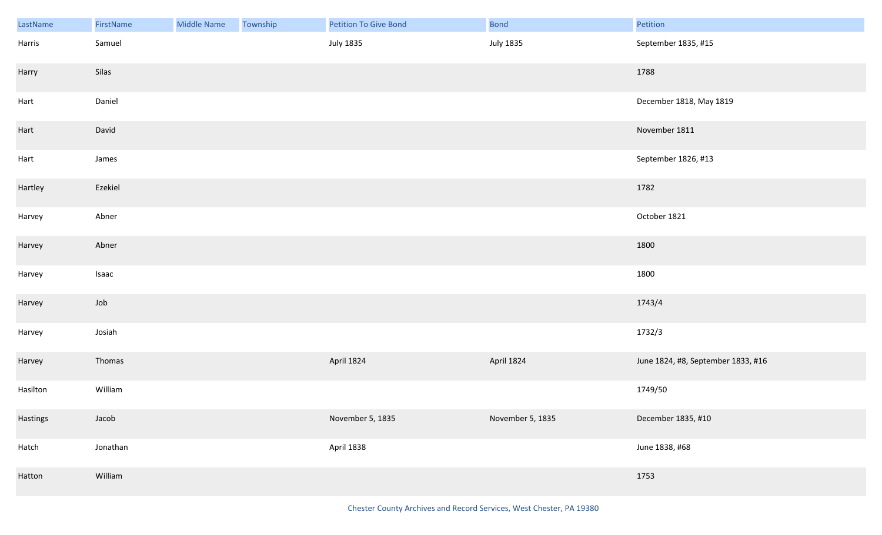| LastName | FirstName | Middle Name | Township | Petition To Give Bond | <b>Bond</b>      | Petition                           |
|----------|-----------|-------------|----------|-----------------------|------------------|------------------------------------|
| Harris   | Samuel    |             |          | <b>July 1835</b>      | <b>July 1835</b> | September 1835, #15                |
| Harry    | Silas     |             |          |                       |                  | 1788                               |
| Hart     | Daniel    |             |          |                       |                  | December 1818, May 1819            |
| Hart     | David     |             |          |                       |                  | November 1811                      |
| Hart     | James     |             |          |                       |                  | September 1826, #13                |
| Hartley  | Ezekiel   |             |          |                       |                  | 1782                               |
| Harvey   | Abner     |             |          |                       |                  | October 1821                       |
| Harvey   | Abner     |             |          |                       |                  | 1800                               |
| Harvey   | Isaac     |             |          |                       |                  | 1800                               |
| Harvey   | Job       |             |          |                       |                  | 1743/4                             |
| Harvey   | Josiah    |             |          |                       |                  | 1732/3                             |
| Harvey   | Thomas    |             |          | April 1824            | April 1824       | June 1824, #8, September 1833, #16 |
| Hasilton | William   |             |          |                       |                  | 1749/50                            |
| Hastings | Jacob     |             |          | November 5, 1835      | November 5, 1835 | December 1835, #10                 |
| Hatch    | Jonathan  |             |          | April 1838            |                  | June 1838, #68                     |
| Hatton   | William   |             |          |                       |                  | 1753                               |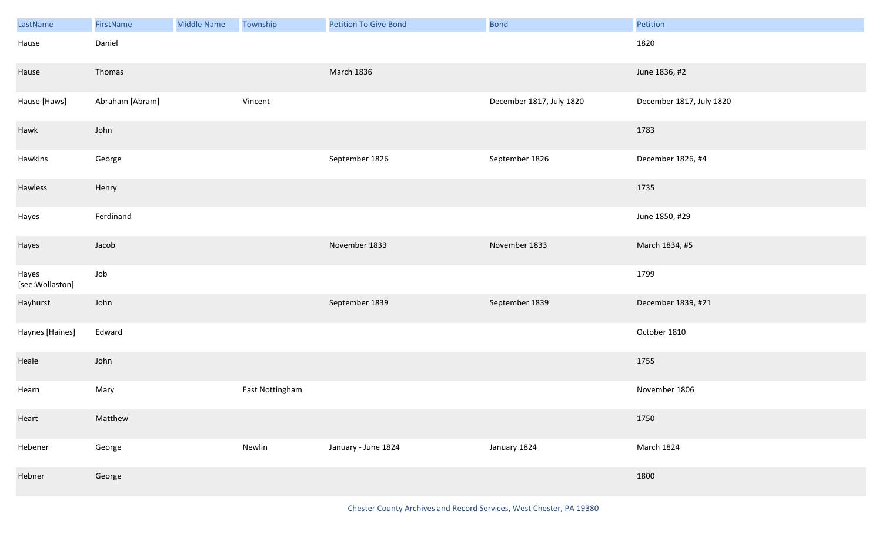| LastName                 | FirstName       | <b>Middle Name</b> | Township        | <b>Petition To Give Bond</b> | <b>Bond</b>              | Petition                 |
|--------------------------|-----------------|--------------------|-----------------|------------------------------|--------------------------|--------------------------|
| Hause                    | Daniel          |                    |                 |                              |                          | 1820                     |
| Hause                    | Thomas          |                    |                 | March 1836                   |                          | June 1836, #2            |
| Hause [Haws]             | Abraham [Abram] |                    | Vincent         |                              | December 1817, July 1820 | December 1817, July 1820 |
| Hawk                     | John            |                    |                 |                              |                          | 1783                     |
| Hawkins                  | George          |                    |                 | September 1826               | September 1826           | December 1826, #4        |
| Hawless                  | Henry           |                    |                 |                              |                          | 1735                     |
| Hayes                    | Ferdinand       |                    |                 |                              |                          | June 1850, #29           |
| Hayes                    | Jacob           |                    |                 | November 1833                | November 1833            | March 1834, #5           |
| Hayes<br>[see:Wollaston] | Job             |                    |                 |                              |                          | 1799                     |
| Hayhurst                 | John            |                    |                 | September 1839               | September 1839           | December 1839, #21       |
| Haynes [Haines]          | Edward          |                    |                 |                              |                          | October 1810             |
| Heale                    | John            |                    |                 |                              |                          | 1755                     |
| Hearn                    | Mary            |                    | East Nottingham |                              |                          | November 1806            |
| Heart                    | Matthew         |                    |                 |                              |                          | 1750                     |
| Hebener                  | George          |                    | Newlin          | January - June 1824          | January 1824             | March 1824               |
| Hebner                   | George          |                    |                 |                              |                          | 1800                     |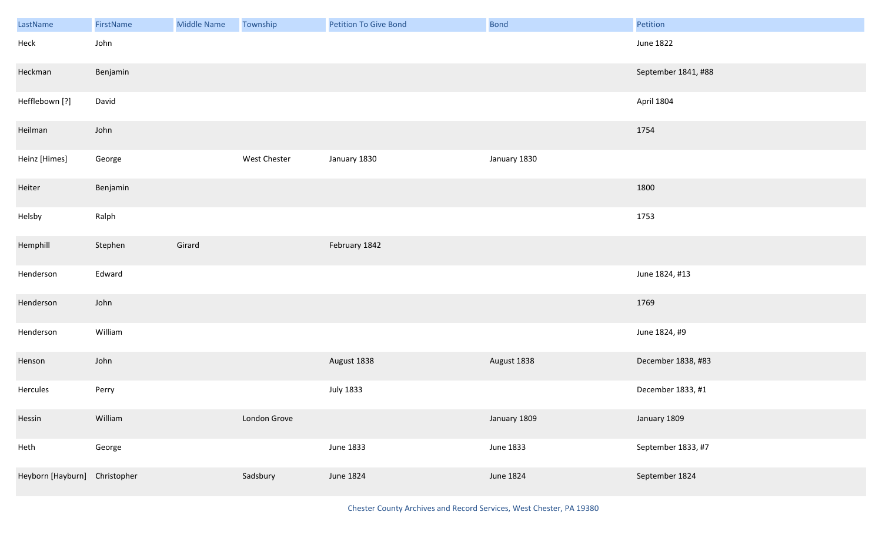| LastName                      | FirstName | <b>Middle Name</b> | Township     | Petition To Give Bond | <b>Bond</b>  | Petition            |
|-------------------------------|-----------|--------------------|--------------|-----------------------|--------------|---------------------|
| Heck                          | John      |                    |              |                       |              | <b>June 1822</b>    |
| Heckman                       | Benjamin  |                    |              |                       |              | September 1841, #88 |
| Hefflebown [?]                | David     |                    |              |                       |              | April 1804          |
| Heilman                       | John      |                    |              |                       |              | 1754                |
| Heinz [Himes]                 | George    |                    | West Chester | January 1830          | January 1830 |                     |
| Heiter                        | Benjamin  |                    |              |                       |              | 1800                |
| Helsby                        | Ralph     |                    |              |                       |              | 1753                |
| Hemphill                      | Stephen   | Girard             |              | February 1842         |              |                     |
| Henderson                     | Edward    |                    |              |                       |              | June 1824, #13      |
| Henderson                     | John      |                    |              |                       |              | 1769                |
| Henderson                     | William   |                    |              |                       |              | June 1824, #9       |
| Henson                        | John      |                    |              | August 1838           | August 1838  | December 1838, #83  |
| Hercules                      | Perry     |                    |              | <b>July 1833</b>      |              | December 1833, #1   |
| Hessin                        | William   |                    | London Grove |                       | January 1809 | January 1809        |
| Heth                          | George    |                    |              | June 1833             | June 1833    | September 1833, #7  |
| Heyborn [Hayburn] Christopher |           |                    | Sadsbury     | June 1824             | June 1824    | September 1824      |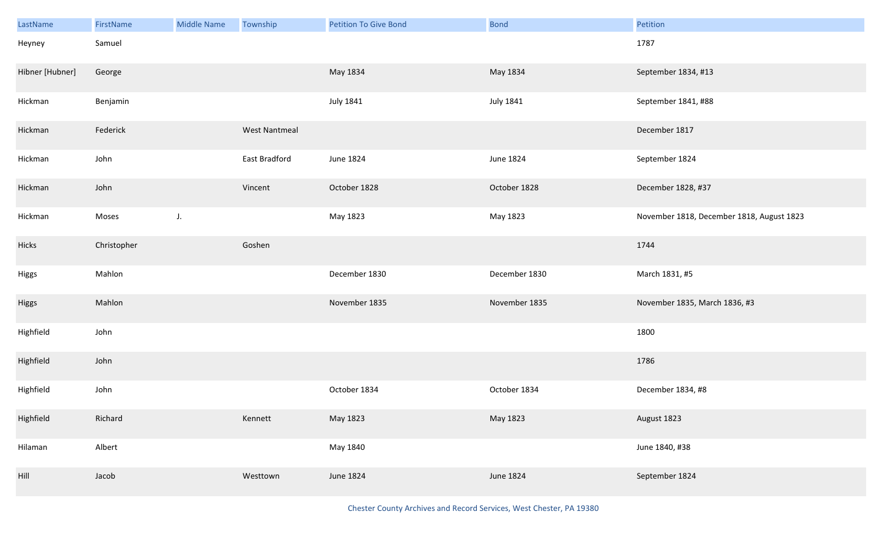| LastName                     | FirstName   | <b>Middle Name</b> | Township             | <b>Petition To Give Bond</b> | <b>Bond</b>      | Petition                                  |
|------------------------------|-------------|--------------------|----------------------|------------------------------|------------------|-------------------------------------------|
| Heyney                       | Samuel      |                    |                      |                              |                  | 1787                                      |
| Hibner [Hubner]              | George      |                    |                      | May 1834                     | May 1834         | September 1834, #13                       |
| Hickman                      | Benjamin    |                    |                      | <b>July 1841</b>             | <b>July 1841</b> | September 1841, #88                       |
| Hickman                      | Federick    |                    | <b>West Nantmeal</b> |                              |                  | December 1817                             |
| Hickman                      | John        |                    | East Bradford        | June 1824                    | <b>June 1824</b> | September 1824                            |
| Hickman                      | John        |                    | Vincent              | October 1828                 | October 1828     | December 1828, #37                        |
| Hickman                      | Moses       | $J_{\star}$        |                      | May 1823                     | May 1823         | November 1818, December 1818, August 1823 |
| Hicks                        | Christopher |                    | Goshen               |                              |                  | 1744                                      |
| Higgs                        | Mahlon      |                    |                      | December 1830                | December 1830    | March 1831, #5                            |
| Higgs                        | Mahlon      |                    |                      | November 1835                | November 1835    | November 1835, March 1836, #3             |
| Highfield                    | John        |                    |                      |                              |                  | 1800                                      |
| Highfield                    | John        |                    |                      |                              |                  | 1786                                      |
| Highfield                    | John        |                    |                      | October 1834                 | October 1834     | December 1834, #8                         |
| Highfield                    | Richard     |                    | Kennett              | May 1823                     | May 1823         | August 1823                               |
| Hilaman                      | Albert      |                    |                      | May 1840                     |                  | June 1840, #38                            |
| $\ensuremath{\mathsf{Hill}}$ | Jacob       |                    | Westtown             | <b>June 1824</b>             | June 1824        | September 1824                            |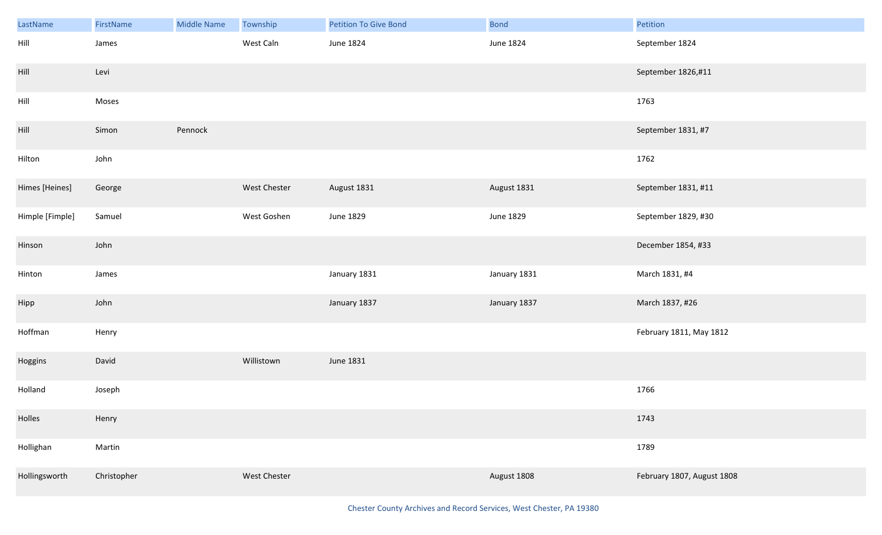| LastName                    | FirstName   | <b>Middle Name</b> | Township     | <b>Petition To Give Bond</b> | <b>Bond</b>  | Petition                   |
|-----------------------------|-------------|--------------------|--------------|------------------------------|--------------|----------------------------|
| Hill                        | James       |                    | West Caln    | June 1824                    | June 1824    | September 1824             |
| $\ensuremath{\mathsf{Hil}}$ | Levi        |                    |              |                              |              | September 1826,#11         |
| Hill                        | Moses       |                    |              |                              |              | 1763                       |
| $\ensuremath{\mathsf{Hil}}$ | Simon       | Pennock            |              |                              |              | September 1831, #7         |
| Hilton                      | John        |                    |              |                              |              | 1762                       |
| Himes [Heines]              | George      |                    | West Chester | August 1831                  | August 1831  | September 1831, #11        |
| Himple [Fimple]             | Samuel      |                    | West Goshen  | June 1829                    | June 1829    | September 1829, #30        |
| Hinson                      | John        |                    |              |                              |              | December 1854, #33         |
| Hinton                      | James       |                    |              | January 1831                 | January 1831 | March 1831, #4             |
| Hipp                        | John        |                    |              | January 1837                 | January 1837 | March 1837, #26            |
| Hoffman                     | Henry       |                    |              |                              |              | February 1811, May 1812    |
| Hoggins                     | David       |                    | Willistown   | June 1831                    |              |                            |
| Holland                     | Joseph      |                    |              |                              |              | 1766                       |
| Holles                      | Henry       |                    |              |                              |              | 1743                       |
| Hollighan                   | Martin      |                    |              |                              |              | 1789                       |
| Hollingsworth               | Christopher |                    | West Chester |                              | August 1808  | February 1807, August 1808 |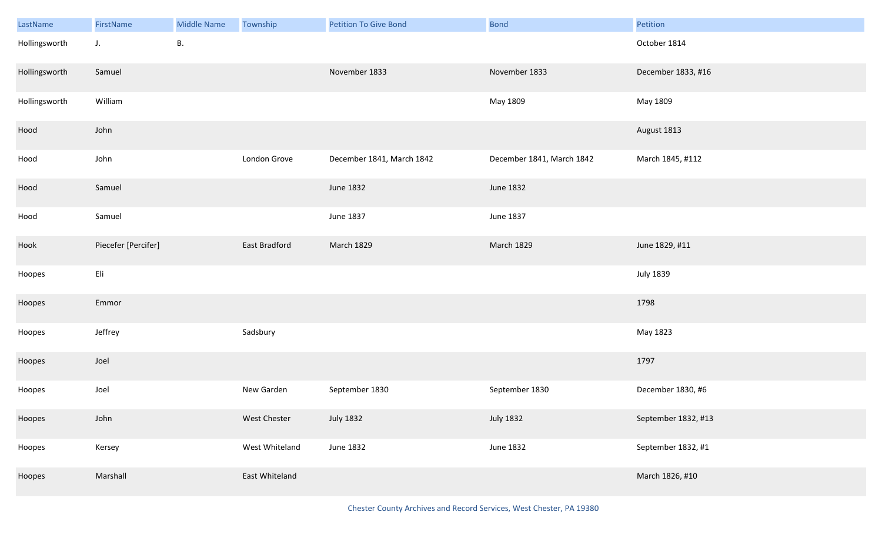| LastName      | FirstName                        | <b>Middle Name</b> | Township       | <b>Petition To Give Bond</b> | <b>Bond</b>               | Petition            |
|---------------|----------------------------------|--------------------|----------------|------------------------------|---------------------------|---------------------|
| Hollingsworth | $J_{\star}$                      | <b>B.</b>          |                |                              |                           | October 1814        |
| Hollingsworth | Samuel                           |                    |                | November 1833                | November 1833             | December 1833, #16  |
| Hollingsworth | William                          |                    |                |                              | May 1809                  | May 1809            |
| Hood          | John                             |                    |                |                              |                           | August 1813         |
| Hood          | John                             |                    | London Grove   | December 1841, March 1842    | December 1841, March 1842 | March 1845, #112    |
| Hood          | Samuel                           |                    |                | June 1832                    | June 1832                 |                     |
| Hood          | Samuel                           |                    |                | June 1837                    | June 1837                 |                     |
| Hook          | Piecefer [Percifer]              |                    | East Bradford  | March 1829                   | March 1829                | June 1829, #11      |
| Hoopes        | $\mathsf{E}\mathsf{I}\mathsf{i}$ |                    |                |                              |                           | <b>July 1839</b>    |
| Hoopes        | Emmor                            |                    |                |                              |                           | 1798                |
| Hoopes        | Jeffrey                          |                    | Sadsbury       |                              |                           | May 1823            |
| Hoopes        | Joel                             |                    |                |                              |                           | 1797                |
| Hoopes        | Joel                             |                    | New Garden     | September 1830               | September 1830            | December 1830, #6   |
| Hoopes        | John                             |                    | West Chester   | <b>July 1832</b>             | <b>July 1832</b>          | September 1832, #13 |
| Hoopes        | Kersey                           |                    | West Whiteland | <b>June 1832</b>             | June 1832                 | September 1832, #1  |
| Hoopes        | Marshall                         |                    | East Whiteland |                              |                           | March 1826, #10     |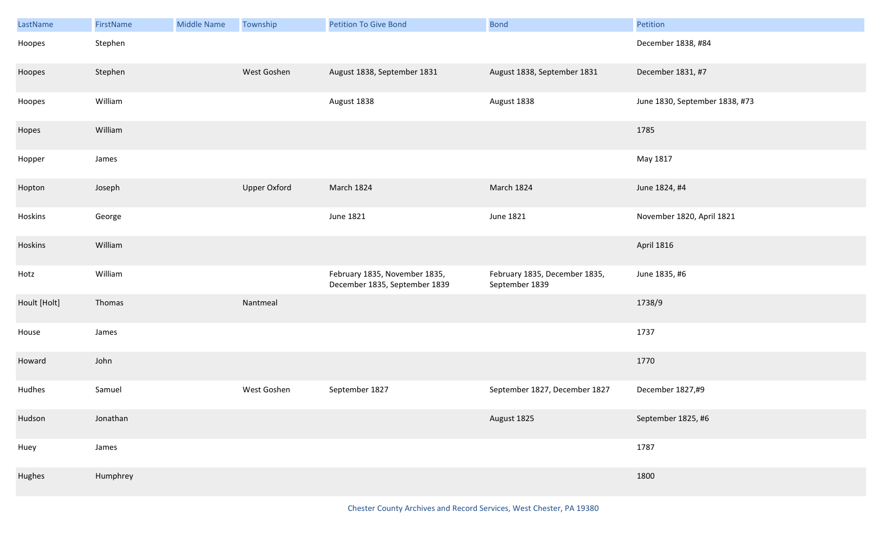| LastName     | FirstName | <b>Middle Name</b> | Township            | <b>Petition To Give Bond</b>                                   | <b>Bond</b>                                     | Petition                       |
|--------------|-----------|--------------------|---------------------|----------------------------------------------------------------|-------------------------------------------------|--------------------------------|
| Hoopes       | Stephen   |                    |                     |                                                                |                                                 | December 1838, #84             |
| Hoopes       | Stephen   |                    | West Goshen         | August 1838, September 1831                                    | August 1838, September 1831                     | December 1831, #7              |
| Hoopes       | William   |                    |                     | August 1838                                                    | August 1838                                     | June 1830, September 1838, #73 |
| Hopes        | William   |                    |                     |                                                                |                                                 | 1785                           |
| Hopper       | James     |                    |                     |                                                                |                                                 | May 1817                       |
| Hopton       | Joseph    |                    | <b>Upper Oxford</b> | March 1824                                                     | March 1824                                      | June 1824, #4                  |
| Hoskins      | George    |                    |                     | June 1821                                                      | June 1821                                       | November 1820, April 1821      |
| Hoskins      | William   |                    |                     |                                                                |                                                 | <b>April 1816</b>              |
| Hotz         | William   |                    |                     | February 1835, November 1835,<br>December 1835, September 1839 | February 1835, December 1835,<br>September 1839 | June 1835, #6                  |
| Hoult [Holt] | Thomas    |                    | Nantmeal            |                                                                |                                                 | 1738/9                         |
| House        | James     |                    |                     |                                                                |                                                 | 1737                           |
| Howard       | John      |                    |                     |                                                                |                                                 | 1770                           |
| Hudhes       | Samuel    |                    | West Goshen         | September 1827                                                 | September 1827, December 1827                   | December 1827,#9               |
| Hudson       | Jonathan  |                    |                     |                                                                | August 1825                                     | September 1825, #6             |
| Huey         | James     |                    |                     |                                                                |                                                 | 1787                           |
| Hughes       | Humphrey  |                    |                     |                                                                |                                                 | 1800                           |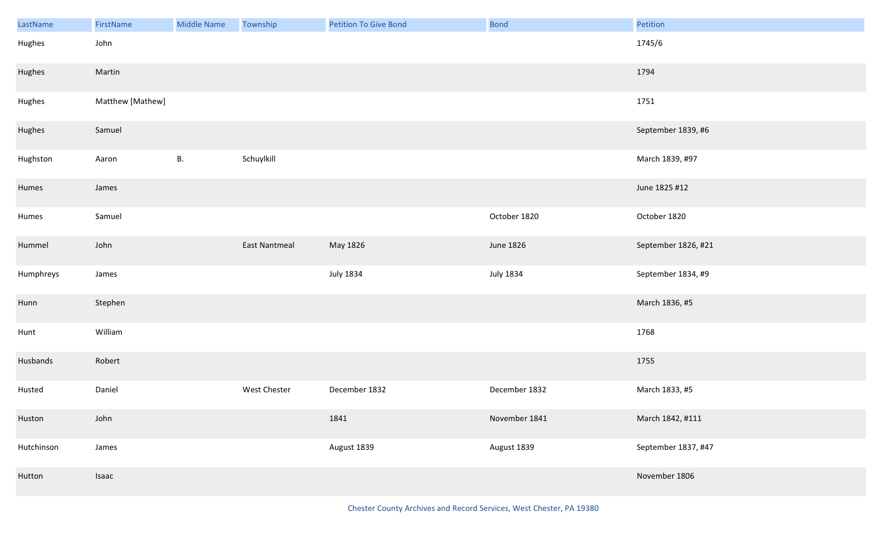| LastName   | FirstName        | <b>Middle Name</b> | Township            | <b>Petition To Give Bond</b> | <b>Bond</b>   | Petition            |
|------------|------------------|--------------------|---------------------|------------------------------|---------------|---------------------|
| Hughes     | John             |                    |                     |                              |               | 1745/6              |
| Hughes     | Martin           |                    |                     |                              |               | 1794                |
| Hughes     | Matthew [Mathew] |                    |                     |                              |               | 1751                |
| Hughes     | Samuel           |                    |                     |                              |               | September 1839, #6  |
| Hughston   | Aaron            | <b>B.</b>          | Schuylkill          |                              |               | March 1839, #97     |
| Humes      | James            |                    |                     |                              |               | June 1825 #12       |
| Humes      | Samuel           |                    |                     |                              | October 1820  | October 1820        |
| Hummel     | John             |                    | East Nantmeal       | May 1826                     | June 1826     | September 1826, #21 |
| Humphreys  | James            |                    |                     | <b>July 1834</b>             | July 1834     | September 1834, #9  |
| Hunn       | Stephen          |                    |                     |                              |               | March 1836, #5      |
| Hunt       | William          |                    |                     |                              |               | 1768                |
| Husbands   | Robert           |                    |                     |                              |               | 1755                |
| Husted     | Daniel           |                    | <b>West Chester</b> | December 1832                | December 1832 | March 1833, #5      |
| Huston     | John             |                    |                     | 1841                         | November 1841 | March 1842, #111    |
| Hutchinson | James            |                    |                     | August 1839                  | August 1839   | September 1837, #47 |
| Hutton     | Isaac            |                    |                     |                              |               | November 1806       |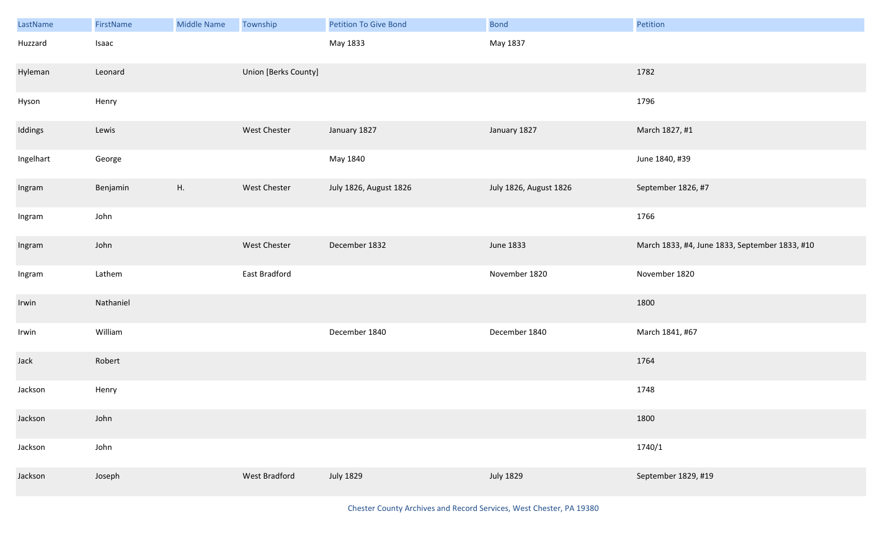| LastName  | FirstName | <b>Middle Name</b> | Township             | <b>Petition To Give Bond</b> | <b>Bond</b>            | Petition                                       |
|-----------|-----------|--------------------|----------------------|------------------------------|------------------------|------------------------------------------------|
| Huzzard   | Isaac     |                    |                      | May 1833                     | May 1837               |                                                |
| Hyleman   | Leonard   |                    | Union [Berks County] |                              |                        | 1782                                           |
| Hyson     | Henry     |                    |                      |                              |                        | 1796                                           |
| Iddings   | Lewis     |                    | West Chester         | January 1827                 | January 1827           | March 1827, #1                                 |
| Ingelhart | George    |                    |                      | May 1840                     |                        | June 1840, #39                                 |
| Ingram    | Benjamin  | H.                 | West Chester         | July 1826, August 1826       | July 1826, August 1826 | September 1826, #7                             |
| Ingram    | John      |                    |                      |                              |                        | 1766                                           |
| Ingram    | John      |                    | West Chester         | December 1832                | June 1833              | March 1833, #4, June 1833, September 1833, #10 |
| Ingram    | Lathem    |                    | East Bradford        |                              | November 1820          | November 1820                                  |
| Irwin     | Nathaniel |                    |                      |                              |                        | 1800                                           |
| Irwin     | William   |                    |                      | December 1840                | December 1840          | March 1841, #67                                |
| Jack      | Robert    |                    |                      |                              |                        | 1764                                           |
| Jackson   | Henry     |                    |                      |                              |                        | 1748                                           |
| Jackson   | John      |                    |                      |                              |                        | 1800                                           |
| Jackson   | John      |                    |                      |                              |                        | 1740/1                                         |
| Jackson   | Joseph    |                    | West Bradford        | <b>July 1829</b>             | <b>July 1829</b>       | September 1829, #19                            |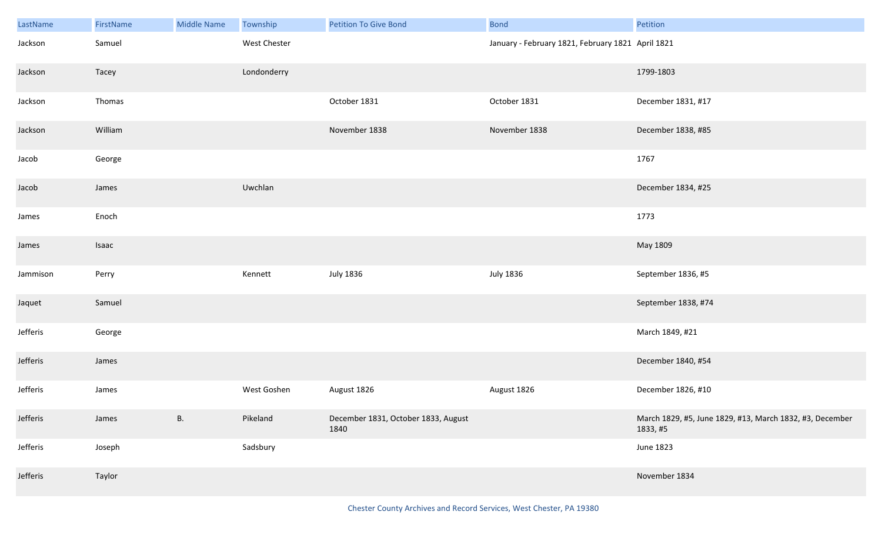| LastName | FirstName | <b>Middle Name</b> | Township     | <b>Petition To Give Bond</b>                | <b>Bond</b>                                       | Petition                                                             |
|----------|-----------|--------------------|--------------|---------------------------------------------|---------------------------------------------------|----------------------------------------------------------------------|
| Jackson  | Samuel    |                    | West Chester |                                             | January - February 1821, February 1821 April 1821 |                                                                      |
| Jackson  | Tacey     |                    | Londonderry  |                                             |                                                   | 1799-1803                                                            |
| Jackson  | Thomas    |                    |              | October 1831                                | October 1831                                      | December 1831, #17                                                   |
| Jackson  | William   |                    |              | November 1838                               | November 1838                                     | December 1838, #85                                                   |
| Jacob    | George    |                    |              |                                             |                                                   | 1767                                                                 |
| Jacob    | James     |                    | Uwchlan      |                                             |                                                   | December 1834, #25                                                   |
| James    | Enoch     |                    |              |                                             |                                                   | 1773                                                                 |
| James    | Isaac     |                    |              |                                             |                                                   | May 1809                                                             |
| Jammison | Perry     |                    | Kennett      | <b>July 1836</b>                            | <b>July 1836</b>                                  | September 1836, #5                                                   |
| Jaquet   | Samuel    |                    |              |                                             |                                                   | September 1838, #74                                                  |
| Jefferis | George    |                    |              |                                             |                                                   | March 1849, #21                                                      |
| Jefferis | James     |                    |              |                                             |                                                   | December 1840, #54                                                   |
| Jefferis | James     |                    | West Goshen  | August 1826                                 | August 1826                                       | December 1826, #10                                                   |
| Jefferis | James     | <b>B.</b>          | Pikeland     | December 1831, October 1833, August<br>1840 |                                                   | March 1829, #5, June 1829, #13, March 1832, #3, December<br>1833, #5 |
| Jefferis | Joseph    |                    | Sadsbury     |                                             |                                                   | June 1823                                                            |
| Jefferis | Taylor    |                    |              |                                             |                                                   | November 1834                                                        |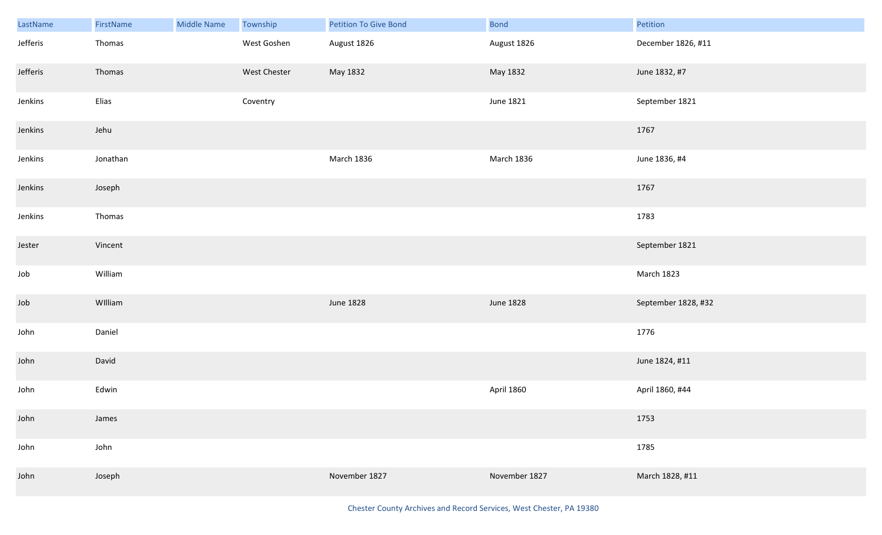| LastName | FirstName | <b>Middle Name</b> | Township     | Petition To Give Bond | <b>Bond</b>   | Petition            |
|----------|-----------|--------------------|--------------|-----------------------|---------------|---------------------|
| Jefferis | Thomas    |                    | West Goshen  | August 1826           | August 1826   | December 1826, #11  |
| Jefferis | Thomas    |                    | West Chester | May 1832              | May 1832      | June 1832, #7       |
| Jenkins  | Elias     |                    | Coventry     |                       | June 1821     | September 1821      |
| Jenkins  | Jehu      |                    |              |                       |               | 1767                |
| Jenkins  | Jonathan  |                    |              | March 1836            | March 1836    | June 1836, #4       |
| Jenkins  | Joseph    |                    |              |                       |               | 1767                |
| Jenkins  | Thomas    |                    |              |                       |               | 1783                |
| Jester   | Vincent   |                    |              |                       |               | September 1821      |
| Job      | William   |                    |              |                       |               | March 1823          |
| Job      | William   |                    |              | June 1828             | June 1828     | September 1828, #32 |
| John     | Daniel    |                    |              |                       |               | 1776                |
| John     | David     |                    |              |                       |               | June 1824, #11      |
| John     | Edwin     |                    |              |                       | April 1860    | April 1860, #44     |
| John     | James     |                    |              |                       |               | 1753                |
| John     | John      |                    |              |                       |               | 1785                |
| John     | Joseph    |                    |              | November 1827         | November 1827 | March 1828, #11     |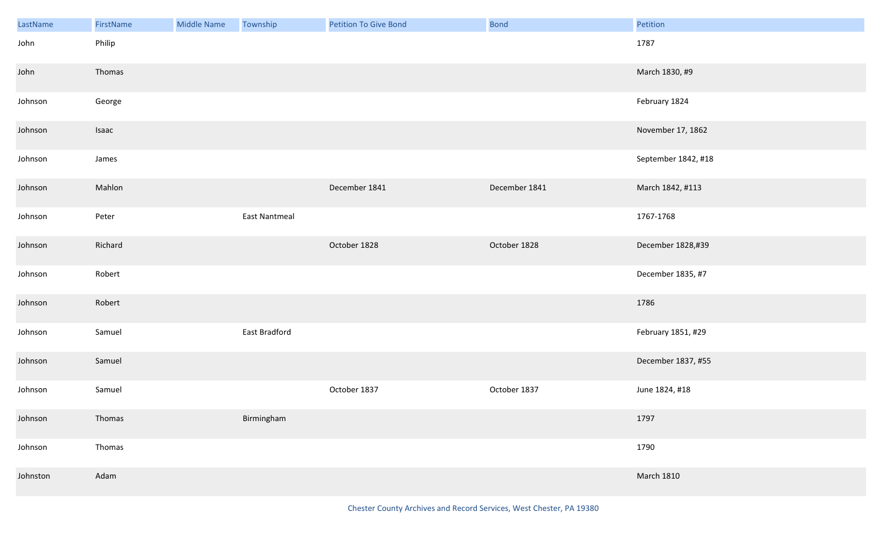| LastName | FirstName | Middle Name | Township             | <b>Petition To Give Bond</b> | Bond          | Petition            |
|----------|-----------|-------------|----------------------|------------------------------|---------------|---------------------|
| John     | Philip    |             |                      |                              |               | 1787                |
| John     | Thomas    |             |                      |                              |               | March 1830, #9      |
| Johnson  | George    |             |                      |                              |               | February 1824       |
| Johnson  | Isaac     |             |                      |                              |               | November 17, 1862   |
| Johnson  | James     |             |                      |                              |               | September 1842, #18 |
| Johnson  | Mahlon    |             |                      | December 1841                | December 1841 | March 1842, #113    |
| Johnson  | Peter     |             | <b>East Nantmeal</b> |                              |               | 1767-1768           |
| Johnson  | Richard   |             |                      | October 1828                 | October 1828  | December 1828,#39   |
| Johnson  | Robert    |             |                      |                              |               | December 1835, #7   |
| Johnson  | Robert    |             |                      |                              |               | 1786                |
| Johnson  | Samuel    |             | East Bradford        |                              |               | February 1851, #29  |
| Johnson  | Samuel    |             |                      |                              |               | December 1837, #55  |
| Johnson  | Samuel    |             |                      | October 1837                 | October 1837  | June 1824, #18      |
| Johnson  | Thomas    |             | Birmingham           |                              |               | 1797                |
| Johnson  | Thomas    |             |                      |                              |               | 1790                |
| Johnston | Adam      |             |                      |                              |               | <b>March 1810</b>   |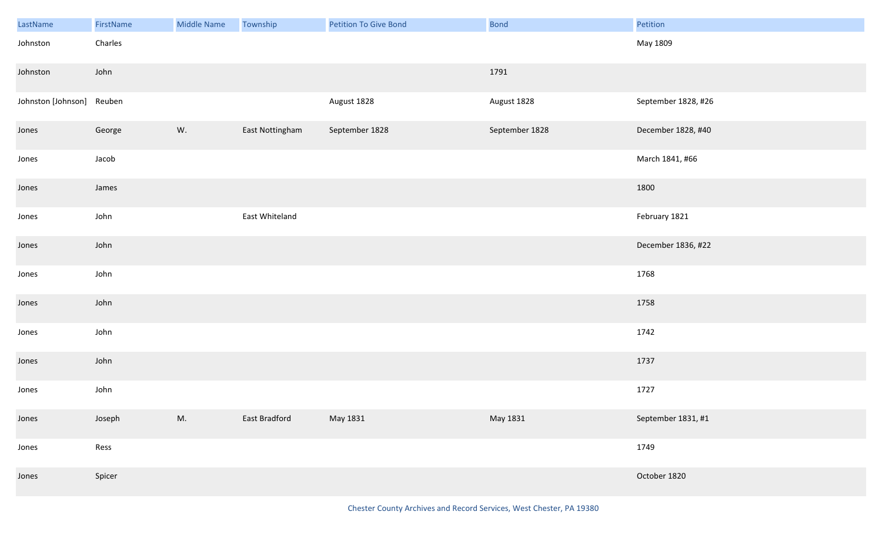| LastName           | FirstName | <b>Middle Name</b> | Township        | Petition To Give Bond | Bond           | Petition            |
|--------------------|-----------|--------------------|-----------------|-----------------------|----------------|---------------------|
| Johnston           | Charles   |                    |                 |                       |                | May 1809            |
| Johnston           | John      |                    |                 |                       | 1791           |                     |
| Johnston [Johnson] | Reuben    |                    |                 | August 1828           | August 1828    | September 1828, #26 |
| Jones              | George    | W.                 | East Nottingham | September 1828        | September 1828 | December 1828, #40  |
| Jones              | Jacob     |                    |                 |                       |                | March 1841, #66     |
| Jones              | James     |                    |                 |                       |                | 1800                |
| Jones              | John      |                    | East Whiteland  |                       |                | February 1821       |
| Jones              | John      |                    |                 |                       |                | December 1836, #22  |
| Jones              | John      |                    |                 |                       |                | 1768                |
| Jones              | John      |                    |                 |                       |                | 1758                |
| Jones              | John      |                    |                 |                       |                | 1742                |
| Jones              | John      |                    |                 |                       |                | 1737                |
| Jones              | John      |                    |                 |                       |                | 1727                |
| Jones              | Joseph    | M.                 | East Bradford   | May 1831              | May 1831       | September 1831, #1  |
| Jones              | Ress      |                    |                 |                       |                | 1749                |
| Jones              | Spicer    |                    |                 |                       |                | October 1820        |

Chester County Archives and Record Services, West Chester, PA 19380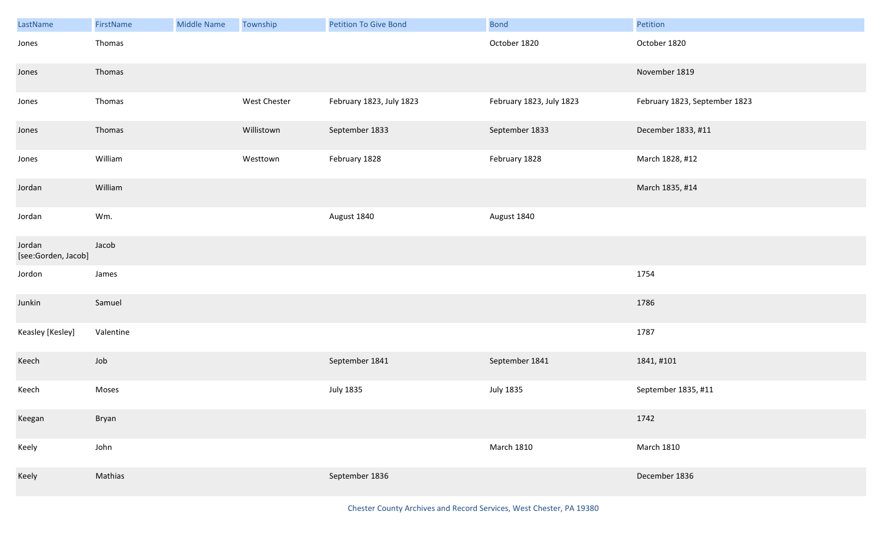| LastName                      | FirstName | <b>Middle Name</b> | Township     | <b>Petition To Give Bond</b> | <b>Bond</b>              | Petition                      |
|-------------------------------|-----------|--------------------|--------------|------------------------------|--------------------------|-------------------------------|
| Jones                         | Thomas    |                    |              |                              | October 1820             | October 1820                  |
| Jones                         | Thomas    |                    |              |                              |                          | November 1819                 |
| Jones                         | Thomas    |                    | West Chester | February 1823, July 1823     | February 1823, July 1823 | February 1823, September 1823 |
| Jones                         | Thomas    |                    | Willistown   | September 1833               | September 1833           | December 1833, #11            |
| Jones                         | William   |                    | Westtown     | February 1828                | February 1828            | March 1828, #12               |
| Jordan                        | William   |                    |              |                              |                          | March 1835, #14               |
| Jordan                        | Wm.       |                    |              | August 1840                  | August 1840              |                               |
| Jordan<br>[see:Gorden, Jacob] | Jacob     |                    |              |                              |                          |                               |
| Jordon                        | James     |                    |              |                              |                          | 1754                          |
| Junkin                        | Samuel    |                    |              |                              |                          | 1786                          |
| Keasley [Kesley]              | Valentine |                    |              |                              |                          | 1787                          |
| Keech                         | Job       |                    |              | September 1841               | September 1841           | 1841, #101                    |
| Keech                         | Moses     |                    |              | <b>July 1835</b>             | <b>July 1835</b>         | September 1835, #11           |
| Keegan                        | Bryan     |                    |              |                              |                          | 1742                          |
| Keely                         | John      |                    |              |                              | <b>March 1810</b>        | <b>March 1810</b>             |
| Keely                         | Mathias   |                    |              | September 1836               |                          | December 1836                 |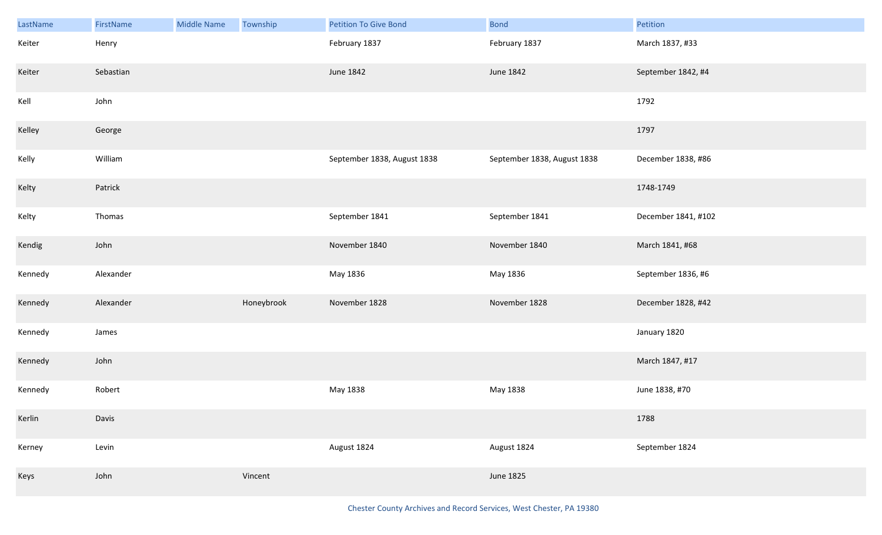| LastName | FirstName | <b>Middle Name</b> | Township   | <b>Petition To Give Bond</b> | <b>Bond</b>                 | Petition            |
|----------|-----------|--------------------|------------|------------------------------|-----------------------------|---------------------|
| Keiter   | Henry     |                    |            | February 1837                | February 1837               | March 1837, #33     |
| Keiter   | Sebastian |                    |            | June 1842                    | June 1842                   | September 1842, #4  |
| Kell     | John      |                    |            |                              |                             | 1792                |
| Kelley   | George    |                    |            |                              |                             | 1797                |
| Kelly    | William   |                    |            | September 1838, August 1838  | September 1838, August 1838 | December 1838, #86  |
| Kelty    | Patrick   |                    |            |                              |                             | 1748-1749           |
| Kelty    | Thomas    |                    |            | September 1841               | September 1841              | December 1841, #102 |
| Kendig   | John      |                    |            | November 1840                | November 1840               | March 1841, #68     |
| Kennedy  | Alexander |                    |            | May 1836                     | May 1836                    | September 1836, #6  |
| Kennedy  | Alexander |                    | Honeybrook | November 1828                | November 1828               | December 1828, #42  |
| Kennedy  | James     |                    |            |                              |                             | January 1820        |
| Kennedy  | John      |                    |            |                              |                             | March 1847, #17     |
| Kennedy  | Robert    |                    |            | May 1838                     | May 1838                    | June 1838, #70      |
| Kerlin   | Davis     |                    |            |                              |                             | 1788                |
| Kerney   | Levin     |                    |            | August 1824                  | August 1824                 | September 1824      |
| Keys     | John      |                    | Vincent    |                              | June 1825                   |                     |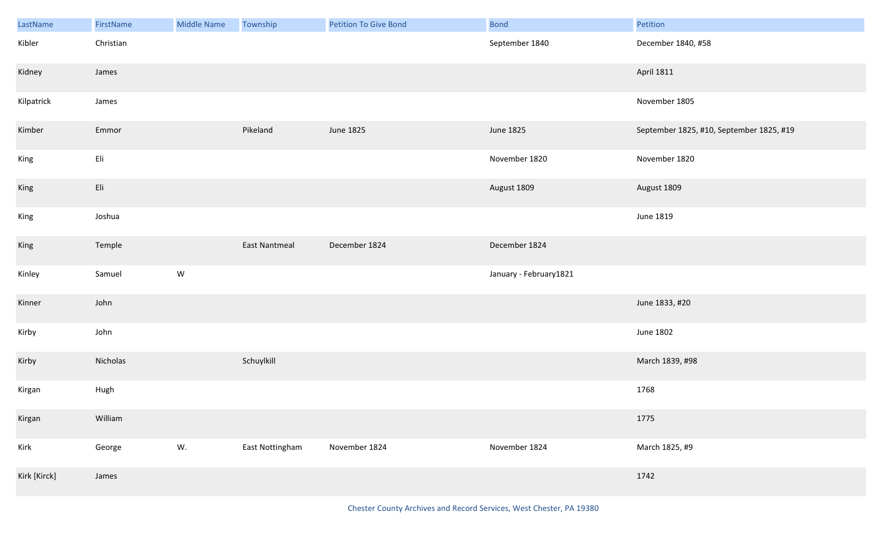| LastName     | FirstName | <b>Middle Name</b> | Township        | <b>Petition To Give Bond</b> | <b>Bond</b>            | Petition                                 |
|--------------|-----------|--------------------|-----------------|------------------------------|------------------------|------------------------------------------|
| Kibler       | Christian |                    |                 |                              | September 1840         | December 1840, #58                       |
| Kidney       | James     |                    |                 |                              |                        | <b>April 1811</b>                        |
| Kilpatrick   | James     |                    |                 |                              |                        | November 1805                            |
| Kimber       | Emmor     |                    | Pikeland        | <b>June 1825</b>             | June 1825              | September 1825, #10, September 1825, #19 |
| King         | Eli       |                    |                 |                              | November 1820          | November 1820                            |
| King         | Eli       |                    |                 |                              | August 1809            | August 1809                              |
| King         | Joshua    |                    |                 |                              |                        | June 1819                                |
| King         | Temple    |                    | East Nantmeal   | December 1824                | December 1824          |                                          |
| Kinley       | Samuel    | ${\mathsf W}$      |                 |                              | January - February1821 |                                          |
| Kinner       | John      |                    |                 |                              |                        | June 1833, #20                           |
| Kirby        | John      |                    |                 |                              |                        | June 1802                                |
| Kirby        | Nicholas  |                    | Schuylkill      |                              |                        | March 1839, #98                          |
| Kirgan       | Hugh      |                    |                 |                              |                        | 1768                                     |
| Kirgan       | William   |                    |                 |                              |                        | 1775                                     |
| Kirk         | George    | W.                 | East Nottingham | November 1824                | November 1824          | March 1825, #9                           |
| Kirk [Kirck] | James     |                    |                 |                              |                        | 1742                                     |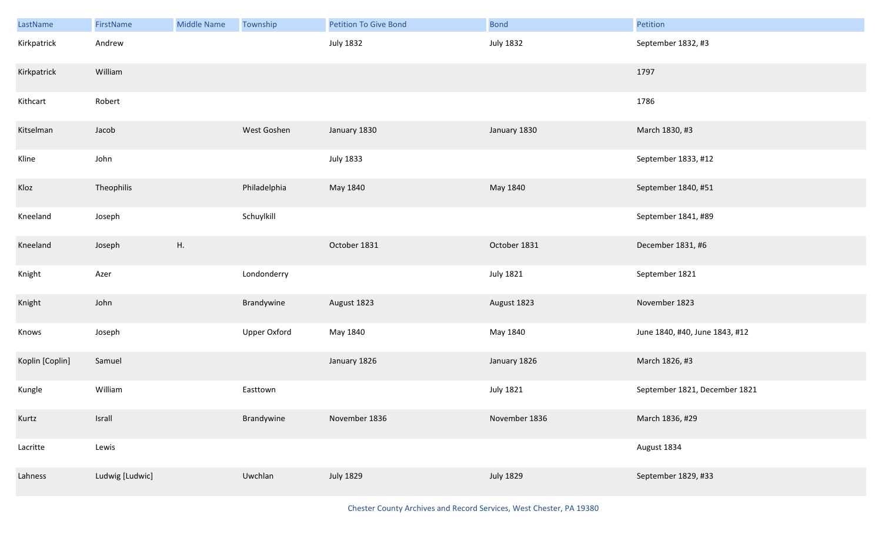| LastName        | FirstName       | <b>Middle Name</b> | Township            | <b>Petition To Give Bond</b> | <b>Bond</b>      | Petition                       |
|-----------------|-----------------|--------------------|---------------------|------------------------------|------------------|--------------------------------|
| Kirkpatrick     | Andrew          |                    |                     | <b>July 1832</b>             | <b>July 1832</b> | September 1832, #3             |
| Kirkpatrick     | William         |                    |                     |                              |                  | 1797                           |
| Kithcart        | Robert          |                    |                     |                              |                  | 1786                           |
| Kitselman       | Jacob           |                    | West Goshen         | January 1830                 | January 1830     | March 1830, #3                 |
| Kline           | John            |                    |                     | <b>July 1833</b>             |                  | September 1833, #12            |
| Kloz            | Theophilis      |                    | Philadelphia        | May 1840                     | May 1840         | September 1840, #51            |
| Kneeland        | Joseph          |                    | Schuylkill          |                              |                  | September 1841, #89            |
| Kneeland        | Joseph          | H.                 |                     | October 1831                 | October 1831     | December 1831, #6              |
| Knight          | Azer            |                    | Londonderry         |                              | <b>July 1821</b> | September 1821                 |
| Knight          | John            |                    | Brandywine          | August 1823                  | August 1823      | November 1823                  |
| Knows           | Joseph          |                    | <b>Upper Oxford</b> | May 1840                     | May 1840         | June 1840, #40, June 1843, #12 |
| Koplin [Coplin] | Samuel          |                    |                     | January 1826                 | January 1826     | March 1826, #3                 |
| Kungle          | William         |                    | Easttown            |                              | <b>July 1821</b> | September 1821, December 1821  |
| Kurtz           | Israll          |                    | Brandywine          | November 1836                | November 1836    | March 1836, #29                |
| Lacritte        | Lewis           |                    |                     |                              |                  | August 1834                    |
| Lahness         | Ludwig [Ludwic] |                    | Uwchlan             | <b>July 1829</b>             | <b>July 1829</b> | September 1829, #33            |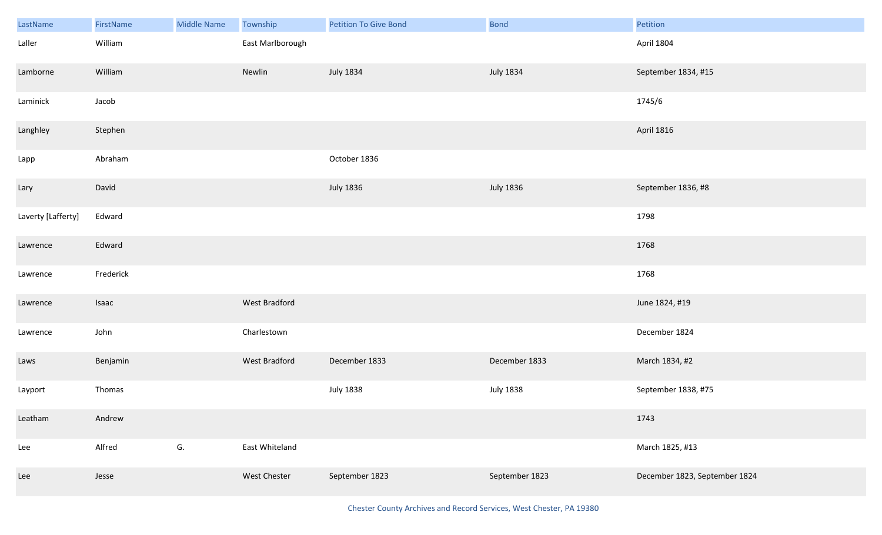| LastName           | FirstName | <b>Middle Name</b> | Township         | <b>Petition To Give Bond</b> | Bond             | Petition                      |
|--------------------|-----------|--------------------|------------------|------------------------------|------------------|-------------------------------|
| Laller             | William   |                    | East Marlborough |                              |                  | April 1804                    |
| Lamborne           | William   |                    | Newlin           | <b>July 1834</b>             | July 1834        | September 1834, #15           |
| Laminick           | Jacob     |                    |                  |                              |                  | 1745/6                        |
| Langhley           | Stephen   |                    |                  |                              |                  | <b>April 1816</b>             |
| Lapp               | Abraham   |                    |                  | October 1836                 |                  |                               |
| Lary               | David     |                    |                  | <b>July 1836</b>             | <b>July 1836</b> | September 1836, #8            |
| Laverty [Lafferty] | Edward    |                    |                  |                              |                  | 1798                          |
| Lawrence           | Edward    |                    |                  |                              |                  | 1768                          |
| Lawrence           | Frederick |                    |                  |                              |                  | 1768                          |
| Lawrence           | Isaac     |                    | West Bradford    |                              |                  | June 1824, #19                |
| Lawrence           | John      |                    | Charlestown      |                              |                  | December 1824                 |
| Laws               | Benjamin  |                    | West Bradford    | December 1833                | December 1833    | March 1834, #2                |
| Layport            | Thomas    |                    |                  | <b>July 1838</b>             | <b>July 1838</b> | September 1838, #75           |
| Leatham            | Andrew    |                    |                  |                              |                  | 1743                          |
| Lee                | Alfred    | G.                 | East Whiteland   |                              |                  | March 1825, #13               |
| Lee                | Jesse     |                    | West Chester     | September 1823               | September 1823   | December 1823, September 1824 |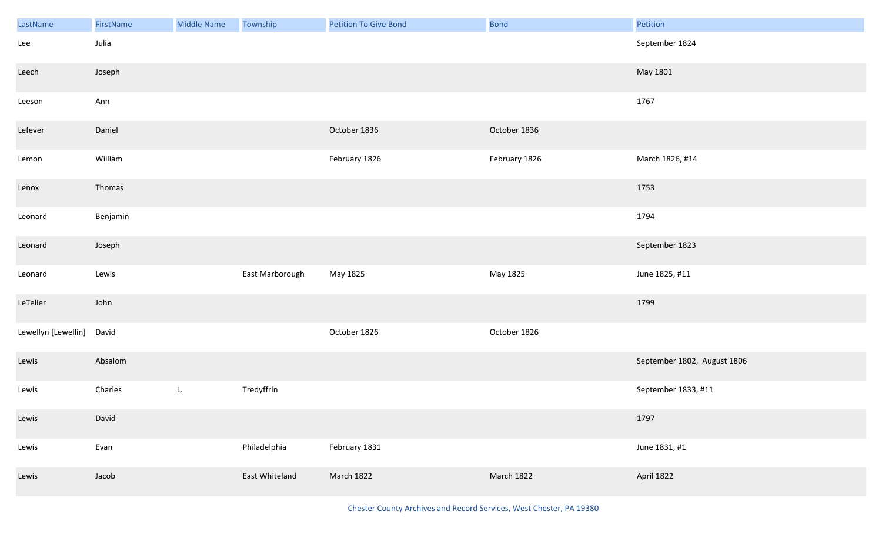| LastName            | FirstName | <b>Middle Name</b> | Township        | <b>Petition To Give Bond</b> | Bond          | Petition                    |
|---------------------|-----------|--------------------|-----------------|------------------------------|---------------|-----------------------------|
| Lee                 | Julia     |                    |                 |                              |               | September 1824              |
| Leech               | Joseph    |                    |                 |                              |               | May 1801                    |
| Leeson              | Ann       |                    |                 |                              |               | 1767                        |
| Lefever             | Daniel    |                    |                 | October 1836                 | October 1836  |                             |
| Lemon               | William   |                    |                 | February 1826                | February 1826 | March 1826, #14             |
| Lenox               | Thomas    |                    |                 |                              |               | 1753                        |
| Leonard             | Benjamin  |                    |                 |                              |               | 1794                        |
| Leonard             | Joseph    |                    |                 |                              |               | September 1823              |
| Leonard             | Lewis     |                    | East Marborough | May 1825                     | May 1825      | June 1825, #11              |
| LeTelier            | John      |                    |                 |                              |               | 1799                        |
| Lewellyn [Lewellin] | David     |                    |                 | October 1826                 | October 1826  |                             |
| Lewis               | Absalom   |                    |                 |                              |               | September 1802, August 1806 |
| Lewis               | Charles   | L.                 | Tredyffrin      |                              |               | September 1833, #11         |
| Lewis               | David     |                    |                 |                              |               | 1797                        |
| Lewis               | Evan      |                    | Philadelphia    | February 1831                |               | June 1831, #1               |
| Lewis               | Jacob     |                    | East Whiteland  | March 1822                   | March 1822    | April 1822                  |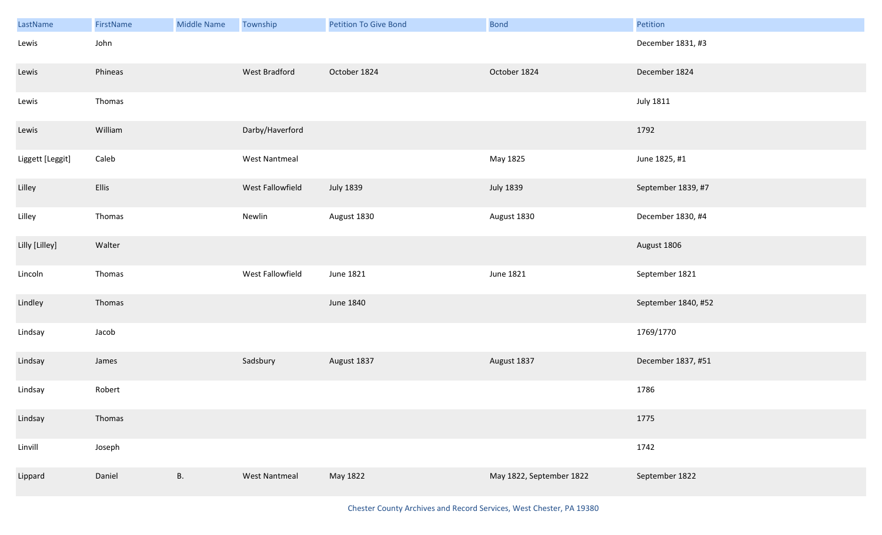| LastName         | FirstName | <b>Middle Name</b> | Township             | <b>Petition To Give Bond</b> | <b>Bond</b>              | Petition            |
|------------------|-----------|--------------------|----------------------|------------------------------|--------------------------|---------------------|
| Lewis            | John      |                    |                      |                              |                          | December 1831, #3   |
| Lewis            | Phineas   |                    | West Bradford        | October 1824                 | October 1824             | December 1824       |
| Lewis            | Thomas    |                    |                      |                              |                          | <b>July 1811</b>    |
| Lewis            | William   |                    | Darby/Haverford      |                              |                          | 1792                |
| Liggett [Leggit] | Caleb     |                    | West Nantmeal        |                              | May 1825                 | June 1825, #1       |
| Lilley           | Ellis     |                    | West Fallowfield     | <b>July 1839</b>             | <b>July 1839</b>         | September 1839, #7  |
| Lilley           | Thomas    |                    | Newlin               | August 1830                  | August 1830              | December 1830, #4   |
| Lilly [Lilley]   | Walter    |                    |                      |                              |                          | August 1806         |
| Lincoln          | Thomas    |                    | West Fallowfield     | June 1821                    | June 1821                | September 1821      |
| Lindley          | Thomas    |                    |                      | June 1840                    |                          | September 1840, #52 |
| Lindsay          | Jacob     |                    |                      |                              |                          | 1769/1770           |
| Lindsay          | James     |                    | Sadsbury             | August 1837                  | August 1837              | December 1837, #51  |
| Lindsay          | Robert    |                    |                      |                              |                          | 1786                |
| Lindsay          | Thomas    |                    |                      |                              |                          | 1775                |
| Linvill          | Joseph    |                    |                      |                              |                          | 1742                |
| Lippard          | Daniel    | <b>B.</b>          | <b>West Nantmeal</b> | May 1822                     | May 1822, September 1822 | September 1822      |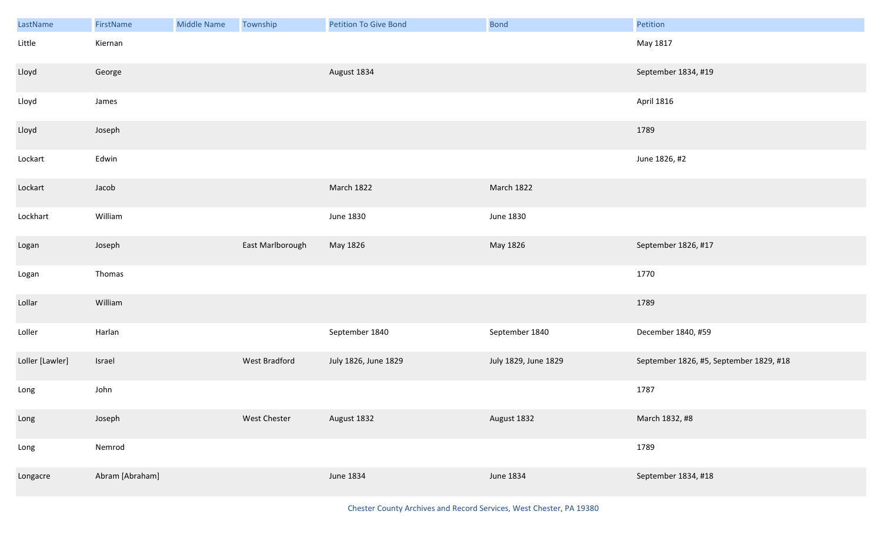| LastName        | FirstName       | <b>Middle Name</b> | Township         | <b>Petition To Give Bond</b> | <b>Bond</b>          | Petition                                |
|-----------------|-----------------|--------------------|------------------|------------------------------|----------------------|-----------------------------------------|
| Little          | Kiernan         |                    |                  |                              |                      | May 1817                                |
| Lloyd           | George          |                    |                  | August 1834                  |                      | September 1834, #19                     |
| Lloyd           | James           |                    |                  |                              |                      | April 1816                              |
| Lloyd           | Joseph          |                    |                  |                              |                      | 1789                                    |
| Lockart         | Edwin           |                    |                  |                              |                      | June 1826, #2                           |
| Lockart         | Jacob           |                    |                  | March 1822                   | March 1822           |                                         |
| Lockhart        | William         |                    |                  | <b>June 1830</b>             | June 1830            |                                         |
| Logan           | Joseph          |                    | East Marlborough | May 1826                     | May 1826             | September 1826, #17                     |
| Logan           | Thomas          |                    |                  |                              |                      | 1770                                    |
| Lollar          | William         |                    |                  |                              |                      | 1789                                    |
| Loller          | Harlan          |                    |                  | September 1840               | September 1840       | December 1840, #59                      |
| Loller [Lawler] | Israel          |                    | West Bradford    | July 1826, June 1829         | July 1829, June 1829 | September 1826, #5, September 1829, #18 |
| Long            | John            |                    |                  |                              |                      | 1787                                    |
| Long            | Joseph          |                    | West Chester     | August 1832                  | August 1832          | March 1832, #8                          |
| Long            | Nemrod          |                    |                  |                              |                      | 1789                                    |
| Longacre        | Abram [Abraham] |                    |                  | June 1834                    | June 1834            | September 1834, #18                     |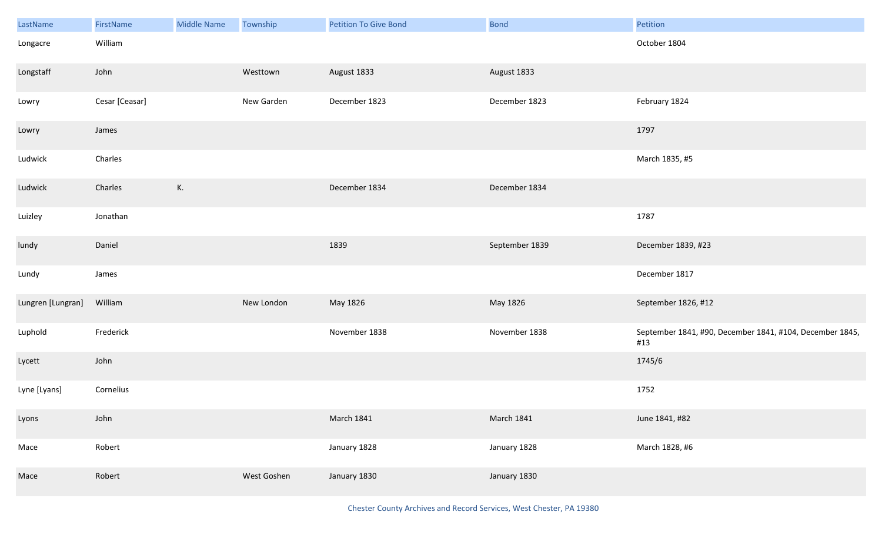| LastName          | FirstName      | <b>Middle Name</b> | Township    | <b>Petition To Give Bond</b> | <b>Bond</b>       | Petition                                                        |
|-------------------|----------------|--------------------|-------------|------------------------------|-------------------|-----------------------------------------------------------------|
| Longacre          | William        |                    |             |                              |                   | October 1804                                                    |
| Longstaff         | John           |                    | Westtown    | August 1833                  | August 1833       |                                                                 |
| Lowry             | Cesar [Ceasar] |                    | New Garden  | December 1823                | December 1823     | February 1824                                                   |
| Lowry             | James          |                    |             |                              |                   | 1797                                                            |
| Ludwick           | Charles        |                    |             |                              |                   | March 1835, #5                                                  |
| Ludwick           | Charles        | К.                 |             | December 1834                | December 1834     |                                                                 |
| Luizley           | Jonathan       |                    |             |                              |                   | 1787                                                            |
| lundy             | Daniel         |                    |             | 1839                         | September 1839    | December 1839, #23                                              |
| Lundy             | James          |                    |             |                              |                   | December 1817                                                   |
| Lungren [Lungran] | William        |                    | New London  | May 1826                     | May 1826          | September 1826, #12                                             |
| Luphold           | Frederick      |                    |             | November 1838                | November 1838     | September 1841, #90, December 1841, #104, December 1845,<br>#13 |
| Lycett            | John           |                    |             |                              |                   | 1745/6                                                          |
| Lyne [Lyans]      | Cornelius      |                    |             |                              |                   | 1752                                                            |
| Lyons             | John           |                    |             | <b>March 1841</b>            | <b>March 1841</b> | June 1841, #82                                                  |
| Mace              | Robert         |                    |             | January 1828                 | January 1828      | March 1828, #6                                                  |
| Mace              | Robert         |                    | West Goshen | January 1830                 | January 1830      |                                                                 |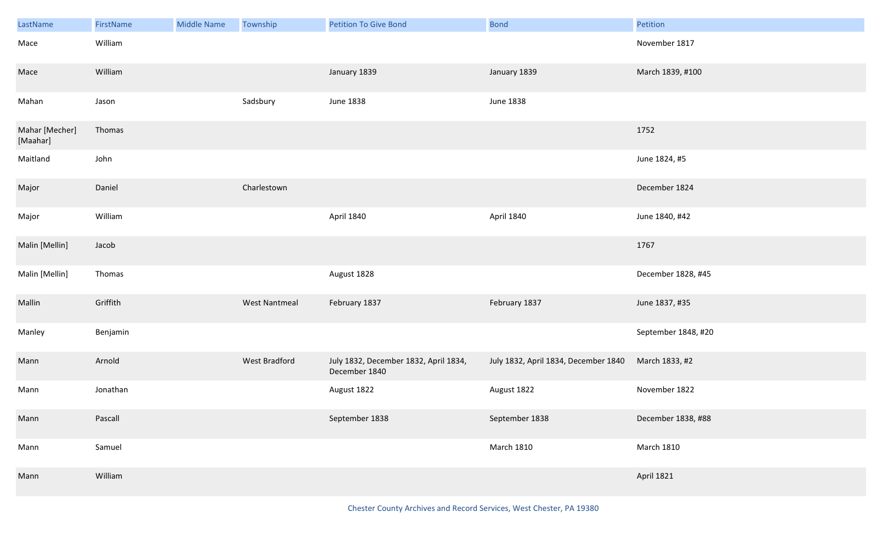| LastName                   | FirstName | <b>Middle Name</b> | Township             | <b>Petition To Give Bond</b>                           | <b>Bond</b>                          | Petition            |
|----------------------------|-----------|--------------------|----------------------|--------------------------------------------------------|--------------------------------------|---------------------|
| Mace                       | William   |                    |                      |                                                        |                                      | November 1817       |
| Mace                       | William   |                    |                      | January 1839                                           | January 1839                         | March 1839, #100    |
| Mahan                      | Jason     |                    | Sadsbury             | <b>June 1838</b>                                       | June 1838                            |                     |
| Mahar [Mecher]<br>[Maahar] | Thomas    |                    |                      |                                                        |                                      | 1752                |
| Maitland                   | John      |                    |                      |                                                        |                                      | June 1824, #5       |
| Major                      | Daniel    |                    | Charlestown          |                                                        |                                      | December 1824       |
| Major                      | William   |                    |                      | April 1840                                             | April 1840                           | June 1840, #42      |
| Malin [Mellin]             | Jacob     |                    |                      |                                                        |                                      | 1767                |
| Malin [Mellin]             | Thomas    |                    |                      | August 1828                                            |                                      | December 1828, #45  |
| Mallin                     | Griffith  |                    | <b>West Nantmeal</b> | February 1837                                          | February 1837                        | June 1837, #35      |
| Manley                     | Benjamin  |                    |                      |                                                        |                                      | September 1848, #20 |
| Mann                       | Arnold    |                    | West Bradford        | July 1832, December 1832, April 1834,<br>December 1840 | July 1832, April 1834, December 1840 | March 1833, #2      |
| Mann                       | Jonathan  |                    |                      | August 1822                                            | August 1822                          | November 1822       |
| Mann                       | Pascall   |                    |                      | September 1838                                         | September 1838                       | December 1838, #88  |
| Mann                       | Samuel    |                    |                      |                                                        | <b>March 1810</b>                    | <b>March 1810</b>   |
| Mann                       | William   |                    |                      |                                                        |                                      | <b>April 1821</b>   |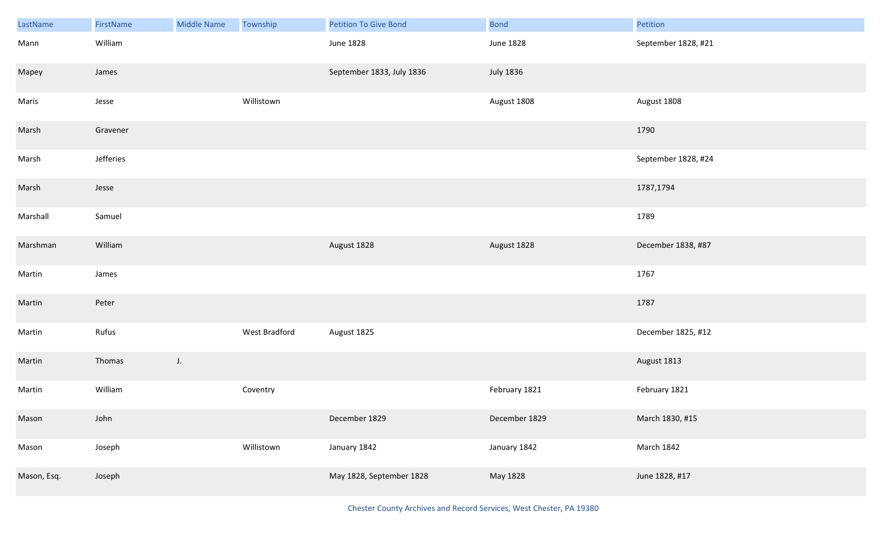| LastName    | FirstName | <b>Middle Name</b> | Township      | <b>Petition To Give Bond</b> | <b>Bond</b>      | Petition            |
|-------------|-----------|--------------------|---------------|------------------------------|------------------|---------------------|
| Mann        | William   |                    |               | June 1828                    | <b>June 1828</b> | September 1828, #21 |
| Mapey       | James     |                    |               | September 1833, July 1836    | <b>July 1836</b> |                     |
| Maris       | Jesse     |                    | Willistown    |                              | August 1808      | August 1808         |
| Marsh       | Gravener  |                    |               |                              |                  | 1790                |
| Marsh       | Jefferies |                    |               |                              |                  | September 1828, #24 |
| Marsh       | Jesse     |                    |               |                              |                  | 1787,1794           |
| Marshall    | Samuel    |                    |               |                              |                  | 1789                |
| Marshman    | William   |                    |               | August 1828                  | August 1828      | December 1838, #87  |
| Martin      | James     |                    |               |                              |                  | 1767                |
| Martin      | Peter     |                    |               |                              |                  | 1787                |
| Martin      | Rufus     |                    | West Bradford | August 1825                  |                  | December 1825, #12  |
| Martin      | Thomas    | $J_{\star}$        |               |                              |                  | August 1813         |
| Martin      | William   |                    | Coventry      |                              | February 1821    | February 1821       |
| Mason       | John      |                    |               | December 1829                | December 1829    | March 1830, #15     |
| Mason       | Joseph    |                    | Willistown    | January 1842                 | January 1842     | March 1842          |
| Mason, Esq. | Joseph    |                    |               | May 1828, September 1828     | May 1828         | June 1828, #17      |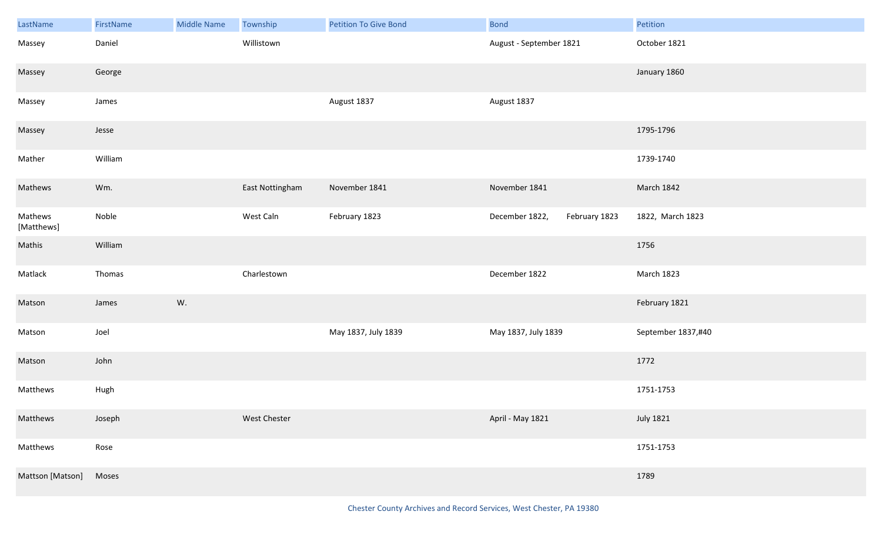| LastName              | FirstName | <b>Middle Name</b> | Township        | <b>Petition To Give Bond</b> | <b>Bond</b>                     | Petition           |
|-----------------------|-----------|--------------------|-----------------|------------------------------|---------------------------------|--------------------|
| Massey                | Daniel    |                    | Willistown      |                              | August - September 1821         | October 1821       |
| Massey                | George    |                    |                 |                              |                                 | January 1860       |
| Massey                | James     |                    |                 | August 1837                  | August 1837                     |                    |
| Massey                | Jesse     |                    |                 |                              |                                 | 1795-1796          |
| Mather                | William   |                    |                 |                              |                                 | 1739-1740          |
| Mathews               | Wm.       |                    | East Nottingham | November 1841                | November 1841                   | March 1842         |
| Mathews<br>[Matthews] | Noble     |                    | West Caln       | February 1823                | February 1823<br>December 1822, | 1822, March 1823   |
| Mathis                | William   |                    |                 |                              |                                 | 1756               |
| Matlack               | Thomas    |                    | Charlestown     |                              | December 1822                   | March 1823         |
| Matson                | James     | W.                 |                 |                              |                                 | February 1821      |
| Matson                | Joel      |                    |                 | May 1837, July 1839          | May 1837, July 1839             | September 1837,#40 |
| Matson                | John      |                    |                 |                              |                                 | 1772               |
| Matthews              | Hugh      |                    |                 |                              |                                 | 1751-1753          |
| Matthews              | Joseph    |                    | West Chester    |                              | April - May 1821                | <b>July 1821</b>   |
| Matthews              | Rose      |                    |                 |                              |                                 | 1751-1753          |
| Mattson [Matson]      | Moses     |                    |                 |                              |                                 | 1789               |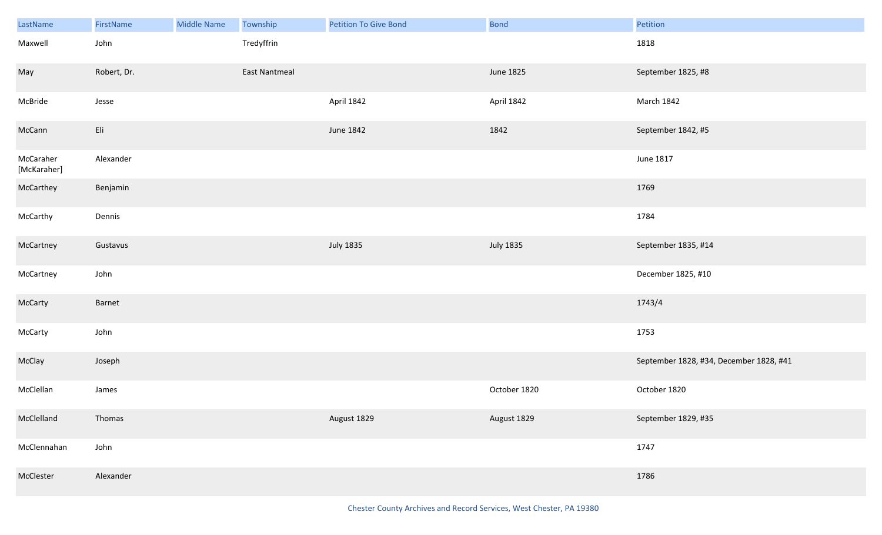| LastName                 | FirstName   | <b>Middle Name</b> | Township             | <b>Petition To Give Bond</b> | <b>Bond</b>      | Petition                                |
|--------------------------|-------------|--------------------|----------------------|------------------------------|------------------|-----------------------------------------|
| Maxwell                  | John        |                    | Tredyffrin           |                              |                  | 1818                                    |
| May                      | Robert, Dr. |                    | <b>East Nantmeal</b> |                              | June 1825        | September 1825, #8                      |
| McBride                  | Jesse       |                    |                      | April 1842                   | April 1842       | March 1842                              |
| McCann                   | Eli         |                    |                      | June 1842                    | 1842             | September 1842, #5                      |
| McCaraher<br>[McKaraher] | Alexander   |                    |                      |                              |                  | June 1817                               |
| McCarthey                | Benjamin    |                    |                      |                              |                  | 1769                                    |
| McCarthy                 | Dennis      |                    |                      |                              |                  | 1784                                    |
| McCartney                | Gustavus    |                    |                      | <b>July 1835</b>             | <b>July 1835</b> | September 1835, #14                     |
| McCartney                | John        |                    |                      |                              |                  | December 1825, #10                      |
| McCarty                  | Barnet      |                    |                      |                              |                  | 1743/4                                  |
| McCarty                  | John        |                    |                      |                              |                  | 1753                                    |
| McClay                   | Joseph      |                    |                      |                              |                  | September 1828, #34, December 1828, #41 |
| McClellan                | James       |                    |                      |                              | October 1820     | October 1820                            |
| McClelland               | Thomas      |                    |                      | August 1829                  | August 1829      | September 1829, #35                     |
| McClennahan              | John        |                    |                      |                              |                  | 1747                                    |
| McClester                | Alexander   |                    |                      |                              |                  | 1786                                    |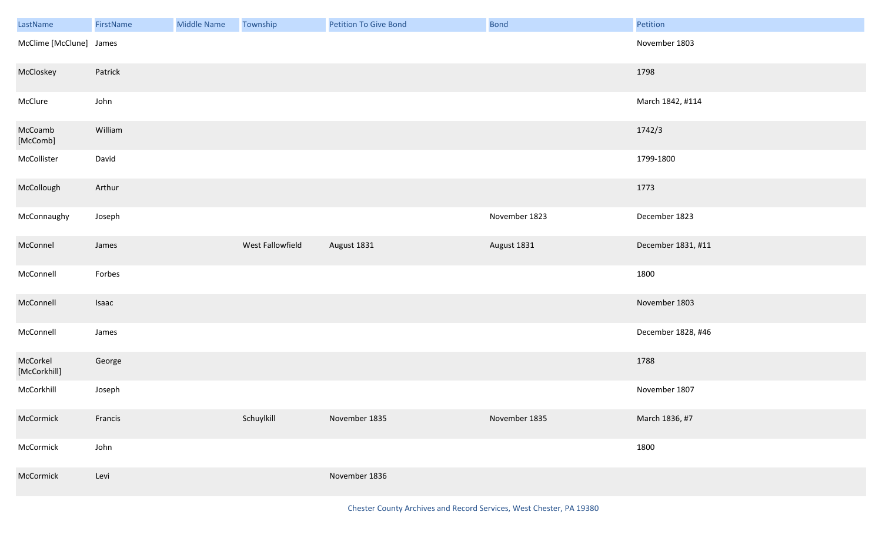| LastName                                                                                                                                                                                                                                                                                                                                                                                                                                                                                                                                                                                                                                | FirstName | Middle Name | Township         | <b>Petition To Give Bond</b> | Bond          | Petition           |
|-----------------------------------------------------------------------------------------------------------------------------------------------------------------------------------------------------------------------------------------------------------------------------------------------------------------------------------------------------------------------------------------------------------------------------------------------------------------------------------------------------------------------------------------------------------------------------------------------------------------------------------------|-----------|-------------|------------------|------------------------------|---------------|--------------------|
| McClime [McClune] James                                                                                                                                                                                                                                                                                                                                                                                                                                                                                                                                                                                                                 |           |             |                  |                              |               | November 1803      |
| McCloskey                                                                                                                                                                                                                                                                                                                                                                                                                                                                                                                                                                                                                               | Patrick   |             |                  |                              |               | 1798               |
| McClure                                                                                                                                                                                                                                                                                                                                                                                                                                                                                                                                                                                                                                 | John      |             |                  |                              |               | March 1842, #114   |
| McCoamb<br>$[{\sf McComb}] % \begin{minipage}[c]{0.5\linewidth} \centering \centerline{\includegraphics[width=0.5\linewidth]{images/STN100020.jpg}} \centerline{\includegraphics[width=0.5\linewidth]{images/STN100020.jpg}} \centerline{\includegraphics[width=0.5\linewidth]{images/STN100020.jpg}} \centerline{\includegraphics[width=0.5\linewidth]{images/STN100020.jpg}} \centerline{\includegraphics[width=0.5\linewidth]{images/STN100020.jpg}} \centerline{\includegraphics[width=0.5\linewidth]{images/STN100020.jpg}} \centerline{\includegraphics[width=0.5\linewidth]{images/STN100020.jpg}} \centerline{\includegraphics$ | William   |             |                  |                              |               | 1742/3             |
| McCollister                                                                                                                                                                                                                                                                                                                                                                                                                                                                                                                                                                                                                             | David     |             |                  |                              |               | 1799-1800          |
| McCollough                                                                                                                                                                                                                                                                                                                                                                                                                                                                                                                                                                                                                              | Arthur    |             |                  |                              |               | 1773               |
| McConnaughy                                                                                                                                                                                                                                                                                                                                                                                                                                                                                                                                                                                                                             | Joseph    |             |                  |                              | November 1823 | December 1823      |
| McConnel                                                                                                                                                                                                                                                                                                                                                                                                                                                                                                                                                                                                                                | James     |             | West Fallowfield | August 1831                  | August 1831   | December 1831, #11 |
| McConnell                                                                                                                                                                                                                                                                                                                                                                                                                                                                                                                                                                                                                               | Forbes    |             |                  |                              |               | 1800               |
| McConnell                                                                                                                                                                                                                                                                                                                                                                                                                                                                                                                                                                                                                               | Isaac     |             |                  |                              |               | November 1803      |
| McConnell                                                                                                                                                                                                                                                                                                                                                                                                                                                                                                                                                                                                                               | James     |             |                  |                              |               | December 1828, #46 |
| McCorkel<br>[McCorkhill]                                                                                                                                                                                                                                                                                                                                                                                                                                                                                                                                                                                                                | George    |             |                  |                              |               | 1788               |
| McCorkhill                                                                                                                                                                                                                                                                                                                                                                                                                                                                                                                                                                                                                              | Joseph    |             |                  |                              |               | November 1807      |
| McCormick                                                                                                                                                                                                                                                                                                                                                                                                                                                                                                                                                                                                                               | Francis   |             | Schuylkill       | November 1835                | November 1835 | March 1836, #7     |
| McCormick                                                                                                                                                                                                                                                                                                                                                                                                                                                                                                                                                                                                                               | John      |             |                  |                              |               | 1800               |
| McCormick                                                                                                                                                                                                                                                                                                                                                                                                                                                                                                                                                                                                                               | Levi      |             |                  | November 1836                |               |                    |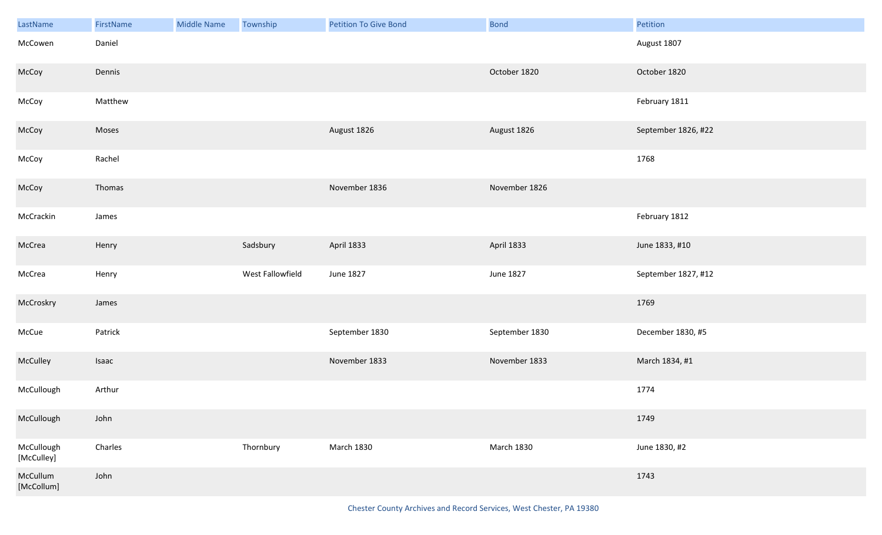| LastName                 | FirstName | <b>Middle Name</b> | Township         | <b>Petition To Give Bond</b> | <b>Bond</b>       | Petition            |
|--------------------------|-----------|--------------------|------------------|------------------------------|-------------------|---------------------|
| McCowen                  | Daniel    |                    |                  |                              |                   | August 1807         |
| McCoy                    | Dennis    |                    |                  |                              | October 1820      | October 1820        |
| McCoy                    | Matthew   |                    |                  |                              |                   | February 1811       |
| McCoy                    | Moses     |                    |                  | August 1826                  | August 1826       | September 1826, #22 |
| McCoy                    | Rachel    |                    |                  |                              |                   | 1768                |
| McCoy                    | Thomas    |                    |                  | November 1836                | November 1826     |                     |
| McCrackin                | James     |                    |                  |                              |                   | February 1812       |
| McCrea                   | Henry     |                    | Sadsbury         | April 1833                   | April 1833        | June 1833, #10      |
| McCrea                   | Henry     |                    | West Fallowfield | <b>June 1827</b>             | June 1827         | September 1827, #12 |
| McCroskry                | James     |                    |                  |                              |                   | 1769                |
| McCue                    | Patrick   |                    |                  | September 1830               | September 1830    | December 1830, #5   |
| McCulley                 | Isaac     |                    |                  | November 1833                | November 1833     | March 1834, #1      |
| McCullough               | Arthur    |                    |                  |                              |                   | 1774                |
| McCullough               | John      |                    |                  |                              |                   | 1749                |
| McCullough<br>[McCulley] | Charles   |                    | Thornbury        | <b>March 1830</b>            | <b>March 1830</b> | June 1830, #2       |
| McCullum<br>[McCollum]   | John      |                    |                  |                              |                   | 1743                |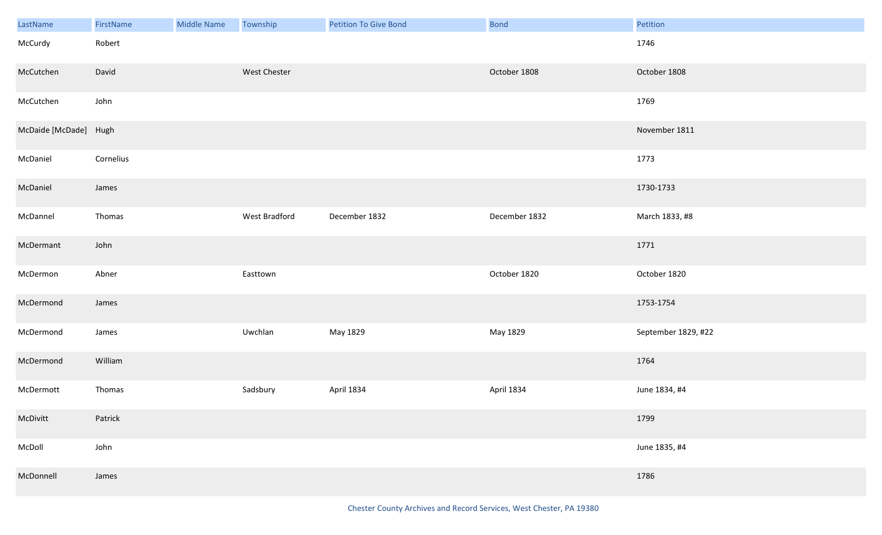| LastName              | FirstName | Middle Name | Township      | <b>Petition To Give Bond</b> | <b>Bond</b>   | Petition            |
|-----------------------|-----------|-------------|---------------|------------------------------|---------------|---------------------|
| McCurdy               | Robert    |             |               |                              |               | 1746                |
| McCutchen             | David     |             | West Chester  |                              | October 1808  | October 1808        |
| McCutchen             | John      |             |               |                              |               | 1769                |
| McDaide [McDade] Hugh |           |             |               |                              |               | November 1811       |
| McDaniel              | Cornelius |             |               |                              |               | 1773                |
| McDaniel              | James     |             |               |                              |               | 1730-1733           |
| McDannel              | Thomas    |             | West Bradford | December 1832                | December 1832 | March 1833, #8      |
| McDermant             | John      |             |               |                              |               | 1771                |
| McDermon              | Abner     |             | Easttown      |                              | October 1820  | October 1820        |
| McDermond             | James     |             |               |                              |               | 1753-1754           |
| McDermond             | James     |             | Uwchlan       | May 1829                     | May 1829      | September 1829, #22 |
| McDermond             | William   |             |               |                              |               | 1764                |
| McDermott             | Thomas    |             | Sadsbury      | April 1834                   | April 1834    | June 1834, #4       |
| McDivitt              | Patrick   |             |               |                              |               | 1799                |
| McDoll                | John      |             |               |                              |               | June 1835, #4       |
| McDonnell             | James     |             |               |                              |               | 1786                |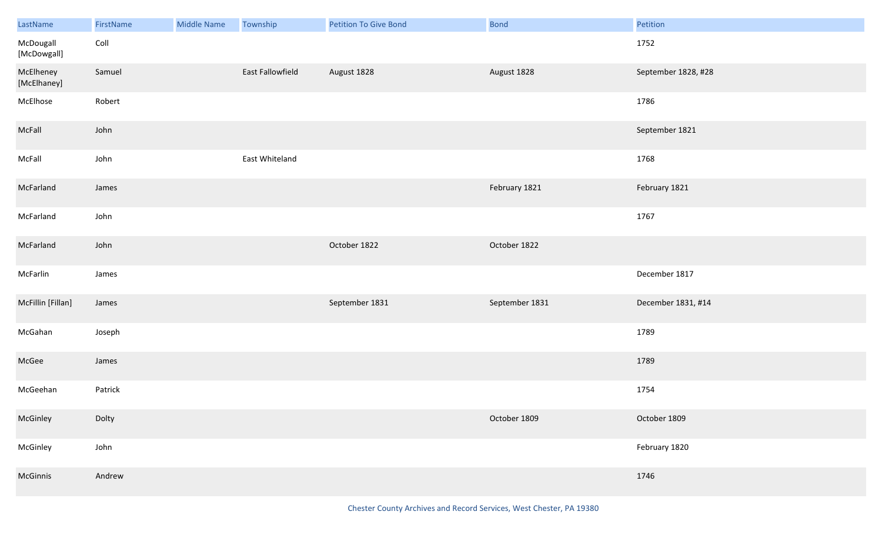| LastName                 | FirstName | Middle Name | Township         | <b>Petition To Give Bond</b> | <b>Bond</b>    | Petition            |
|--------------------------|-----------|-------------|------------------|------------------------------|----------------|---------------------|
| McDougall<br>[McDowgall] | Coll      |             |                  |                              |                | 1752                |
| McElheney<br>[McElhaney] | Samuel    |             | East Fallowfield | August 1828                  | August 1828    | September 1828, #28 |
| McElhose                 | Robert    |             |                  |                              |                | 1786                |
| McFall                   | John      |             |                  |                              |                | September 1821      |
| McFall                   | John      |             | East Whiteland   |                              |                | 1768                |
| McFarland                | James     |             |                  |                              | February 1821  | February 1821       |
| McFarland                | John      |             |                  |                              |                | 1767                |
| McFarland                | John      |             |                  | October 1822                 | October 1822   |                     |
| McFarlin                 | James     |             |                  |                              |                | December 1817       |
| McFillin [Fillan]        | James     |             |                  | September 1831               | September 1831 | December 1831, #14  |
| McGahan                  | Joseph    |             |                  |                              |                | 1789                |
| McGee                    | James     |             |                  |                              |                | 1789                |
| McGeehan                 | Patrick   |             |                  |                              |                | 1754                |
| McGinley                 | Dolty     |             |                  |                              | October 1809   | October 1809        |
| McGinley                 | John      |             |                  |                              |                | February 1820       |
| McGinnis                 | Andrew    |             |                  |                              |                | 1746                |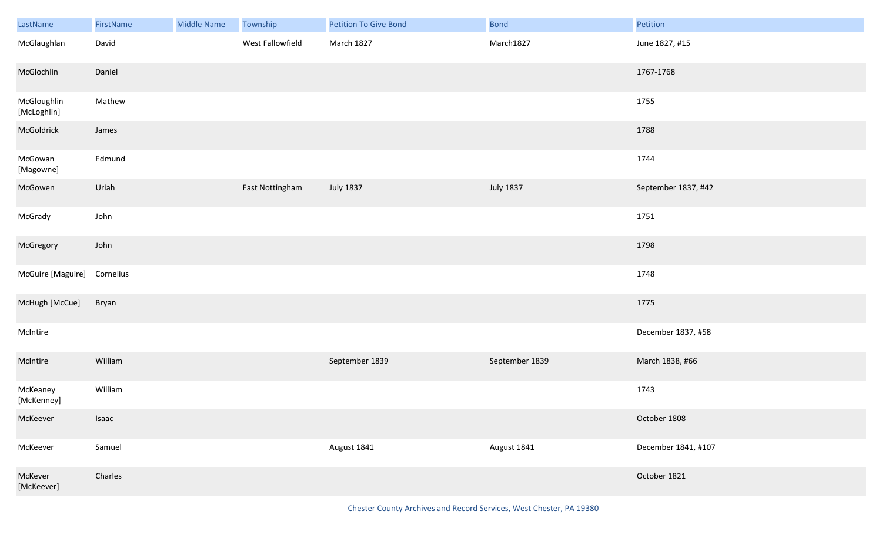| LastName                    | FirstName | Middle Name | Township         | Petition To Give Bond | Bond             | Petition            |
|-----------------------------|-----------|-------------|------------------|-----------------------|------------------|---------------------|
| McGlaughlan                 | David     |             | West Fallowfield | March 1827            | March1827        | June 1827, #15      |
| McGlochlin                  | Daniel    |             |                  |                       |                  | 1767-1768           |
| McGloughlin<br>[McLoghlin]  | Mathew    |             |                  |                       |                  | 1755                |
| McGoldrick                  | James     |             |                  |                       |                  | 1788                |
| McGowan<br>[Magowne]        | Edmund    |             |                  |                       |                  | 1744                |
| McGowen                     | Uriah     |             | East Nottingham  | <b>July 1837</b>      | <b>July 1837</b> | September 1837, #42 |
| McGrady                     | John      |             |                  |                       |                  | 1751                |
| McGregory                   | John      |             |                  |                       |                  | 1798                |
| McGuire [Maguire] Cornelius |           |             |                  |                       |                  | 1748                |
| McHugh [McCue]              | Bryan     |             |                  |                       |                  | 1775                |
| McIntire                    |           |             |                  |                       |                  | December 1837, #58  |
| McIntire                    | William   |             |                  | September 1839        | September 1839   | March 1838, #66     |
| McKeaney<br>[McKenney]      | William   |             |                  |                       |                  | 1743                |
| McKeever                    | Isaac     |             |                  |                       |                  | October 1808        |
| McKeever                    | Samuel    |             |                  | August 1841           | August 1841      | December 1841, #107 |
| McKever<br>[McKeever]       | Charles   |             |                  |                       |                  | October 1821        |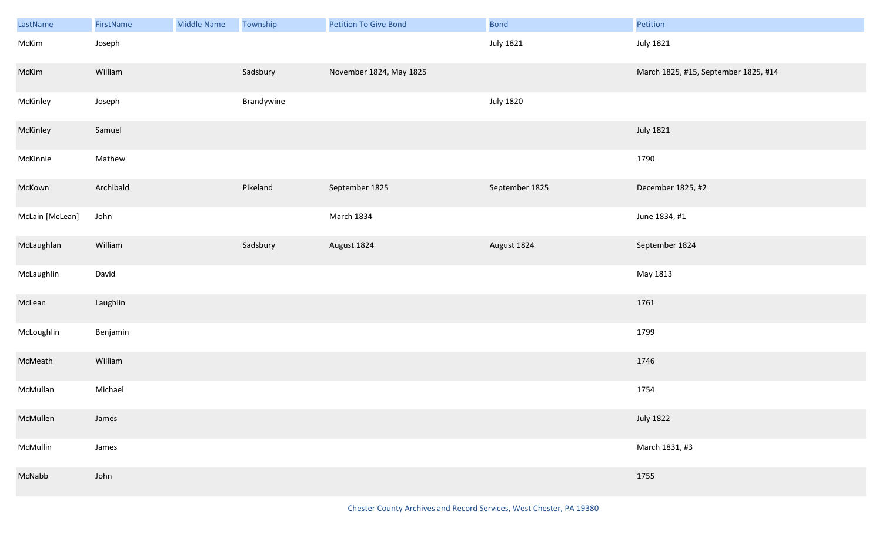| LastName        | FirstName | <b>Middle Name</b> | Township   | Petition To Give Bond   | <b>Bond</b>      | Petition                             |
|-----------------|-----------|--------------------|------------|-------------------------|------------------|--------------------------------------|
| McKim           | Joseph    |                    |            |                         | <b>July 1821</b> | <b>July 1821</b>                     |
| McKim           | William   |                    | Sadsbury   | November 1824, May 1825 |                  | March 1825, #15, September 1825, #14 |
| McKinley        | Joseph    |                    | Brandywine |                         | <b>July 1820</b> |                                      |
| McKinley        | Samuel    |                    |            |                         |                  | <b>July 1821</b>                     |
| McKinnie        | Mathew    |                    |            |                         |                  | 1790                                 |
| McKown          | Archibald |                    | Pikeland   | September 1825          | September 1825   | December 1825, #2                    |
| McLain [McLean] | John      |                    |            | March 1834              |                  | June 1834, #1                        |
| McLaughlan      | William   |                    | Sadsbury   | August 1824             | August 1824      | September 1824                       |
| McLaughlin      | David     |                    |            |                         |                  | May 1813                             |
| McLean          | Laughlin  |                    |            |                         |                  | 1761                                 |
| McLoughlin      | Benjamin  |                    |            |                         |                  | 1799                                 |
| McMeath         | William   |                    |            |                         |                  | 1746                                 |
| McMullan        | Michael   |                    |            |                         |                  | 1754                                 |
| McMullen        | James     |                    |            |                         |                  | <b>July 1822</b>                     |
| McMullin        | James     |                    |            |                         |                  | March 1831, #3                       |
| McNabb          | John      |                    |            |                         |                  | 1755                                 |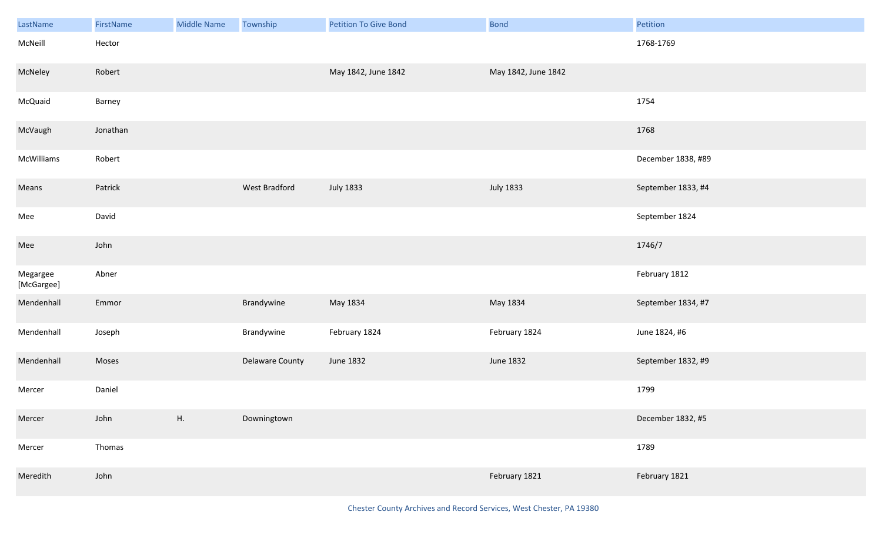| LastName               | FirstName | <b>Middle Name</b> | Township        | <b>Petition To Give Bond</b> | Bond                | Petition           |
|------------------------|-----------|--------------------|-----------------|------------------------------|---------------------|--------------------|
| McNeill                | Hector    |                    |                 |                              |                     | 1768-1769          |
| McNeley                | Robert    |                    |                 | May 1842, June 1842          | May 1842, June 1842 |                    |
| McQuaid                | Barney    |                    |                 |                              |                     | 1754               |
| McVaugh                | Jonathan  |                    |                 |                              |                     | 1768               |
| McWilliams             | Robert    |                    |                 |                              |                     | December 1838, #89 |
| Means                  | Patrick   |                    | West Bradford   | <b>July 1833</b>             | <b>July 1833</b>    | September 1833, #4 |
| Mee                    | David     |                    |                 |                              |                     | September 1824     |
| Mee                    | John      |                    |                 |                              |                     | 1746/7             |
| Megargee<br>[McGargee] | Abner     |                    |                 |                              |                     | February 1812      |
| Mendenhall             | Emmor     |                    | Brandywine      | May 1834                     | May 1834            | September 1834, #7 |
| Mendenhall             | Joseph    |                    | Brandywine      | February 1824                | February 1824       | June 1824, #6      |
| Mendenhall             | Moses     |                    | Delaware County | June 1832                    | June 1832           | September 1832, #9 |
| Mercer                 | Daniel    |                    |                 |                              |                     | 1799               |
| Mercer                 | John      | Η.                 | Downingtown     |                              |                     | December 1832, #5  |
| Mercer                 | Thomas    |                    |                 |                              |                     | 1789               |
| Meredith               | John      |                    |                 |                              | February 1821       | February 1821      |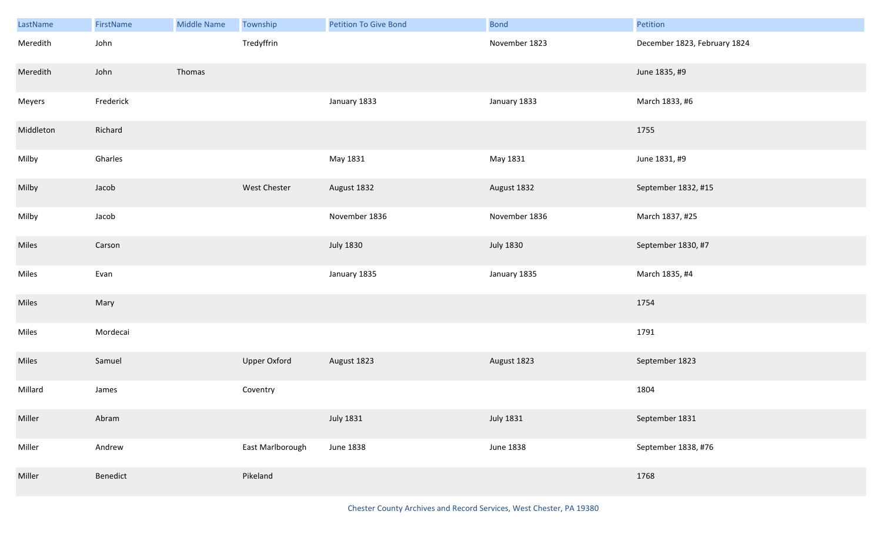| LastName  | FirstName | <b>Middle Name</b> | Township            | <b>Petition To Give Bond</b> | <b>Bond</b>      | Petition                     |
|-----------|-----------|--------------------|---------------------|------------------------------|------------------|------------------------------|
| Meredith  | John      |                    | Tredyffrin          |                              | November 1823    | December 1823, February 1824 |
| Meredith  | John      | Thomas             |                     |                              |                  | June 1835, #9                |
| Meyers    | Frederick |                    |                     | January 1833                 | January 1833     | March 1833, #6               |
| Middleton | Richard   |                    |                     |                              |                  | 1755                         |
| Milby     | Gharles   |                    |                     | May 1831                     | May 1831         | June 1831, #9                |
| Milby     | Jacob     |                    | West Chester        | August 1832                  | August 1832      | September 1832, #15          |
| Milby     | Jacob     |                    |                     | November 1836                | November 1836    | March 1837, #25              |
| Miles     | Carson    |                    |                     | <b>July 1830</b>             | <b>July 1830</b> | September 1830, #7           |
| Miles     | Evan      |                    |                     | January 1835                 | January 1835     | March 1835, #4               |
| Miles     | Mary      |                    |                     |                              |                  | 1754                         |
| Miles     | Mordecai  |                    |                     |                              |                  | 1791                         |
| Miles     | Samuel    |                    | <b>Upper Oxford</b> | August 1823                  | August 1823      | September 1823               |
| Millard   | James     |                    | Coventry            |                              |                  | 1804                         |
| Miller    | Abram     |                    |                     | <b>July 1831</b>             | <b>July 1831</b> | September 1831               |
| Miller    | Andrew    |                    | East Marlborough    | June 1838                    | <b>June 1838</b> | September 1838, #76          |
| Miller    | Benedict  |                    | Pikeland            |                              |                  | 1768                         |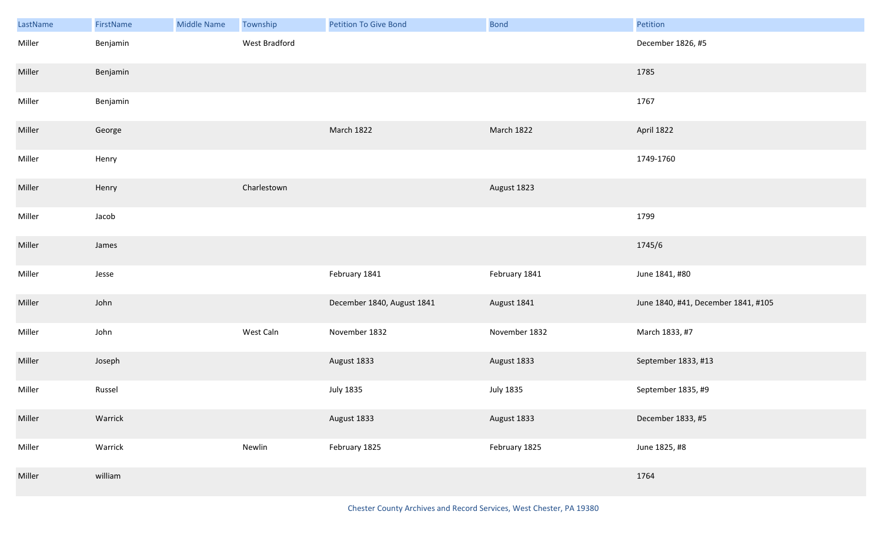| LastName | FirstName | <b>Middle Name</b> | Township      | <b>Petition To Give Bond</b> | <b>Bond</b>   | Petition                            |
|----------|-----------|--------------------|---------------|------------------------------|---------------|-------------------------------------|
| Miller   | Benjamin  |                    | West Bradford |                              |               | December 1826, #5                   |
| Miller   | Benjamin  |                    |               |                              |               | 1785                                |
| Miller   | Benjamin  |                    |               |                              |               | 1767                                |
| Miller   | George    |                    |               | March 1822                   | March 1822    | April 1822                          |
| Miller   | Henry     |                    |               |                              |               | 1749-1760                           |
| Miller   | Henry     |                    | Charlestown   |                              | August 1823   |                                     |
| Miller   | Jacob     |                    |               |                              |               | 1799                                |
| Miller   | James     |                    |               |                              |               | 1745/6                              |
| Miller   | Jesse     |                    |               | February 1841                | February 1841 | June 1841, #80                      |
| Miller   | John      |                    |               | December 1840, August 1841   | August 1841   | June 1840, #41, December 1841, #105 |
| Miller   | John      |                    | West Caln     | November 1832                | November 1832 | March 1833, #7                      |
| Miller   | Joseph    |                    |               | August 1833                  | August 1833   | September 1833, #13                 |
| Miller   | Russel    |                    |               | <b>July 1835</b>             | July 1835     | September 1835, #9                  |
| Miller   | Warrick   |                    |               | August 1833                  | August 1833   | December 1833, #5                   |
| Miller   | Warrick   |                    | Newlin        | February 1825                | February 1825 | June 1825, #8                       |
| Miller   | william   |                    |               |                              |               | 1764                                |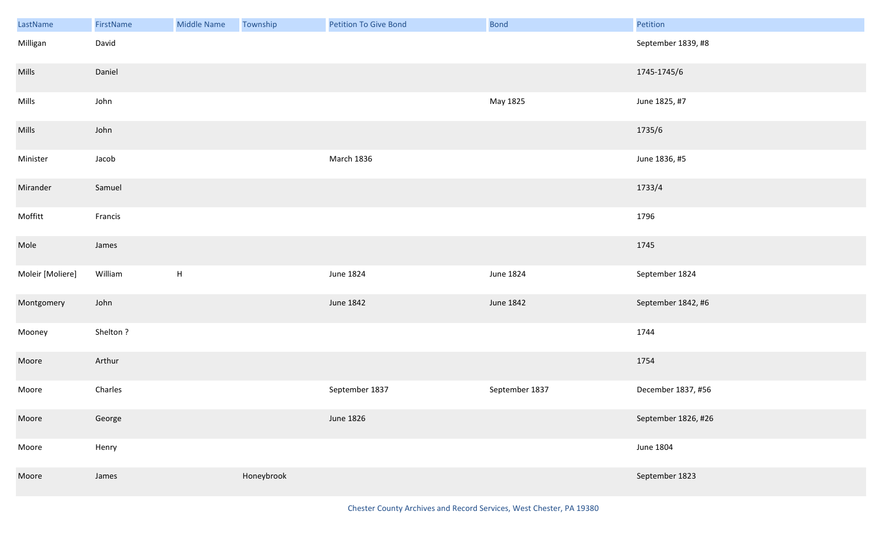| LastName         | FirstName | <b>Middle Name</b>        | Township   | Petition To Give Bond | Bond           | Petition            |
|------------------|-----------|---------------------------|------------|-----------------------|----------------|---------------------|
| Milligan         | David     |                           |            |                       |                | September 1839, #8  |
| Mills            | Daniel    |                           |            |                       |                | 1745-1745/6         |
| Mills            | John      |                           |            |                       | May 1825       | June 1825, #7       |
| Mills            | John      |                           |            |                       |                | 1735/6              |
| Minister         | Jacob     |                           |            | March 1836            |                | June 1836, #5       |
| Mirander         | Samuel    |                           |            |                       |                | 1733/4              |
| Moffitt          | Francis   |                           |            |                       |                | 1796                |
| Mole             | James     |                           |            |                       |                | 1745                |
| Moleir [Moliere] | William   | $\boldsymbol{\mathsf{H}}$ |            | June 1824             | June 1824      | September 1824      |
| Montgomery       | John      |                           |            | June 1842             | June 1842      | September 1842, #6  |
| Mooney           | Shelton?  |                           |            |                       |                | 1744                |
| Moore            | Arthur    |                           |            |                       |                | 1754                |
| Moore            | Charles   |                           |            | September 1837        | September 1837 | December 1837, #56  |
| Moore            | George    |                           |            | June 1826             |                | September 1826, #26 |
| Moore            | Henry     |                           |            |                       |                | <b>June 1804</b>    |
| Moore            | James     |                           | Honeybrook |                       |                | September 1823      |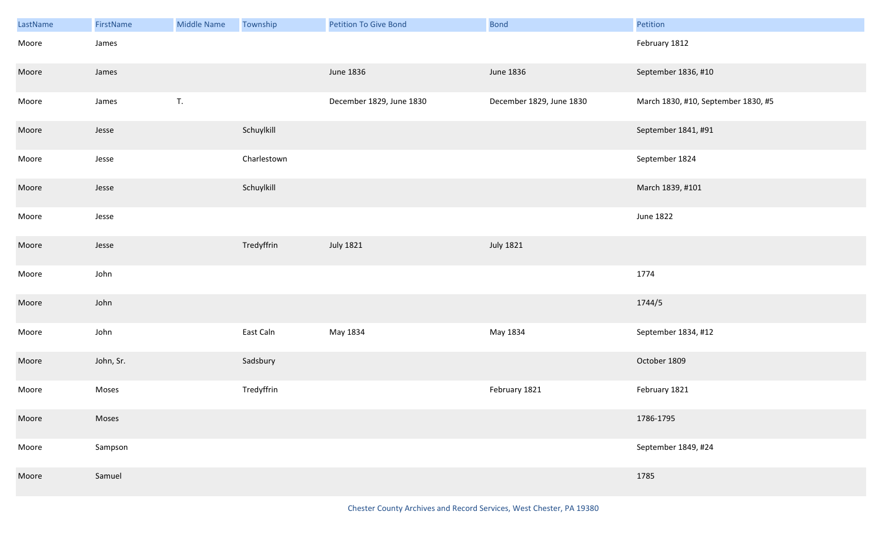| LastName | FirstName | <b>Middle Name</b> | Township    | <b>Petition To Give Bond</b> | <b>Bond</b>              | Petition                            |
|----------|-----------|--------------------|-------------|------------------------------|--------------------------|-------------------------------------|
| Moore    | James     |                    |             |                              |                          | February 1812                       |
| Moore    | James     |                    |             | June 1836                    | June 1836                | September 1836, #10                 |
| Moore    | James     | T.                 |             | December 1829, June 1830     | December 1829, June 1830 | March 1830, #10, September 1830, #5 |
| Moore    | Jesse     |                    | Schuylkill  |                              |                          | September 1841, #91                 |
| Moore    | Jesse     |                    | Charlestown |                              |                          | September 1824                      |
| Moore    | Jesse     |                    | Schuylkill  |                              |                          | March 1839, #101                    |
| Moore    | Jesse     |                    |             |                              |                          | June 1822                           |
| Moore    | Jesse     |                    | Tredyffrin  | <b>July 1821</b>             | <b>July 1821</b>         |                                     |
| Moore    | John      |                    |             |                              |                          | 1774                                |
| Moore    | John      |                    |             |                              |                          | 1744/5                              |
| Moore    | John      |                    | East Caln   | May 1834                     | May 1834                 | September 1834, #12                 |
| Moore    | John, Sr. |                    | Sadsbury    |                              |                          | October 1809                        |
| Moore    | Moses     |                    | Tredyffrin  |                              | February 1821            | February 1821                       |
| Moore    | Moses     |                    |             |                              |                          | 1786-1795                           |
| Moore    | Sampson   |                    |             |                              |                          | September 1849, #24                 |
| Moore    | Samuel    |                    |             |                              |                          | 1785                                |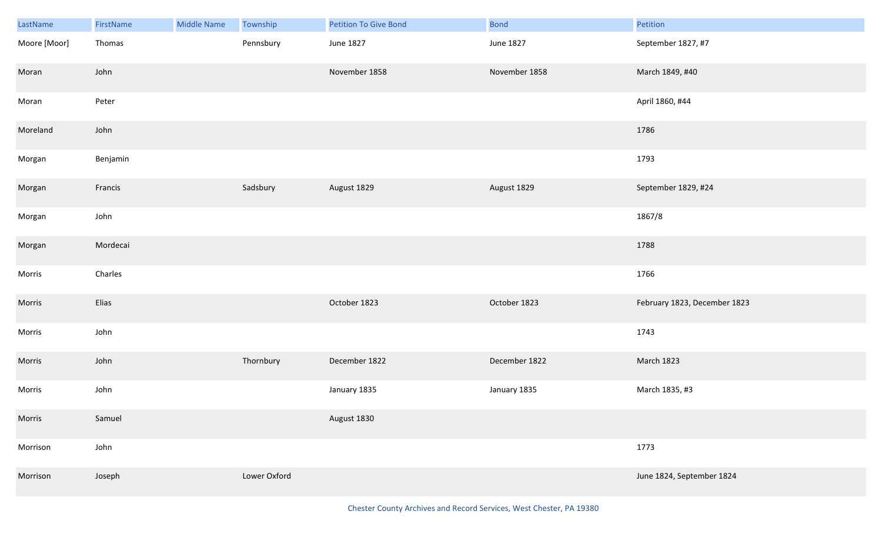| LastName     | FirstName | <b>Middle Name</b> | Township     | <b>Petition To Give Bond</b> | <b>Bond</b>   | Petition                     |
|--------------|-----------|--------------------|--------------|------------------------------|---------------|------------------------------|
| Moore [Moor] | Thomas    |                    | Pennsbury    | June 1827                    | June 1827     | September 1827, #7           |
| Moran        | John      |                    |              | November 1858                | November 1858 | March 1849, #40              |
| Moran        | Peter     |                    |              |                              |               | April 1860, #44              |
| Moreland     | John      |                    |              |                              |               | 1786                         |
| Morgan       | Benjamin  |                    |              |                              |               | 1793                         |
| Morgan       | Francis   |                    | Sadsbury     | August 1829                  | August 1829   | September 1829, #24          |
| Morgan       | John      |                    |              |                              |               | 1867/8                       |
| Morgan       | Mordecai  |                    |              |                              |               | 1788                         |
| Morris       | Charles   |                    |              |                              |               | 1766                         |
| Morris       | Elias     |                    |              | October 1823                 | October 1823  | February 1823, December 1823 |
| Morris       | John      |                    |              |                              |               | 1743                         |
| Morris       | John      |                    | Thornbury    | December 1822                | December 1822 | March 1823                   |
| Morris       | John      |                    |              | January 1835                 | January 1835  | March 1835, #3               |
| Morris       | Samuel    |                    |              | August 1830                  |               |                              |
| Morrison     | John      |                    |              |                              |               | 1773                         |
| Morrison     | Joseph    |                    | Lower Oxford |                              |               | June 1824, September 1824    |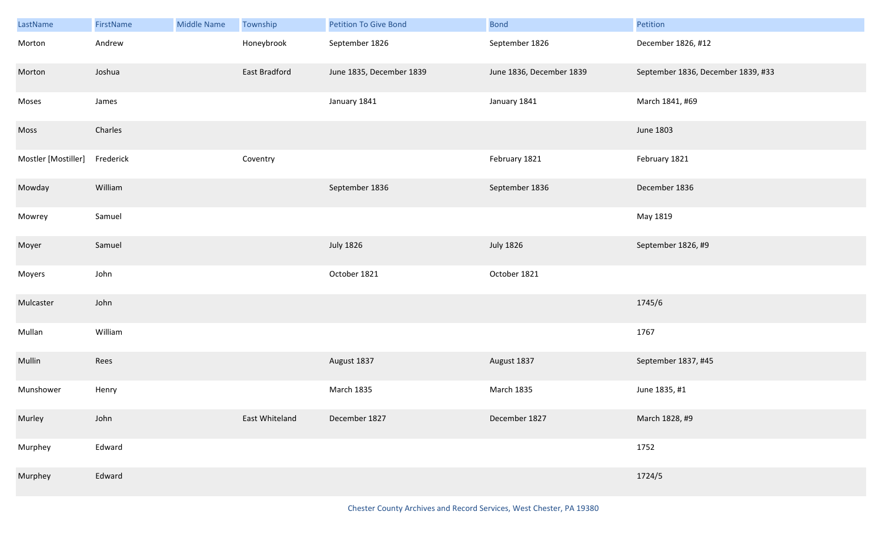| LastName            | FirstName | <b>Middle Name</b> | Township       | <b>Petition To Give Bond</b> | <b>Bond</b>              | Petition                           |
|---------------------|-----------|--------------------|----------------|------------------------------|--------------------------|------------------------------------|
| Morton              | Andrew    |                    | Honeybrook     | September 1826               | September 1826           | December 1826, #12                 |
| Morton              | Joshua    |                    | East Bradford  | June 1835, December 1839     | June 1836, December 1839 | September 1836, December 1839, #33 |
| Moses               | James     |                    |                | January 1841                 | January 1841             | March 1841, #69                    |
| Moss                | Charles   |                    |                |                              |                          | June 1803                          |
| Mostler [Mostiller] | Frederick |                    | Coventry       |                              | February 1821            | February 1821                      |
| Mowday              | William   |                    |                | September 1836               | September 1836           | December 1836                      |
| Mowrey              | Samuel    |                    |                |                              |                          | May 1819                           |
| Moyer               | Samuel    |                    |                | <b>July 1826</b>             | <b>July 1826</b>         | September 1826, #9                 |
| Moyers              | John      |                    |                | October 1821                 | October 1821             |                                    |
| Mulcaster           | John      |                    |                |                              |                          | 1745/6                             |
| Mullan              | William   |                    |                |                              |                          | 1767                               |
| Mullin              | Rees      |                    |                | August 1837                  | August 1837              | September 1837, #45                |
| Munshower           | Henry     |                    |                | March 1835                   | March 1835               | June 1835, #1                      |
| Murley              | John      |                    | East Whiteland | December 1827                | December 1827            | March 1828, #9                     |
| Murphey             | Edward    |                    |                |                              |                          | 1752                               |
| Murphey             | Edward    |                    |                |                              |                          | 1724/5                             |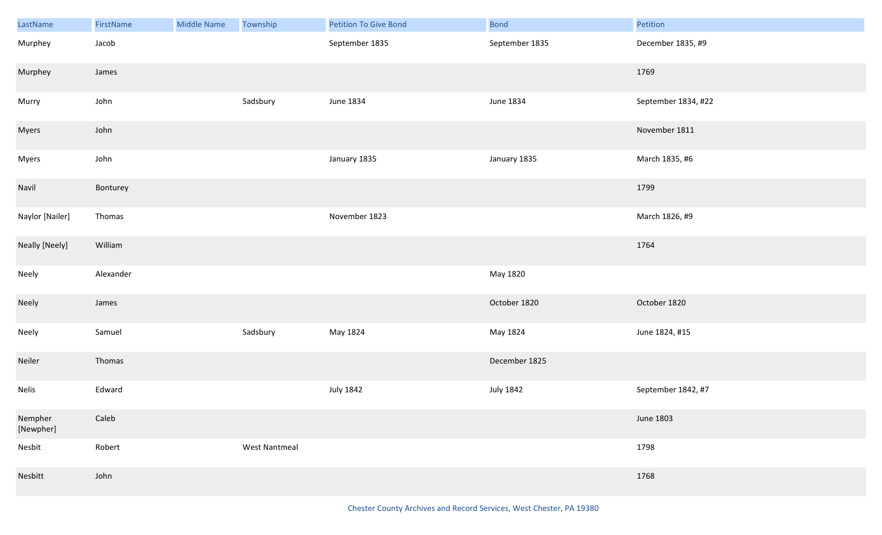| LastName             | FirstName | Middle Name | Township             | <b>Petition To Give Bond</b> | <b>Bond</b>    | Petition            |
|----------------------|-----------|-------------|----------------------|------------------------------|----------------|---------------------|
| Murphey              | Jacob     |             |                      | September 1835               | September 1835 | December 1835, #9   |
| Murphey              | James     |             |                      |                              |                | 1769                |
| Murry                | John      |             | Sadsbury             | June 1834                    | June 1834      | September 1834, #22 |
| <b>Myers</b>         | John      |             |                      |                              |                | November 1811       |
| Myers                | John      |             |                      | January 1835                 | January 1835   | March 1835, #6      |
| Navil                | Bonturey  |             |                      |                              |                | 1799                |
| Naylor [Nailer]      | Thomas    |             |                      | November 1823                |                | March 1826, #9      |
| Neally [Neely]       | William   |             |                      |                              |                | 1764                |
| Neely                | Alexander |             |                      |                              | May 1820       |                     |
| Neely                | James     |             |                      |                              | October 1820   | October 1820        |
| Neely                | Samuel    |             | Sadsbury             | May 1824                     | May 1824       | June 1824, #15      |
| Neiler               | Thomas    |             |                      |                              | December 1825  |                     |
| <b>Nelis</b>         | Edward    |             |                      | <b>July 1842</b>             | July 1842      | September 1842, #7  |
| Nempher<br>[Newpher] | Caleb     |             |                      |                              |                | June 1803           |
| Nesbit               | Robert    |             | <b>West Nantmeal</b> |                              |                | 1798                |
| Nesbitt              | John      |             |                      |                              |                | 1768                |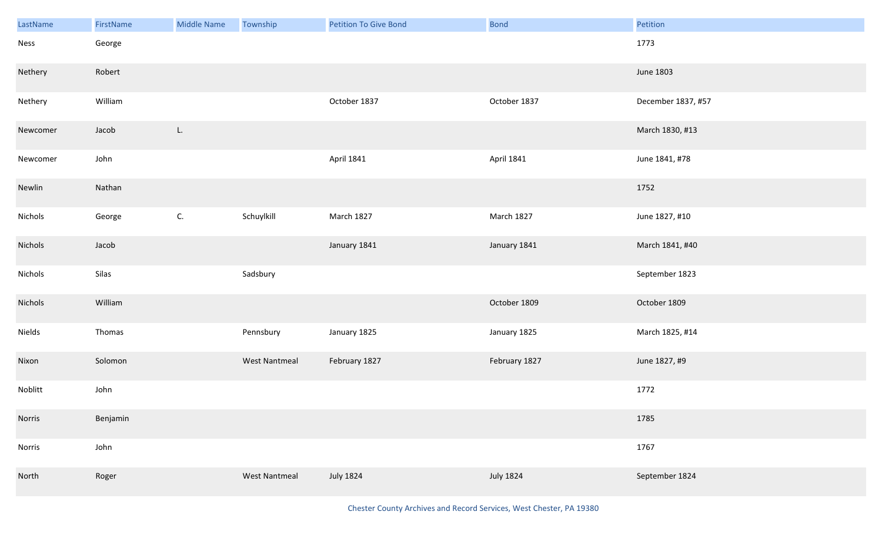| LastName | FirstName | Middle Name | Township             | <b>Petition To Give Bond</b> | <b>Bond</b>      | Petition           |
|----------|-----------|-------------|----------------------|------------------------------|------------------|--------------------|
| Ness     | George    |             |                      |                              |                  | 1773               |
| Nethery  | Robert    |             |                      |                              |                  | June 1803          |
| Nethery  | William   |             |                      | October 1837                 | October 1837     | December 1837, #57 |
| Newcomer | Jacob     | L.          |                      |                              |                  | March 1830, #13    |
| Newcomer | John      |             |                      | April 1841                   | April 1841       | June 1841, #78     |
| Newlin   | Nathan    |             |                      |                              |                  | 1752               |
| Nichols  | George    | C.          | Schuylkill           | March 1827                   | March 1827       | June 1827, #10     |
| Nichols  | Jacob     |             |                      | January 1841                 | January 1841     | March 1841, #40    |
| Nichols  | Silas     |             | Sadsbury             |                              |                  | September 1823     |
| Nichols  | William   |             |                      |                              | October 1809     | October 1809       |
| Nields   | Thomas    |             | Pennsbury            | January 1825                 | January 1825     | March 1825, #14    |
| Nixon    | Solomon   |             | <b>West Nantmeal</b> | February 1827                | February 1827    | June 1827, #9      |
| Noblitt  | John      |             |                      |                              |                  | 1772               |
| Norris   | Benjamin  |             |                      |                              |                  | 1785               |
| Norris   | John      |             |                      |                              |                  | 1767               |
| North    | Roger     |             | West Nantmeal        | <b>July 1824</b>             | <b>July 1824</b> | September 1824     |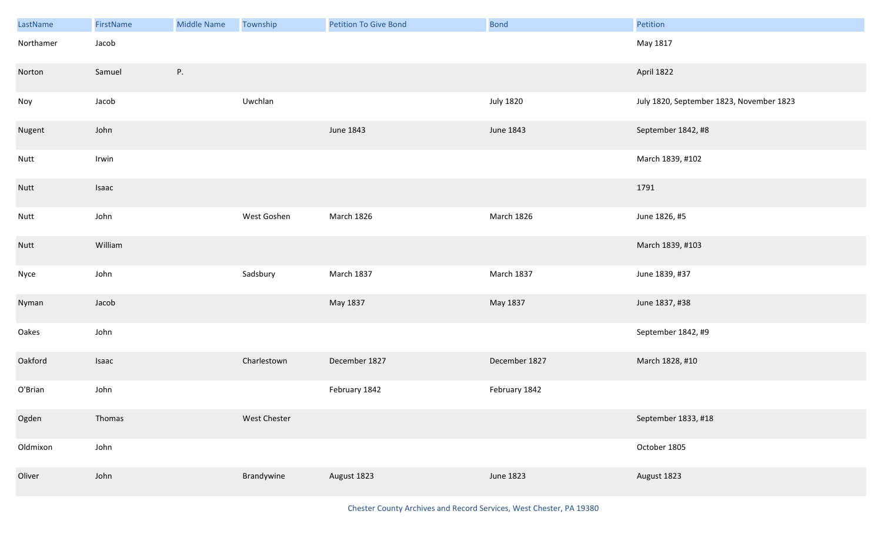| LastName    | FirstName | Middle Name | Township     | <b>Petition To Give Bond</b> | <b>Bond</b>      | Petition                                 |
|-------------|-----------|-------------|--------------|------------------------------|------------------|------------------------------------------|
| Northamer   | Jacob     |             |              |                              |                  | May 1817                                 |
| Norton      | Samuel    | Ρ.          |              |                              |                  | April 1822                               |
| Noy         | Jacob     |             | Uwchlan      |                              | <b>July 1820</b> | July 1820, September 1823, November 1823 |
| Nugent      | John      |             |              | June 1843                    | June 1843        | September 1842, #8                       |
| Nutt        | Irwin     |             |              |                              |                  | March 1839, #102                         |
| <b>Nutt</b> | Isaac     |             |              |                              |                  | 1791                                     |
| Nutt        | John      |             | West Goshen  | March 1826                   | March 1826       | June 1826, #5                            |
| <b>Nutt</b> | William   |             |              |                              |                  | March 1839, #103                         |
| Nyce        | John      |             | Sadsbury     | March 1837                   | March 1837       | June 1839, #37                           |
| Nyman       | Jacob     |             |              | May 1837                     | May 1837         | June 1837, #38                           |
| Oakes       | John      |             |              |                              |                  | September 1842, #9                       |
| Oakford     | Isaac     |             | Charlestown  | December 1827                | December 1827    | March 1828, #10                          |
| O'Brian     | John      |             |              | February 1842                | February 1842    |                                          |
| Ogden       | Thomas    |             | West Chester |                              |                  | September 1833, #18                      |
| Oldmixon    | John      |             |              |                              |                  | October 1805                             |
| Oliver      | John      |             | Brandywine   | August 1823                  | June 1823        | August 1823                              |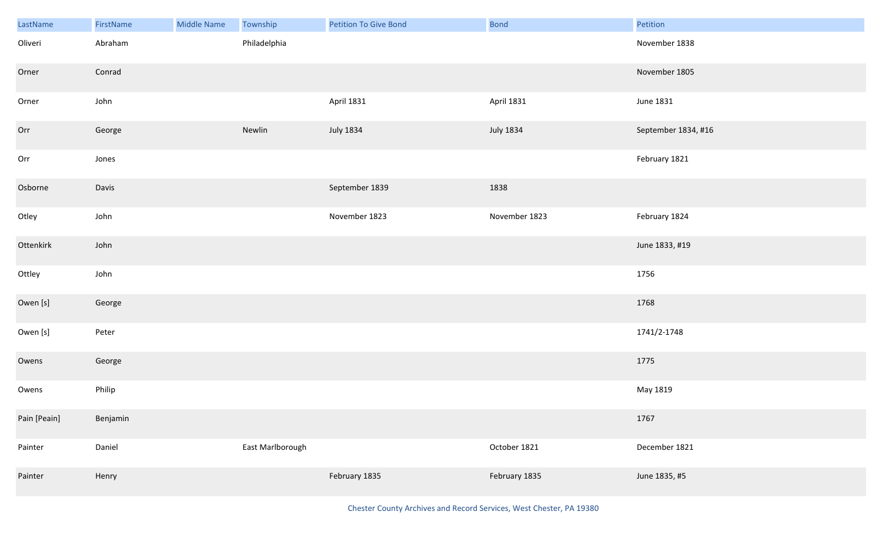| LastName     | FirstName | <b>Middle Name</b> | Township         | <b>Petition To Give Bond</b> | <b>Bond</b>      | Petition            |
|--------------|-----------|--------------------|------------------|------------------------------|------------------|---------------------|
| Oliveri      | Abraham   |                    | Philadelphia     |                              |                  | November 1838       |
| Orner        | Conrad    |                    |                  |                              |                  | November 1805       |
| Orner        | John      |                    |                  | <b>April 1831</b>            | April 1831       | June 1831           |
| Orr          | George    |                    | Newlin           | <b>July 1834</b>             | <b>July 1834</b> | September 1834, #16 |
| Orr          | Jones     |                    |                  |                              |                  | February 1821       |
| Osborne      | Davis     |                    |                  | September 1839               | 1838             |                     |
| Otley        | John      |                    |                  | November 1823                | November 1823    | February 1824       |
| Ottenkirk    | John      |                    |                  |                              |                  | June 1833, #19      |
| Ottley       | John      |                    |                  |                              |                  | 1756                |
| Owen [s]     | George    |                    |                  |                              |                  | 1768                |
| Owen [s]     | Peter     |                    |                  |                              |                  | 1741/2-1748         |
| Owens        | George    |                    |                  |                              |                  | 1775                |
| Owens        | Philip    |                    |                  |                              |                  | May 1819            |
| Pain [Peain] | Benjamin  |                    |                  |                              |                  | 1767                |
| Painter      | Daniel    |                    | East Marlborough |                              | October 1821     | December 1821       |
| Painter      | Henry     |                    |                  | February 1835                | February 1835    | June 1835, #5       |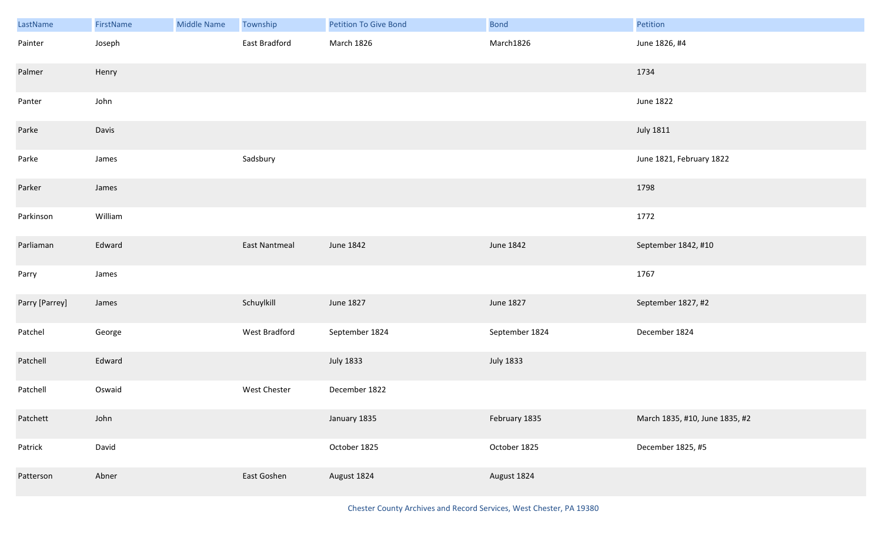| LastName       | FirstName | <b>Middle Name</b> | Township             | <b>Petition To Give Bond</b> | <b>Bond</b>      | Petition                       |
|----------------|-----------|--------------------|----------------------|------------------------------|------------------|--------------------------------|
| Painter        | Joseph    |                    | East Bradford        | March 1826                   | March1826        | June 1826, #4                  |
| Palmer         | Henry     |                    |                      |                              |                  | 1734                           |
| Panter         | John      |                    |                      |                              |                  | June 1822                      |
| Parke          | Davis     |                    |                      |                              |                  | <b>July 1811</b>               |
| Parke          | James     |                    | Sadsbury             |                              |                  | June 1821, February 1822       |
| Parker         | James     |                    |                      |                              |                  | 1798                           |
| Parkinson      | William   |                    |                      |                              |                  | 1772                           |
| Parliaman      | Edward    |                    | <b>East Nantmeal</b> | June 1842                    | June 1842        | September 1842, #10            |
| Parry          | James     |                    |                      |                              |                  | 1767                           |
| Parry [Parrey] | James     |                    | Schuylkill           | June 1827                    | June 1827        | September 1827, #2             |
| Patchel        | George    |                    | West Bradford        | September 1824               | September 1824   | December 1824                  |
| Patchell       | Edward    |                    |                      | <b>July 1833</b>             | <b>July 1833</b> |                                |
| Patchell       | Oswaid    |                    | West Chester         | December 1822                |                  |                                |
| Patchett       | John      |                    |                      | January 1835                 | February 1835    | March 1835, #10, June 1835, #2 |
| Patrick        | David     |                    |                      | October 1825                 | October 1825     | December 1825, #5              |
| Patterson      | Abner     |                    | East Goshen          | August 1824                  | August 1824      |                                |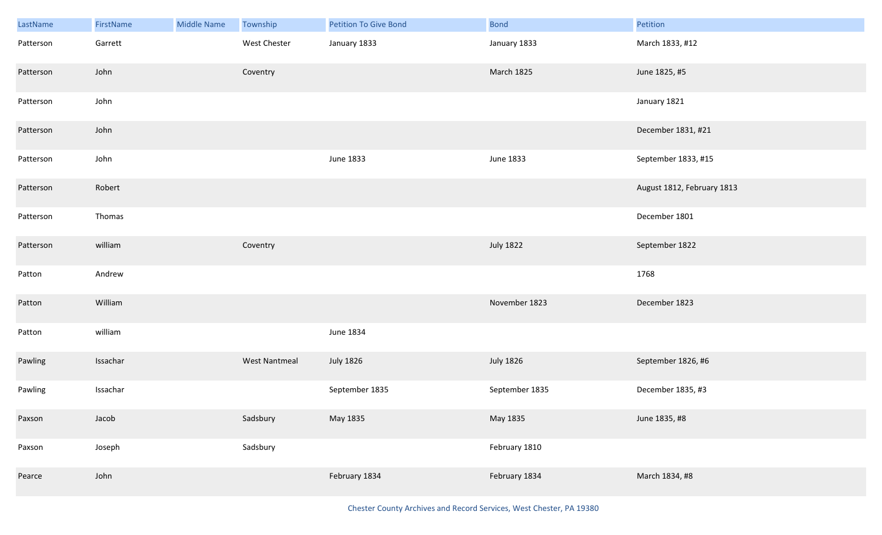| LastName  | <b>FirstName</b> | <b>Middle Name</b> | Township             | <b>Petition To Give Bond</b> | <b>Bond</b>      | Petition                   |
|-----------|------------------|--------------------|----------------------|------------------------------|------------------|----------------------------|
| Patterson | Garrett          |                    | West Chester         | January 1833                 | January 1833     | March 1833, #12            |
| Patterson | John             |                    | Coventry             |                              | March 1825       | June 1825, #5              |
| Patterson | John             |                    |                      |                              |                  | January 1821               |
| Patterson | John             |                    |                      |                              |                  | December 1831, #21         |
| Patterson | John             |                    |                      | June 1833                    | June 1833        | September 1833, #15        |
| Patterson | Robert           |                    |                      |                              |                  | August 1812, February 1813 |
| Patterson | Thomas           |                    |                      |                              |                  | December 1801              |
| Patterson | william          |                    | Coventry             |                              | <b>July 1822</b> | September 1822             |
| Patton    | Andrew           |                    |                      |                              |                  | 1768                       |
| Patton    | William          |                    |                      |                              | November 1823    | December 1823              |
| Patton    | william          |                    |                      | June 1834                    |                  |                            |
| Pawling   | Issachar         |                    | <b>West Nantmeal</b> | <b>July 1826</b>             | <b>July 1826</b> | September 1826, #6         |
| Pawling   | Issachar         |                    |                      | September 1835               | September 1835   | December 1835, #3          |
| Paxson    | Jacob            |                    | Sadsbury             | May 1835                     | May 1835         | June 1835, #8              |
| Paxson    | Joseph           |                    | Sadsbury             |                              | February 1810    |                            |
| Pearce    | John             |                    |                      | February 1834                | February 1834    | March 1834, #8             |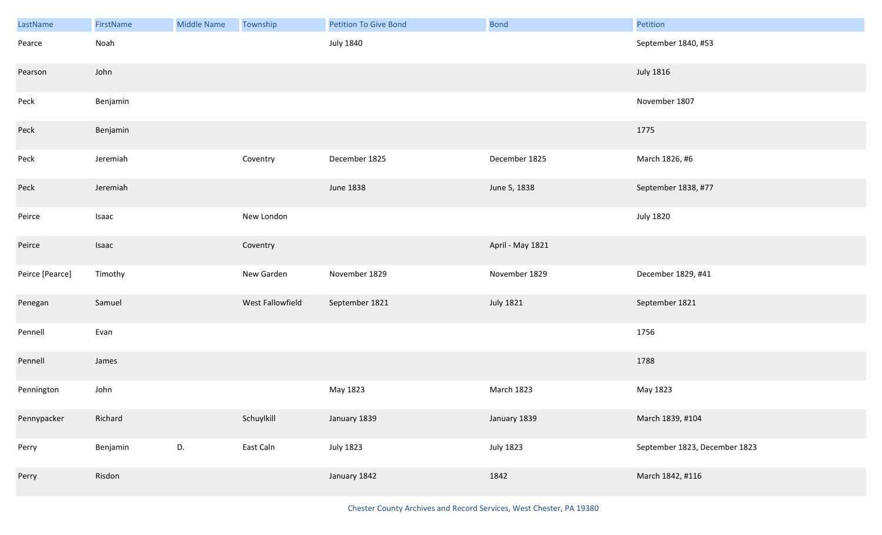| LastName        | FirstName | Middle Name | Township         | <b>Petition To Give Bond</b> | Bond             | Petition                      |
|-----------------|-----------|-------------|------------------|------------------------------|------------------|-------------------------------|
| Pearce          | Noah      |             |                  | <b>July 1840</b>             |                  | September 1840, #53           |
| Pearson         | John      |             |                  |                              |                  | <b>July 1816</b>              |
| Peck            | Benjamin  |             |                  |                              |                  | November 1807                 |
| Peck            | Benjamin  |             |                  |                              |                  | 1775                          |
| Peck            | Jeremiah  |             | Coventry         | December 1825                | December 1825    | March 1826, #6                |
| Peck            | Jeremiah  |             |                  | June 1838                    | June 5, 1838     | September 1838, #77           |
| Peirce          | Isaac     |             | New London       |                              |                  | <b>July 1820</b>              |
| Peirce          | Isaac     |             | Coventry         |                              | April - May 1821 |                               |
| Peirce [Pearce] | Timothy   |             | New Garden       | November 1829                | November 1829    | December 1829, #41            |
| Penegan         | Samuel    |             | West Fallowfield | September 1821               | <b>July 1821</b> | September 1821                |
| Pennell         | Evan      |             |                  |                              |                  | 1756                          |
| Pennell         | James     |             |                  |                              |                  | 1788                          |
| Pennington      | John      |             |                  | May 1823                     | March 1823       | May 1823                      |
| Pennypacker     | Richard   |             | Schuylkill       | January 1839                 | January 1839     | March 1839, #104              |
| Perry           | Benjamin  | D.          | East Caln        | <b>July 1823</b>             | <b>July 1823</b> | September 1823, December 1823 |
| Perry           | Risdon    |             |                  | January 1842                 | 1842             | March 1842, #116              |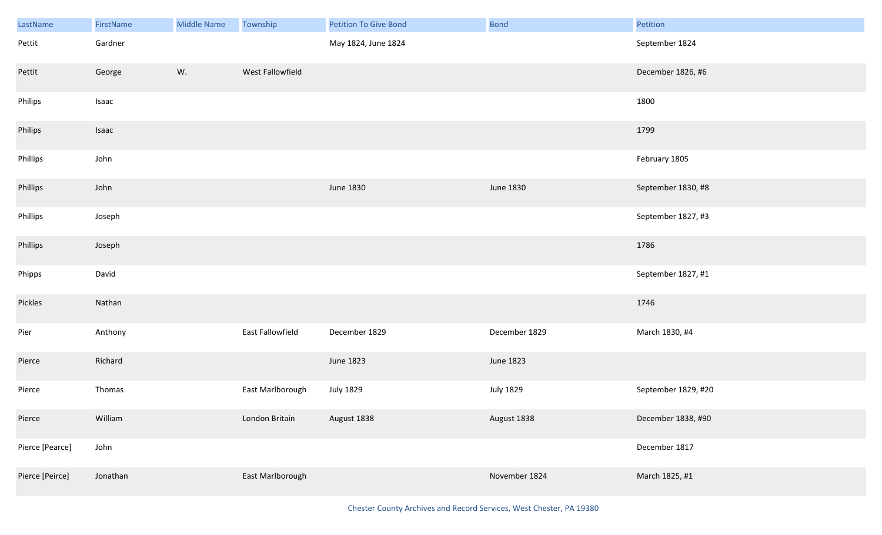| LastName        | FirstName | <b>Middle Name</b> | Township         | <b>Petition To Give Bond</b> | Bond             | Petition            |
|-----------------|-----------|--------------------|------------------|------------------------------|------------------|---------------------|
| Pettit          | Gardner   |                    |                  | May 1824, June 1824          |                  | September 1824      |
| Pettit          | George    | W.                 | West Fallowfield |                              |                  | December 1826, #6   |
| Philips         | Isaac     |                    |                  |                              |                  | 1800                |
| Philips         | Isaac     |                    |                  |                              |                  | 1799                |
| Phillips        | John      |                    |                  |                              |                  | February 1805       |
| Phillips        | John      |                    |                  | June 1830                    | June 1830        | September 1830, #8  |
| Phillips        | Joseph    |                    |                  |                              |                  | September 1827, #3  |
| Phillips        | Joseph    |                    |                  |                              |                  | 1786                |
| Phipps          | David     |                    |                  |                              |                  | September 1827, #1  |
| Pickles         | Nathan    |                    |                  |                              |                  | 1746                |
| Pier            | Anthony   |                    | East Fallowfield | December 1829                | December 1829    | March 1830, #4      |
| Pierce          | Richard   |                    |                  | June 1823                    | June 1823        |                     |
| Pierce          | Thomas    |                    | East Marlborough | <b>July 1829</b>             | <b>July 1829</b> | September 1829, #20 |
| Pierce          | William   |                    | London Britain   | August 1838                  | August 1838      | December 1838, #90  |
| Pierce [Pearce] | John      |                    |                  |                              |                  | December 1817       |
| Pierce [Peirce] | Jonathan  |                    | East Marlborough |                              | November 1824    | March 1825, #1      |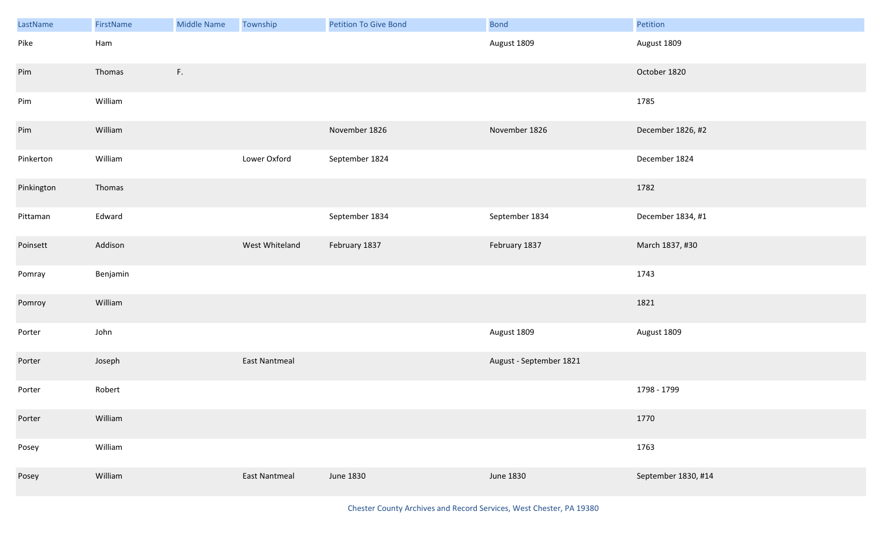| LastName   | FirstName | <b>Middle Name</b> | Township             | <b>Petition To Give Bond</b> | <b>Bond</b>             | Petition            |
|------------|-----------|--------------------|----------------------|------------------------------|-------------------------|---------------------|
| Pike       | Ham       |                    |                      |                              | August 1809             | August 1809         |
| Pim        | Thomas    | F.                 |                      |                              |                         | October 1820        |
| Pim        | William   |                    |                      |                              |                         | 1785                |
| Pim        | William   |                    |                      | November 1826                | November 1826           | December 1826, #2   |
| Pinkerton  | William   |                    | Lower Oxford         | September 1824               |                         | December 1824       |
| Pinkington | Thomas    |                    |                      |                              |                         | 1782                |
| Pittaman   | Edward    |                    |                      | September 1834               | September 1834          | December 1834, #1   |
| Poinsett   | Addison   |                    | West Whiteland       | February 1837                | February 1837           | March 1837, #30     |
| Pomray     | Benjamin  |                    |                      |                              |                         | 1743                |
| Pomroy     | William   |                    |                      |                              |                         | 1821                |
| Porter     | John      |                    |                      |                              | August 1809             | August 1809         |
| Porter     | Joseph    |                    | <b>East Nantmeal</b> |                              | August - September 1821 |                     |
| Porter     | Robert    |                    |                      |                              |                         | 1798 - 1799         |
| Porter     | William   |                    |                      |                              |                         | 1770                |
| Posey      | William   |                    |                      |                              |                         | 1763                |
| Posey      | William   |                    | East Nantmeal        | June 1830                    | June 1830               | September 1830, #14 |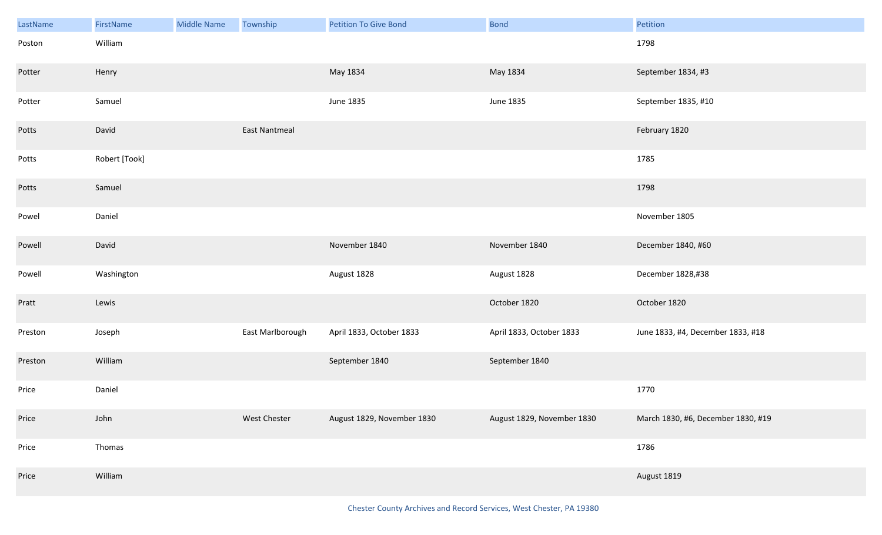| LastName | FirstName     | <b>Middle Name</b> | Township         | <b>Petition To Give Bond</b> | <b>Bond</b>                | Petition                           |
|----------|---------------|--------------------|------------------|------------------------------|----------------------------|------------------------------------|
| Poston   | William       |                    |                  |                              |                            | 1798                               |
| Potter   | Henry         |                    |                  | May 1834                     | May 1834                   | September 1834, #3                 |
| Potter   | Samuel        |                    |                  | <b>June 1835</b>             | June 1835                  | September 1835, #10                |
| Potts    | David         |                    | East Nantmeal    |                              |                            | February 1820                      |
| Potts    | Robert [Took] |                    |                  |                              |                            | 1785                               |
| Potts    | Samuel        |                    |                  |                              |                            | 1798                               |
| Powel    | Daniel        |                    |                  |                              |                            | November 1805                      |
| Powell   | David         |                    |                  | November 1840                | November 1840              | December 1840, #60                 |
| Powell   | Washington    |                    |                  | August 1828                  | August 1828                | December 1828,#38                  |
| Pratt    | Lewis         |                    |                  |                              | October 1820               | October 1820                       |
| Preston  | Joseph        |                    | East Marlborough | April 1833, October 1833     | April 1833, October 1833   | June 1833, #4, December 1833, #18  |
| Preston  | William       |                    |                  | September 1840               | September 1840             |                                    |
| Price    | Daniel        |                    |                  |                              |                            | 1770                               |
| Price    | John          |                    | West Chester     | August 1829, November 1830   | August 1829, November 1830 | March 1830, #6, December 1830, #19 |
| Price    | Thomas        |                    |                  |                              |                            | 1786                               |
| Price    | William       |                    |                  |                              |                            | August 1819                        |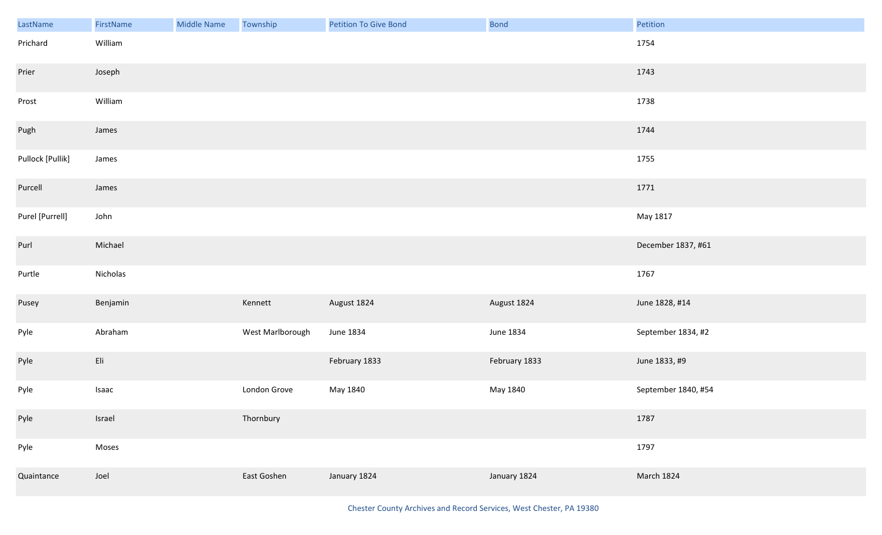| LastName         | FirstName                          | <b>Middle Name</b> | Township         | Petition To Give Bond | Bond          | Petition            |
|------------------|------------------------------------|--------------------|------------------|-----------------------|---------------|---------------------|
| Prichard         | William                            |                    |                  |                       |               | 1754                |
| Prier            | Joseph                             |                    |                  |                       |               | 1743                |
| Prost            | William                            |                    |                  |                       |               | 1738                |
| Pugh             | James                              |                    |                  |                       |               | 1744                |
| Pullock [Pullik] | James                              |                    |                  |                       |               | 1755                |
| Purcell          | James                              |                    |                  |                       |               | 1771                |
| Purel [Purrell]  | John                               |                    |                  |                       |               | May 1817            |
| Purl             | Michael                            |                    |                  |                       |               | December 1837, #61  |
| Purtle           | Nicholas                           |                    |                  |                       |               | 1767                |
| Pusey            | Benjamin                           |                    | Kennett          | August 1824           | August 1824   | June 1828, #14      |
| Pyle             | Abraham                            |                    | West Marlborough | June 1834             | June 1834     | September 1834, #2  |
| Pyle             | $\mathsf{E} \mathsf{I} \mathsf{i}$ |                    |                  | February 1833         | February 1833 | June 1833, #9       |
| Pyle             | Isaac                              |                    | London Grove     | May 1840              | May 1840      | September 1840, #54 |
| Pyle             | Israel                             |                    | Thornbury        |                       |               | 1787                |
| Pyle             | Moses                              |                    |                  |                       |               | 1797                |
| Quaintance       | Joel                               |                    | East Goshen      | January 1824          | January 1824  | March 1824          |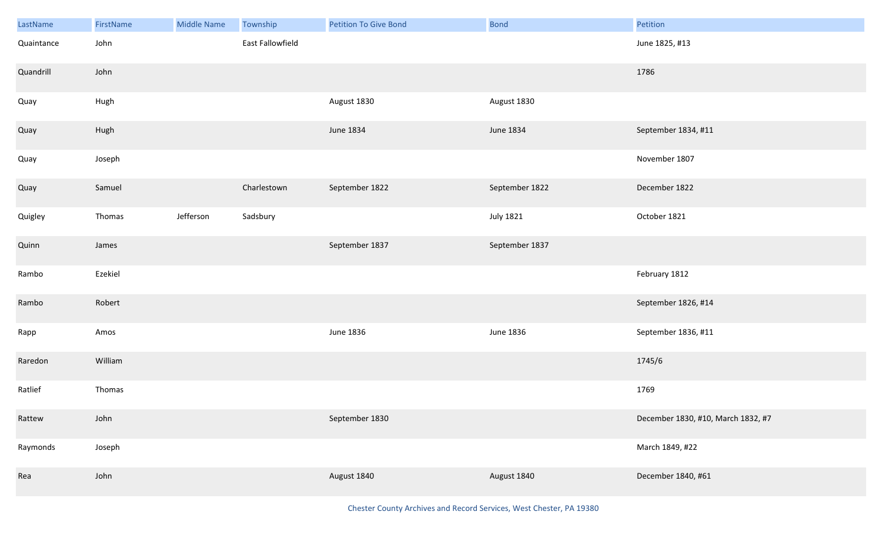| LastName   | FirstName | <b>Middle Name</b> | Township         | <b>Petition To Give Bond</b> | <b>Bond</b>    | Petition                           |
|------------|-----------|--------------------|------------------|------------------------------|----------------|------------------------------------|
| Quaintance | John      |                    | East Fallowfield |                              |                | June 1825, #13                     |
| Quandrill  | John      |                    |                  |                              |                | 1786                               |
| Quay       | Hugh      |                    |                  | August 1830                  | August 1830    |                                    |
| Quay       | Hugh      |                    |                  | June 1834                    | June 1834      | September 1834, #11                |
| Quay       | Joseph    |                    |                  |                              |                | November 1807                      |
| Quay       | Samuel    |                    | Charlestown      | September 1822               | September 1822 | December 1822                      |
| Quigley    | Thomas    | Jefferson          | Sadsbury         |                              | July 1821      | October 1821                       |
| Quinn      | James     |                    |                  | September 1837               | September 1837 |                                    |
| Rambo      | Ezekiel   |                    |                  |                              |                | February 1812                      |
| Rambo      | Robert    |                    |                  |                              |                | September 1826, #14                |
| Rapp       | Amos      |                    |                  | June 1836                    | June 1836      | September 1836, #11                |
| Raredon    | William   |                    |                  |                              |                | 1745/6                             |
| Ratlief    | Thomas    |                    |                  |                              |                | 1769                               |
| Rattew     | John      |                    |                  | September 1830               |                | December 1830, #10, March 1832, #7 |
| Raymonds   | Joseph    |                    |                  |                              |                | March 1849, #22                    |
| Rea        | John      |                    |                  | August 1840                  | August 1840    | December 1840, #61                 |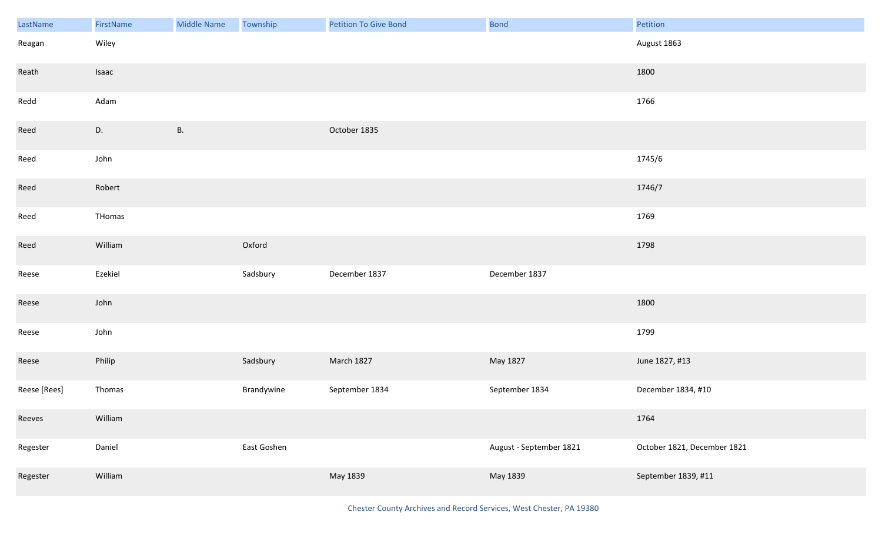| LastName     | FirstName | <b>Middle Name</b> | Township    | Petition To Give Bond | <b>Bond</b>             | Petition                    |
|--------------|-----------|--------------------|-------------|-----------------------|-------------------------|-----------------------------|
| Reagan       | Wiley     |                    |             |                       |                         | August 1863                 |
| Reath        | Isaac     |                    |             |                       |                         | 1800                        |
| Redd         | Adam      |                    |             |                       |                         | 1766                        |
| Reed         | D.        | <b>B.</b>          |             | October 1835          |                         |                             |
| Reed         | John      |                    |             |                       |                         | 1745/6                      |
| Reed         | Robert    |                    |             |                       |                         | 1746/7                      |
| Reed         | THomas    |                    |             |                       |                         | 1769                        |
| Reed         | William   |                    | Oxford      |                       |                         | 1798                        |
| Reese        | Ezekiel   |                    | Sadsbury    | December 1837         | December 1837           |                             |
| Reese        | John      |                    |             |                       |                         | 1800                        |
| Reese        | John      |                    |             |                       |                         | 1799                        |
| Reese        | Philip    |                    | Sadsbury    | March 1827            | May 1827                | June 1827, #13              |
| Reese [Rees] | Thomas    |                    | Brandywine  | September 1834        | September 1834          | December 1834, #10          |
| Reeves       | William   |                    |             |                       |                         | 1764                        |
| Regester     | Daniel    |                    | East Goshen |                       | August - September 1821 | October 1821, December 1821 |
| Regester     | William   |                    |             | May 1839              | May 1839                | September 1839, #11         |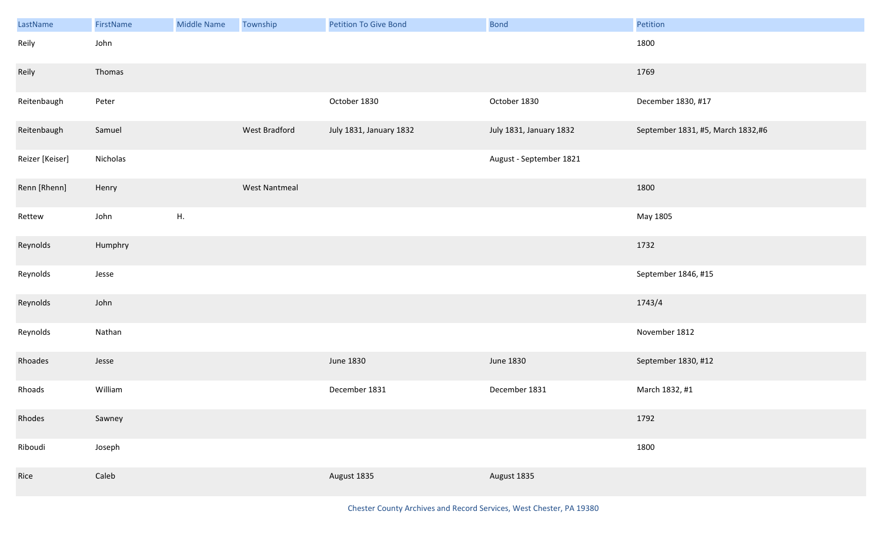| LastName        | FirstName | Middle Name | Township             | <b>Petition To Give Bond</b> | <b>Bond</b>             | Petition                          |
|-----------------|-----------|-------------|----------------------|------------------------------|-------------------------|-----------------------------------|
| Reily           | John      |             |                      |                              |                         | 1800                              |
| Reily           | Thomas    |             |                      |                              |                         | 1769                              |
| Reitenbaugh     | Peter     |             |                      | October 1830                 | October 1830            | December 1830, #17                |
| Reitenbaugh     | Samuel    |             | West Bradford        | July 1831, January 1832      | July 1831, January 1832 | September 1831, #5, March 1832,#6 |
| Reizer [Keiser] | Nicholas  |             |                      |                              | August - September 1821 |                                   |
| Renn [Rhenn]    | Henry     |             | <b>West Nantmeal</b> |                              |                         | 1800                              |
| Rettew          | John      | Η.          |                      |                              |                         | May 1805                          |
| Reynolds        | Humphry   |             |                      |                              |                         | 1732                              |
| Reynolds        | Jesse     |             |                      |                              |                         | September 1846, #15               |
| Reynolds        | John      |             |                      |                              |                         | 1743/4                            |
| Reynolds        | Nathan    |             |                      |                              |                         | November 1812                     |
| Rhoades         | Jesse     |             |                      | June 1830                    | <b>June 1830</b>        | September 1830, #12               |
| Rhoads          | William   |             |                      | December 1831                | December 1831           | March 1832, #1                    |
| Rhodes          | Sawney    |             |                      |                              |                         | 1792                              |
| Riboudi         | Joseph    |             |                      |                              |                         | 1800                              |
| Rice            | Caleb     |             |                      | August 1835                  | August 1835             |                                   |

Chester County Archives and Record Services, West Chester, PA 19380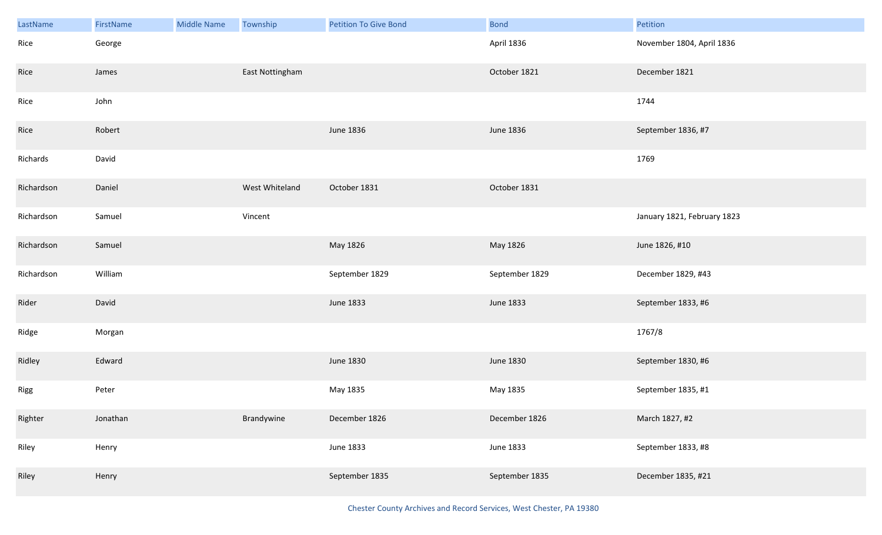| LastName   | FirstName | <b>Middle Name</b> | Township        | <b>Petition To Give Bond</b> | <b>Bond</b>    | Petition                    |
|------------|-----------|--------------------|-----------------|------------------------------|----------------|-----------------------------|
| Rice       | George    |                    |                 |                              | April 1836     | November 1804, April 1836   |
| Rice       | James     |                    | East Nottingham |                              | October 1821   | December 1821               |
| Rice       | John      |                    |                 |                              |                | 1744                        |
| Rice       | Robert    |                    |                 | June 1836                    | June 1836      | September 1836, #7          |
| Richards   | David     |                    |                 |                              |                | 1769                        |
| Richardson | Daniel    |                    | West Whiteland  | October 1831                 | October 1831   |                             |
| Richardson | Samuel    |                    | Vincent         |                              |                | January 1821, February 1823 |
| Richardson | Samuel    |                    |                 | May 1826                     | May 1826       | June 1826, #10              |
| Richardson | William   |                    |                 | September 1829               | September 1829 | December 1829, #43          |
| Rider      | David     |                    |                 | June 1833                    | June 1833      | September 1833, #6          |
| Ridge      | Morgan    |                    |                 |                              |                | 1767/8                      |
| Ridley     | Edward    |                    |                 | June 1830                    | June 1830      | September 1830, #6          |
| Rigg       | Peter     |                    |                 | May 1835                     | May 1835       | September 1835, #1          |
| Righter    | Jonathan  |                    | Brandywine      | December 1826                | December 1826  | March 1827, #2              |
| Riley      | Henry     |                    |                 | June 1833                    | June 1833      | September 1833, #8          |
| Riley      | Henry     |                    |                 | September 1835               | September 1835 | December 1835, #21          |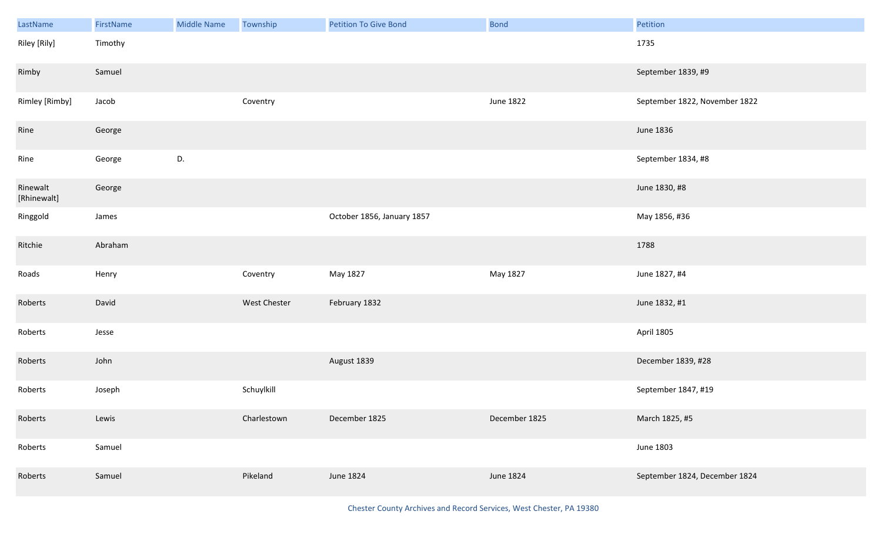| LastName                | FirstName | <b>Middle Name</b> | Township     | <b>Petition To Give Bond</b> | <b>Bond</b>   | Petition                      |
|-------------------------|-----------|--------------------|--------------|------------------------------|---------------|-------------------------------|
| Riley [Rily]            | Timothy   |                    |              |                              |               | 1735                          |
| Rimby                   | Samuel    |                    |              |                              |               | September 1839, #9            |
| Rimley [Rimby]          | Jacob     |                    | Coventry     |                              | June 1822     | September 1822, November 1822 |
| Rine                    | George    |                    |              |                              |               | June 1836                     |
| Rine                    | George    | D.                 |              |                              |               | September 1834, #8            |
| Rinewalt<br>[Rhinewalt] | George    |                    |              |                              |               | June 1830, #8                 |
| Ringgold                | James     |                    |              | October 1856, January 1857   |               | May 1856, #36                 |
| Ritchie                 | Abraham   |                    |              |                              |               | 1788                          |
| Roads                   | Henry     |                    | Coventry     | May 1827                     | May 1827      | June 1827, #4                 |
| Roberts                 | David     |                    | West Chester | February 1832                |               | June 1832, #1                 |
| Roberts                 | Jesse     |                    |              |                              |               | April 1805                    |
| Roberts                 | John      |                    |              | August 1839                  |               | December 1839, #28            |
| Roberts                 | Joseph    |                    | Schuylkill   |                              |               | September 1847, #19           |
| Roberts                 | Lewis     |                    | Charlestown  | December 1825                | December 1825 | March 1825, #5                |
| Roberts                 | Samuel    |                    |              |                              |               | June 1803                     |
| Roberts                 | Samuel    |                    | Pikeland     | June 1824                    | June 1824     | September 1824, December 1824 |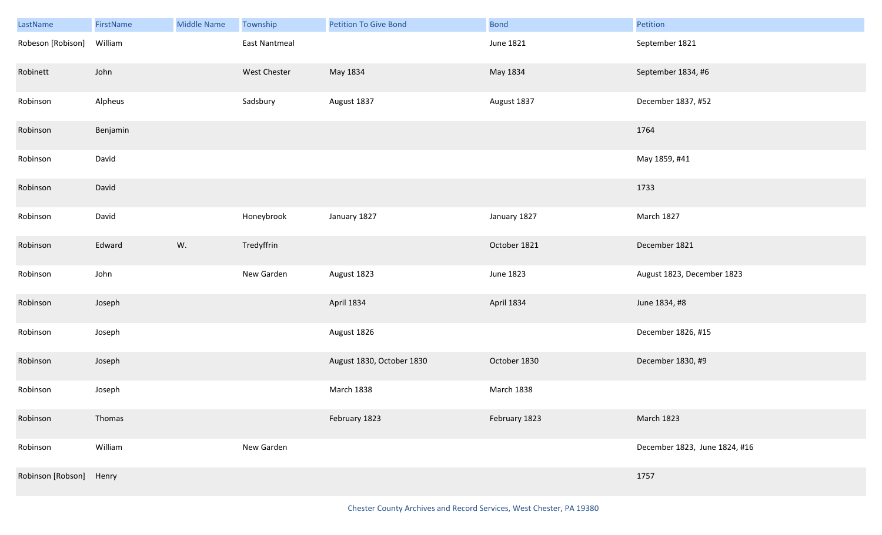| LastName                | FirstName | <b>Middle Name</b> | Township      | <b>Petition To Give Bond</b> | <b>Bond</b>   | Petition                      |
|-------------------------|-----------|--------------------|---------------|------------------------------|---------------|-------------------------------|
| Robeson [Robison]       | William   |                    | East Nantmeal |                              | June 1821     | September 1821                |
| Robinett                | John      |                    | West Chester  | May 1834                     | May 1834      | September 1834, #6            |
| Robinson                | Alpheus   |                    | Sadsbury      | August 1837                  | August 1837   | December 1837, #52            |
| Robinson                | Benjamin  |                    |               |                              |               | 1764                          |
| Robinson                | David     |                    |               |                              |               | May 1859, #41                 |
| Robinson                | David     |                    |               |                              |               | 1733                          |
| Robinson                | David     |                    | Honeybrook    | January 1827                 | January 1827  | March 1827                    |
| Robinson                | Edward    | W.                 | Tredyffrin    |                              | October 1821  | December 1821                 |
| Robinson                | John      |                    | New Garden    | August 1823                  | June 1823     | August 1823, December 1823    |
| Robinson                | Joseph    |                    |               | April 1834                   | April 1834    | June 1834, #8                 |
| Robinson                | Joseph    |                    |               | August 1826                  |               | December 1826, #15            |
| Robinson                | Joseph    |                    |               | August 1830, October 1830    | October 1830  | December 1830, #9             |
| Robinson                | Joseph    |                    |               | March 1838                   | March 1838    |                               |
| Robinson                | Thomas    |                    |               | February 1823                | February 1823 | March 1823                    |
| Robinson                | William   |                    | New Garden    |                              |               | December 1823, June 1824, #16 |
| Robinson [Robson] Henry |           |                    |               |                              |               | 1757                          |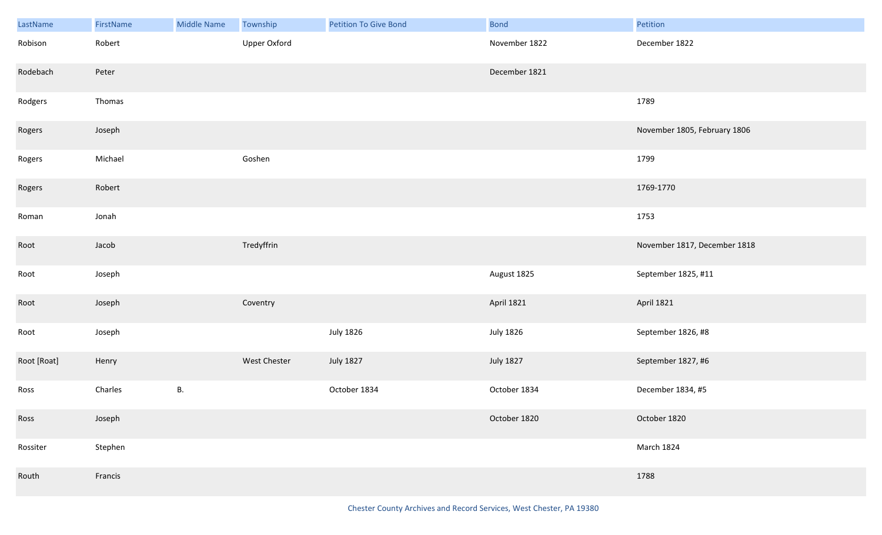| LastName    | FirstName | <b>Middle Name</b> | Township     | <b>Petition To Give Bond</b> | <b>Bond</b>      | Petition                     |
|-------------|-----------|--------------------|--------------|------------------------------|------------------|------------------------------|
| Robison     | Robert    |                    | Upper Oxford |                              | November 1822    | December 1822                |
| Rodebach    | Peter     |                    |              |                              | December 1821    |                              |
| Rodgers     | Thomas    |                    |              |                              |                  | 1789                         |
| Rogers      | Joseph    |                    |              |                              |                  | November 1805, February 1806 |
| Rogers      | Michael   |                    | Goshen       |                              |                  | 1799                         |
| Rogers      | Robert    |                    |              |                              |                  | 1769-1770                    |
| Roman       | Jonah     |                    |              |                              |                  | 1753                         |
| Root        | Jacob     |                    | Tredyffrin   |                              |                  | November 1817, December 1818 |
| Root        | Joseph    |                    |              |                              | August 1825      | September 1825, #11          |
| Root        | Joseph    |                    | Coventry     |                              | April 1821       | April 1821                   |
| Root        | Joseph    |                    |              | <b>July 1826</b>             | <b>July 1826</b> | September 1826, #8           |
| Root [Roat] | Henry     |                    | West Chester | <b>July 1827</b>             | <b>July 1827</b> | September 1827, #6           |
| Ross        | Charles   | В.                 |              | October 1834                 | October 1834     | December 1834, #5            |
| Ross        | Joseph    |                    |              |                              | October 1820     | October 1820                 |
| Rossiter    | Stephen   |                    |              |                              |                  | March 1824                   |
| Routh       | Francis   |                    |              |                              |                  | 1788                         |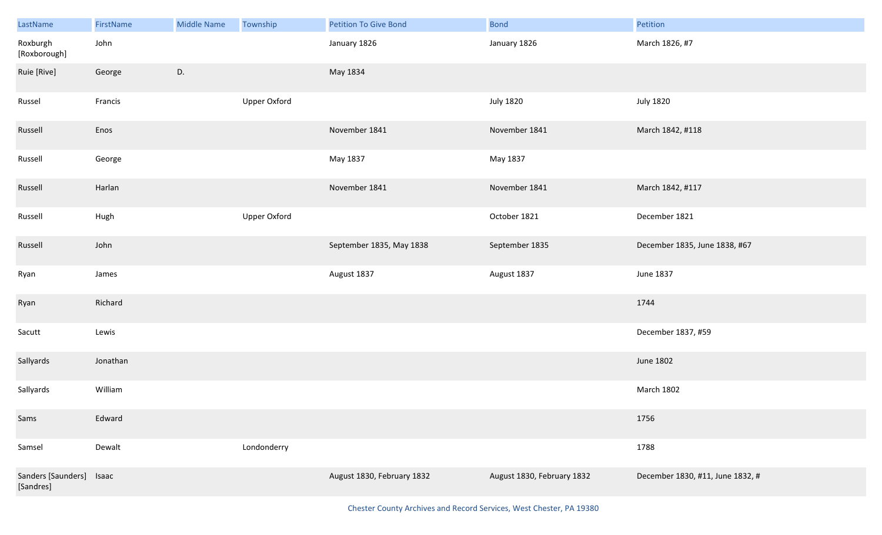| LastName                        | FirstName | <b>Middle Name</b> | Township            | <b>Petition To Give Bond</b> | <b>Bond</b>                | Petition                         |
|---------------------------------|-----------|--------------------|---------------------|------------------------------|----------------------------|----------------------------------|
| Roxburgh<br>[Roxborough]        | John      |                    |                     | January 1826                 | January 1826               | March 1826, #7                   |
| Ruie [Rive]                     | George    | D.                 |                     | May 1834                     |                            |                                  |
| Russel                          | Francis   |                    | <b>Upper Oxford</b> |                              | <b>July 1820</b>           | <b>July 1820</b>                 |
| Russell                         | Enos      |                    |                     | November 1841                | November 1841              | March 1842, #118                 |
| Russell                         | George    |                    |                     | May 1837                     | May 1837                   |                                  |
| Russell                         | Harlan    |                    |                     | November 1841                | November 1841              | March 1842, #117                 |
| Russell                         | Hugh      |                    | <b>Upper Oxford</b> |                              | October 1821               | December 1821                    |
| Russell                         | John      |                    |                     | September 1835, May 1838     | September 1835             | December 1835, June 1838, #67    |
| Ryan                            | James     |                    |                     | August 1837                  | August 1837                | June 1837                        |
| Ryan                            | Richard   |                    |                     |                              |                            | 1744                             |
| Sacutt                          | Lewis     |                    |                     |                              |                            | December 1837, #59               |
| Sallyards                       | Jonathan  |                    |                     |                              |                            | June 1802                        |
| Sallyards                       | William   |                    |                     |                              |                            | March 1802                       |
| Sams                            | Edward    |                    |                     |                              |                            | 1756                             |
| Samsel                          | Dewalt    |                    | Londonderry         |                              |                            | 1788                             |
| Sanders [Saunders]<br>[Sandres] | Isaac     |                    |                     | August 1830, February 1832   | August 1830, February 1832 | December 1830, #11, June 1832, # |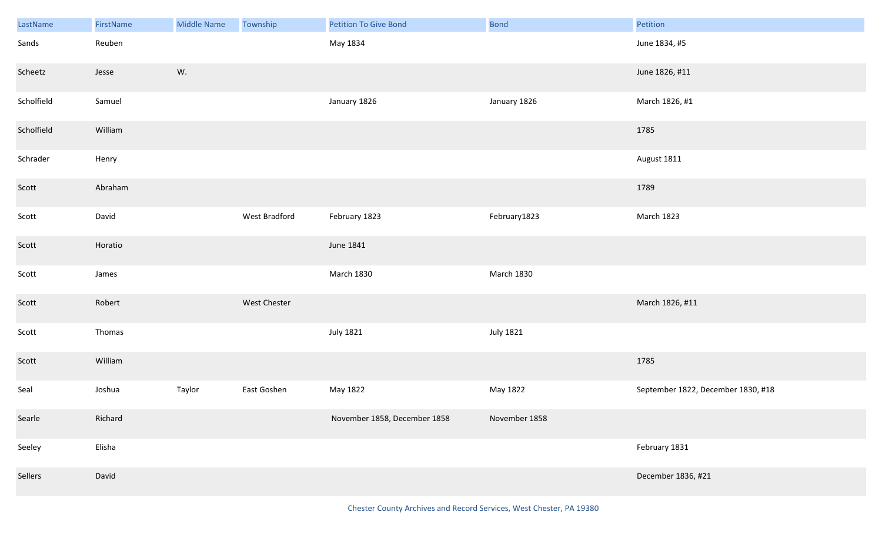| LastName   | FirstName | Middle Name | Township      | <b>Petition To Give Bond</b> | <b>Bond</b>      | Petition                           |
|------------|-----------|-------------|---------------|------------------------------|------------------|------------------------------------|
| Sands      | Reuben    |             |               | May 1834                     |                  | June 1834, #5                      |
| Scheetz    | Jesse     | W.          |               |                              |                  | June 1826, #11                     |
| Scholfield | Samuel    |             |               | January 1826                 | January 1826     | March 1826, #1                     |
| Scholfield | William   |             |               |                              |                  | 1785                               |
| Schrader   | Henry     |             |               |                              |                  | August 1811                        |
| Scott      | Abraham   |             |               |                              |                  | 1789                               |
| Scott      | David     |             | West Bradford | February 1823                | February1823     | March 1823                         |
| Scott      | Horatio   |             |               | June 1841                    |                  |                                    |
| Scott      | James     |             |               | <b>March 1830</b>            | March 1830       |                                    |
| Scott      | Robert    |             | West Chester  |                              |                  | March 1826, #11                    |
| Scott      | Thomas    |             |               | <b>July 1821</b>             | <b>July 1821</b> |                                    |
| Scott      | William   |             |               |                              |                  | 1785                               |
| Seal       | Joshua    | Taylor      | East Goshen   | May 1822                     | May 1822         | September 1822, December 1830, #18 |
| Searle     | Richard   |             |               | November 1858, December 1858 | November 1858    |                                    |
| Seeley     | Elisha    |             |               |                              |                  | February 1831                      |
| Sellers    | David     |             |               |                              |                  | December 1836, #21                 |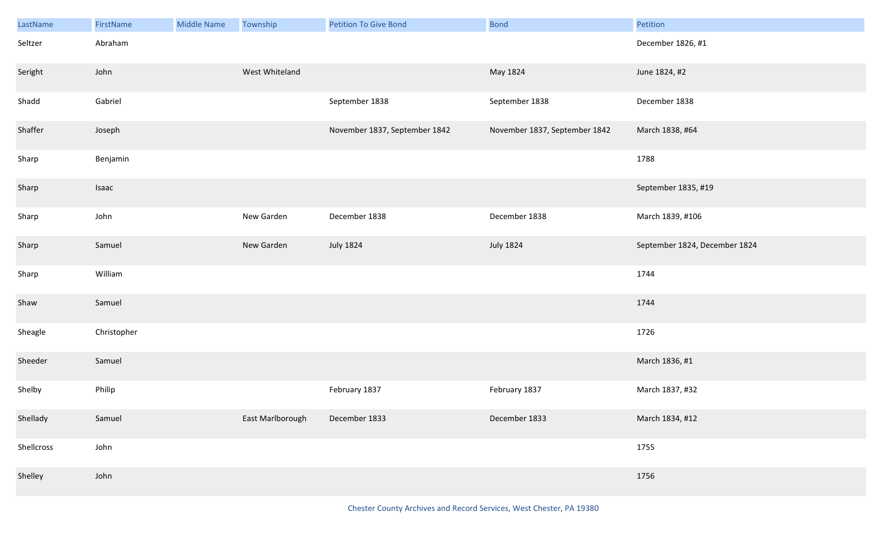| LastName   | FirstName   | <b>Middle Name</b> | Township         | <b>Petition To Give Bond</b>  | <b>Bond</b>                   | Petition                      |
|------------|-------------|--------------------|------------------|-------------------------------|-------------------------------|-------------------------------|
| Seltzer    | Abraham     |                    |                  |                               |                               | December 1826, #1             |
| Seright    | John        |                    | West Whiteland   |                               | May 1824                      | June 1824, #2                 |
| Shadd      | Gabriel     |                    |                  | September 1838                | September 1838                | December 1838                 |
| Shaffer    | Joseph      |                    |                  | November 1837, September 1842 | November 1837, September 1842 | March 1838, #64               |
| Sharp      | Benjamin    |                    |                  |                               |                               | 1788                          |
| Sharp      | Isaac       |                    |                  |                               |                               | September 1835, #19           |
| Sharp      | John        |                    | New Garden       | December 1838                 | December 1838                 | March 1839, #106              |
| Sharp      | Samuel      |                    | New Garden       | <b>July 1824</b>              | <b>July 1824</b>              | September 1824, December 1824 |
| Sharp      | William     |                    |                  |                               |                               | 1744                          |
| Shaw       | Samuel      |                    |                  |                               |                               | 1744                          |
| Sheagle    | Christopher |                    |                  |                               |                               | 1726                          |
| Sheeder    | Samuel      |                    |                  |                               |                               | March 1836, #1                |
| Shelby     | Philip      |                    |                  | February 1837                 | February 1837                 | March 1837, #32               |
| Shellady   | Samuel      |                    | East Marlborough | December 1833                 | December 1833                 | March 1834, #12               |
| Shellcross | John        |                    |                  |                               |                               | 1755                          |
| Shelley    | John        |                    |                  |                               |                               | 1756                          |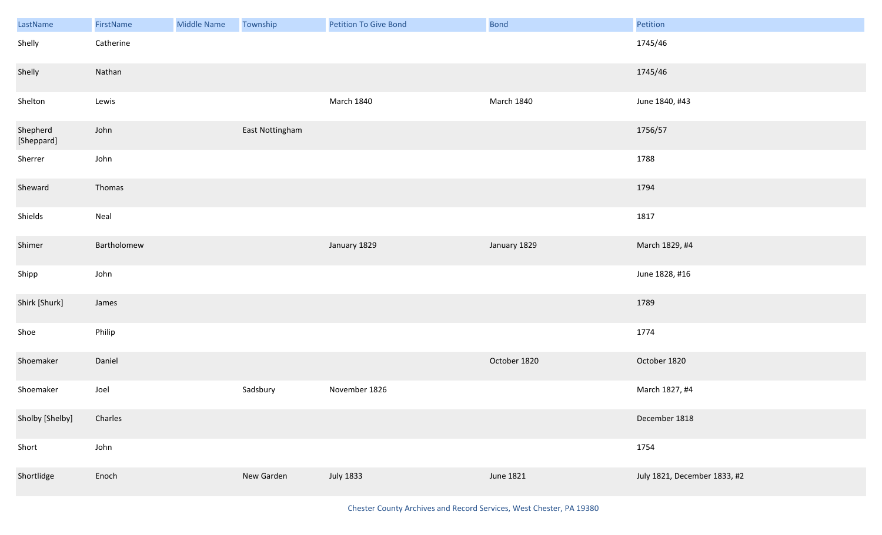| LastName               | FirstName   | Middle Name | Township        | <b>Petition To Give Bond</b> | <b>Bond</b>       | Petition                     |
|------------------------|-------------|-------------|-----------------|------------------------------|-------------------|------------------------------|
| Shelly                 | Catherine   |             |                 |                              |                   | 1745/46                      |
| Shelly                 | Nathan      |             |                 |                              |                   | 1745/46                      |
| Shelton                | Lewis       |             |                 | <b>March 1840</b>            | <b>March 1840</b> | June 1840, #43               |
| Shepherd<br>[Sheppard] | John        |             | East Nottingham |                              |                   | 1756/57                      |
| Sherrer                | John        |             |                 |                              |                   | 1788                         |
| Sheward                | Thomas      |             |                 |                              |                   | 1794                         |
| Shields                | Neal        |             |                 |                              |                   | 1817                         |
| Shimer                 | Bartholomew |             |                 | January 1829                 | January 1829      | March 1829, #4               |
| Shipp                  | John        |             |                 |                              |                   | June 1828, #16               |
| Shirk [Shurk]          | James       |             |                 |                              |                   | 1789                         |
| Shoe                   | Philip      |             |                 |                              |                   | 1774                         |
| Shoemaker              | Daniel      |             |                 |                              | October 1820      | October 1820                 |
| Shoemaker              | Joel        |             | Sadsbury        | November 1826                |                   | March 1827, #4               |
| Sholby [Shelby]        | Charles     |             |                 |                              |                   | December 1818                |
| Short                  | John        |             |                 |                              |                   | 1754                         |
| Shortlidge             | Enoch       |             | New Garden      | <b>July 1833</b>             | June 1821         | July 1821, December 1833, #2 |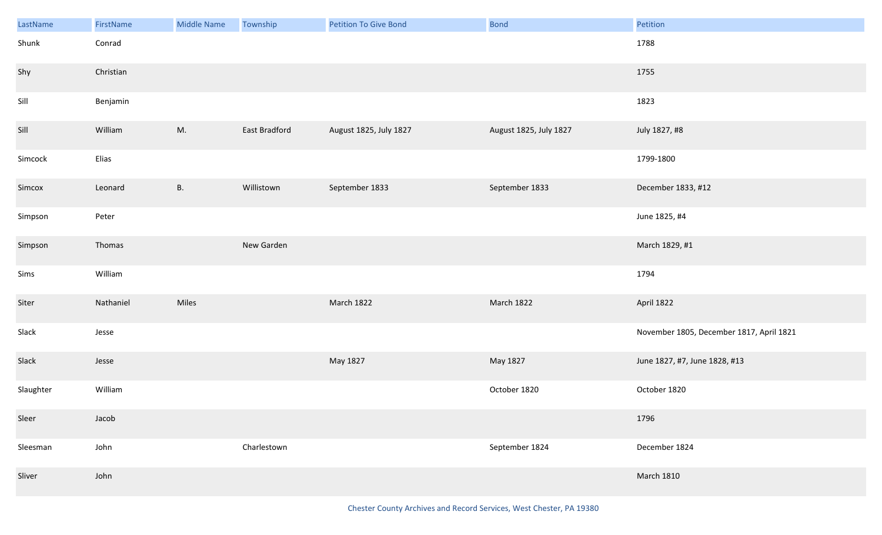| LastName  | FirstName | Middle Name | Township      | <b>Petition To Give Bond</b> | <b>Bond</b>            | Petition                                 |
|-----------|-----------|-------------|---------------|------------------------------|------------------------|------------------------------------------|
| Shunk     | Conrad    |             |               |                              |                        | 1788                                     |
| Shy       | Christian |             |               |                              |                        | 1755                                     |
| Sill      | Benjamin  |             |               |                              |                        | 1823                                     |
| Sill      | William   | M.          | East Bradford | August 1825, July 1827       | August 1825, July 1827 | July 1827, #8                            |
| Simcock   | Elias     |             |               |                              |                        | 1799-1800                                |
| Simcox    | Leonard   | <b>B.</b>   | Willistown    | September 1833               | September 1833         | December 1833, #12                       |
| Simpson   | Peter     |             |               |                              |                        | June 1825, #4                            |
| Simpson   | Thomas    |             | New Garden    |                              |                        | March 1829, #1                           |
| Sims      | William   |             |               |                              |                        | 1794                                     |
| Siter     | Nathaniel | Miles       |               | March 1822                   | March 1822             | April 1822                               |
| Slack     | Jesse     |             |               |                              |                        | November 1805, December 1817, April 1821 |
| Slack     | Jesse     |             |               | May 1827                     | May 1827               | June 1827, #7, June 1828, #13            |
| Slaughter | William   |             |               |                              | October 1820           | October 1820                             |
| Sleer     | Jacob     |             |               |                              |                        | 1796                                     |
| Sleesman  | John      |             | Charlestown   |                              | September 1824         | December 1824                            |
| Sliver    | John      |             |               |                              |                        | <b>March 1810</b>                        |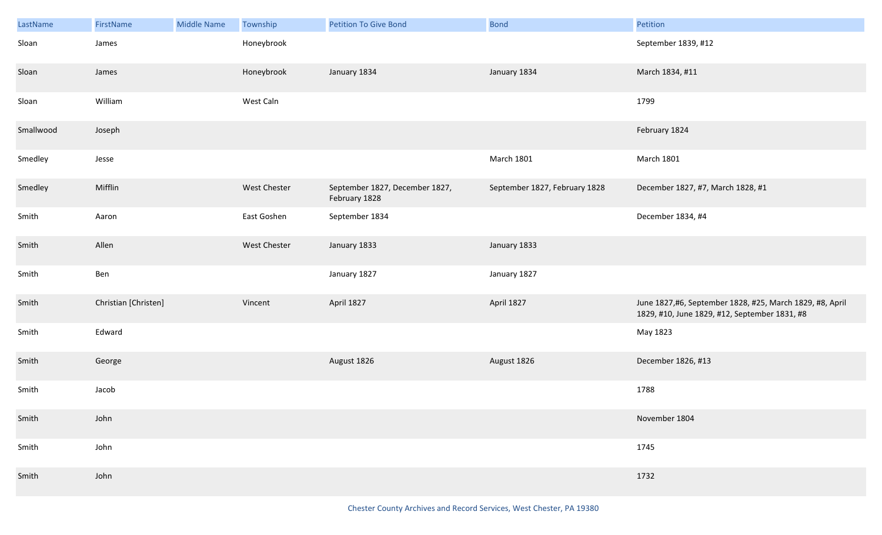| LastName  | FirstName            | <b>Middle Name</b> | Township     | <b>Petition To Give Bond</b>                    | <b>Bond</b>                   | Petition                                                                                                  |
|-----------|----------------------|--------------------|--------------|-------------------------------------------------|-------------------------------|-----------------------------------------------------------------------------------------------------------|
| Sloan     | James                |                    | Honeybrook   |                                                 |                               | September 1839, #12                                                                                       |
| Sloan     | James                |                    | Honeybrook   | January 1834                                    | January 1834                  | March 1834, #11                                                                                           |
| Sloan     | William              |                    | West Caln    |                                                 |                               | 1799                                                                                                      |
| Smallwood | Joseph               |                    |              |                                                 |                               | February 1824                                                                                             |
| Smedley   | Jesse                |                    |              |                                                 | <b>March 1801</b>             | <b>March 1801</b>                                                                                         |
| Smedley   | Mifflin              |                    | West Chester | September 1827, December 1827,<br>February 1828 | September 1827, February 1828 | December 1827, #7, March 1828, #1                                                                         |
| Smith     | Aaron                |                    | East Goshen  | September 1834                                  |                               | December 1834, #4                                                                                         |
| Smith     | Allen                |                    | West Chester | January 1833                                    | January 1833                  |                                                                                                           |
| Smith     | Ben                  |                    |              | January 1827                                    | January 1827                  |                                                                                                           |
| Smith     | Christian [Christen] |                    | Vincent      | April 1827                                      | April 1827                    | June 1827,#6, September 1828, #25, March 1829, #8, April<br>1829, #10, June 1829, #12, September 1831, #8 |
| Smith     | Edward               |                    |              |                                                 |                               | May 1823                                                                                                  |
| Smith     | George               |                    |              | August 1826                                     | August 1826                   | December 1826, #13                                                                                        |
| Smith     | Jacob                |                    |              |                                                 |                               | 1788                                                                                                      |
| Smith     | John                 |                    |              |                                                 |                               | November 1804                                                                                             |
| Smith     | John                 |                    |              |                                                 |                               | 1745                                                                                                      |
| Smith     | John                 |                    |              |                                                 |                               | 1732                                                                                                      |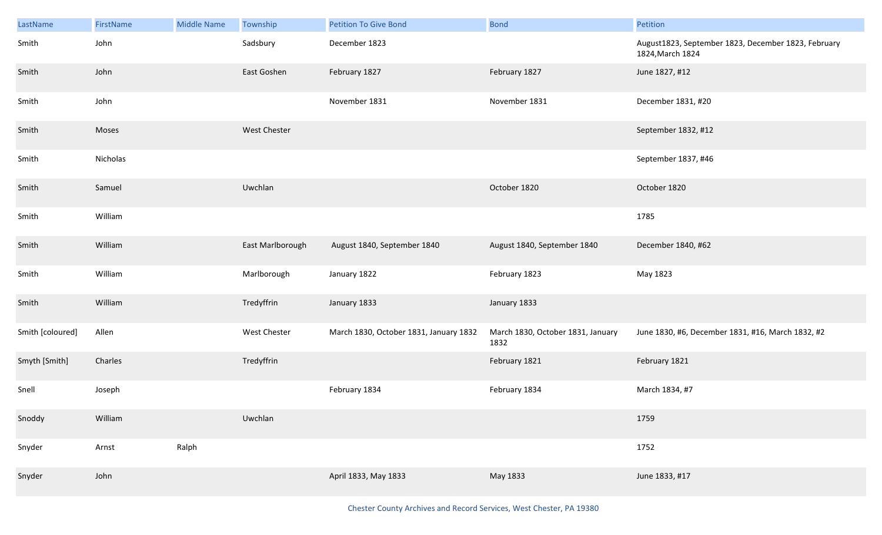| LastName         | FirstName | <b>Middle Name</b> | Township            | <b>Petition To Give Bond</b>           | <b>Bond</b>                               | Petition                                                                |
|------------------|-----------|--------------------|---------------------|----------------------------------------|-------------------------------------------|-------------------------------------------------------------------------|
| Smith            | John      |                    | Sadsbury            | December 1823                          |                                           | August1823, September 1823, December 1823, February<br>1824, March 1824 |
| Smith            | John      |                    | East Goshen         | February 1827                          | February 1827                             | June 1827, #12                                                          |
| Smith            | John      |                    |                     | November 1831                          | November 1831                             | December 1831, #20                                                      |
| Smith            | Moses     |                    | <b>West Chester</b> |                                        |                                           | September 1832, #12                                                     |
| Smith            | Nicholas  |                    |                     |                                        |                                           | September 1837, #46                                                     |
| Smith            | Samuel    |                    | Uwchlan             |                                        | October 1820                              | October 1820                                                            |
| Smith            | William   |                    |                     |                                        |                                           | 1785                                                                    |
| Smith            | William   |                    | East Marlborough    | August 1840, September 1840            | August 1840, September 1840               | December 1840, #62                                                      |
| Smith            | William   |                    | Marlborough         | January 1822                           | February 1823                             | May 1823                                                                |
| Smith            | William   |                    | Tredyffrin          | January 1833                           | January 1833                              |                                                                         |
| Smith [coloured] | Allen     |                    | West Chester        | March 1830, October 1831, January 1832 | March 1830, October 1831, January<br>1832 | June 1830, #6, December 1831, #16, March 1832, #2                       |
| Smyth [Smith]    | Charles   |                    | Tredyffrin          |                                        | February 1821                             | February 1821                                                           |
| Snell            | Joseph    |                    |                     | February 1834                          | February 1834                             | March 1834, #7                                                          |
| Snoddy           | William   |                    | Uwchlan             |                                        |                                           | 1759                                                                    |
| Snyder           | Arnst     | Ralph              |                     |                                        |                                           | 1752                                                                    |
| Snyder           | John      |                    |                     | April 1833, May 1833                   | May 1833                                  | June 1833, #17                                                          |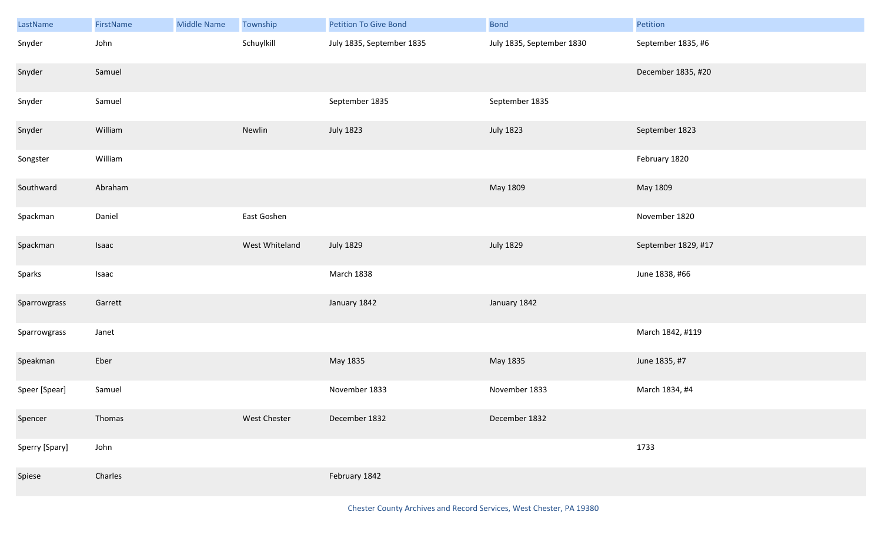| LastName       | FirstName | <b>Middle Name</b> | Township       | <b>Petition To Give Bond</b> | <b>Bond</b>               | Petition            |
|----------------|-----------|--------------------|----------------|------------------------------|---------------------------|---------------------|
| Snyder         | John      |                    | Schuylkill     | July 1835, September 1835    | July 1835, September 1830 | September 1835, #6  |
| Snyder         | Samuel    |                    |                |                              |                           | December 1835, #20  |
| Snyder         | Samuel    |                    |                | September 1835               | September 1835            |                     |
| Snyder         | William   |                    | Newlin         | <b>July 1823</b>             | <b>July 1823</b>          | September 1823      |
| Songster       | William   |                    |                |                              |                           | February 1820       |
| Southward      | Abraham   |                    |                |                              | May 1809                  | May 1809            |
| Spackman       | Daniel    |                    | East Goshen    |                              |                           | November 1820       |
| Spackman       | Isaac     |                    | West Whiteland | <b>July 1829</b>             | <b>July 1829</b>          | September 1829, #17 |
| Sparks         | Isaac     |                    |                | March 1838                   |                           | June 1838, #66      |
| Sparrowgrass   | Garrett   |                    |                | January 1842                 | January 1842              |                     |
| Sparrowgrass   | Janet     |                    |                |                              |                           | March 1842, #119    |
| Speakman       | Eber      |                    |                | May 1835                     | May 1835                  | June 1835, #7       |
| Speer [Spear]  | Samuel    |                    |                | November 1833                | November 1833             | March 1834, #4      |
| Spencer        | Thomas    |                    | West Chester   | December 1832                | December 1832             |                     |
| Sperry [Spary] | John      |                    |                |                              |                           | 1733                |
| Spiese         | Charles   |                    |                | February 1842                |                           |                     |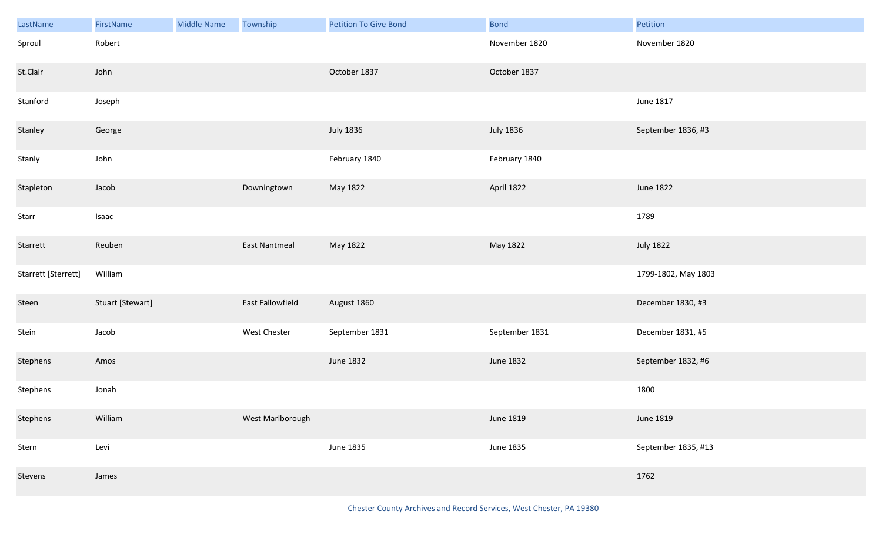| LastName            | FirstName        | <b>Middle Name</b> | Township         | <b>Petition To Give Bond</b> | <b>Bond</b>      | Petition            |
|---------------------|------------------|--------------------|------------------|------------------------------|------------------|---------------------|
| Sproul              | Robert           |                    |                  |                              | November 1820    | November 1820       |
| St.Clair            | John             |                    |                  | October 1837                 | October 1837     |                     |
| Stanford            | Joseph           |                    |                  |                              |                  | June 1817           |
| Stanley             | George           |                    |                  | <b>July 1836</b>             | <b>July 1836</b> | September 1836, #3  |
| Stanly              | John             |                    |                  | February 1840                | February 1840    |                     |
| Stapleton           | Jacob            |                    | Downingtown      | May 1822                     | April 1822       | June 1822           |
| Starr               | Isaac            |                    |                  |                              |                  | 1789                |
| Starrett            | Reuben           |                    | East Nantmeal    | May 1822                     | May 1822         | <b>July 1822</b>    |
| Starrett [Sterrett] | William          |                    |                  |                              |                  | 1799-1802, May 1803 |
| Steen               | Stuart [Stewart] |                    | East Fallowfield | August 1860                  |                  | December 1830, #3   |
| Stein               | Jacob            |                    | West Chester     | September 1831               | September 1831   | December 1831, #5   |
| Stephens            | Amos             |                    |                  | <b>June 1832</b>             | June 1832        | September 1832, #6  |
| Stephens            | Jonah            |                    |                  |                              |                  | 1800                |
| Stephens            | William          |                    | West Marlborough |                              | June 1819        | June 1819           |
| Stern               | Levi             |                    |                  | <b>June 1835</b>             | June 1835        | September 1835, #13 |
| Stevens             | James            |                    |                  |                              |                  | 1762                |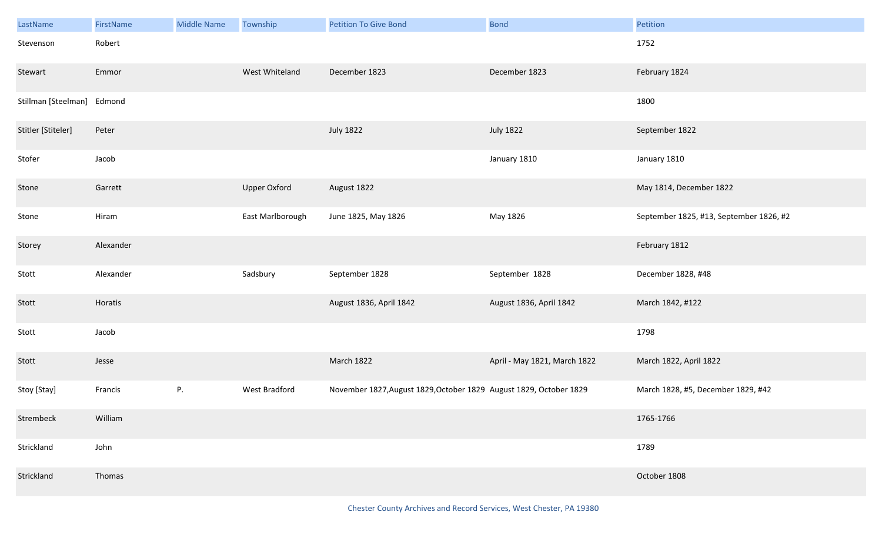| LastName                   | FirstName | <b>Middle Name</b> | Township            | <b>Petition To Give Bond</b>                                       | <b>Bond</b>                  | Petition                                |
|----------------------------|-----------|--------------------|---------------------|--------------------------------------------------------------------|------------------------------|-----------------------------------------|
| Stevenson                  | Robert    |                    |                     |                                                                    |                              | 1752                                    |
| Stewart                    | Emmor     |                    | West Whiteland      | December 1823                                                      | December 1823                | February 1824                           |
| Stillman [Steelman] Edmond |           |                    |                     |                                                                    |                              | 1800                                    |
| Stitler [Stiteler]         | Peter     |                    |                     | <b>July 1822</b>                                                   | <b>July 1822</b>             | September 1822                          |
| Stofer                     | Jacob     |                    |                     |                                                                    | January 1810                 | January 1810                            |
| Stone                      | Garrett   |                    | <b>Upper Oxford</b> | August 1822                                                        |                              | May 1814, December 1822                 |
| Stone                      | Hiram     |                    | East Marlborough    | June 1825, May 1826                                                | May 1826                     | September 1825, #13, September 1826, #2 |
| Storey                     | Alexander |                    |                     |                                                                    |                              | February 1812                           |
| Stott                      | Alexander |                    | Sadsbury            | September 1828                                                     | September 1828               | December 1828, #48                      |
| Stott                      | Horatis   |                    |                     | August 1836, April 1842                                            | August 1836, April 1842      | March 1842, #122                        |
| Stott                      | Jacob     |                    |                     |                                                                    |                              | 1798                                    |
| Stott                      | Jesse     |                    |                     | <b>March 1822</b>                                                  | April - May 1821, March 1822 | March 1822, April 1822                  |
| Stoy [Stay]                | Francis   | $P_{\cdot}$        | West Bradford       | November 1827, August 1829, October 1829 August 1829, October 1829 |                              | March 1828, #5, December 1829, #42      |
| Strembeck                  | William   |                    |                     |                                                                    |                              | 1765-1766                               |
| Strickland                 | John      |                    |                     |                                                                    |                              | 1789                                    |
| Strickland                 | Thomas    |                    |                     |                                                                    |                              | October 1808                            |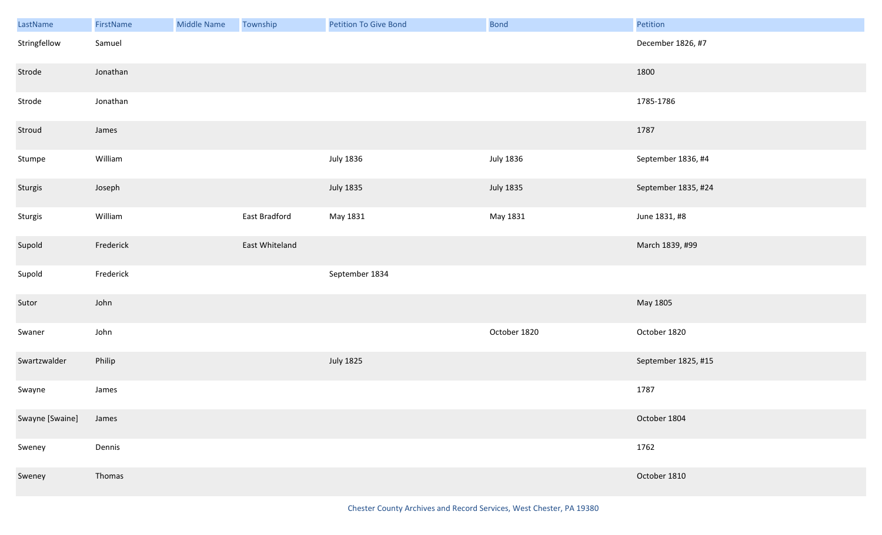| LastName        | FirstName | Middle Name | Township       | Petition To Give Bond | <b>Bond</b>      | Petition            |
|-----------------|-----------|-------------|----------------|-----------------------|------------------|---------------------|
| Stringfellow    | Samuel    |             |                |                       |                  | December 1826, #7   |
| Strode          | Jonathan  |             |                |                       |                  | 1800                |
| Strode          | Jonathan  |             |                |                       |                  | 1785-1786           |
| Stroud          | James     |             |                |                       |                  | 1787                |
| Stumpe          | William   |             |                | <b>July 1836</b>      | <b>July 1836</b> | September 1836, #4  |
| Sturgis         | Joseph    |             |                | <b>July 1835</b>      | <b>July 1835</b> | September 1835, #24 |
| Sturgis         | William   |             | East Bradford  | May 1831              | May 1831         | June 1831, #8       |
| Supold          | Frederick |             | East Whiteland |                       |                  | March 1839, #99     |
| Supold          | Frederick |             |                | September 1834        |                  |                     |
| Sutor           | John      |             |                |                       |                  | May 1805            |
| Swaner          | John      |             |                |                       | October 1820     | October 1820        |
| Swartzwalder    | Philip    |             |                | <b>July 1825</b>      |                  | September 1825, #15 |
| Swayne          | James     |             |                |                       |                  | 1787                |
| Swayne [Swaine] | James     |             |                |                       |                  | October 1804        |
| Sweney          | Dennis    |             |                |                       |                  | 1762                |
| Sweney          | Thomas    |             |                |                       |                  | October 1810        |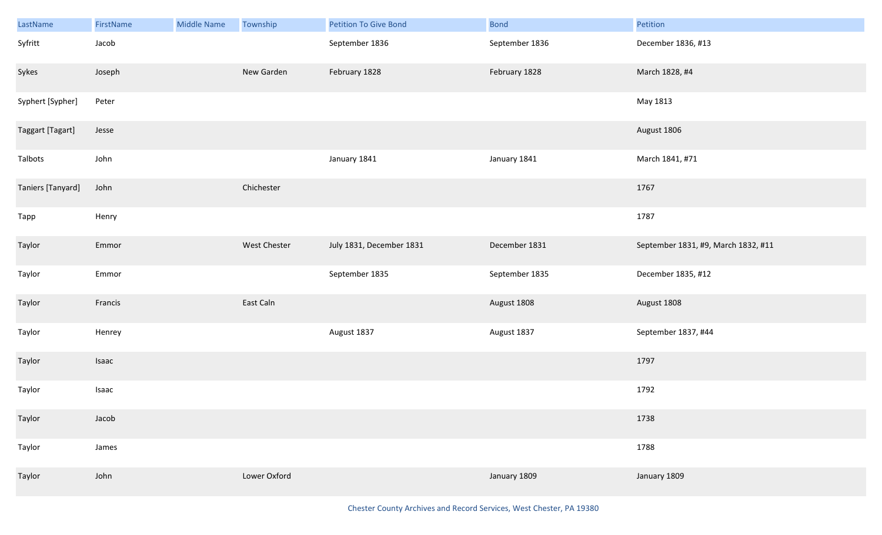| LastName          | FirstName | <b>Middle Name</b> | Township     | Petition To Give Bond    | <b>Bond</b>    | Petition                            |
|-------------------|-----------|--------------------|--------------|--------------------------|----------------|-------------------------------------|
| Syfritt           | Jacob     |                    |              | September 1836           | September 1836 | December 1836, #13                  |
| Sykes             | Joseph    |                    | New Garden   | February 1828            | February 1828  | March 1828, #4                      |
| Syphert [Sypher]  | Peter     |                    |              |                          |                | May 1813                            |
| Taggart [Tagart]  | Jesse     |                    |              |                          |                | August 1806                         |
| Talbots           | John      |                    |              | January 1841             | January 1841   | March 1841, #71                     |
| Taniers [Tanyard] | John      |                    | Chichester   |                          |                | 1767                                |
| Tapp              | Henry     |                    |              |                          |                | 1787                                |
| Taylor            | Emmor     |                    | West Chester | July 1831, December 1831 | December 1831  | September 1831, #9, March 1832, #11 |
| Taylor            | Emmor     |                    |              | September 1835           | September 1835 | December 1835, #12                  |
| Taylor            | Francis   |                    | East Caln    |                          | August 1808    | August 1808                         |
| Taylor            | Henrey    |                    |              | August 1837              | August 1837    | September 1837, #44                 |
| Taylor            | Isaac     |                    |              |                          |                | 1797                                |
| Taylor            | Isaac     |                    |              |                          |                | 1792                                |
| Taylor            | Jacob     |                    |              |                          |                | 1738                                |
| Taylor            | James     |                    |              |                          |                | 1788                                |
| Taylor            | John      |                    | Lower Oxford |                          | January 1809   | January 1809                        |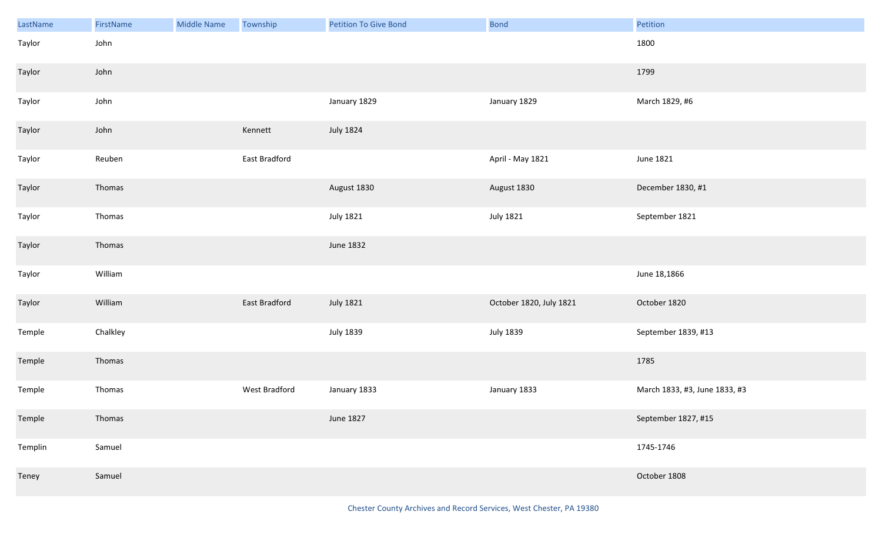| LastName | FirstName | <b>Middle Name</b> | Township      | <b>Petition To Give Bond</b> | Bond                    | Petition                      |
|----------|-----------|--------------------|---------------|------------------------------|-------------------------|-------------------------------|
| Taylor   | John      |                    |               |                              |                         | 1800                          |
| Taylor   | John      |                    |               |                              |                         | 1799                          |
| Taylor   | John      |                    |               | January 1829                 | January 1829            | March 1829, #6                |
| Taylor   | John      |                    | Kennett       | <b>July 1824</b>             |                         |                               |
| Taylor   | Reuben    |                    | East Bradford |                              | April - May 1821        | June 1821                     |
| Taylor   | Thomas    |                    |               | August 1830                  | August 1830             | December 1830, #1             |
| Taylor   | Thomas    |                    |               | <b>July 1821</b>             | <b>July 1821</b>        | September 1821                |
| Taylor   | Thomas    |                    |               | June 1832                    |                         |                               |
| Taylor   | William   |                    |               |                              |                         | June 18,1866                  |
| Taylor   | William   |                    | East Bradford | <b>July 1821</b>             | October 1820, July 1821 | October 1820                  |
| Temple   | Chalkley  |                    |               | <b>July 1839</b>             | July 1839               | September 1839, #13           |
| Temple   | Thomas    |                    |               |                              |                         | 1785                          |
| Temple   | Thomas    |                    | West Bradford | January 1833                 | January 1833            | March 1833, #3, June 1833, #3 |
| Temple   | Thomas    |                    |               | June 1827                    |                         | September 1827, #15           |
| Templin  | Samuel    |                    |               |                              |                         | 1745-1746                     |
| Teney    | Samuel    |                    |               |                              |                         | October 1808                  |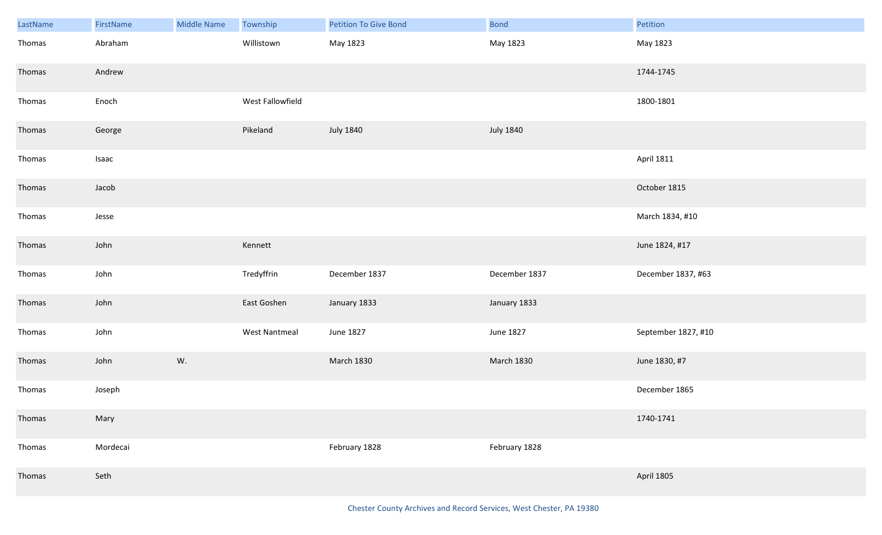| LastName | FirstName | <b>Middle Name</b> | Township         | <b>Petition To Give Bond</b> | <b>Bond</b>       | Petition            |
|----------|-----------|--------------------|------------------|------------------------------|-------------------|---------------------|
| Thomas   | Abraham   |                    | Willistown       | May 1823                     | May 1823          | May 1823            |
| Thomas   | Andrew    |                    |                  |                              |                   | 1744-1745           |
| Thomas   | Enoch     |                    | West Fallowfield |                              |                   | 1800-1801           |
| Thomas   | George    |                    | Pikeland         | <b>July 1840</b>             | <b>July 1840</b>  |                     |
| Thomas   | Isaac     |                    |                  |                              |                   | <b>April 1811</b>   |
| Thomas   | Jacob     |                    |                  |                              |                   | October 1815        |
| Thomas   | Jesse     |                    |                  |                              |                   | March 1834, #10     |
| Thomas   | John      |                    | Kennett          |                              |                   | June 1824, #17      |
| Thomas   | John      |                    | Tredyffrin       | December 1837                | December 1837     | December 1837, #63  |
| Thomas   | John      |                    | East Goshen      | January 1833                 | January 1833      |                     |
| Thomas   | John      |                    | West Nantmeal    | June 1827                    | June 1827         | September 1827, #10 |
| Thomas   | John      | W.                 |                  | <b>March 1830</b>            | <b>March 1830</b> | June 1830, #7       |
| Thomas   | Joseph    |                    |                  |                              |                   | December 1865       |
| Thomas   | Mary      |                    |                  |                              |                   | 1740-1741           |
| Thomas   | Mordecai  |                    |                  | February 1828                | February 1828     |                     |
| Thomas   | Seth      |                    |                  |                              |                   | <b>April 1805</b>   |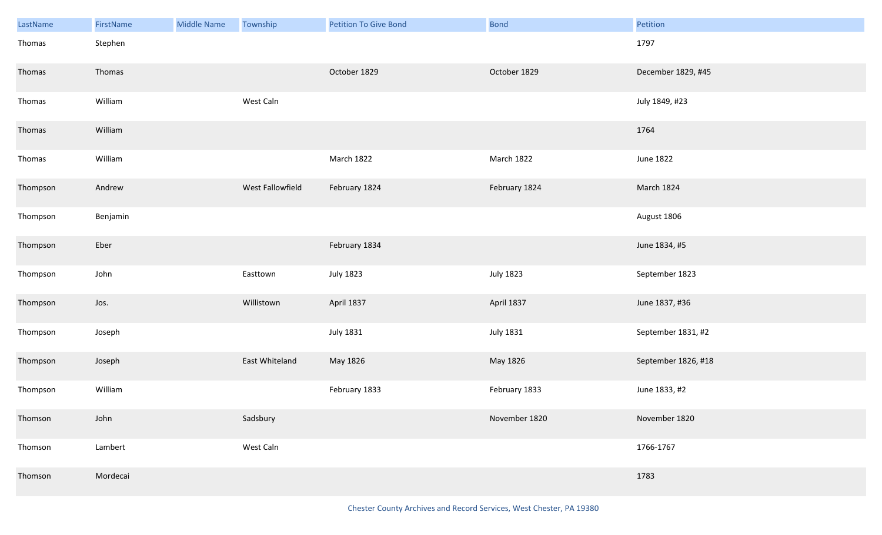| LastName | FirstName | <b>Middle Name</b> | Township         | <b>Petition To Give Bond</b> | <b>Bond</b>      | Petition            |
|----------|-----------|--------------------|------------------|------------------------------|------------------|---------------------|
| Thomas   | Stephen   |                    |                  |                              |                  | 1797                |
| Thomas   | Thomas    |                    |                  | October 1829                 | October 1829     | December 1829, #45  |
| Thomas   | William   |                    | West Caln        |                              |                  | July 1849, #23      |
| Thomas   | William   |                    |                  |                              |                  | 1764                |
| Thomas   | William   |                    |                  | March 1822                   | March 1822       | June 1822           |
| Thompson | Andrew    |                    | West Fallowfield | February 1824                | February 1824    | March 1824          |
| Thompson | Benjamin  |                    |                  |                              |                  | August 1806         |
| Thompson | Eber      |                    |                  | February 1834                |                  | June 1834, #5       |
| Thompson | John      |                    | Easttown         | <b>July 1823</b>             | <b>July 1823</b> | September 1823      |
| Thompson | Jos.      |                    | Willistown       | April 1837                   | April 1837       | June 1837, #36      |
| Thompson | Joseph    |                    |                  | <b>July 1831</b>             | <b>July 1831</b> | September 1831, #2  |
| Thompson | Joseph    |                    | East Whiteland   | May 1826                     | May 1826         | September 1826, #18 |
| Thompson | William   |                    |                  | February 1833                | February 1833    | June 1833, #2       |
| Thomson  | John      |                    | Sadsbury         |                              | November 1820    | November 1820       |
| Thomson  | Lambert   |                    | West Caln        |                              |                  | 1766-1767           |
| Thomson  | Mordecai  |                    |                  |                              |                  | 1783                |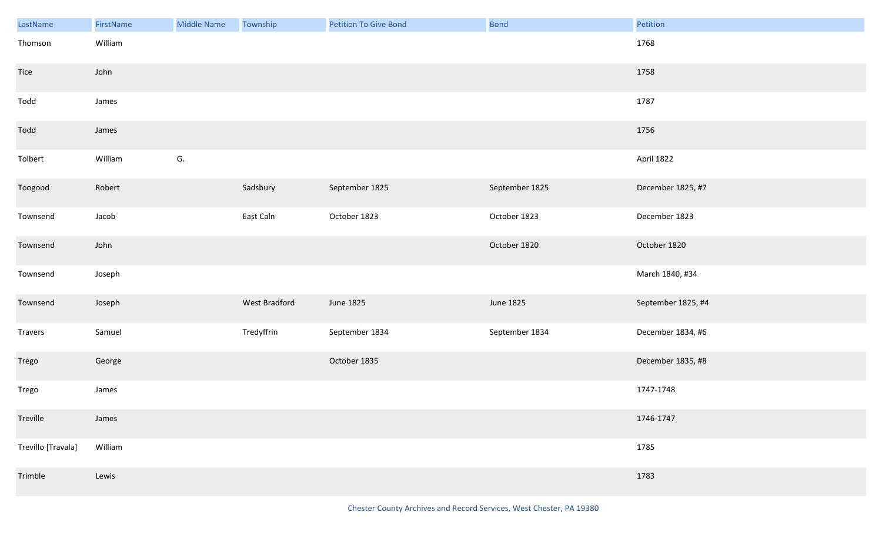| LastName           | FirstName | <b>Middle Name</b> | Township      | <b>Petition To Give Bond</b> | <b>Bond</b>    | Petition           |
|--------------------|-----------|--------------------|---------------|------------------------------|----------------|--------------------|
| Thomson            | William   |                    |               |                              |                | 1768               |
| <b>Tice</b>        | John      |                    |               |                              |                | 1758               |
| Todd               | James     |                    |               |                              |                | 1787               |
| Todd               | James     |                    |               |                              |                | 1756               |
| Tolbert            | William   | G.                 |               |                              |                | April 1822         |
| Toogood            | Robert    |                    | Sadsbury      | September 1825               | September 1825 | December 1825, #7  |
| Townsend           | Jacob     |                    | East Caln     | October 1823                 | October 1823   | December 1823      |
| Townsend           | John      |                    |               |                              | October 1820   | October 1820       |
| Townsend           | Joseph    |                    |               |                              |                | March 1840, #34    |
| Townsend           | Joseph    |                    | West Bradford | June 1825                    | June 1825      | September 1825, #4 |
| Travers            | Samuel    |                    | Tredyffrin    | September 1834               | September 1834 | December 1834, #6  |
| Trego              | George    |                    |               | October 1835                 |                | December 1835, #8  |
| Trego              | James     |                    |               |                              |                | 1747-1748          |
| Treville           | James     |                    |               |                              |                | 1746-1747          |
| Trevillo [Travala] | William   |                    |               |                              |                | 1785               |
| Trimble            | Lewis     |                    |               |                              |                | 1783               |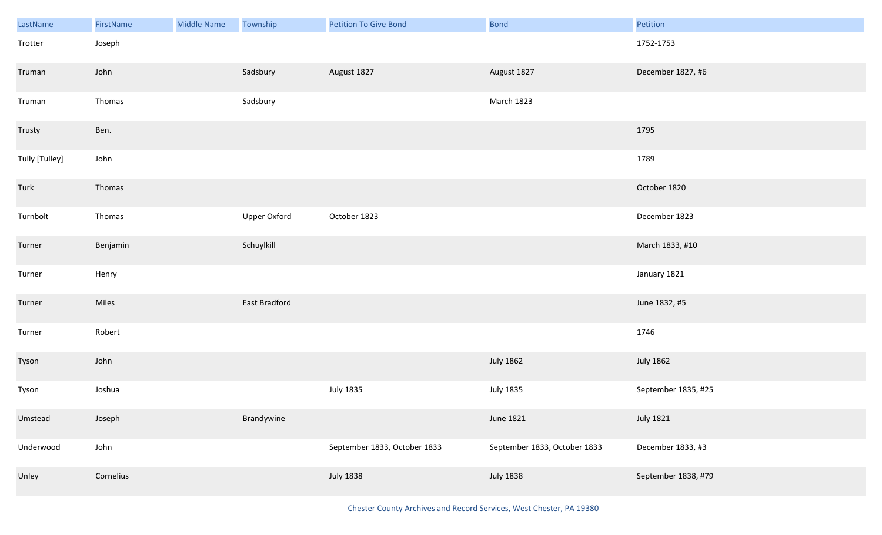| LastName       | FirstName | <b>Middle Name</b> | Township      | <b>Petition To Give Bond</b> | <b>Bond</b>                  | Petition            |
|----------------|-----------|--------------------|---------------|------------------------------|------------------------------|---------------------|
| Trotter        | Joseph    |                    |               |                              |                              | 1752-1753           |
| Truman         | John      |                    | Sadsbury      | August 1827                  | August 1827                  | December 1827, #6   |
| Truman         | Thomas    |                    | Sadsbury      |                              | March 1823                   |                     |
| Trusty         | Ben.      |                    |               |                              |                              | 1795                |
| Tully [Tulley] | John      |                    |               |                              |                              | 1789                |
| Turk           | Thomas    |                    |               |                              |                              | October 1820        |
| Turnbolt       | Thomas    |                    | Upper Oxford  | October 1823                 |                              | December 1823       |
| Turner         | Benjamin  |                    | Schuylkill    |                              |                              | March 1833, #10     |
| Turner         | Henry     |                    |               |                              |                              | January 1821        |
| Turner         | Miles     |                    | East Bradford |                              |                              | June 1832, #5       |
| Turner         | Robert    |                    |               |                              |                              | 1746                |
| Tyson          | John      |                    |               |                              | <b>July 1862</b>             | <b>July 1862</b>    |
| Tyson          | Joshua    |                    |               | <b>July 1835</b>             | <b>July 1835</b>             | September 1835, #25 |
| Umstead        | Joseph    |                    | Brandywine    |                              | June 1821                    | <b>July 1821</b>    |
| Underwood      | John      |                    |               | September 1833, October 1833 | September 1833, October 1833 | December 1833, #3   |
| Unley          | Cornelius |                    |               | <b>July 1838</b>             | <b>July 1838</b>             | September 1838, #79 |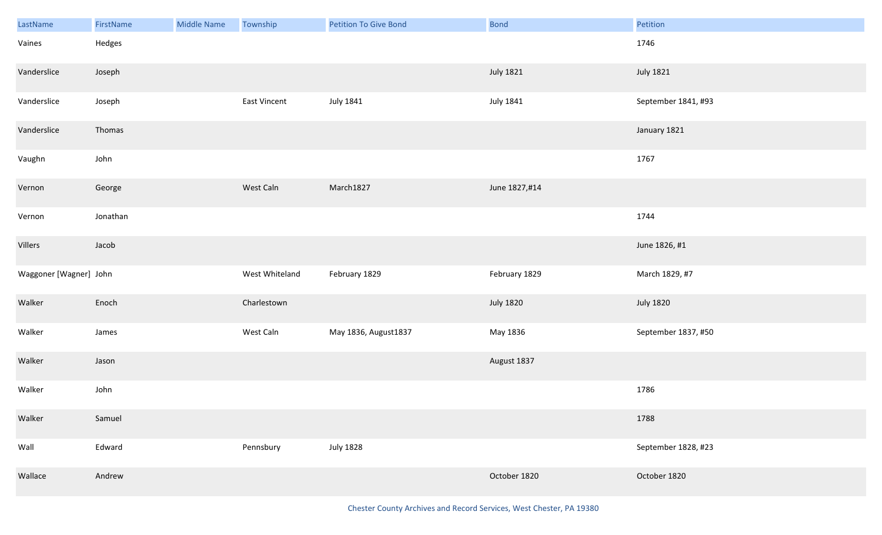| LastName               | FirstName | Middle Name | Township            | <b>Petition To Give Bond</b> | <b>Bond</b>      | Petition            |
|------------------------|-----------|-------------|---------------------|------------------------------|------------------|---------------------|
| Vaines                 | Hedges    |             |                     |                              |                  | 1746                |
| Vanderslice            | Joseph    |             |                     |                              | <b>July 1821</b> | <b>July 1821</b>    |
| Vanderslice            | Joseph    |             | <b>East Vincent</b> | <b>July 1841</b>             | <b>July 1841</b> | September 1841, #93 |
| Vanderslice            | Thomas    |             |                     |                              |                  | January 1821        |
| Vaughn                 | John      |             |                     |                              |                  | 1767                |
| Vernon                 | George    |             | West Caln           | March1827                    | June 1827,#14    |                     |
| Vernon                 | Jonathan  |             |                     |                              |                  | 1744                |
| Villers                | Jacob     |             |                     |                              |                  | June 1826, #1       |
| Waggoner [Wagner] John |           |             | West Whiteland      | February 1829                | February 1829    | March 1829, #7      |
| Walker                 | Enoch     |             | Charlestown         |                              | <b>July 1820</b> | <b>July 1820</b>    |
| Walker                 | James     |             | West Caln           | May 1836, August1837         | May 1836         | September 1837, #50 |
| Walker                 | Jason     |             |                     |                              | August 1837      |                     |
| Walker                 | John      |             |                     |                              |                  | 1786                |
| Walker                 | Samuel    |             |                     |                              |                  | 1788                |
| Wall                   | Edward    |             | Pennsbury           | <b>July 1828</b>             |                  | September 1828, #23 |
| Wallace                | Andrew    |             |                     |                              | October 1820     | October 1820        |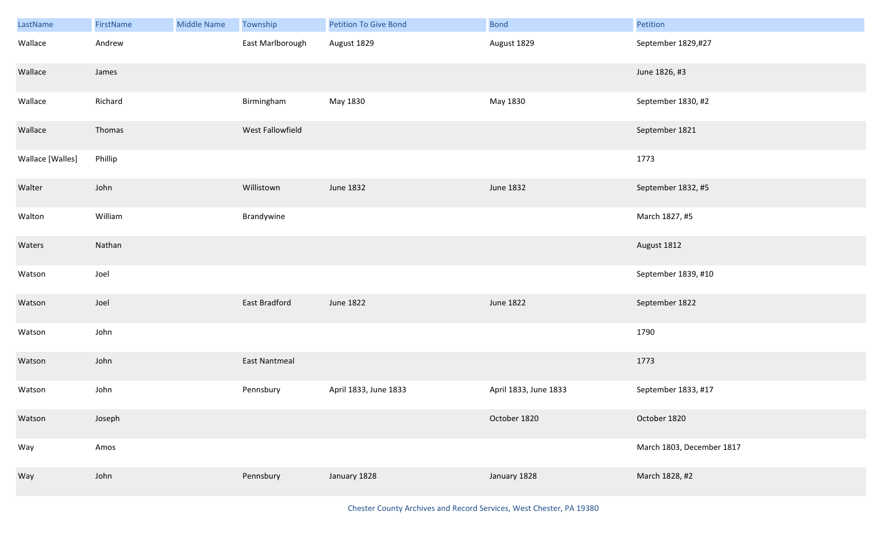| LastName         | FirstName | <b>Middle Name</b> | Township         | <b>Petition To Give Bond</b> | <b>Bond</b>           | Petition                  |
|------------------|-----------|--------------------|------------------|------------------------------|-----------------------|---------------------------|
| Wallace          | Andrew    |                    | East Marlborough | August 1829                  | August 1829           | September 1829,#27        |
| Wallace          | James     |                    |                  |                              |                       | June 1826, #3             |
| Wallace          | Richard   |                    | Birmingham       | May 1830                     | May 1830              | September 1830, #2        |
| Wallace          | Thomas    |                    | West Fallowfield |                              |                       | September 1821            |
| Wallace [Walles] | Phillip   |                    |                  |                              |                       | 1773                      |
| Walter           | John      |                    | Willistown       | June 1832                    | June 1832             | September 1832, #5        |
| Walton           | William   |                    | Brandywine       |                              |                       | March 1827, #5            |
| Waters           | Nathan    |                    |                  |                              |                       | August 1812               |
| Watson           | Joel      |                    |                  |                              |                       | September 1839, #10       |
| Watson           | Joel      |                    | East Bradford    | June 1822                    | June 1822             | September 1822            |
| Watson           | John      |                    |                  |                              |                       | 1790                      |
| Watson           | John      |                    | East Nantmeal    |                              |                       | 1773                      |
| Watson           | John      |                    | Pennsbury        | April 1833, June 1833        | April 1833, June 1833 | September 1833, #17       |
| Watson           | Joseph    |                    |                  |                              | October 1820          | October 1820              |
| Way              | Amos      |                    |                  |                              |                       | March 1803, December 1817 |
| Way              | John      |                    | Pennsbury        | January 1828                 | January 1828          | March 1828, #2            |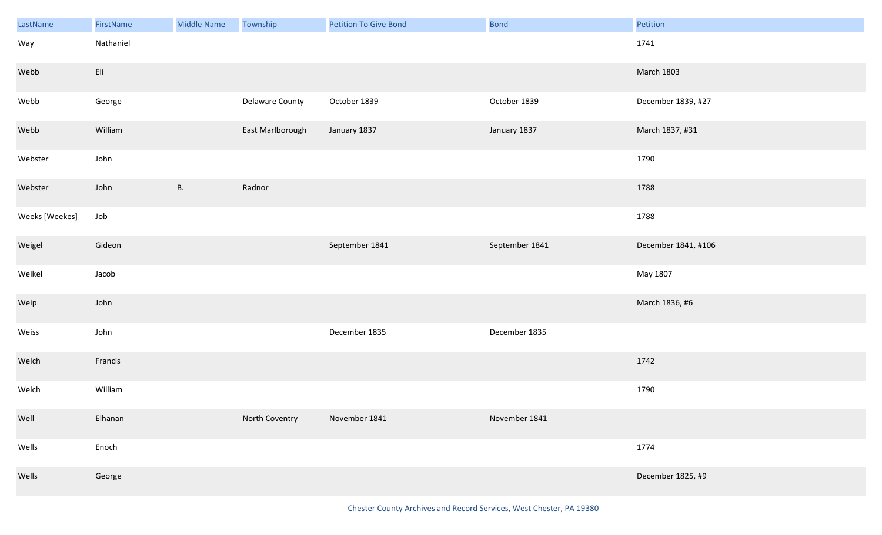| LastName       | FirstName | <b>Middle Name</b> | Township         | Petition To Give Bond | Bond           | Petition            |
|----------------|-----------|--------------------|------------------|-----------------------|----------------|---------------------|
| Way            | Nathaniel |                    |                  |                       |                | 1741                |
| Webb           | Eli       |                    |                  |                       |                | <b>March 1803</b>   |
| Webb           | George    |                    | Delaware County  | October 1839          | October 1839   | December 1839, #27  |
| Webb           | William   |                    | East Marlborough | January 1837          | January 1837   | March 1837, #31     |
| Webster        | John      |                    |                  |                       |                | 1790                |
| Webster        | John      | <b>B.</b>          | Radnor           |                       |                | 1788                |
| Weeks [Weekes] | Job       |                    |                  |                       |                | 1788                |
| Weigel         | Gideon    |                    |                  | September 1841        | September 1841 | December 1841, #106 |
| Weikel         | Jacob     |                    |                  |                       |                | May 1807            |
| Weip           | John      |                    |                  |                       |                | March 1836, #6      |
| Weiss          | John      |                    |                  | December 1835         | December 1835  |                     |
| Welch          | Francis   |                    |                  |                       |                | 1742                |
| Welch          | William   |                    |                  |                       |                | 1790                |
| Well           | Elhanan   |                    | North Coventry   | November 1841         | November 1841  |                     |
| Wells          | Enoch     |                    |                  |                       |                | 1774                |
| Wells          | George    |                    |                  |                       |                | December 1825, #9   |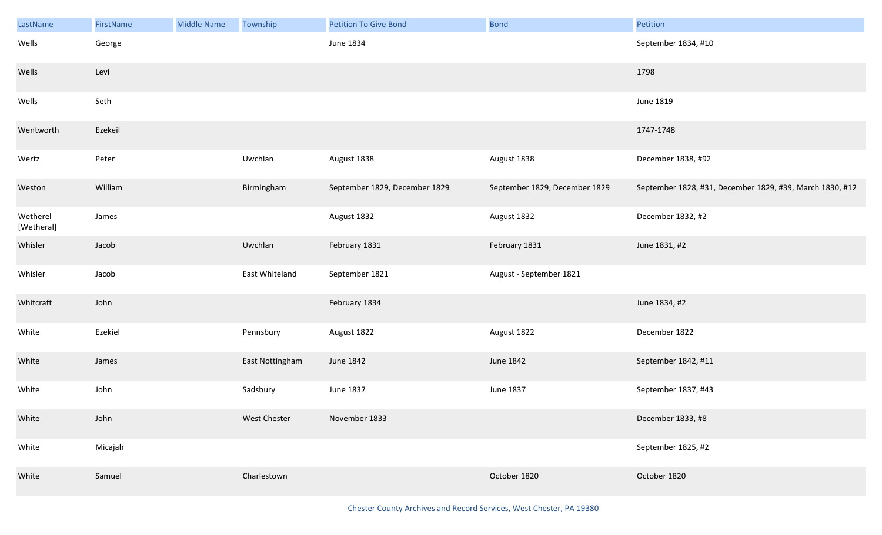| LastName               | FirstName | <b>Middle Name</b> | Township        | <b>Petition To Give Bond</b>  | <b>Bond</b>                   | Petition                                                 |
|------------------------|-----------|--------------------|-----------------|-------------------------------|-------------------------------|----------------------------------------------------------|
| Wells                  | George    |                    |                 | June 1834                     |                               | September 1834, #10                                      |
| Wells                  | Levi      |                    |                 |                               |                               | 1798                                                     |
| Wells                  | Seth      |                    |                 |                               |                               | June 1819                                                |
| Wentworth              | Ezekeil   |                    |                 |                               |                               | 1747-1748                                                |
| Wertz                  | Peter     |                    | Uwchlan         | August 1838                   | August 1838                   | December 1838, #92                                       |
| Weston                 | William   |                    | Birmingham      | September 1829, December 1829 | September 1829, December 1829 | September 1828, #31, December 1829, #39, March 1830, #12 |
| Wetherel<br>[Wetheral] | James     |                    |                 | August 1832                   | August 1832                   | December 1832, #2                                        |
| Whisler                | Jacob     |                    | Uwchlan         | February 1831                 | February 1831                 | June 1831, #2                                            |
| Whisler                | Jacob     |                    | East Whiteland  | September 1821                | August - September 1821       |                                                          |
| Whitcraft              | John      |                    |                 | February 1834                 |                               | June 1834, #2                                            |
| White                  | Ezekiel   |                    | Pennsbury       | August 1822                   | August 1822                   | December 1822                                            |
| White                  | James     |                    | East Nottingham | June 1842                     | June 1842                     | September 1842, #11                                      |
| White                  | John      |                    | Sadsbury        | June 1837                     | June 1837                     | September 1837, #43                                      |
| White                  | John      |                    | West Chester    | November 1833                 |                               | December 1833, #8                                        |
| White                  | Micajah   |                    |                 |                               |                               | September 1825, #2                                       |
| White                  | Samuel    |                    | Charlestown     |                               | October 1820                  | October 1820                                             |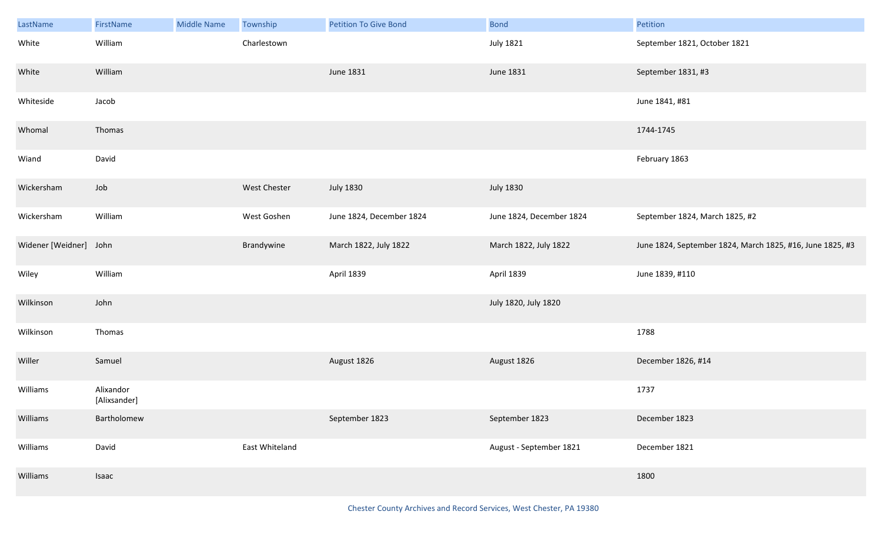| LastName               | FirstName                 | <b>Middle Name</b> | <b>Township</b> | <b>Petition To Give Bond</b> | <b>Bond</b>              | Petition                                                  |
|------------------------|---------------------------|--------------------|-----------------|------------------------------|--------------------------|-----------------------------------------------------------|
| White                  | William                   |                    | Charlestown     |                              | <b>July 1821</b>         | September 1821, October 1821                              |
| White                  | William                   |                    |                 | June 1831                    | June 1831                | September 1831, #3                                        |
| Whiteside              | Jacob                     |                    |                 |                              |                          | June 1841, #81                                            |
| Whomal                 | Thomas                    |                    |                 |                              |                          | 1744-1745                                                 |
| Wiand                  | David                     |                    |                 |                              |                          | February 1863                                             |
| Wickersham             | Job                       |                    | West Chester    | <b>July 1830</b>             | <b>July 1830</b>         |                                                           |
| Wickersham             | William                   |                    | West Goshen     | June 1824, December 1824     | June 1824, December 1824 | September 1824, March 1825, #2                            |
| Widener [Weidner] John |                           |                    | Brandywine      | March 1822, July 1822        | March 1822, July 1822    | June 1824, September 1824, March 1825, #16, June 1825, #3 |
| Wiley                  | William                   |                    |                 | April 1839                   | April 1839               | June 1839, #110                                           |
| Wilkinson              | John                      |                    |                 |                              | July 1820, July 1820     |                                                           |
| Wilkinson              | Thomas                    |                    |                 |                              |                          | 1788                                                      |
| Willer                 | Samuel                    |                    |                 | August 1826                  | August 1826              | December 1826, #14                                        |
| Williams               | Alixandor<br>[Alixsander] |                    |                 |                              |                          | 1737                                                      |
| Williams               | Bartholomew               |                    |                 | September 1823               | September 1823           | December 1823                                             |
| Williams               | David                     |                    | East Whiteland  |                              | August - September 1821  | December 1821                                             |
| Williams               | Isaac                     |                    |                 |                              |                          | 1800                                                      |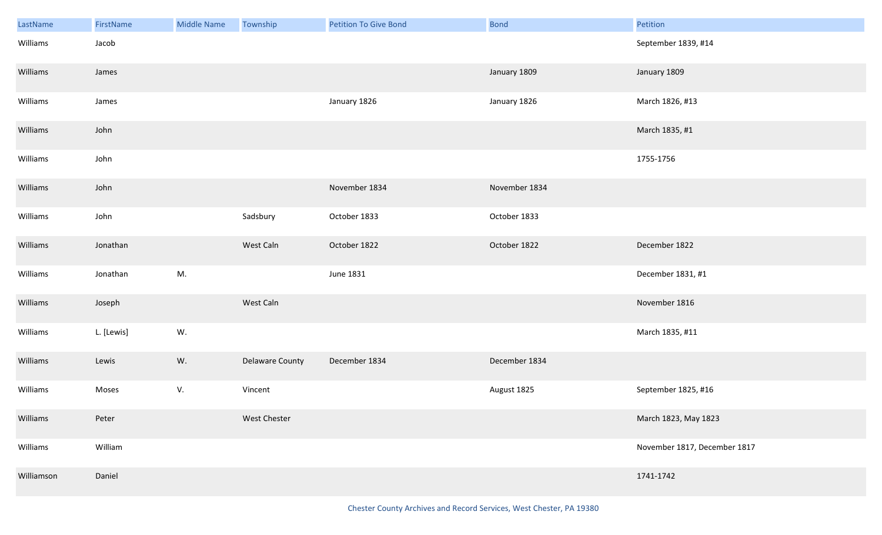| LastName   | FirstName  | <b>Middle Name</b> | Township        | <b>Petition To Give Bond</b> | <b>Bond</b>   | Petition                     |
|------------|------------|--------------------|-----------------|------------------------------|---------------|------------------------------|
| Williams   | Jacob      |                    |                 |                              |               | September 1839, #14          |
| Williams   | James      |                    |                 |                              | January 1809  | January 1809                 |
| Williams   | James      |                    |                 | January 1826                 | January 1826  | March 1826, #13              |
| Williams   | John       |                    |                 |                              |               | March 1835, #1               |
| Williams   | John       |                    |                 |                              |               | 1755-1756                    |
| Williams   | John       |                    |                 | November 1834                | November 1834 |                              |
| Williams   | John       |                    | Sadsbury        | October 1833                 | October 1833  |                              |
| Williams   | Jonathan   |                    | West Caln       | October 1822                 | October 1822  | December 1822                |
| Williams   | Jonathan   | M.                 |                 | June 1831                    |               | December 1831, #1            |
| Williams   | Joseph     |                    | West Caln       |                              |               | November 1816                |
| Williams   | L. [Lewis] | W.                 |                 |                              |               | March 1835, #11              |
| Williams   | Lewis      | W.                 | Delaware County | December 1834                | December 1834 |                              |
| Williams   | Moses      | V.                 | Vincent         |                              | August 1825   | September 1825, #16          |
| Williams   | Peter      |                    | West Chester    |                              |               | March 1823, May 1823         |
| Williams   | William    |                    |                 |                              |               | November 1817, December 1817 |
| Williamson | Daniel     |                    |                 |                              |               | 1741-1742                    |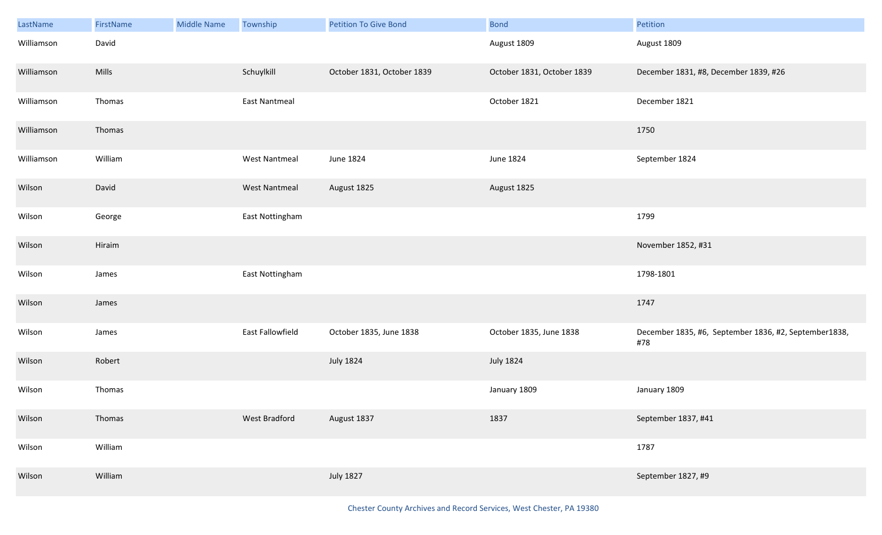| LastName   | FirstName | <b>Middle Name</b> | Township             | <b>Petition To Give Bond</b> | <b>Bond</b>                | Petition                                                      |
|------------|-----------|--------------------|----------------------|------------------------------|----------------------------|---------------------------------------------------------------|
| Williamson | David     |                    |                      |                              | August 1809                | August 1809                                                   |
| Williamson | Mills     |                    | Schuylkill           | October 1831, October 1839   | October 1831, October 1839 | December 1831, #8, December 1839, #26                         |
| Williamson | Thomas    |                    | <b>East Nantmeal</b> |                              | October 1821               | December 1821                                                 |
| Williamson | Thomas    |                    |                      |                              |                            | 1750                                                          |
| Williamson | William   |                    | <b>West Nantmeal</b> | June 1824                    | June 1824                  | September 1824                                                |
| Wilson     | David     |                    | <b>West Nantmeal</b> | August 1825                  | August 1825                |                                                               |
| Wilson     | George    |                    | East Nottingham      |                              |                            | 1799                                                          |
| Wilson     | Hiraim    |                    |                      |                              |                            | November 1852, #31                                            |
| Wilson     | James     |                    | East Nottingham      |                              |                            | 1798-1801                                                     |
| Wilson     | James     |                    |                      |                              |                            | 1747                                                          |
| Wilson     | James     |                    | East Fallowfield     | October 1835, June 1838      | October 1835, June 1838    | December 1835, #6, September 1836, #2, September 1838,<br>#78 |
| Wilson     | Robert    |                    |                      | <b>July 1824</b>             | <b>July 1824</b>           |                                                               |
| Wilson     | Thomas    |                    |                      |                              | January 1809               | January 1809                                                  |
| Wilson     | Thomas    |                    | West Bradford        | August 1837                  | 1837                       | September 1837, #41                                           |
| Wilson     | William   |                    |                      |                              |                            | 1787                                                          |
| Wilson     | William   |                    |                      | <b>July 1827</b>             |                            | September 1827, #9                                            |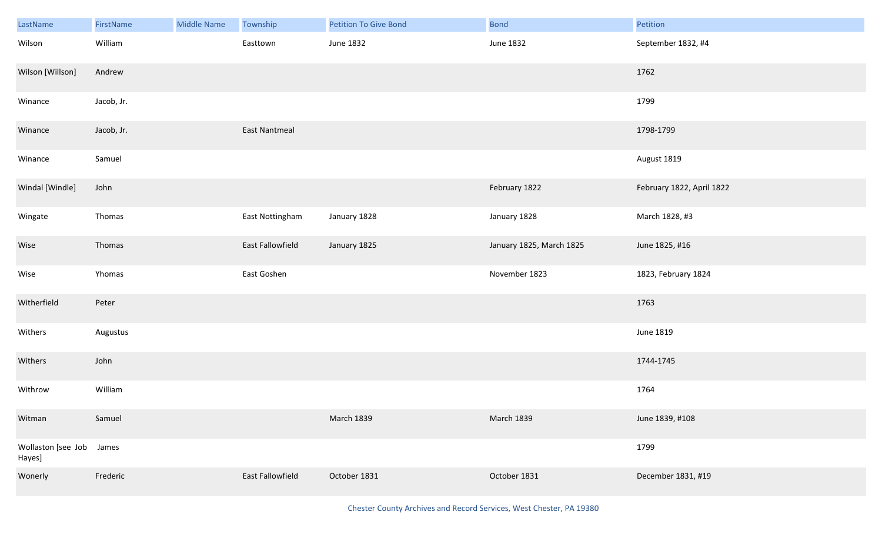| LastName                           | FirstName  | <b>Middle Name</b> | Township         | <b>Petition To Give Bond</b> | Bond                     | Petition                  |
|------------------------------------|------------|--------------------|------------------|------------------------------|--------------------------|---------------------------|
| Wilson                             | William    |                    | Easttown         | June 1832                    | June 1832                | September 1832, #4        |
| Wilson [Willson]                   | Andrew     |                    |                  |                              |                          | 1762                      |
| Winance                            | Jacob, Jr. |                    |                  |                              |                          | 1799                      |
| Winance                            | Jacob, Jr. |                    | East Nantmeal    |                              |                          | 1798-1799                 |
| Winance                            | Samuel     |                    |                  |                              |                          | August 1819               |
| Windal [Windle]                    | John       |                    |                  |                              | February 1822            | February 1822, April 1822 |
| Wingate                            | Thomas     |                    | East Nottingham  | January 1828                 | January 1828             | March 1828, #3            |
| Wise                               | Thomas     |                    | East Fallowfield | January 1825                 | January 1825, March 1825 | June 1825, #16            |
| Wise                               | Yhomas     |                    | East Goshen      |                              | November 1823            | 1823, February 1824       |
| Witherfield                        | Peter      |                    |                  |                              |                          | 1763                      |
| Withers                            | Augustus   |                    |                  |                              |                          | June 1819                 |
| Withers                            | John       |                    |                  |                              |                          | 1744-1745                 |
| Withrow                            | William    |                    |                  |                              |                          | 1764                      |
| Witman                             | Samuel     |                    |                  | <b>March 1839</b>            | March 1839               | June 1839, #108           |
| Wollaston [see Job James<br>Hayes] |            |                    |                  |                              |                          | 1799                      |
| Wonerly                            | Frederic   |                    | East Fallowfield | October 1831                 | October 1831             | December 1831, #19        |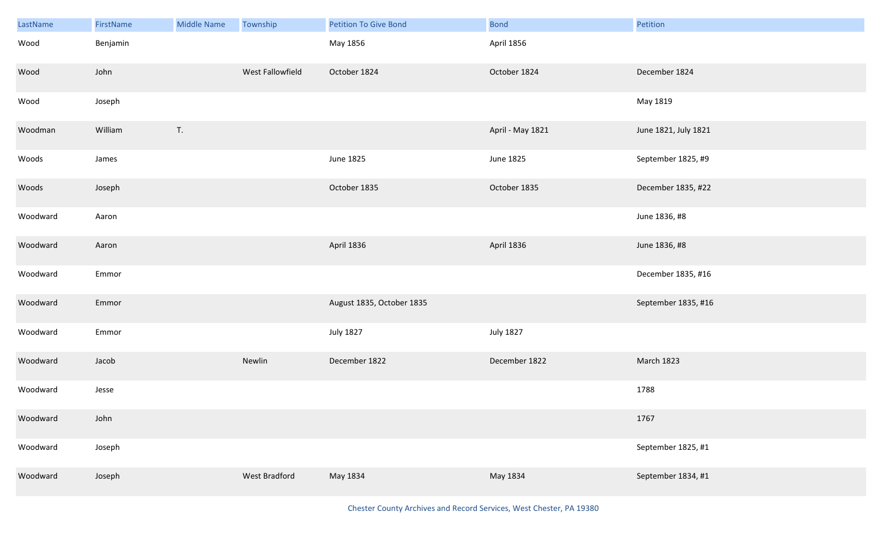| LastName | FirstName | <b>Middle Name</b> | Township         | <b>Petition To Give Bond</b> | <b>Bond</b>      | Petition             |
|----------|-----------|--------------------|------------------|------------------------------|------------------|----------------------|
| Wood     | Benjamin  |                    |                  | May 1856                     | April 1856       |                      |
| Wood     | John      |                    | West Fallowfield | October 1824                 | October 1824     | December 1824        |
| Wood     | Joseph    |                    |                  |                              |                  | May 1819             |
| Woodman  | William   | T.                 |                  |                              | April - May 1821 | June 1821, July 1821 |
| Woods    | James     |                    |                  | June 1825                    | June 1825        | September 1825, #9   |
| Woods    | Joseph    |                    |                  | October 1835                 | October 1835     | December 1835, #22   |
| Woodward | Aaron     |                    |                  |                              |                  | June 1836, #8        |
| Woodward | Aaron     |                    |                  | April 1836                   | April 1836       | June 1836, #8        |
| Woodward | Emmor     |                    |                  |                              |                  | December 1835, #16   |
| Woodward | Emmor     |                    |                  | August 1835, October 1835    |                  | September 1835, #16  |
| Woodward | Emmor     |                    |                  | <b>July 1827</b>             | <b>July 1827</b> |                      |
| Woodward | Jacob     |                    | Newlin           | December 1822                | December 1822    | March 1823           |
| Woodward | Jesse     |                    |                  |                              |                  | 1788                 |
| Woodward | John      |                    |                  |                              |                  | 1767                 |
| Woodward | Joseph    |                    |                  |                              |                  | September 1825, #1   |
| Woodward | Joseph    |                    | West Bradford    | May 1834                     | May 1834         | September 1834, #1   |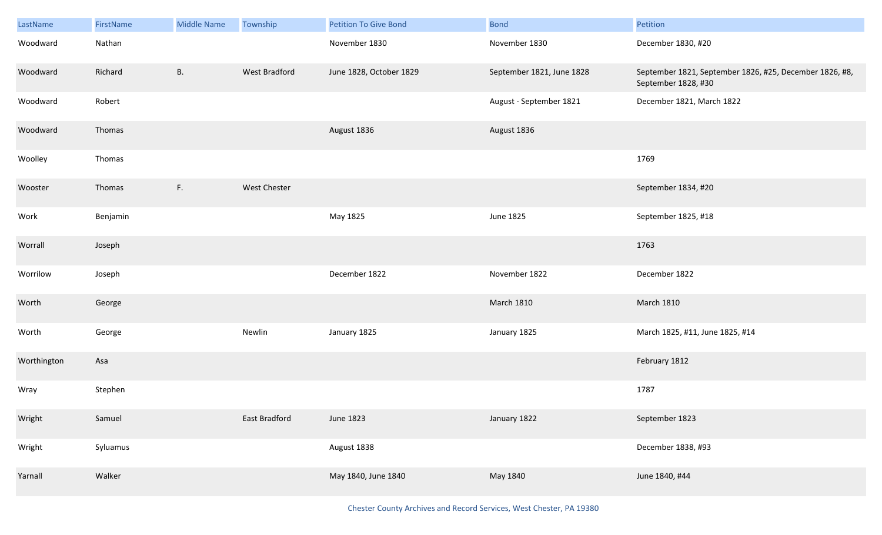| LastName    | FirstName | <b>Middle Name</b> | Township      | <b>Petition To Give Bond</b> | <b>Bond</b>               | Petition                                                                       |
|-------------|-----------|--------------------|---------------|------------------------------|---------------------------|--------------------------------------------------------------------------------|
| Woodward    | Nathan    |                    |               | November 1830                | November 1830             | December 1830, #20                                                             |
| Woodward    | Richard   | <b>B.</b>          | West Bradford | June 1828, October 1829      | September 1821, June 1828 | September 1821, September 1826, #25, December 1826, #8,<br>September 1828, #30 |
| Woodward    | Robert    |                    |               |                              | August - September 1821   | December 1821, March 1822                                                      |
| Woodward    | Thomas    |                    |               | August 1836                  | August 1836               |                                                                                |
| Woolley     | Thomas    |                    |               |                              |                           | 1769                                                                           |
| Wooster     | Thomas    | F.                 | West Chester  |                              |                           | September 1834, #20                                                            |
| Work        | Benjamin  |                    |               | May 1825                     | June 1825                 | September 1825, #18                                                            |
| Worrall     | Joseph    |                    |               |                              |                           | 1763                                                                           |
| Worrilow    | Joseph    |                    |               | December 1822                | November 1822             | December 1822                                                                  |
| Worth       | George    |                    |               |                              | <b>March 1810</b>         | <b>March 1810</b>                                                              |
| Worth       | George    |                    | Newlin        | January 1825                 | January 1825              | March 1825, #11, June 1825, #14                                                |
| Worthington | Asa       |                    |               |                              |                           | February 1812                                                                  |
| Wray        | Stephen   |                    |               |                              |                           | 1787                                                                           |
| Wright      | Samuel    |                    | East Bradford | <b>June 1823</b>             | January 1822              | September 1823                                                                 |
| Wright      | Syluamus  |                    |               | August 1838                  |                           | December 1838, #93                                                             |
| Yarnall     | Walker    |                    |               | May 1840, June 1840          | May 1840                  | June 1840, #44                                                                 |